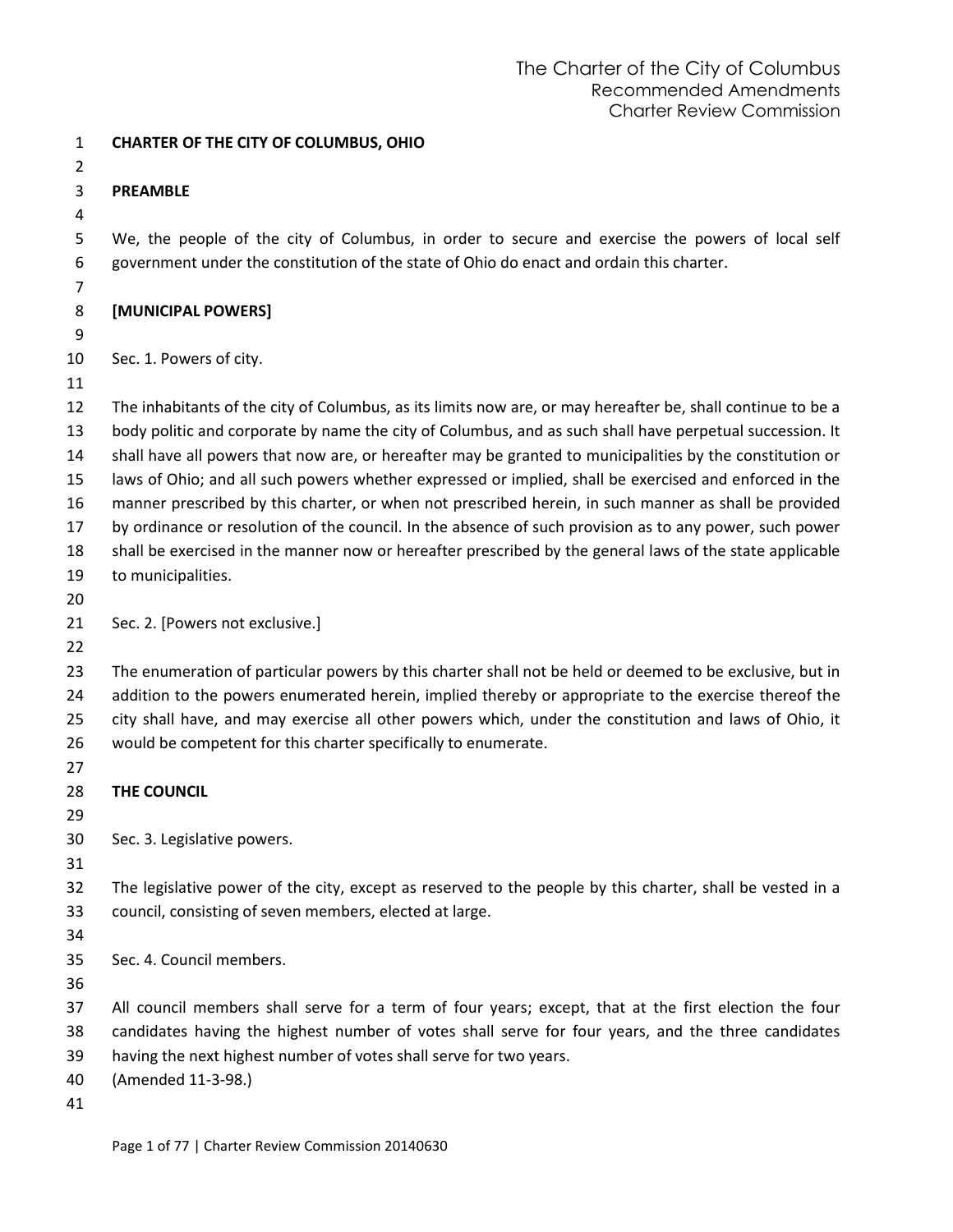| $\mathbf{1}$   | <b>CHARTER OF THE CITY OF COLUMBUS, OHIO</b>                                                                |
|----------------|-------------------------------------------------------------------------------------------------------------|
| $\overline{2}$ |                                                                                                             |
| 3              | <b>PREAMBLE</b>                                                                                             |
| 4              |                                                                                                             |
| 5              | We, the people of the city of Columbus, in order to secure and exercise the powers of local self            |
| 6              | government under the constitution of the state of Ohio do enact and ordain this charter.                    |
| 7<br>8         | [MUNICIPAL POWERS]                                                                                          |
| 9              |                                                                                                             |
| 10             | Sec. 1. Powers of city.                                                                                     |
| 11             |                                                                                                             |
| 12             | The inhabitants of the city of Columbus, as its limits now are, or may hereafter be, shall continue to be a |
| 13             | body politic and corporate by name the city of Columbus, and as such shall have perpetual succession. It    |
| 14             | shall have all powers that now are, or hereafter may be granted to municipalities by the constitution or    |
| 15             | laws of Ohio; and all such powers whether expressed or implied, shall be exercised and enforced in the      |
| 16             | manner prescribed by this charter, or when not prescribed herein, in such manner as shall be provided       |
| 17             | by ordinance or resolution of the council. In the absence of such provision as to any power, such power     |
| 18             | shall be exercised in the manner now or hereafter prescribed by the general laws of the state applicable    |
| 19             | to municipalities.                                                                                          |
| 20             |                                                                                                             |
| 21             | Sec. 2. [Powers not exclusive.]                                                                             |
| 22             |                                                                                                             |
| 23             | The enumeration of particular powers by this charter shall not be held or deemed to be exclusive, but in    |
| 24             | addition to the powers enumerated herein, implied thereby or appropriate to the exercise thereof the        |
| 25             | city shall have, and may exercise all other powers which, under the constitution and laws of Ohio, it       |
| 26             | would be competent for this charter specifically to enumerate.                                              |
| 27             |                                                                                                             |
| 28             | THE COUNCIL                                                                                                 |
| 29             |                                                                                                             |
| 30             | Sec. 3. Legislative powers.                                                                                 |
| 31             |                                                                                                             |
| 32             | The legislative power of the city, except as reserved to the people by this charter, shall be vested in a   |
| 33             | council, consisting of seven members, elected at large.                                                     |
| 34             |                                                                                                             |
| 35             | Sec. 4. Council members.                                                                                    |
| 36             |                                                                                                             |
| 37             | All council members shall serve for a term of four years; except, that at the first election the four       |
| 38             | candidates having the highest number of votes shall serve for four years, and the three candidates          |
| 39             | having the next highest number of votes shall serve for two years.                                          |
| 40             | (Amended 11-3-98.)                                                                                          |
| 41             |                                                                                                             |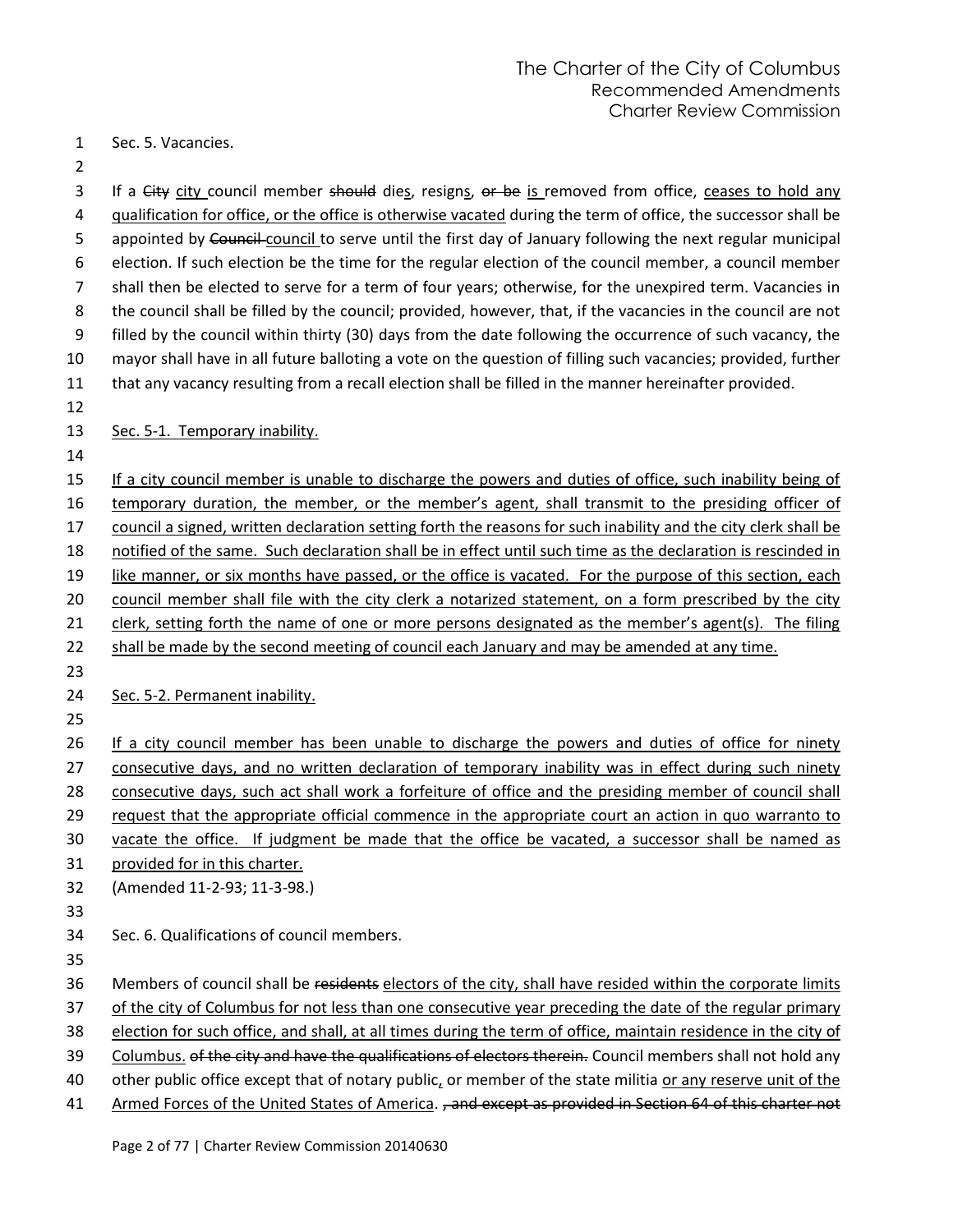Sec. 5. Vacancies.

3 If a City city council member should dies, resigns, or be is removed from office, ceases to hold any qualification for office, or the office is otherwise vacated during the term of office, the successor shall be 5 appointed by Council council to serve until the first day of January following the next regular municipal election. If such election be the time for the regular election of the council member, a council member shall then be elected to serve for a term of four years; otherwise, for the unexpired term. Vacancies in the council shall be filled by the council; provided, however, that, if the vacancies in the council are not filled by the council within thirty (30) days from the date following the occurrence of such vacancy, the mayor shall have in all future balloting a vote on the question of filling such vacancies; provided, further that any vacancy resulting from a recall election shall be filled in the manner hereinafter provided. Sec. 5-1. Temporary inability. If a city council member is unable to discharge the powers and duties of office, such inability being of 16 temporary duration, the member, or the member's agent, shall transmit to the presiding officer of

council a signed, written declaration setting forth the reasons for such inability and the city clerk shall be

notified of the same. Such declaration shall be in effect until such time as the declaration is rescinded in

19 like manner, or six months have passed, or the office is vacated. For the purpose of this section, each

council member shall file with the city clerk a notarized statement, on a form prescribed by the city

21 clerk, setting forth the name of one or more persons designated as the member's agent(s). The filing

- shall be made by the second meeting of council each January and may be amended at any time.
- 

24 Sec. 5-2. Permanent inability.

26 If a city council member has been unable to discharge the powers and duties of office for ninety consecutive days, and no written declaration of temporary inability was in effect during such ninety 28 consecutive days, such act shall work a forfeiture of office and the presiding member of council shall request that the appropriate official commence in the appropriate court an action in quo warranto to vacate the office. If judgment be made that the office be vacated, a successor shall be named as provided for in this charter.

(Amended 11-2-93; 11-3-98.)

Sec. 6. Qualifications of council members.

36 Members of council shall be residents electors of the city, shall have resided within the corporate limits

37 of the city of Columbus for not less than one consecutive year preceding the date of the regular primary

election for such office, and shall, at all times during the term of office, maintain residence in the city of

39 Columbus. of the city and have the qualifications of electors therein. Council members shall not hold any

other public office except that of notary public, or member of the state militia or any reserve unit of the

41 Armed Forces of the United States of America. , and except as provided in Section 64 of this charter not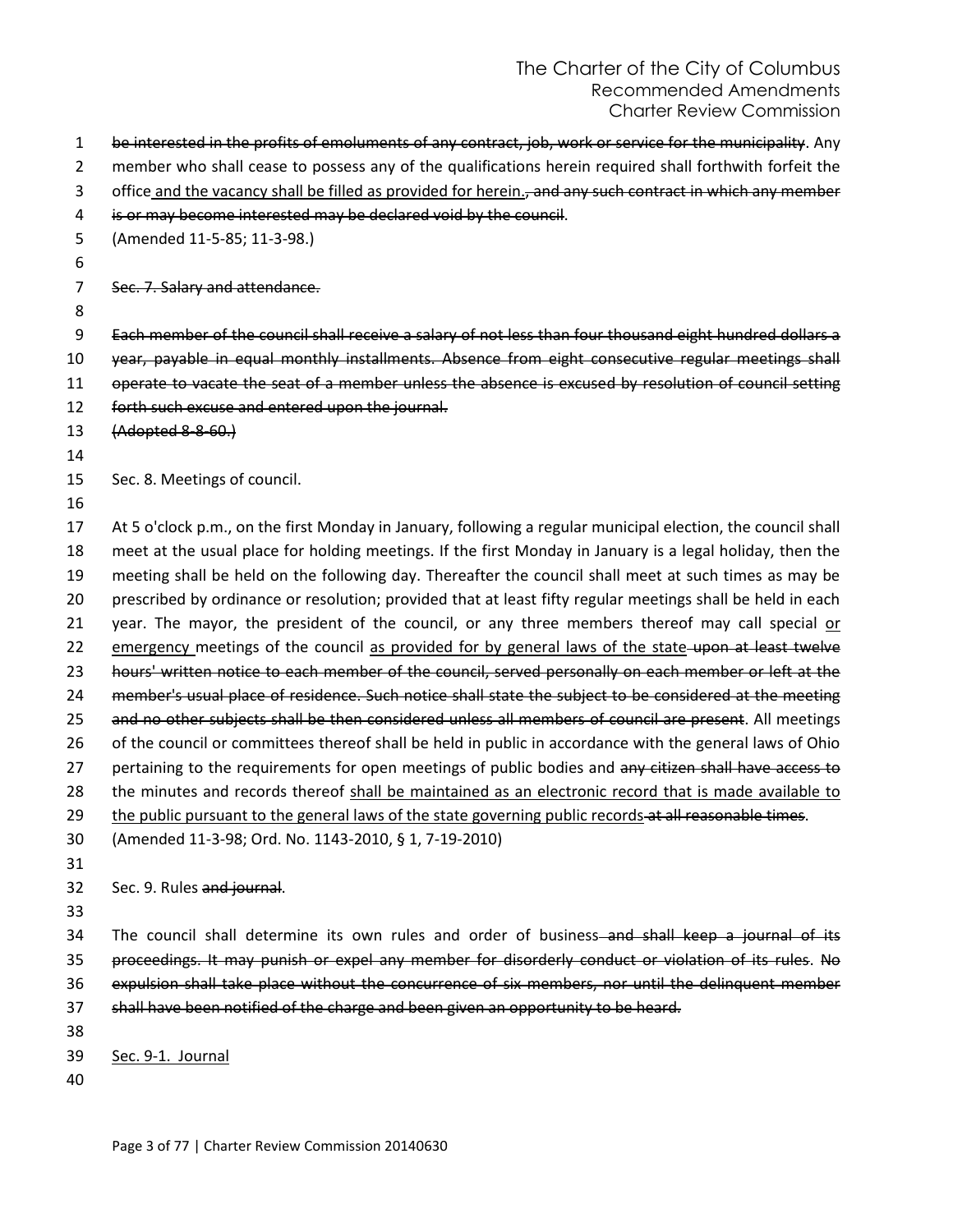| 1              | be interested in the profits of emoluments of any contract, job, work or service for the municipality. Any   |
|----------------|--------------------------------------------------------------------------------------------------------------|
| $\overline{2}$ | member who shall cease to possess any of the qualifications herein required shall forthwith forfeit the      |
| 3              | office and the vacancy shall be filled as provided for herein., and any such contract in which any member    |
| 4              | is or may become interested may be declared void by the council.                                             |
| 5              | (Amended 11-5-85; 11-3-98.)                                                                                  |
| 6              |                                                                                                              |
| 7              | Sec. 7. Salary and attendance.                                                                               |
| 8              |                                                                                                              |
| 9              | Each member of the council shall receive a salary of not less than four thousand eight hundred dollars a     |
| 10             | year, payable in equal monthly installments. Absence from eight consecutive regular meetings shall           |
| 11             | operate to vacate the seat of a member unless the absence is excused by resolution of council setting        |
| 12             | forth such excuse and entered upon the journal.                                                              |
| 13             | (Adopted 8-8-60.)                                                                                            |
| 14             |                                                                                                              |
| 15             | Sec. 8. Meetings of council.                                                                                 |
| 16             |                                                                                                              |
| 17             | At 5 o'clock p.m., on the first Monday in January, following a regular municipal election, the council shall |
| 18             | meet at the usual place for holding meetings. If the first Monday in January is a legal holiday, then the    |
| 19             | meeting shall be held on the following day. Thereafter the council shall meet at such times as may be        |
| 20             | prescribed by ordinance or resolution; provided that at least fifty regular meetings shall be held in each   |
| 21             | year. The mayor, the president of the council, or any three members thereof may call special or              |
| 22             | emergency meetings of the council as provided for by general laws of the state-upon at least twelve          |
| 23             | hours' written notice to each member of the council, served personally on each member or left at the         |
| 24             | member's usual place of residence. Such notice shall state the subject to be considered at the meeting       |
| 25             | and no other subjects shall be then considered unless all members of council are present. All meetings       |
| 26             | of the council or committees thereof shall be held in public in accordance with the general laws of Ohio     |
| 27             | pertaining to the requirements for open meetings of public bodies and any citizen shall have access to       |
| 28             | the minutes and records thereof shall be maintained as an electronic record that is made available to        |
| 29             | the public pursuant to the general laws of the state governing public records-at all reasonable times.       |
| 30             | (Amended 11-3-98; Ord. No. 1143-2010, § 1, 7-19-2010)                                                        |
| 31             |                                                                                                              |
| 32             | Sec. 9. Rules and journal.                                                                                   |
| 33             |                                                                                                              |
| 34             | The council shall determine its own rules and order of business-and shall keep a journal of its              |
| 35             | proceedings. It may punish or expel any member for disorderly conduct or violation of its rules. No          |
| 36             | expulsion shall take place without the concurrence of six members, nor until the delinguent member           |
| 37             | shall have been notified of the charge and been given an opportunity to be heard.                            |
| 38             |                                                                                                              |
| 39             | Sec. 9-1. Journal                                                                                            |
| 40             |                                                                                                              |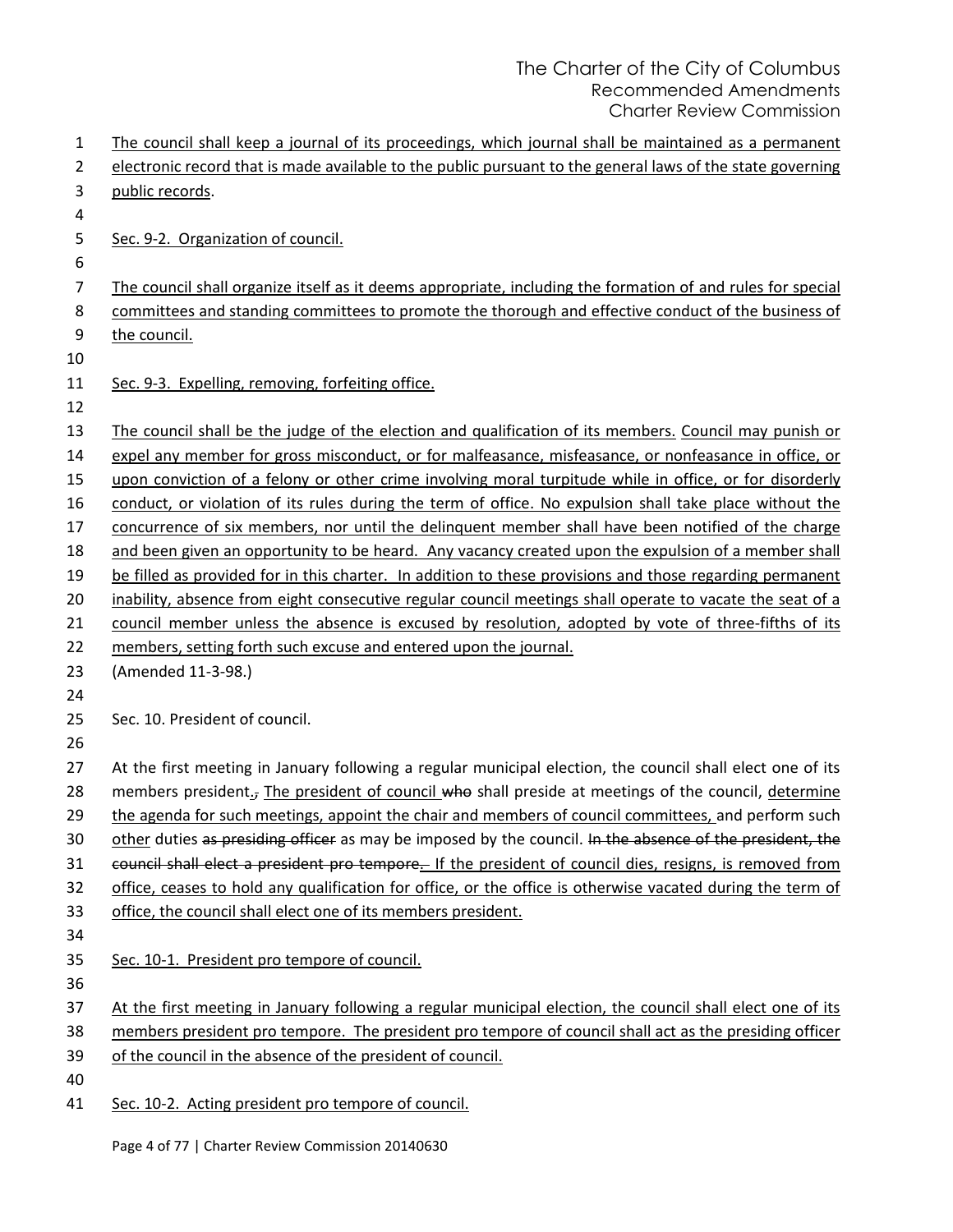| 1  | The council shall keep a journal of its proceedings, which journal shall be maintained as a permanent             |
|----|-------------------------------------------------------------------------------------------------------------------|
| 2  | electronic record that is made available to the public pursuant to the general laws of the state governing        |
| 3  | public records.                                                                                                   |
| 4  |                                                                                                                   |
| 5  | Sec. 9-2. Organization of council.                                                                                |
| 6  |                                                                                                                   |
| 7  | The council shall organize itself as it deems appropriate, including the formation of and rules for special       |
| 8  | committees and standing committees to promote the thorough and effective conduct of the business of               |
| 9  | the council.                                                                                                      |
| 10 |                                                                                                                   |
| 11 | Sec. 9-3. Expelling, removing, forfeiting office.                                                                 |
| 12 |                                                                                                                   |
| 13 | The council shall be the judge of the election and qualification of its members. Council may punish or            |
| 14 | expel any member for gross misconduct, or for malfeasance, misfeasance, or nonfeasance in office, or              |
| 15 | upon conviction of a felony or other crime involving moral turpitude while in office, or for disorderly           |
| 16 | conduct, or violation of its rules during the term of office. No expulsion shall take place without the           |
| 17 | concurrence of six members, nor until the delinquent member shall have been notified of the charge                |
| 18 | and been given an opportunity to be heard. Any vacancy created upon the expulsion of a member shall               |
| 19 | be filled as provided for in this charter. In addition to these provisions and those regarding permanent          |
| 20 | inability, absence from eight consecutive regular council meetings shall operate to vacate the seat of a          |
| 21 | council member unless the absence is excused by resolution, adopted by vote of three-fifths of its                |
| 22 | members, setting forth such excuse and entered upon the journal.                                                  |
| 23 | (Amended 11-3-98.)                                                                                                |
| 24 |                                                                                                                   |
| 25 | Sec. 10. President of council.                                                                                    |
| 26 |                                                                                                                   |
| 27 | At the first meeting in January following a regular municipal election, the council shall elect one of its        |
| 28 | members president <sub>1</sub> , The president of council who shall preside at meetings of the council, determine |
| 29 | the agenda for such meetings, appoint the chair and members of council committees, and perform such               |
| 30 | other duties as presiding officer as may be imposed by the council. In the absence of the president, the          |
| 31 | council shall elect a president pro tempore. If the president of council dies, resigns, is removed from           |
| 32 | office, ceases to hold any qualification for office, or the office is otherwise vacated during the term of        |
| 33 | office, the council shall elect one of its members president.                                                     |
| 34 |                                                                                                                   |
| 35 | Sec. 10-1. President pro tempore of council.                                                                      |
| 36 |                                                                                                                   |
| 37 | At the first meeting in January following a regular municipal election, the council shall elect one of its        |
| 38 | members president pro tempore. The president pro tempore of council shall act as the presiding officer            |
| 39 | of the council in the absence of the president of council.                                                        |
| 40 |                                                                                                                   |
| 41 | Sec. 10-2. Acting president pro tempore of council.                                                               |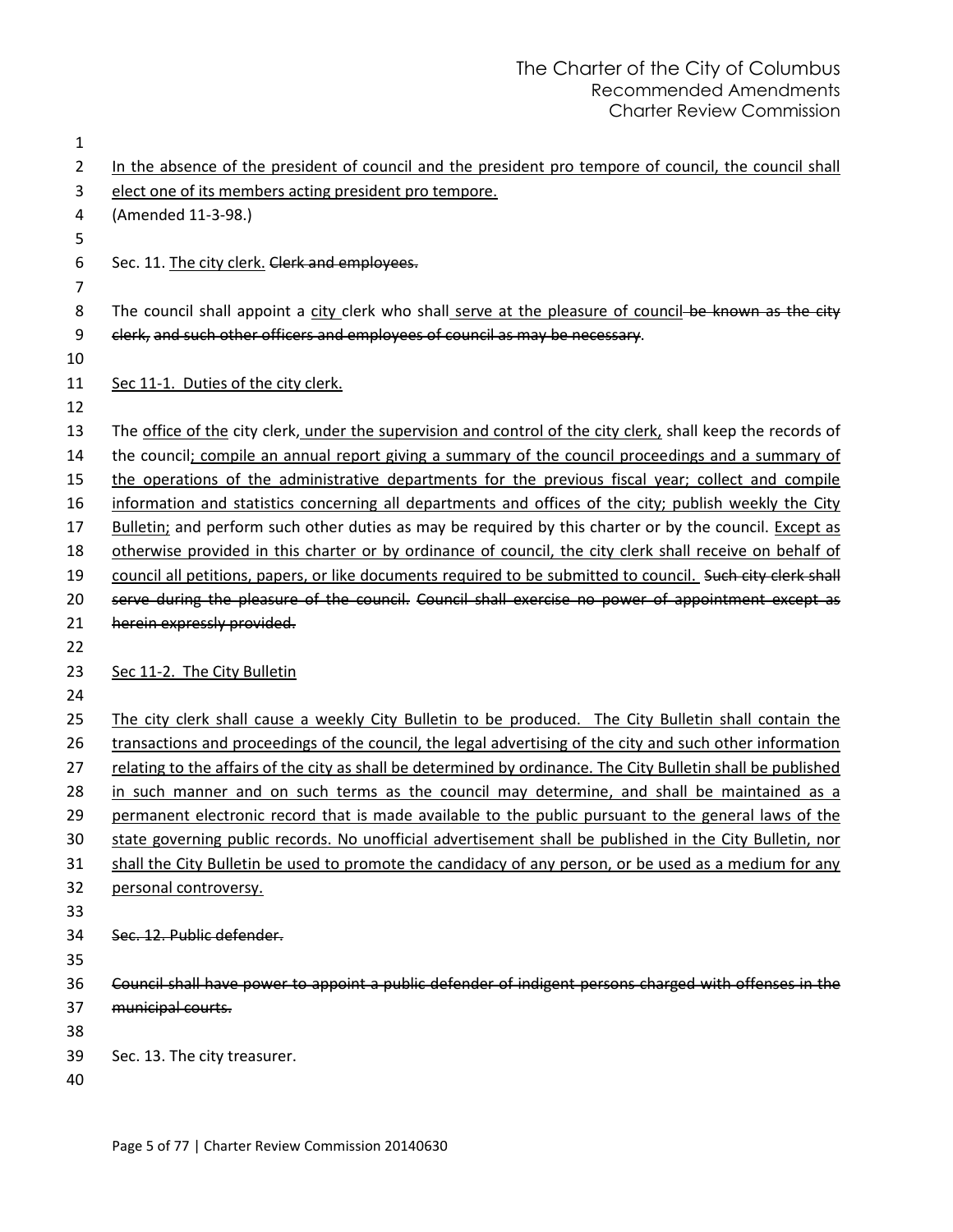| $\mathbf{1}$   |                                                                                                               |
|----------------|---------------------------------------------------------------------------------------------------------------|
| $\overline{2}$ | In the absence of the president of council and the president pro tempore of council, the council shall        |
| 3              | elect one of its members acting president pro tempore.                                                        |
| 4              | (Amended 11-3-98.)                                                                                            |
| 5              |                                                                                                               |
| 6              | Sec. 11. The city clerk. Clerk and employees.                                                                 |
| $\overline{7}$ |                                                                                                               |
| 8              | The council shall appoint a city clerk who shall serve at the pleasure of council-be known as the city        |
| 9              | clerk, and such other officers and employees of council as may be necessary.                                  |
| 10             |                                                                                                               |
| 11             | Sec 11-1. Duties of the city clerk.                                                                           |
| 12             |                                                                                                               |
| 13             | The office of the city clerk, under the supervision and control of the city clerk, shall keep the records of  |
| 14             | the council; compile an annual report giving a summary of the council proceedings and a summary of            |
| 15             | the operations of the administrative departments for the previous fiscal year; collect and compile            |
| 16             | information and statistics concerning all departments and offices of the city; publish weekly the City        |
| 17             | Bulletin; and perform such other duties as may be required by this charter or by the council. Except as       |
| 18             | otherwise provided in this charter or by ordinance of council, the city clerk shall receive on behalf of      |
| 19             | council all petitions, papers, or like documents required to be submitted to council. Such city clerk shall   |
| 20             | serve during the pleasure of the council. Council shall exercise no power of appointment except as            |
| 21<br>22       | herein expressly provided.                                                                                    |
| 23             |                                                                                                               |
| 24             | Sec 11-2. The City Bulletin                                                                                   |
| 25             | The city clerk shall cause a weekly City Bulletin to be produced. The City Bulletin shall contain the         |
| 26             | transactions and proceedings of the council, the legal advertising of the city and such other information     |
| 27             | relating to the affairs of the city as shall be determined by ordinance. The City Bulletin shall be published |
| 28             | in such manner and on such terms as the council may determine, and shall be maintained as a                   |
| 29             | permanent electronic record that is made available to the public pursuant to the general laws of the          |
| 30             | state governing public records. No unofficial advertisement shall be published in the City Bulletin, nor      |
| 31             | shall the City Bulletin be used to promote the candidacy of any person, or be used as a medium for any        |
| 32             | personal controversy.                                                                                         |
| 33             |                                                                                                               |
| 34             | Sec. 12. Public defender.                                                                                     |
| 35             |                                                                                                               |
| 36             | Council shall have power to appoint a public defender of indigent persons charged with offenses in the        |
| 37             | municipal courts.                                                                                             |
| 38             |                                                                                                               |
| 39             | Sec. 13. The city treasurer.                                                                                  |
| 40             |                                                                                                               |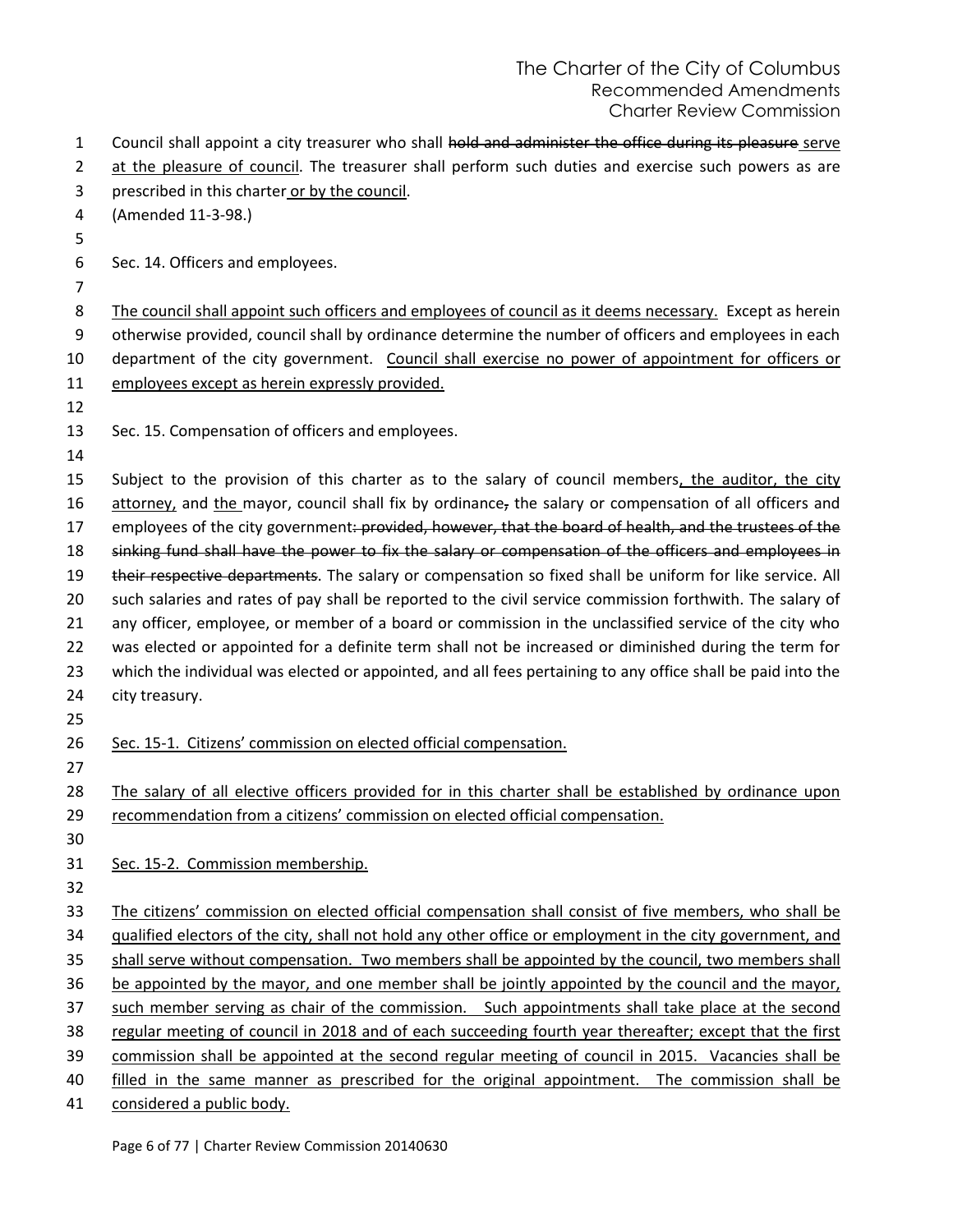| 1              | Council shall appoint a city treasurer who shall hold and administer the office during its pleasure serve   |
|----------------|-------------------------------------------------------------------------------------------------------------|
| $\overline{2}$ | at the pleasure of council. The treasurer shall perform such duties and exercise such powers as are         |
| 3              | prescribed in this charter or by the council.                                                               |
| 4              | (Amended 11-3-98.)                                                                                          |
| 5              |                                                                                                             |
| 6              | Sec. 14. Officers and employees.                                                                            |
| 7              |                                                                                                             |
| 8              | The council shall appoint such officers and employees of council as it deems necessary. Except as herein    |
| 9              | otherwise provided, council shall by ordinance determine the number of officers and employees in each       |
| 10             | department of the city government. Council shall exercise no power of appointment for officers or           |
| 11             | employees except as herein expressly provided.                                                              |
| 12             |                                                                                                             |
| 13             | Sec. 15. Compensation of officers and employees.                                                            |
| 14             |                                                                                                             |
| 15             | Subject to the provision of this charter as to the salary of council members, the auditor, the city         |
| 16             | attorney, and the mayor, council shall fix by ordinance, the salary or compensation of all officers and     |
| 17             | employees of the city government: provided, however, that the board of health, and the trustees of the      |
| 18             | sinking fund shall have the power to fix the salary or compensation of the officers and employees in        |
| 19             | their respective departments. The salary or compensation so fixed shall be uniform for like service. All    |
| 20             | such salaries and rates of pay shall be reported to the civil service commission forthwith. The salary of   |
| 21             | any officer, employee, or member of a board or commission in the unclassified service of the city who       |
| 22             | was elected or appointed for a definite term shall not be increased or diminished during the term for       |
| 23             | which the individual was elected or appointed, and all fees pertaining to any office shall be paid into the |
| 24             | city treasury.                                                                                              |
| 25             |                                                                                                             |
| 26             | Sec. 15-1. Citizens' commission on elected official compensation.                                           |
| 27             |                                                                                                             |
| 28             | The salary of all elective officers provided for in this charter shall be established by ordinance upon     |
| 29             | recommendation from a citizens' commission on elected official compensation.                                |
| 30             |                                                                                                             |
| 31             | Sec. 15-2. Commission membership.                                                                           |
| 32             |                                                                                                             |
| 33             | The citizens' commission on elected official compensation shall consist of five members, who shall be       |
| 34             | qualified electors of the city, shall not hold any other office or employment in the city government, and   |
| 35             | shall serve without compensation. Two members shall be appointed by the council, two members shall          |
| 36             | be appointed by the mayor, and one member shall be jointly appointed by the council and the mayor,          |
| 37             | such member serving as chair of the commission. Such appointments shall take place at the second            |
| 38             | regular meeting of council in 2018 and of each succeeding fourth year thereafter; except that the first     |
| 39             | commission shall be appointed at the second regular meeting of council in 2015. Vacancies shall be          |
| 40             | filled in the same manner as prescribed for the original appointment. The commission shall be               |
| 41             | considered a public body.                                                                                   |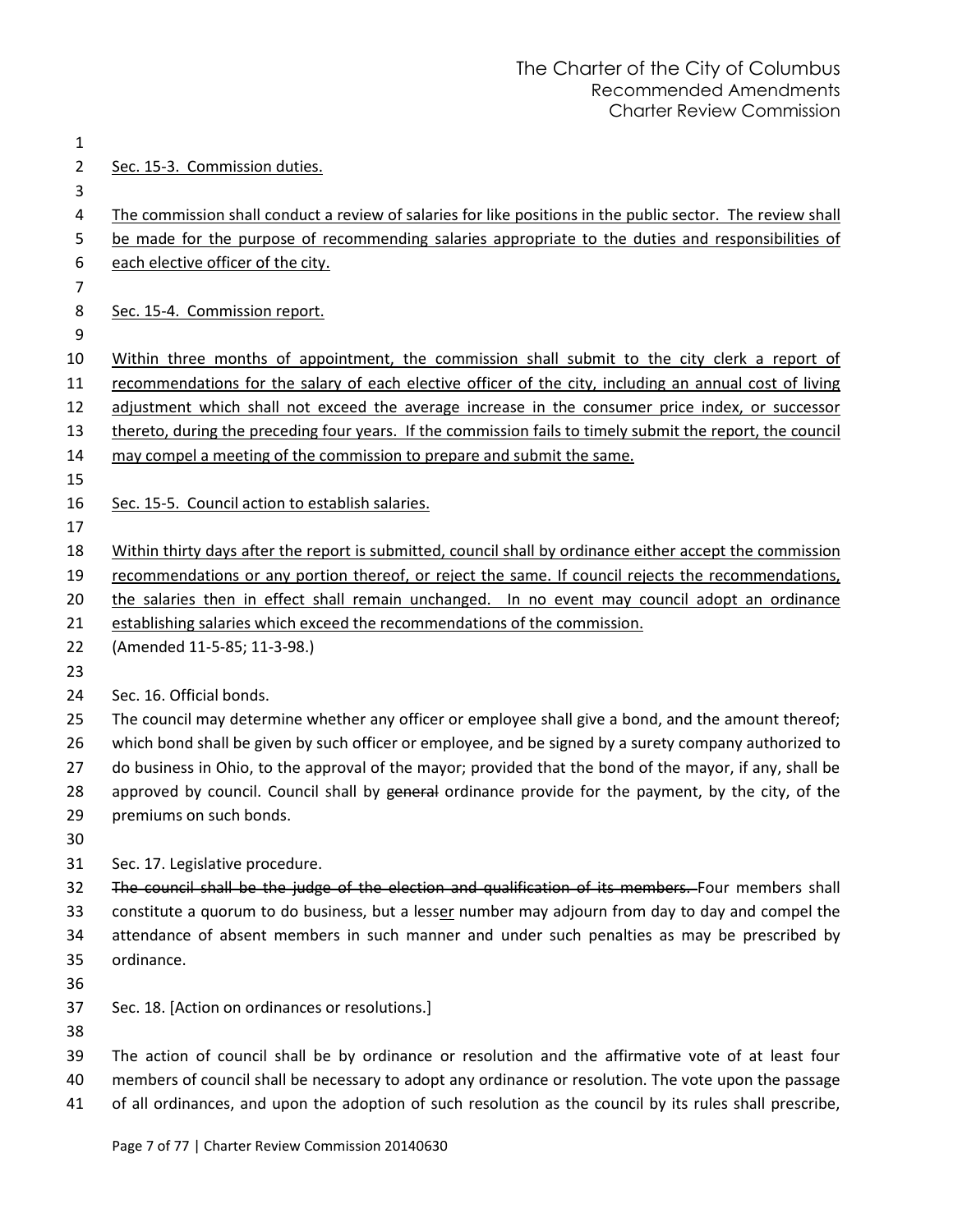| $\overline{2}$ | Sec. 15-3. Commission duties.                                                                               |
|----------------|-------------------------------------------------------------------------------------------------------------|
| 3              |                                                                                                             |
| 4              | The commission shall conduct a review of salaries for like positions in the public sector. The review shall |
| 5              | be made for the purpose of recommending salaries appropriate to the duties and responsibilities of          |
| 6              | each elective officer of the city.                                                                          |
| $\overline{7}$ |                                                                                                             |
| 8              | Sec. 15-4. Commission report.                                                                               |
| 9              |                                                                                                             |
| 10             | Within three months of appointment, the commission shall submit to the city clerk a report of               |
| 11             | recommendations for the salary of each elective officer of the city, including an annual cost of living     |
| 12             | adjustment which shall not exceed the average increase in the consumer price index, or successor            |
| 13             | thereto, during the preceding four years. If the commission fails to timely submit the report, the council  |
| 14             | may compel a meeting of the commission to prepare and submit the same.                                      |
| 15             |                                                                                                             |
| 16             | Sec. 15-5. Council action to establish salaries.                                                            |
| 17             |                                                                                                             |
| 18             | Within thirty days after the report is submitted, council shall by ordinance either accept the commission   |
| 19             | recommendations or any portion thereof, or reject the same. If council rejects the recommendations,         |
| 20             | the salaries then in effect shall remain unchanged. In no event may council adopt an ordinance              |
| 21             | establishing salaries which exceed the recommendations of the commission.                                   |
| 22             | (Amended 11-5-85; 11-3-98.)                                                                                 |
| 23             |                                                                                                             |
| 24             | Sec. 16. Official bonds.                                                                                    |
| 25             | The council may determine whether any officer or employee shall give a bond, and the amount thereof;        |
| 26             | which bond shall be given by such officer or employee, and be signed by a surety company authorized to      |
| 27             | do business in Ohio, to the approval of the mayor; provided that the bond of the mayor, if any, shall be    |
| 28             | approved by council. Council shall by general ordinance provide for the payment, by the city, of the        |
| 29             | premiums on such bonds.                                                                                     |
| 30             |                                                                                                             |
| 31             | Sec. 17. Legislative procedure.                                                                             |
| 32             | The council shall be the judge of the election and qualification of its members. Four members shall         |
| 33             | constitute a quorum to do business, but a lesser number may adjourn from day to day and compel the          |
| 34             | attendance of absent members in such manner and under such penalties as may be prescribed by                |
| 35             | ordinance.                                                                                                  |
| 36             |                                                                                                             |
| 37             | Sec. 18. [Action on ordinances or resolutions.]                                                             |
| 38             |                                                                                                             |
| 39             | The action of council shall be by ordinance or resolution and the affirmative vote of at least four         |
| 40             | members of council shall be necessary to adopt any ordinance or resolution. The vote upon the passage       |

41 of all ordinances, and upon the adoption of such resolution as the council by its rules shall prescribe,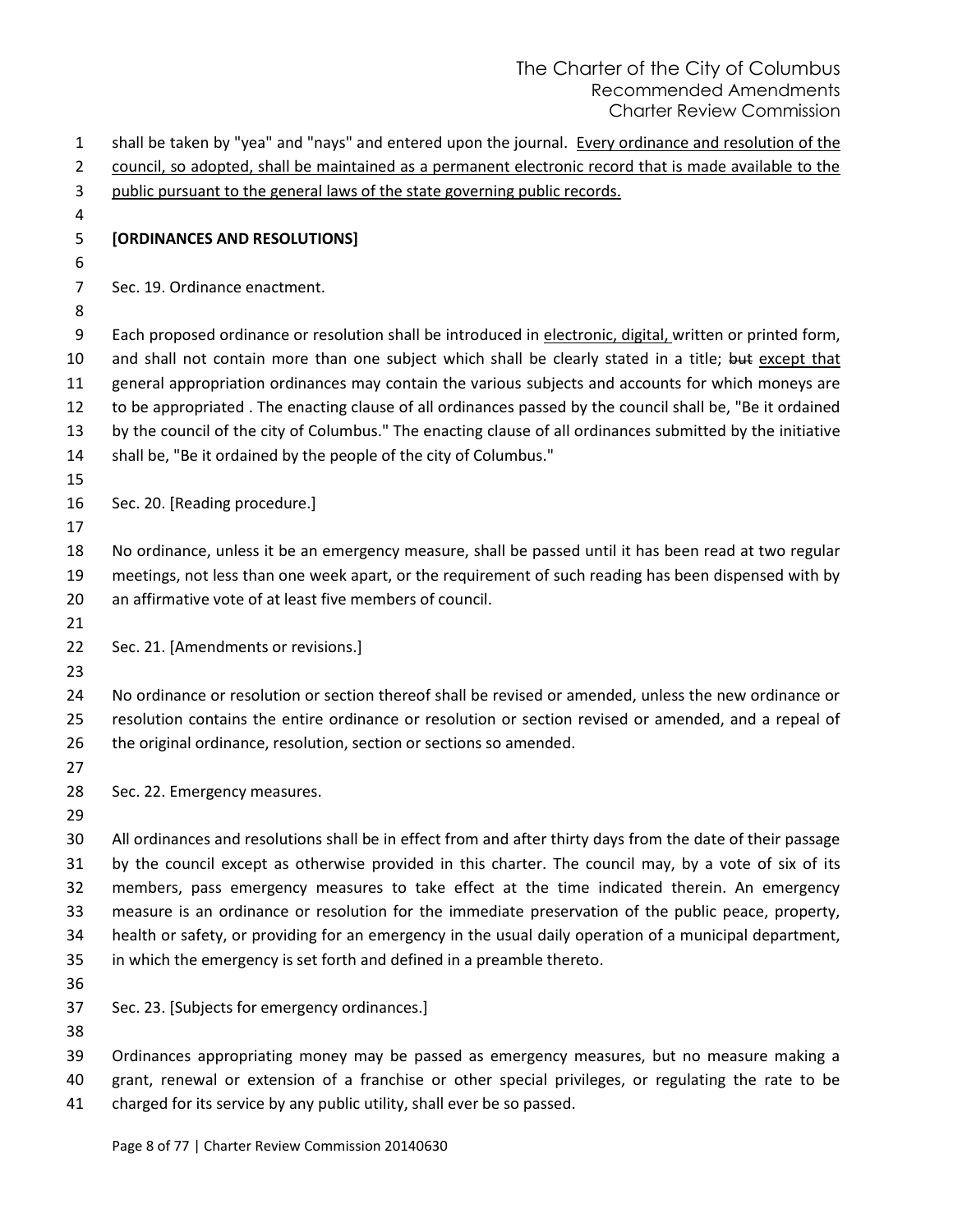shall be taken by "yea" and "nays" and entered upon the journal. Every ordinance and resolution of the council, so adopted, shall be maintained as a permanent electronic record that is made available to the public pursuant to the general laws of the state governing public records. **[ORDINANCES AND RESOLUTIONS]** Sec. 19. Ordinance enactment. Each proposed ordinance or resolution shall be introduced in electronic, digital, written or printed form, 10 and shall not contain more than one subject which shall be clearly stated in a title; but except that general appropriation ordinances may contain the various subjects and accounts for which moneys are to be appropriated . The enacting clause of all ordinances passed by the council shall be, "Be it ordained by the council of the city of Columbus." The enacting clause of all ordinances submitted by the initiative shall be, "Be it ordained by the people of the city of Columbus." Sec. 20. [Reading procedure.] No ordinance, unless it be an emergency measure, shall be passed until it has been read at two regular meetings, not less than one week apart, or the requirement of such reading has been dispensed with by an affirmative vote of at least five members of council. Sec. 21. [Amendments or revisions.] No ordinance or resolution or section thereof shall be revised or amended, unless the new ordinance or resolution contains the entire ordinance or resolution or section revised or amended, and a repeal of 26 the original ordinance, resolution, section or sections so amended. Sec. 22. Emergency measures. All ordinances and resolutions shall be in effect from and after thirty days from the date of their passage by the council except as otherwise provided in this charter. The council may, by a vote of six of its members, pass emergency measures to take effect at the time indicated therein. An emergency measure is an ordinance or resolution for the immediate preservation of the public peace, property, health or safety, or providing for an emergency in the usual daily operation of a municipal department, in which the emergency is set forth and defined in a preamble thereto. Sec. 23. [Subjects for emergency ordinances.] Ordinances appropriating money may be passed as emergency measures, but no measure making a grant, renewal or extension of a franchise or other special privileges, or regulating the rate to be charged for its service by any public utility, shall ever be so passed.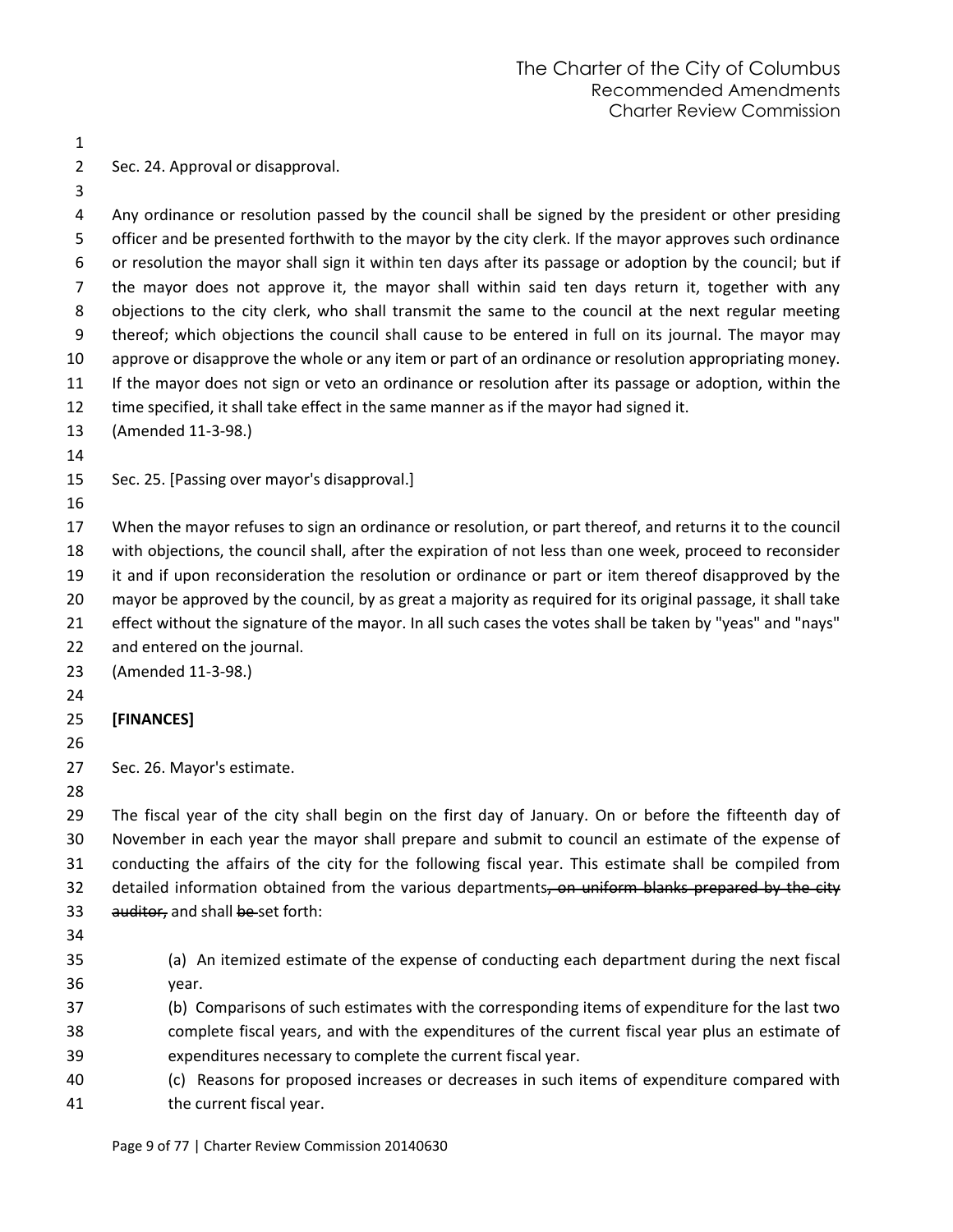| ۰.  |
|-----|
| . . |

Sec. 24. Approval or disapproval.

 Any ordinance or resolution passed by the council shall be signed by the president or other presiding 5 officer and be presented forthwith to the mayor by the city clerk. If the mayor approves such ordinance or resolution the mayor shall sign it within ten days after its passage or adoption by the council; but if the mayor does not approve it, the mayor shall within said ten days return it, together with any objections to the city clerk, who shall transmit the same to the council at the next regular meeting thereof; which objections the council shall cause to be entered in full on its journal. The mayor may approve or disapprove the whole or any item or part of an ordinance or resolution appropriating money. If the mayor does not sign or veto an ordinance or resolution after its passage or adoption, within the time specified, it shall take effect in the same manner as if the mayor had signed it. (Amended 11-3-98.)

Sec. 25. [Passing over mayor's disapproval.]

 When the mayor refuses to sign an ordinance or resolution, or part thereof, and returns it to the council with objections, the council shall, after the expiration of not less than one week, proceed to reconsider it and if upon reconsideration the resolution or ordinance or part or item thereof disapproved by the mayor be approved by the council, by as great a majority as required for its original passage, it shall take

- effect without the signature of the mayor. In all such cases the votes shall be taken by "yeas" and "nays"
- and entered on the journal.

(Amended 11-3-98.)

**[FINANCES]**

- 
- Sec. 26. Mayor's estimate.
- 

 The fiscal year of the city shall begin on the first day of January. On or before the fifteenth day of November in each year the mayor shall prepare and submit to council an estimate of the expense of conducting the affairs of the city for the following fiscal year. This estimate shall be compiled from 32 detailed information obtained from the various departments, on uniform blanks prepared by the city 33 auditor, and shall be set forth:

- 
- (a) An itemized estimate of the expense of conducting each department during the next fiscal year.
- (b) Comparisons of such estimates with the corresponding items of expenditure for the last two complete fiscal years, and with the expenditures of the current fiscal year plus an estimate of expenditures necessary to complete the current fiscal year.
- (c) Reasons for proposed increases or decreases in such items of expenditure compared with the current fiscal year.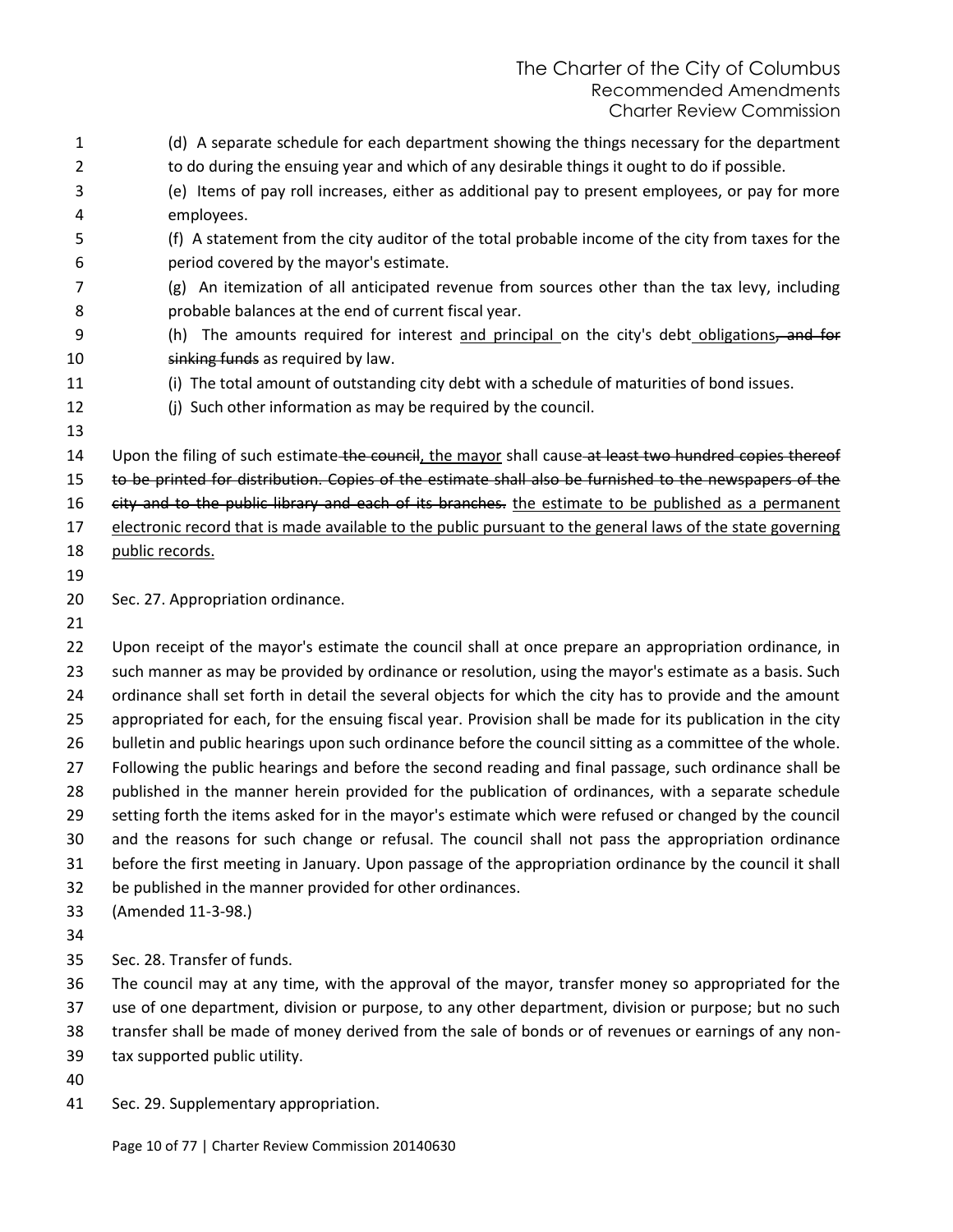(d) A separate schedule for each department showing the things necessary for the department 2 to do during the ensuing year and which of any desirable things it ought to do if possible. (e) Items of pay roll increases, either as additional pay to present employees, or pay for more employees. (f) A statement from the city auditor of the total probable income of the city from taxes for the period covered by the mayor's estimate. (g) An itemization of all anticipated revenue from sources other than the tax levy, including probable balances at the end of current fiscal year. 9 (h) The amounts required for interest and principal on the city's debt obligations, and for 10 sinking funds as required by law. (i) The total amount of outstanding city debt with a schedule of maturities of bond issues. (j) Such other information as may be required by the council. 14 Upon the filing of such estimate the council, the mayor shall cause at least two hundred copies thereof to be printed for distribution. Copies of the estimate shall also be furnished to the newspapers of the 16 city and to the public library and each of its branches. the estimate to be published as a permanent electronic record that is made available to the public pursuant to the general laws of the state governing public records. Sec. 27. Appropriation ordinance. Upon receipt of the mayor's estimate the council shall at once prepare an appropriation ordinance, in 23 such manner as may be provided by ordinance or resolution, using the mayor's estimate as a basis. Such ordinance shall set forth in detail the several objects for which the city has to provide and the amount appropriated for each, for the ensuing fiscal year. Provision shall be made for its publication in the city bulletin and public hearings upon such ordinance before the council sitting as a committee of the whole. Following the public hearings and before the second reading and final passage, such ordinance shall be published in the manner herein provided for the publication of ordinances, with a separate schedule setting forth the items asked for in the mayor's estimate which were refused or changed by the council and the reasons for such change or refusal. The council shall not pass the appropriation ordinance before the first meeting in January. Upon passage of the appropriation ordinance by the council it shall be published in the manner provided for other ordinances. (Amended 11-3-98.) Sec. 28. Transfer of funds. The council may at any time, with the approval of the mayor, transfer money so appropriated for the use of one department, division or purpose, to any other department, division or purpose; but no such transfer shall be made of money derived from the sale of bonds or of revenues or earnings of any non- tax supported public utility. Sec. 29. Supplementary appropriation.

Page 10 of 77 | Charter Review Commission 20140630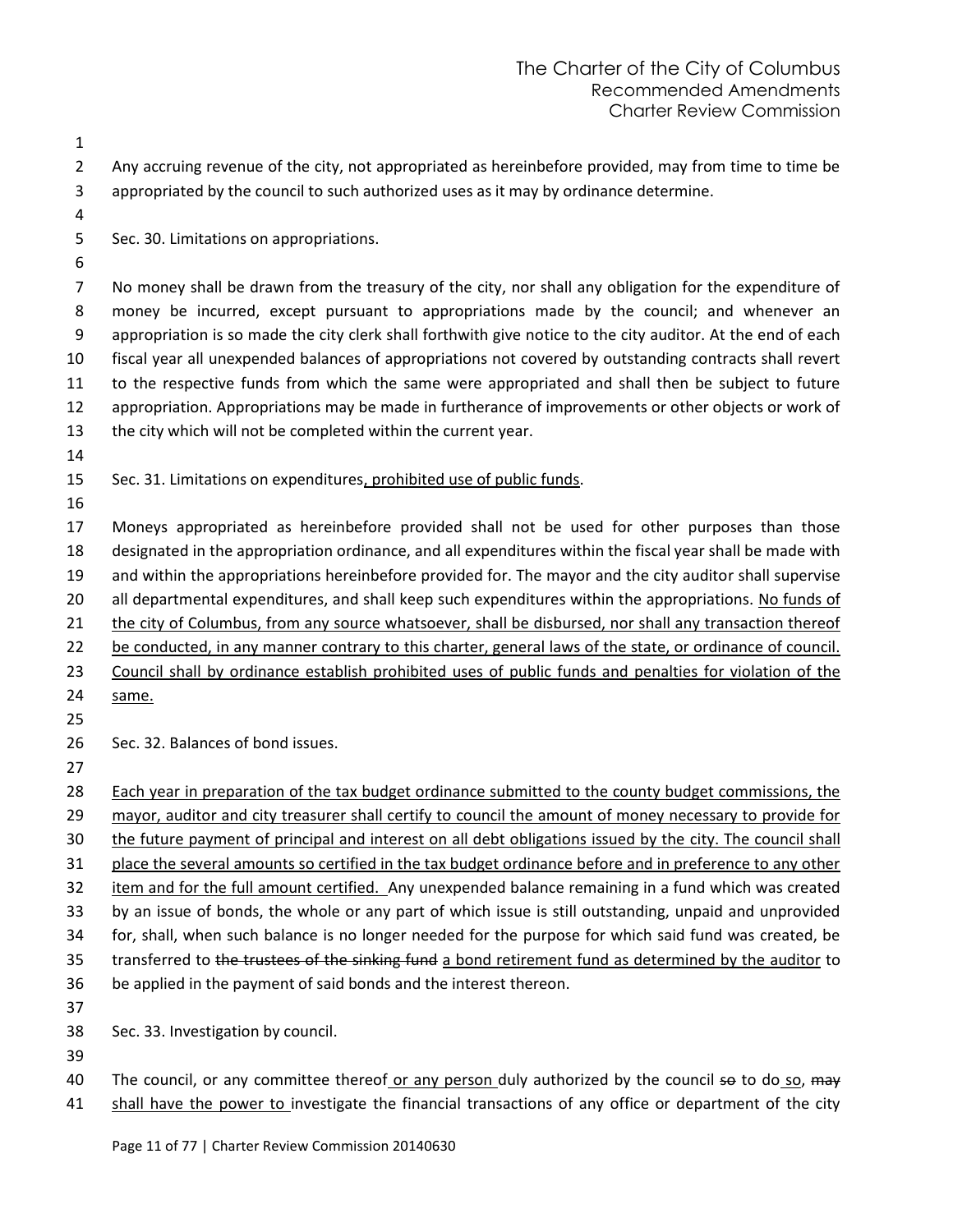| 1<br>$\overline{2}$ | Any accruing revenue of the city, not appropriated as hereinbefore provided, may from time to time be                                                                                                                 |
|---------------------|-----------------------------------------------------------------------------------------------------------------------------------------------------------------------------------------------------------------------|
| 3                   | appropriated by the council to such authorized uses as it may by ordinance determine.                                                                                                                                 |
| 4                   |                                                                                                                                                                                                                       |
| 5                   | Sec. 30. Limitations on appropriations.                                                                                                                                                                               |
| 6                   |                                                                                                                                                                                                                       |
| 7                   | No money shall be drawn from the treasury of the city, nor shall any obligation for the expenditure of                                                                                                                |
| 8                   | money be incurred, except pursuant to appropriations made by the council; and whenever an                                                                                                                             |
| 9                   | appropriation is so made the city clerk shall forthwith give notice to the city auditor. At the end of each                                                                                                           |
| 10                  | fiscal year all unexpended balances of appropriations not covered by outstanding contracts shall revert                                                                                                               |
| 11                  | to the respective funds from which the same were appropriated and shall then be subject to future                                                                                                                     |
| 12                  | appropriation. Appropriations may be made in furtherance of improvements or other objects or work of                                                                                                                  |
| 13                  | the city which will not be completed within the current year.                                                                                                                                                         |
| 14                  |                                                                                                                                                                                                                       |
| 15                  | Sec. 31. Limitations on expenditures, prohibited use of public funds.                                                                                                                                                 |
| 16                  |                                                                                                                                                                                                                       |
| 17                  | Moneys appropriated as hereinbefore provided shall not be used for other purposes than those                                                                                                                          |
| 18                  | designated in the appropriation ordinance, and all expenditures within the fiscal year shall be made with                                                                                                             |
| 19                  | and within the appropriations hereinbefore provided for. The mayor and the city auditor shall supervise                                                                                                               |
| 20                  | all departmental expenditures, and shall keep such expenditures within the appropriations. No funds of                                                                                                                |
| 21                  | the city of Columbus, from any source whatsoever, shall be disbursed, nor shall any transaction thereof                                                                                                               |
| 22                  | be conducted, in any manner contrary to this charter, general laws of the state, or ordinance of council.                                                                                                             |
| 23                  | Council shall by ordinance establish prohibited uses of public funds and penalties for violation of the                                                                                                               |
| 24                  | same.                                                                                                                                                                                                                 |
| 25                  |                                                                                                                                                                                                                       |
| 26                  | Sec. 32. Balances of bond issues.                                                                                                                                                                                     |
| 27                  |                                                                                                                                                                                                                       |
| 28                  | Each year in preparation of the tax budget ordinance submitted to the county budget commissions, the                                                                                                                  |
| 29                  | mayor, auditor and city treasurer shall certify to council the amount of money necessary to provide for<br>the future payment of principal and interest on all debt obligations issued by the city. The council shall |
| 30<br>31            |                                                                                                                                                                                                                       |
| 32                  | place the several amounts so certified in the tax budget ordinance before and in preference to any other<br>item and for the full amount certified. Any unexpended balance remaining in a fund which was created      |
| 33                  | by an issue of bonds, the whole or any part of which issue is still outstanding, unpaid and unprovided                                                                                                                |
| 34                  | for, shall, when such balance is no longer needed for the purpose for which said fund was created, be                                                                                                                 |
| 35                  | transferred to the trustees of the sinking fund a bond retirement fund as determined by the auditor to                                                                                                                |
| 36                  | be applied in the payment of said bonds and the interest thereon.                                                                                                                                                     |
| 37                  |                                                                                                                                                                                                                       |
| 38                  | Sec. 33. Investigation by council.                                                                                                                                                                                    |
| 39                  |                                                                                                                                                                                                                       |
| 40                  | The council, or any committee thereof or any person duly authorized by the council so to do so, may                                                                                                                   |
| 41                  | shall have the power to investigate the financial transactions of any office or department of the city                                                                                                                |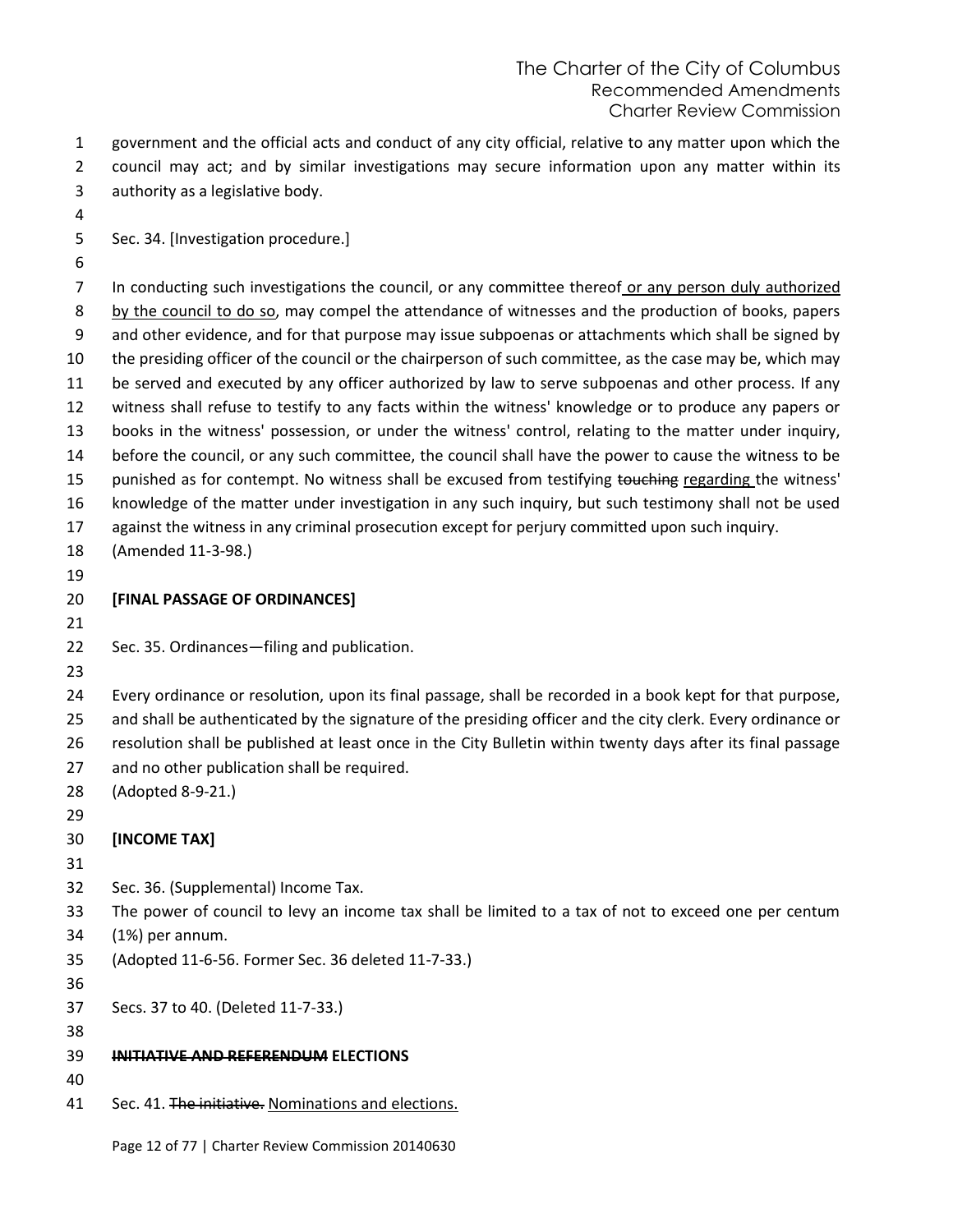government and the official acts and conduct of any city official, relative to any matter upon which the council may act; and by similar investigations may secure information upon any matter within its authority as a legislative body.

Sec. 34. [Investigation procedure.]

 In conducting such investigations the council, or any committee thereof or any person duly authorized 8 by the council to do so, may compel the attendance of witnesses and the production of books, papers and other evidence, and for that purpose may issue subpoenas or attachments which shall be signed by the presiding officer of the council or the chairperson of such committee, as the case may be, which may be served and executed by any officer authorized by law to serve subpoenas and other process. If any witness shall refuse to testify to any facts within the witness' knowledge or to produce any papers or books in the witness' possession, or under the witness' control, relating to the matter under inquiry, before the council, or any such committee, the council shall have the power to cause the witness to be 15 punished as for contempt. No witness shall be excused from testifying touching regarding the witness' knowledge of the matter under investigation in any such inquiry, but such testimony shall not be used against the witness in any criminal prosecution except for perjury committed upon such inquiry. (Amended 11-3-98.) 

**[FINAL PASSAGE OF ORDINANCES]**

Sec. 35. Ordinances—filing and publication.

 Every ordinance or resolution, upon its final passage, shall be recorded in a book kept for that purpose, and shall be authenticated by the signature of the presiding officer and the city clerk. Every ordinance or resolution shall be published at least once in the City Bulletin within twenty days after its final passage and no other publication shall be required.

- (Adopted 8-9-21.)
- 

**[INCOME TAX]**

Sec. 36. (Supplemental) Income Tax.

The power of council to levy an income tax shall be limited to a tax of not to exceed one per centum

- (1%) per annum.
- (Adopted 11-6-56. Former Sec. 36 deleted 11-7-33.)
- 

Secs. 37 to 40. (Deleted 11-7-33.)

- 
- **INITIATIVE AND REFERENDUM ELECTIONS**
- 
- 41 Sec. 41. The initiative. Nominations and elections.

Page 12 of 77 | Charter Review Commission 20140630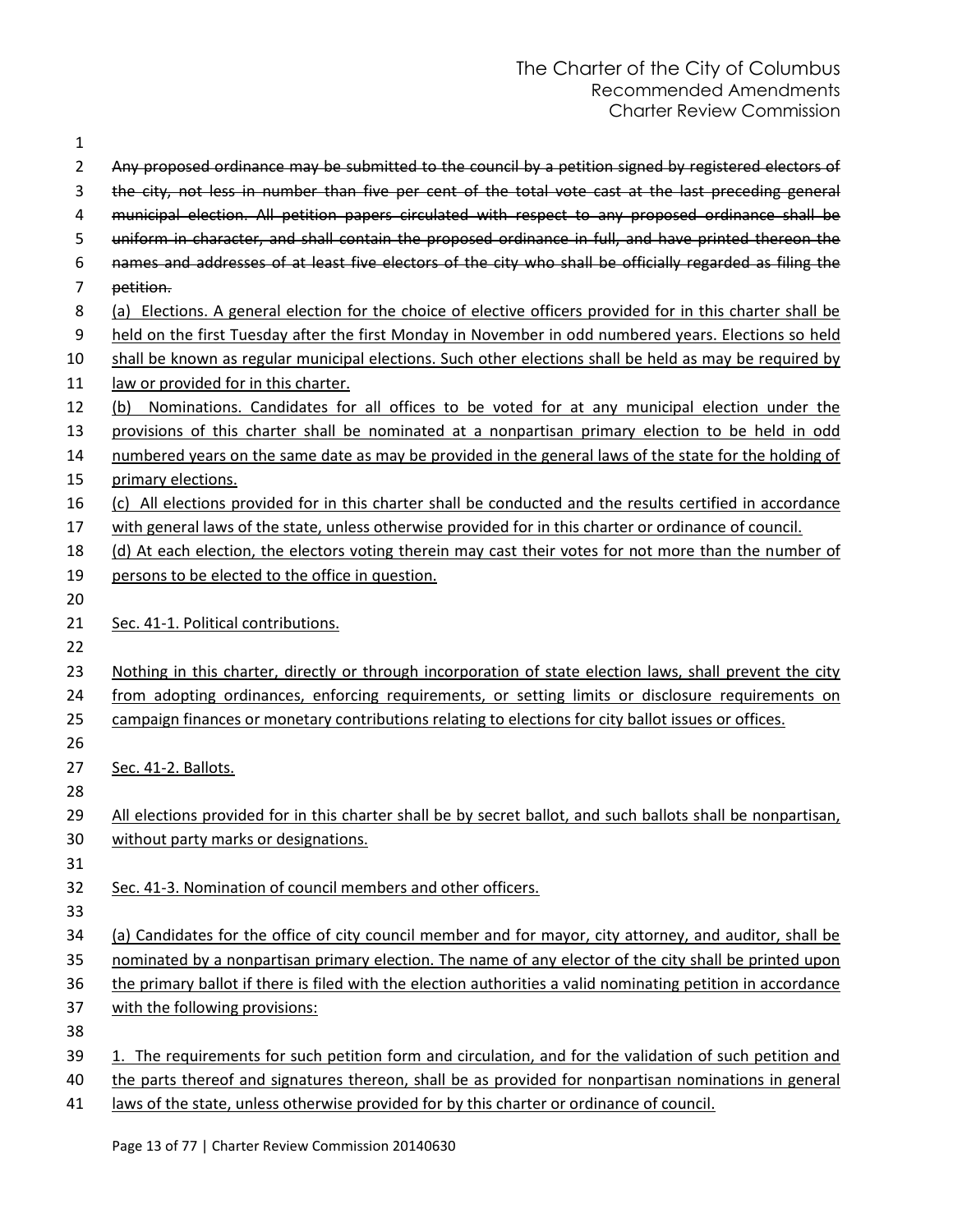| 1              |                                                                                                              |
|----------------|--------------------------------------------------------------------------------------------------------------|
| $\overline{2}$ | Any proposed ordinance may be submitted to the council by a petition signed by registered electors of        |
| 3              | the city, not less in number than five per cent of the total vote cast at the last preceding general         |
| 4              | municipal election. All petition papers circulated with respect to any proposed ordinance shall be           |
| 5              | uniform in character, and shall contain the proposed ordinance in full, and have printed thereon the         |
| 6              | names and addresses of at least five electors of the city who shall be officially regarded as filing the     |
| 7              | petition.                                                                                                    |
| 8              | (a) Elections. A general election for the choice of elective officers provided for in this charter shall be  |
| 9              | held on the first Tuesday after the first Monday in November in odd numbered years. Elections so held        |
| 10             | shall be known as regular municipal elections. Such other elections shall be held as may be required by      |
| 11             | law or provided for in this charter.                                                                         |
| 12             | Nominations. Candidates for all offices to be voted for at any municipal election under the<br>(b)           |
| 13             | provisions of this charter shall be nominated at a nonpartisan primary election to be held in odd            |
| 14             | numbered years on the same date as may be provided in the general laws of the state for the holding of       |
| 15             | primary elections.                                                                                           |
| 16             | (c) All elections provided for in this charter shall be conducted and the results certified in accordance    |
| 17             | with general laws of the state, unless otherwise provided for in this charter or ordinance of council.       |
| 18             | (d) At each election, the electors voting therein may cast their votes for not more than the number of       |
| 19             | persons to be elected to the office in question.                                                             |
| 20             |                                                                                                              |
| 21             | Sec. 41-1. Political contributions.                                                                          |
| 22             |                                                                                                              |
| 23             | Nothing in this charter, directly or through incorporation of state election laws, shall prevent the city    |
| 24             | from adopting ordinances, enforcing requirements, or setting limits or disclosure requirements on            |
| 25             | campaign finances or monetary contributions relating to elections for city ballot issues or offices.         |
| 26             |                                                                                                              |
| 27             | Sec. 41-2. Ballots.                                                                                          |
| 28             |                                                                                                              |
| 29             | All elections provided for in this charter shall be by secret ballot, and such ballots shall be nonpartisan, |
| 30             | without party marks or designations.                                                                         |
| 31             |                                                                                                              |
| 32             | Sec. 41-3. Nomination of council members and other officers.                                                 |
| 33             |                                                                                                              |
| 34             | (a) Candidates for the office of city council member and for mayor, city attorney, and auditor, shall be     |
| 35             | nominated by a nonpartisan primary election. The name of any elector of the city shall be printed upon       |
| 36             | the primary ballot if there is filed with the election authorities a valid nominating petition in accordance |
| 37             | with the following provisions:                                                                               |
| 38             |                                                                                                              |
| 39             | 1. The requirements for such petition form and circulation, and for the validation of such petition and      |
| 40             | the parts thereof and signatures thereon, shall be as provided for nonpartisan nominations in general        |
| 41             | laws of the state, unless otherwise provided for by this charter or ordinance of council.                    |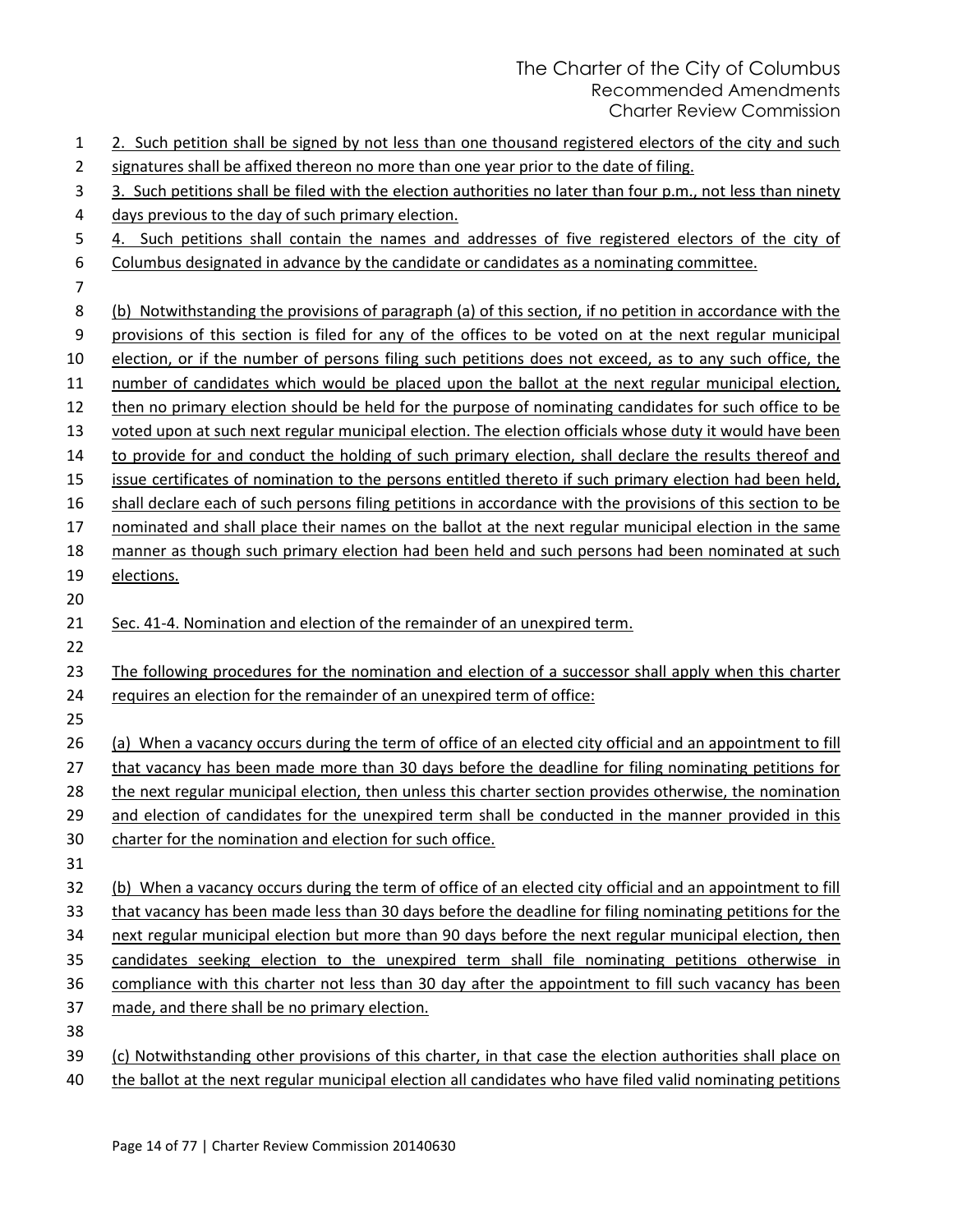| 1  | 2. Such petition shall be signed by not less than one thousand registered electors of the city and such      |
|----|--------------------------------------------------------------------------------------------------------------|
| 2  | signatures shall be affixed thereon no more than one year prior to the date of filing.                       |
| 3  | 3. Such petitions shall be filed with the election authorities no later than four p.m., not less than ninety |
| 4  | days previous to the day of such primary election.                                                           |
| 5  | 4. Such petitions shall contain the names and addresses of five registered electors of the city of           |
| 6  | Columbus designated in advance by the candidate or candidates as a nominating committee.                     |
| 7  |                                                                                                              |
| 8  | (b) Notwithstanding the provisions of paragraph (a) of this section, if no petition in accordance with the   |
| 9  | provisions of this section is filed for any of the offices to be voted on at the next regular municipal      |
| 10 | election, or if the number of persons filing such petitions does not exceed, as to any such office, the      |
| 11 | number of candidates which would be placed upon the ballot at the next regular municipal election,           |
| 12 | then no primary election should be held for the purpose of nominating candidates for such office to be       |
| 13 | voted upon at such next regular municipal election. The election officials whose duty it would have been     |
| 14 | to provide for and conduct the holding of such primary election, shall declare the results thereof and       |
| 15 | issue certificates of nomination to the persons entitled thereto if such primary election had been held,     |
| 16 | shall declare each of such persons filing petitions in accordance with the provisions of this section to be  |
| 17 | nominated and shall place their names on the ballot at the next regular municipal election in the same       |
| 18 | manner as though such primary election had been held and such persons had been nominated at such             |
| 19 | elections.                                                                                                   |
| 20 |                                                                                                              |
| 21 | Sec. 41-4. Nomination and election of the remainder of an unexpired term.                                    |
| 22 |                                                                                                              |
| 23 | The following procedures for the nomination and election of a successor shall apply when this charter        |
| 24 | requires an election for the remainder of an unexpired term of office:                                       |
| 25 |                                                                                                              |
| 26 | (a) When a vacancy occurs during the term of office of an elected city official and an appointment to fill   |
| 27 | that vacancy has been made more than 30 days before the deadline for filing nominating petitions for         |
| 28 | the next regular municipal election, then unless this charter section provides otherwise, the nomination     |
| 29 | and election of candidates for the unexpired term shall be conducted in the manner provided in this          |
| 30 | charter for the nomination and election for such office.                                                     |
| 31 |                                                                                                              |
| 32 | (b) When a vacancy occurs during the term of office of an elected city official and an appointment to fill   |
| 33 | that vacancy has been made less than 30 days before the deadline for filing nominating petitions for the     |
| 34 | next regular municipal election but more than 90 days before the next regular municipal election, then       |
| 35 | candidates seeking election to the unexpired term shall file nominating petitions otherwise in               |
| 36 | compliance with this charter not less than 30 day after the appointment to fill such vacancy has been        |
| 37 |                                                                                                              |
|    | made, and there shall be no primary election.                                                                |
| 38 |                                                                                                              |
| 39 | (c) Notwithstanding other provisions of this charter, in that case the election authorities shall place on   |

40 the ballot at the next regular municipal election all candidates who have filed valid nominating petitions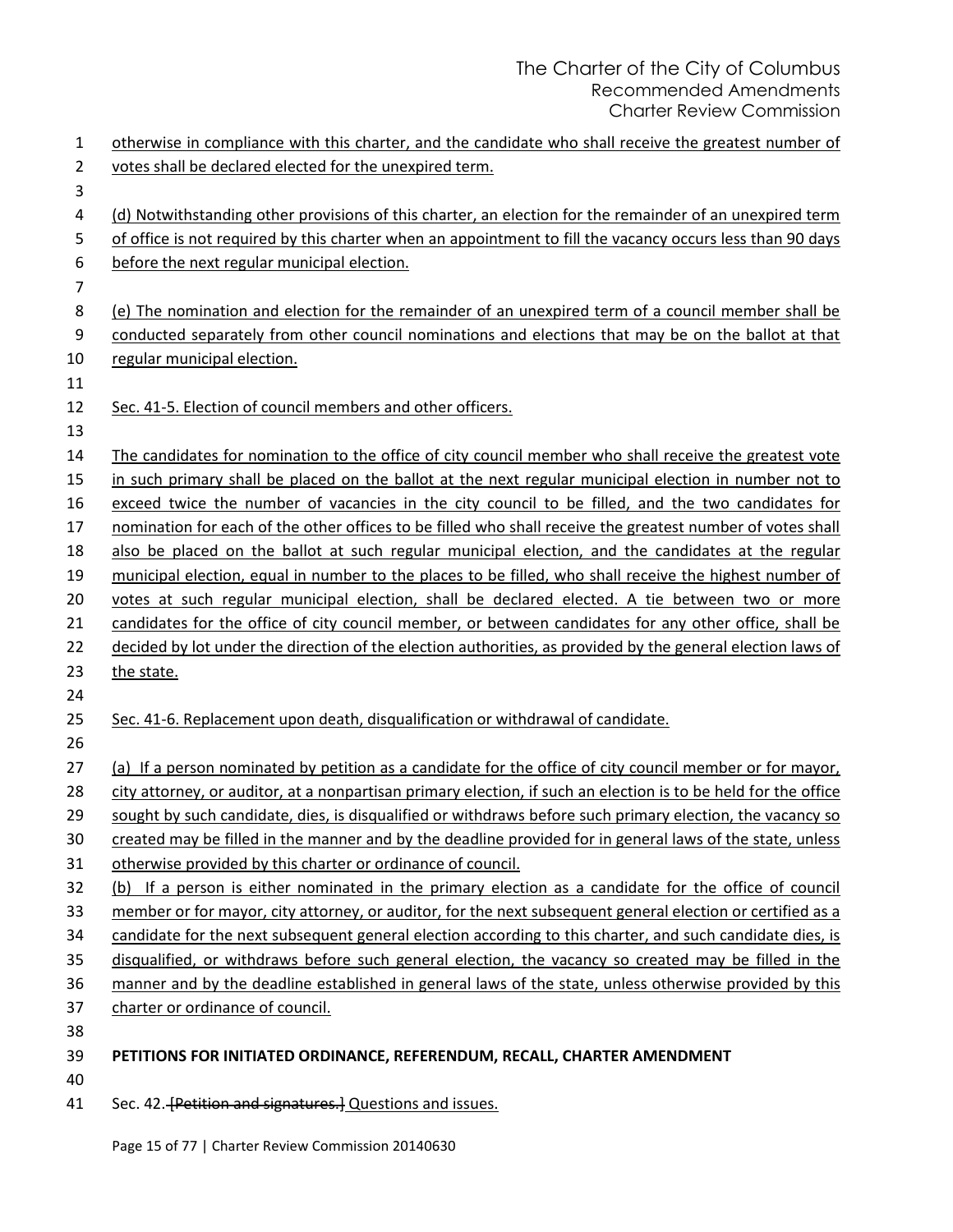| $\mathbf{1}$ | otherwise in compliance with this charter, and the candidate who shall receive the greatest number of                                      |
|--------------|--------------------------------------------------------------------------------------------------------------------------------------------|
| 2            | votes shall be declared elected for the unexpired term.                                                                                    |
| 3            |                                                                                                                                            |
| 4            | (d) Notwithstanding other provisions of this charter, an election for the remainder of an unexpired term                                   |
| 5            | of office is not required by this charter when an appointment to fill the vacancy occurs less than 90 days                                 |
| 6            | before the next regular municipal election.                                                                                                |
| 7            |                                                                                                                                            |
| 8            | (e) The nomination and election for the remainder of an unexpired term of a council member shall be                                        |
| 9            | conducted separately from other council nominations and elections that may be on the ballot at that                                        |
| 10           | regular municipal election.                                                                                                                |
| 11           |                                                                                                                                            |
| 12           | Sec. 41-5. Election of council members and other officers.                                                                                 |
| 13           |                                                                                                                                            |
| 14           | The candidates for nomination to the office of city council member who shall receive the greatest vote                                     |
| 15           | in such primary shall be placed on the ballot at the next regular municipal election in number not to                                      |
| 16           | exceed twice the number of vacancies in the city council to be filled, and the two candidates for                                          |
| 17           | nomination for each of the other offices to be filled who shall receive the greatest number of votes shall                                 |
| 18           | also be placed on the ballot at such regular municipal election, and the candidates at the regular                                         |
| 19           | municipal election, equal in number to the places to be filled, who shall receive the highest number of                                    |
| 20           | votes at such regular municipal election, shall be declared elected. A tie between two or more                                             |
| 21           | candidates for the office of city council member, or between candidates for any other office, shall be                                     |
| 22           | decided by lot under the direction of the election authorities, as provided by the general election laws of                                |
| 23           | the state.                                                                                                                                 |
| 24           |                                                                                                                                            |
| 25           | Sec. 41-6. Replacement upon death, disqualification or withdrawal of candidate.                                                            |
| 26           |                                                                                                                                            |
| 27           | (a) If a person nominated by petition as a candidate for the office of city council member or for mayor,                                   |
| 28           | city attorney, or auditor, at a nonpartisan primary election, if such an election is to be held for the office                             |
| 29           | sought by such candidate, dies, is disqualified or withdraws before such primary election, the vacancy so                                  |
| 30           | created may be filled in the manner and by the deadline provided for in general laws of the state, unless                                  |
| 31           | otherwise provided by this charter or ordinance of council.                                                                                |
| 32           | (b) If a person is either nominated in the primary election as a candidate for the office of council                                       |
| 33           | member or for mayor, city attorney, or auditor, for the next subsequent general election or certified as a                                 |
| 34           | candidate for the next subsequent general election according to this charter, and such candidate dies, is                                  |
| 35           | disqualified, or withdraws before such general election, the vacancy so created may be filled in the                                       |
| 36           | manner and by the deadline established in general laws of the state, unless otherwise provided by this<br>charter or ordinance of council. |
| 37           |                                                                                                                                            |
| 38<br>39     | PETITIONS FOR INITIATED ORDINANCE, REFERENDUM, RECALL, CHARTER AMENDMENT                                                                   |
| 40           |                                                                                                                                            |
| 41           | Sec. 42. [Petition and signatures.] Questions and issues.                                                                                  |
|              |                                                                                                                                            |

Page 15 of 77 | Charter Review Commission 20140630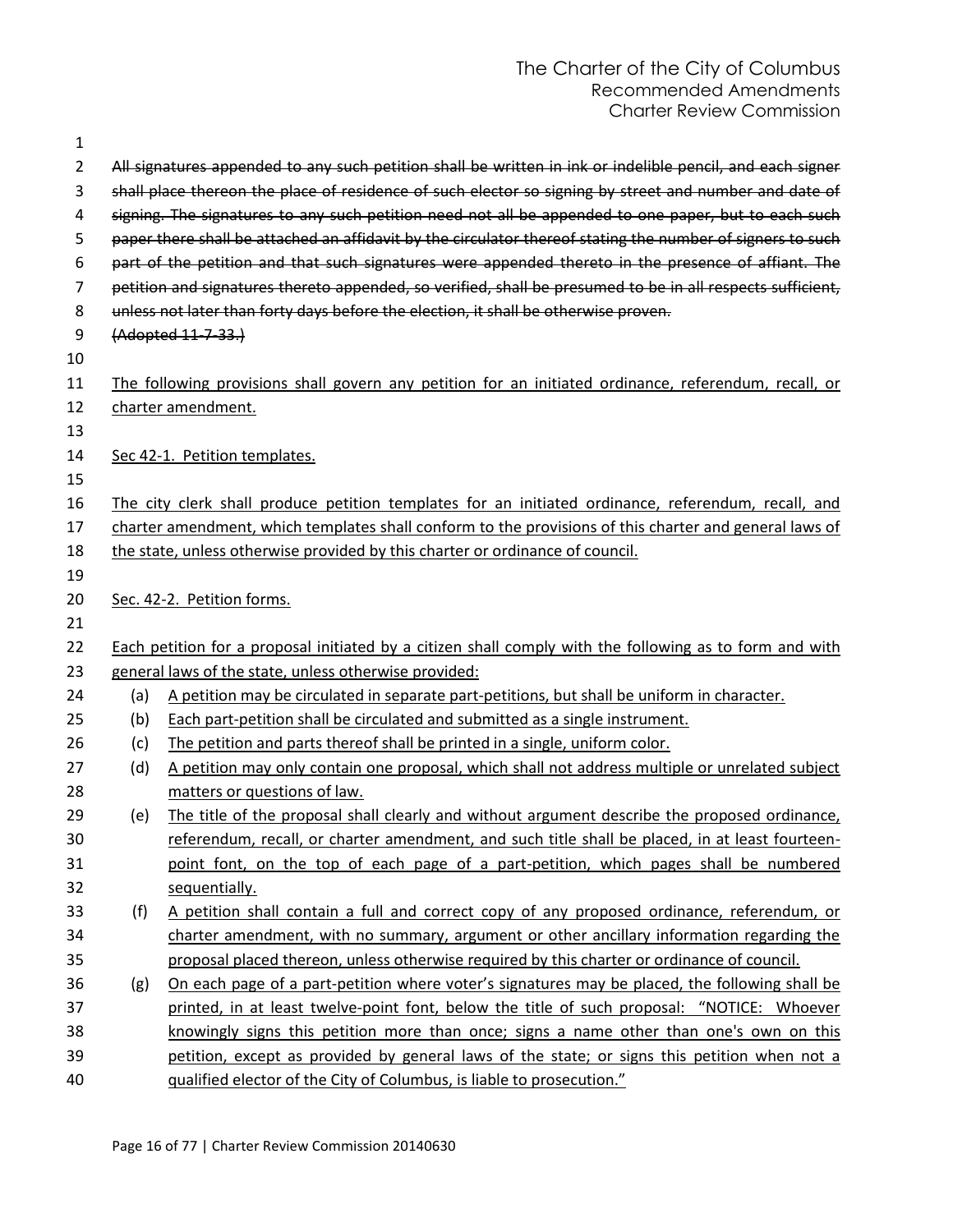| 1  |     |                                                                                                            |
|----|-----|------------------------------------------------------------------------------------------------------------|
| 2  |     | All signatures appended to any such petition shall be written in ink or indelible pencil, and each signer  |
| 3  |     | shall place thereon the place of residence of such elector so signing by street and number and date of     |
| 4  |     | signing. The signatures to any such petition need not all be appended to one paper, but to each such       |
| 5  |     | paper there shall be attached an affidavit by the circulator thereof stating the number of signers to such |
| 6  |     | part of the petition and that such signatures were appended thereto in the presence of affiant. The        |
| 7  |     | petition and signatures thereto appended, so verified, shall be presumed to be in all respects sufficient, |
| 8  |     | unless not later than forty days before the election, it shall be otherwise proven.                        |
| 9  |     | (Adopted 11-7-33.)                                                                                         |
| 10 |     |                                                                                                            |
| 11 |     | The following provisions shall govern any petition for an initiated ordinance, referendum, recall, or      |
| 12 |     | charter amendment.                                                                                         |
| 13 |     |                                                                                                            |
| 14 |     | Sec 42-1. Petition templates.                                                                              |
| 15 |     |                                                                                                            |
| 16 |     | The city clerk shall produce petition templates for an initiated ordinance, referendum, recall, and        |
| 17 |     | charter amendment, which templates shall conform to the provisions of this charter and general laws of     |
| 18 |     | the state, unless otherwise provided by this charter or ordinance of council.                              |
| 19 |     |                                                                                                            |
| 20 |     | Sec. 42-2. Petition forms.                                                                                 |
| 21 |     |                                                                                                            |
| 22 |     | Each petition for a proposal initiated by a citizen shall comply with the following as to form and with    |
| 23 |     | general laws of the state, unless otherwise provided:                                                      |
| 24 | (a) | A petition may be circulated in separate part-petitions, but shall be uniform in character.                |
| 25 | (b) | Each part-petition shall be circulated and submitted as a single instrument.                               |
| 26 | (c) | The petition and parts thereof shall be printed in a single, uniform color.                                |
| 27 | (d) | A petition may only contain one proposal, which shall not address multiple or unrelated subject            |
| 28 |     | matters or questions of law.                                                                               |
| 29 | (e) | The title of the proposal shall clearly and without argument describe the proposed ordinance,              |
| 30 |     | referendum, recall, or charter amendment, and such title shall be placed, in at least fourteen-            |
| 31 |     | point font, on the top of each page of a part-petition, which pages shall be numbered                      |
| 32 |     | sequentially.                                                                                              |
| 33 | (f) | A petition shall contain a full and correct copy of any proposed ordinance, referendum, or                 |
| 34 |     | charter amendment, with no summary, argument or other ancillary information regarding the                  |
| 35 |     | proposal placed thereon, unless otherwise required by this charter or ordinance of council.                |
| 36 | (g) | On each page of a part-petition where voter's signatures may be placed, the following shall be             |
| 37 |     | printed, in at least twelve-point font, below the title of such proposal: "NOTICE: Whoever                 |
| 38 |     | knowingly signs this petition more than once; signs a name other than one's own on this                    |
| 39 |     | petition, except as provided by general laws of the state; or signs this petition when not a               |
| 40 |     | qualified elector of the City of Columbus, is liable to prosecution."                                      |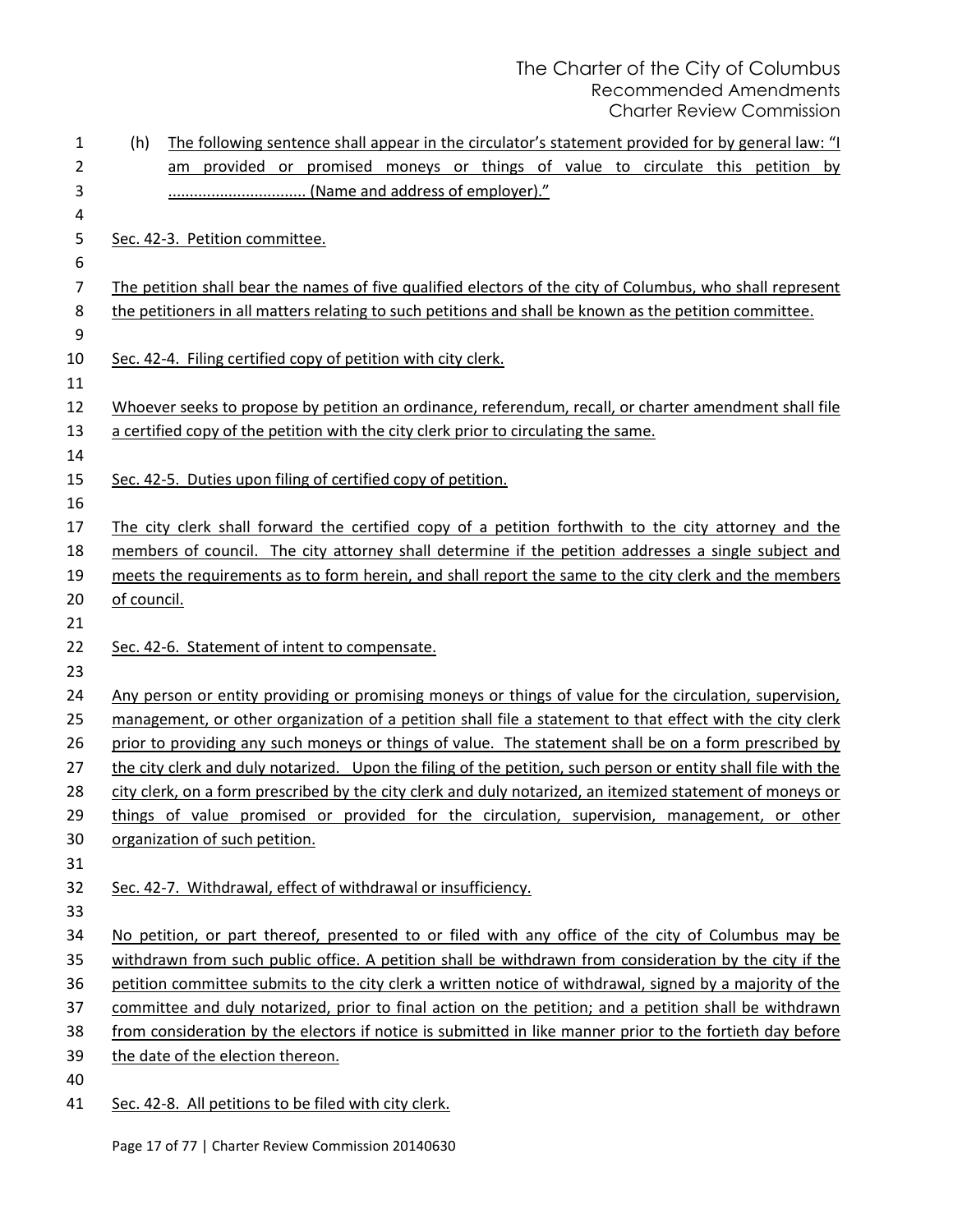| 1        | (h)         | The following sentence shall appear in the circulator's statement provided for by general law: "I                                                                                                                    |
|----------|-------------|----------------------------------------------------------------------------------------------------------------------------------------------------------------------------------------------------------------------|
| 2        |             | provided or promised moneys or things of value to circulate this petition by<br>am                                                                                                                                   |
| 3        |             | (Name and address of employer)."                                                                                                                                                                                     |
| 4        |             |                                                                                                                                                                                                                      |
| 5        |             | Sec. 42-3. Petition committee.                                                                                                                                                                                       |
| 6        |             |                                                                                                                                                                                                                      |
| 7        |             | The petition shall bear the names of five qualified electors of the city of Columbus, who shall represent                                                                                                            |
| 8        |             | the petitioners in all matters relating to such petitions and shall be known as the petition committee.                                                                                                              |
| 9        |             |                                                                                                                                                                                                                      |
| 10       |             | Sec. 42-4. Filing certified copy of petition with city clerk.                                                                                                                                                        |
| 11       |             |                                                                                                                                                                                                                      |
| 12       |             | Whoever seeks to propose by petition an ordinance, referendum, recall, or charter amendment shall file                                                                                                               |
| 13       |             | a certified copy of the petition with the city clerk prior to circulating the same.                                                                                                                                  |
| 14       |             |                                                                                                                                                                                                                      |
| 15       |             | Sec. 42-5. Duties upon filing of certified copy of petition.                                                                                                                                                         |
| 16       |             |                                                                                                                                                                                                                      |
| 17       |             | The city clerk shall forward the certified copy of a petition forthwith to the city attorney and the                                                                                                                 |
| 18       |             | members of council. The city attorney shall determine if the petition addresses a single subject and                                                                                                                 |
| 19       |             | meets the requirements as to form herein, and shall report the same to the city clerk and the members                                                                                                                |
| 20       | of council. |                                                                                                                                                                                                                      |
| 21       |             |                                                                                                                                                                                                                      |
| 22       |             | Sec. 42-6. Statement of intent to compensate.                                                                                                                                                                        |
| 23       |             |                                                                                                                                                                                                                      |
| 24       |             | Any person or entity providing or promising moneys or things of value for the circulation, supervision,<br>management, or other organization of a petition shall file a statement to that effect with the city clerk |
| 25<br>26 |             | prior to providing any such moneys or things of value. The statement shall be on a form prescribed by                                                                                                                |
| 27       |             | the city clerk and duly notarized. Upon the filing of the petition, such person or entity shall file with the                                                                                                        |
| 28       |             | city clerk, on a form prescribed by the city clerk and duly notarized, an itemized statement of moneys or                                                                                                            |
| 29       |             | things of value promised or provided for the circulation, supervision, management, or other                                                                                                                          |
| 30       |             | organization of such petition.                                                                                                                                                                                       |
| 31       |             |                                                                                                                                                                                                                      |
| 32       |             | Sec. 42-7. Withdrawal, effect of withdrawal or insufficiency.                                                                                                                                                        |
| 33       |             |                                                                                                                                                                                                                      |
| 34       |             | No petition, or part thereof, presented to or filed with any office of the city of Columbus may be                                                                                                                   |
| 35       |             | withdrawn from such public office. A petition shall be withdrawn from consideration by the city if the                                                                                                               |
| 36       |             | petition committee submits to the city clerk a written notice of withdrawal, signed by a majority of the                                                                                                             |
| 37       |             | committee and duly notarized, prior to final action on the petition; and a petition shall be withdrawn                                                                                                               |
| 38       |             | from consideration by the electors if notice is submitted in like manner prior to the fortieth day before                                                                                                            |
| 39       |             | the date of the election thereon.                                                                                                                                                                                    |
| 40       |             |                                                                                                                                                                                                                      |
| 41       |             | Sec. 42-8. All petitions to be filed with city clerk.                                                                                                                                                                |

Page 17 of 77 | Charter Review Commission 20140630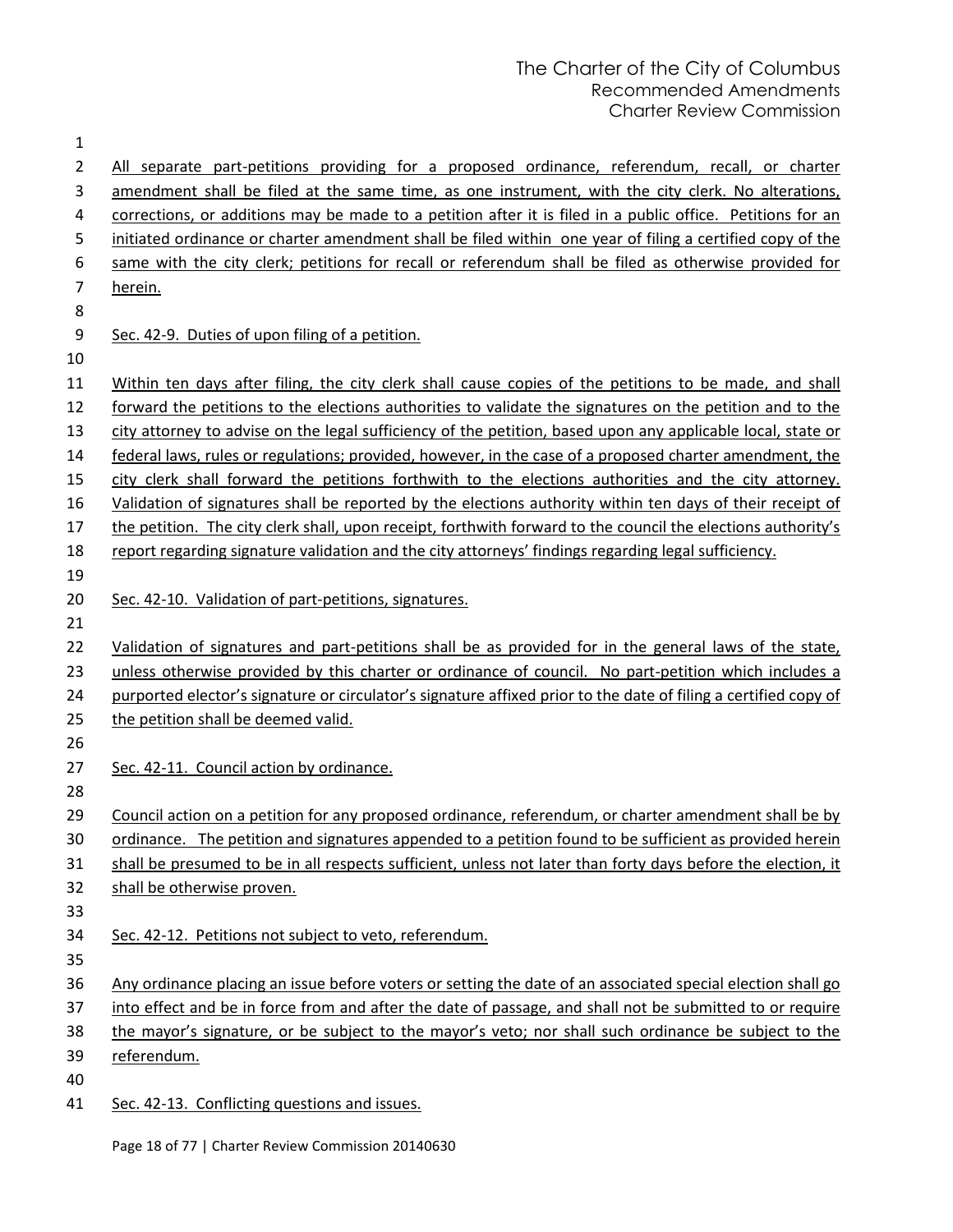| 1              |                                                                                                                 |
|----------------|-----------------------------------------------------------------------------------------------------------------|
| $\overline{2}$ | All separate part-petitions providing for a proposed ordinance, referendum, recall, or charter                  |
| 3              | amendment shall be filed at the same time, as one instrument, with the city clerk. No alterations,              |
| 4              | corrections, or additions may be made to a petition after it is filed in a public office. Petitions for an      |
| 5              | initiated ordinance or charter amendment shall be filed within one year of filing a certified copy of the       |
| 6              | same with the city clerk; petitions for recall or referendum shall be filed as otherwise provided for           |
| 7              | herein.                                                                                                         |
| 8              |                                                                                                                 |
| 9              | Sec. 42-9. Duties of upon filing of a petition.                                                                 |
| 10             |                                                                                                                 |
| 11             | Within ten days after filing, the city clerk shall cause copies of the petitions to be made, and shall          |
| 12             | forward the petitions to the elections authorities to validate the signatures on the petition and to the        |
| 13             | city attorney to advise on the legal sufficiency of the petition, based upon any applicable local, state or     |
| 14             | federal laws, rules or regulations; provided, however, in the case of a proposed charter amendment, the         |
| 15             | city clerk shall forward the petitions forthwith to the elections authorities and the city attorney.            |
| 16             | Validation of signatures shall be reported by the elections authority within ten days of their receipt of       |
| 17             | the petition. The city clerk shall, upon receipt, forthwith forward to the council the elections authority's    |
| 18             | report regarding signature validation and the city attorneys' findings regarding legal sufficiency.             |
| 19             |                                                                                                                 |
| 20             | Sec. 42-10. Validation of part-petitions, signatures.                                                           |
| 21             |                                                                                                                 |
| 22             | Validation of signatures and part-petitions shall be as provided for in the general laws of the state,          |
| 23             | unless otherwise provided by this charter or ordinance of council. No part-petition which includes a            |
| 24             | purported elector's signature or circulator's signature affixed prior to the date of filing a certified copy of |
| 25             | the petition shall be deemed valid.                                                                             |
| 26             |                                                                                                                 |
| 27             | Sec. 42-11. Council action by ordinance.                                                                        |
| 28             |                                                                                                                 |
| 29             | Council action on a petition for any proposed ordinance, referendum, or charter amendment shall be by           |
| 30             | ordinance. The petition and signatures appended to a petition found to be sufficient as provided herein         |
| 31             | shall be presumed to be in all respects sufficient, unless not later than forty days before the election, it    |
| 32             | shall be otherwise proven.                                                                                      |
| 33             |                                                                                                                 |
| 34             | Sec. 42-12. Petitions not subject to veto, referendum.                                                          |
| 35             |                                                                                                                 |
| 36             | Any ordinance placing an issue before voters or setting the date of an associated special election shall go     |
| 37             | into effect and be in force from and after the date of passage, and shall not be submitted to or require        |
| 38             | the mayor's signature, or be subject to the mayor's veto; nor shall such ordinance be subject to the            |
| 39             | referendum.                                                                                                     |
| 40             |                                                                                                                 |
| 41             | Sec. 42-13. Conflicting questions and issues.                                                                   |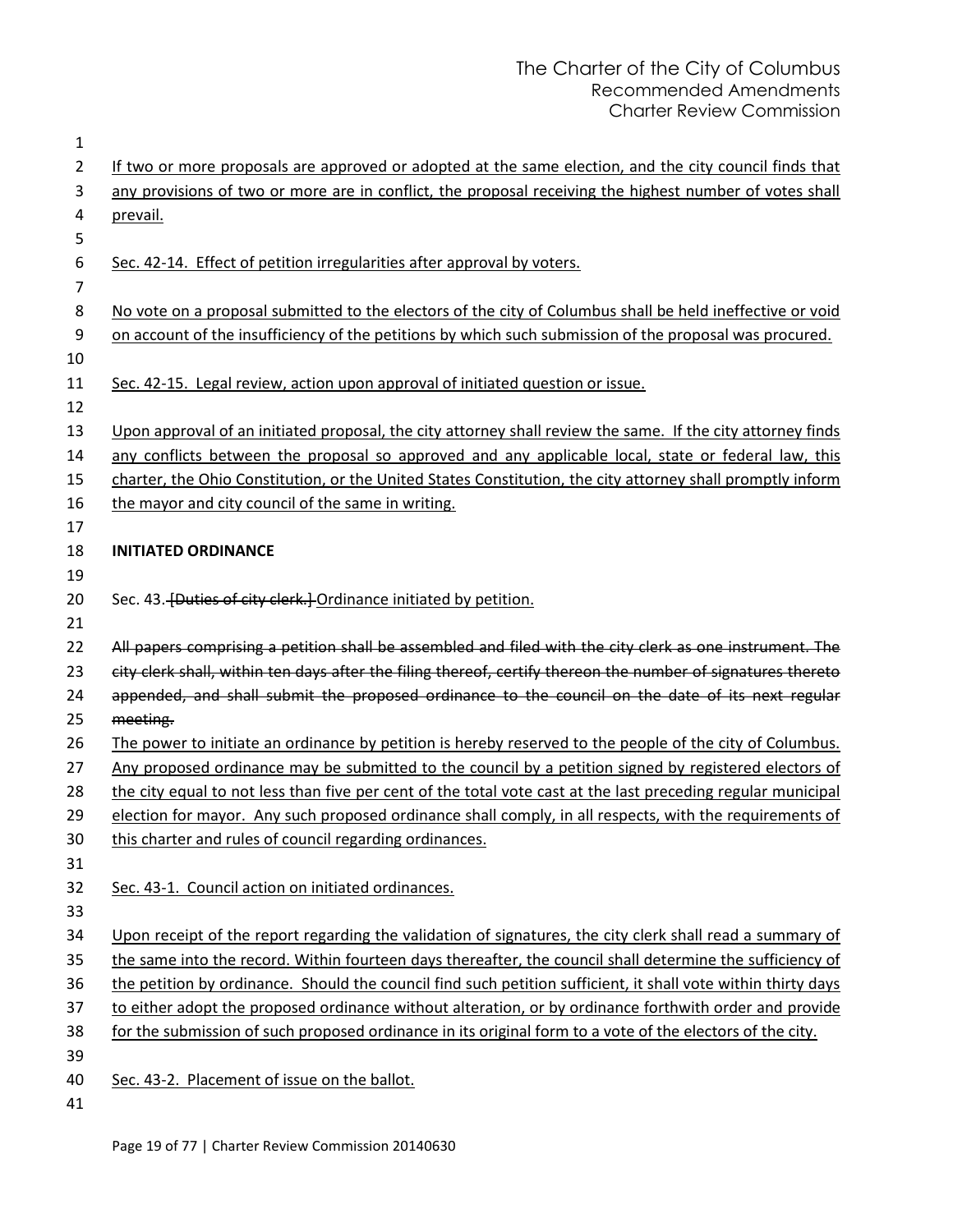| 1              |                                                                                                               |
|----------------|---------------------------------------------------------------------------------------------------------------|
| 2              | If two or more proposals are approved or adopted at the same election, and the city council finds that        |
| 3              | any provisions of two or more are in conflict, the proposal receiving the highest number of votes shall       |
| 4              | prevail.                                                                                                      |
| 5              |                                                                                                               |
| 6              | Sec. 42-14. Effect of petition irregularities after approval by voters.                                       |
| $\overline{7}$ |                                                                                                               |
| 8              | No vote on a proposal submitted to the electors of the city of Columbus shall be held ineffective or void     |
| 9              | on account of the insufficiency of the petitions by which such submission of the proposal was procured.       |
| 10             |                                                                                                               |
| 11             | Sec. 42-15. Legal review, action upon approval of initiated question or issue.                                |
| 12             |                                                                                                               |
| 13             | Upon approval of an initiated proposal, the city attorney shall review the same. If the city attorney finds   |
| 14             | any conflicts between the proposal so approved and any applicable local, state or federal law, this           |
| 15             | charter, the Ohio Constitution, or the United States Constitution, the city attorney shall promptly inform    |
| 16             | the mayor and city council of the same in writing.                                                            |
| 17             |                                                                                                               |
| 18             | <b>INITIATED ORDINANCE</b>                                                                                    |
| 19             |                                                                                                               |
| 20             | Sec. 43. [Duties of city clerk.] Ordinance initiated by petition.                                             |
| 21             |                                                                                                               |
| 22             | All papers comprising a petition shall be assembled and filed with the city clerk as one instrument. The      |
| 23             | city clerk shall, within ten days after the filing thereof, certify thereon the number of signatures thereto  |
| 24             | appended, and shall submit the proposed ordinance to the council on the date of its next regular              |
| 25             | meeting.                                                                                                      |
| 26             | The power to initiate an ordinance by petition is hereby reserved to the people of the city of Columbus.      |
| 27             | Any proposed ordinance may be submitted to the council by a petition signed by registered electors of         |
| 28             | the city equal to not less than five per cent of the total vote cast at the last preceding regular municipal  |
| 29             | election for mayor. Any such proposed ordinance shall comply, in all respects, with the requirements of       |
| 30             | this charter and rules of council regarding ordinances.                                                       |
| 31             |                                                                                                               |
| 32             | Sec. 43-1. Council action on initiated ordinances.                                                            |
| 33             |                                                                                                               |
| 34             | Upon receipt of the report regarding the validation of signatures, the city clerk shall read a summary of     |
| 35             | the same into the record. Within fourteen days thereafter, the council shall determine the sufficiency of     |
| 36             | the petition by ordinance. Should the council find such petition sufficient, it shall vote within thirty days |
| 37             | to either adopt the proposed ordinance without alteration, or by ordinance forthwith order and provide        |
| 38             | for the submission of such proposed ordinance in its original form to a vote of the electors of the city.     |
| 39             |                                                                                                               |
| 40             | Sec. 43-2. Placement of issue on the ballot.                                                                  |
| 41             |                                                                                                               |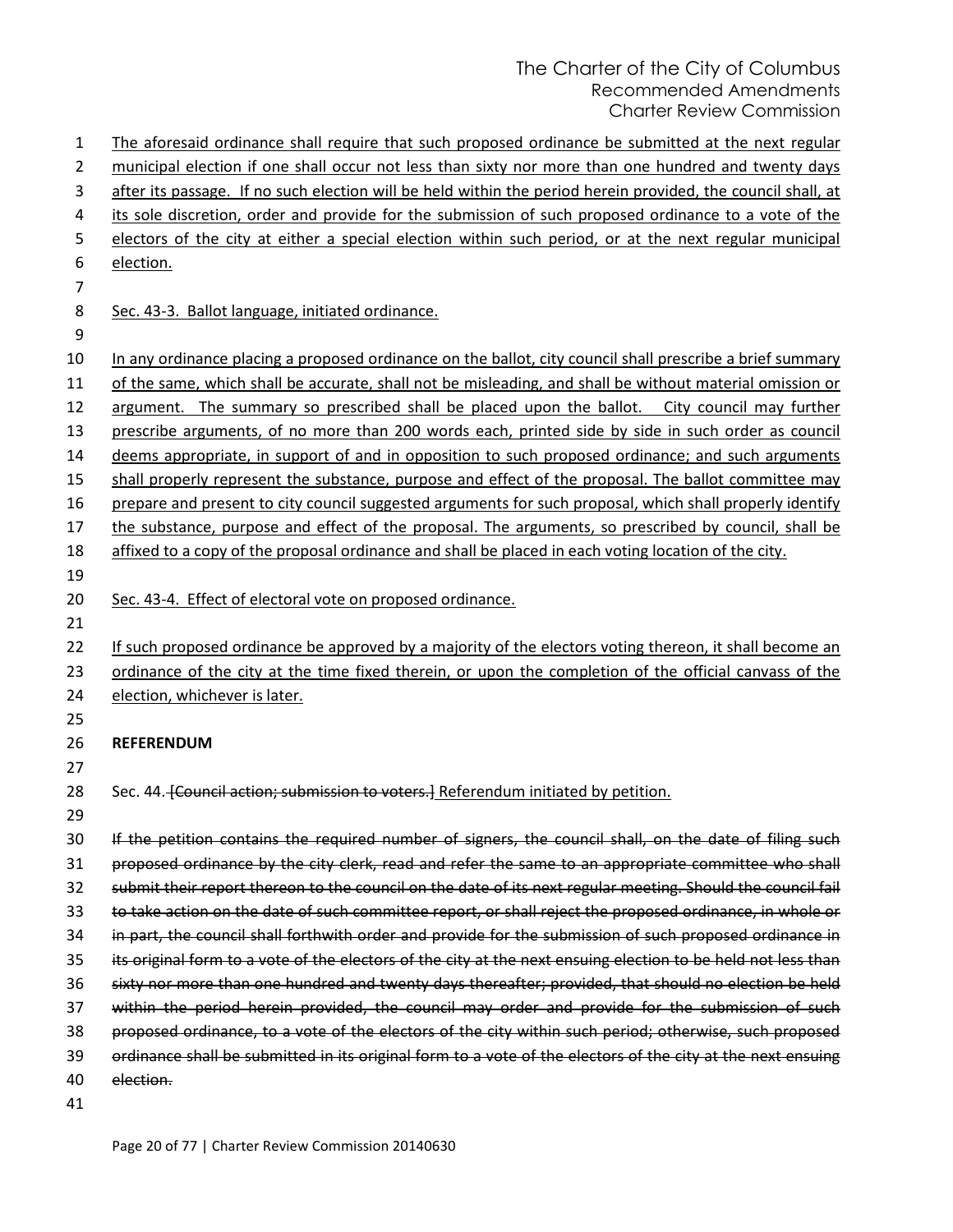| $\mathbf{1}$     | The aforesaid ordinance shall require that such proposed ordinance be submitted at the next regular           |
|------------------|---------------------------------------------------------------------------------------------------------------|
| 2                | municipal election if one shall occur not less than sixty nor more than one hundred and twenty days           |
| 3                | after its passage. If no such election will be held within the period herein provided, the council shall, at  |
| 4                | its sole discretion, order and provide for the submission of such proposed ordinance to a vote of the         |
| 5                | electors of the city at either a special election within such period, or at the next regular municipal        |
| 6                | election.                                                                                                     |
| 7                |                                                                                                               |
| 8                | Sec. 43-3. Ballot language, initiated ordinance.                                                              |
| $\boldsymbol{9}$ |                                                                                                               |
| 10               | In any ordinance placing a proposed ordinance on the ballot, city council shall prescribe a brief summary     |
| 11               | of the same, which shall be accurate, shall not be misleading, and shall be without material omission or      |
| 12               | argument. The summary so prescribed shall be placed upon the ballot. City council may further                 |
| 13               | prescribe arguments, of no more than 200 words each, printed side by side in such order as council            |
| 14               | deems appropriate, in support of and in opposition to such proposed ordinance; and such arguments             |
| 15               | shall properly represent the substance, purpose and effect of the proposal. The ballot committee may          |
| 16               | prepare and present to city council suggested arguments for such proposal, which shall properly identify      |
| 17               | the substance, purpose and effect of the proposal. The arguments, so prescribed by council, shall be          |
| 18               | affixed to a copy of the proposal ordinance and shall be placed in each voting location of the city.          |
| 19               |                                                                                                               |
| 20               | Sec. 43-4. Effect of electoral vote on proposed ordinance.                                                    |
| 21               |                                                                                                               |
| 22               | If such proposed ordinance be approved by a majority of the electors voting thereon, it shall become an       |
| 23               | ordinance of the city at the time fixed therein, or upon the completion of the official canvass of the        |
| 24               | election, whichever is later.                                                                                 |
| 25               |                                                                                                               |
| 26               | <b>REFERENDUM</b>                                                                                             |
| 27               |                                                                                                               |
| 28               | Sec. 44. Council action; submission to voters. Referendum initiated by petition.                              |
| 29               |                                                                                                               |
| 30               | If the petition contains the required number of signers, the council shall, on the date of filing such        |
| 31               | proposed ordinance by the city clerk, read and refer the same to an appropriate committee who shall           |
| 32               | submit their report thereon to the council on the date of its next regular meeting. Should the council fail   |
| 33               | to take action on the date of such committee report, or shall reject the proposed ordinance, in whole or      |
| 34               | in part, the council shall forthwith order and provide for the submission of such proposed ordinance in       |
| 35               | its original form to a vote of the electors of the city at the next ensuing election to be held not less than |
| 36               | sixty nor more than one hundred and twenty days thereafter; provided, that should no election be held         |
| 37               | within the period herein provided, the council may order and provide for the submission of such               |
| 38               | proposed ordinance, to a vote of the electors of the city within such period; otherwise, such proposed        |
| 39               | ordinance shall be submitted in its original form to a vote of the electors of the city at the next ensuing   |
| 40               | election.                                                                                                     |
| 41               |                                                                                                               |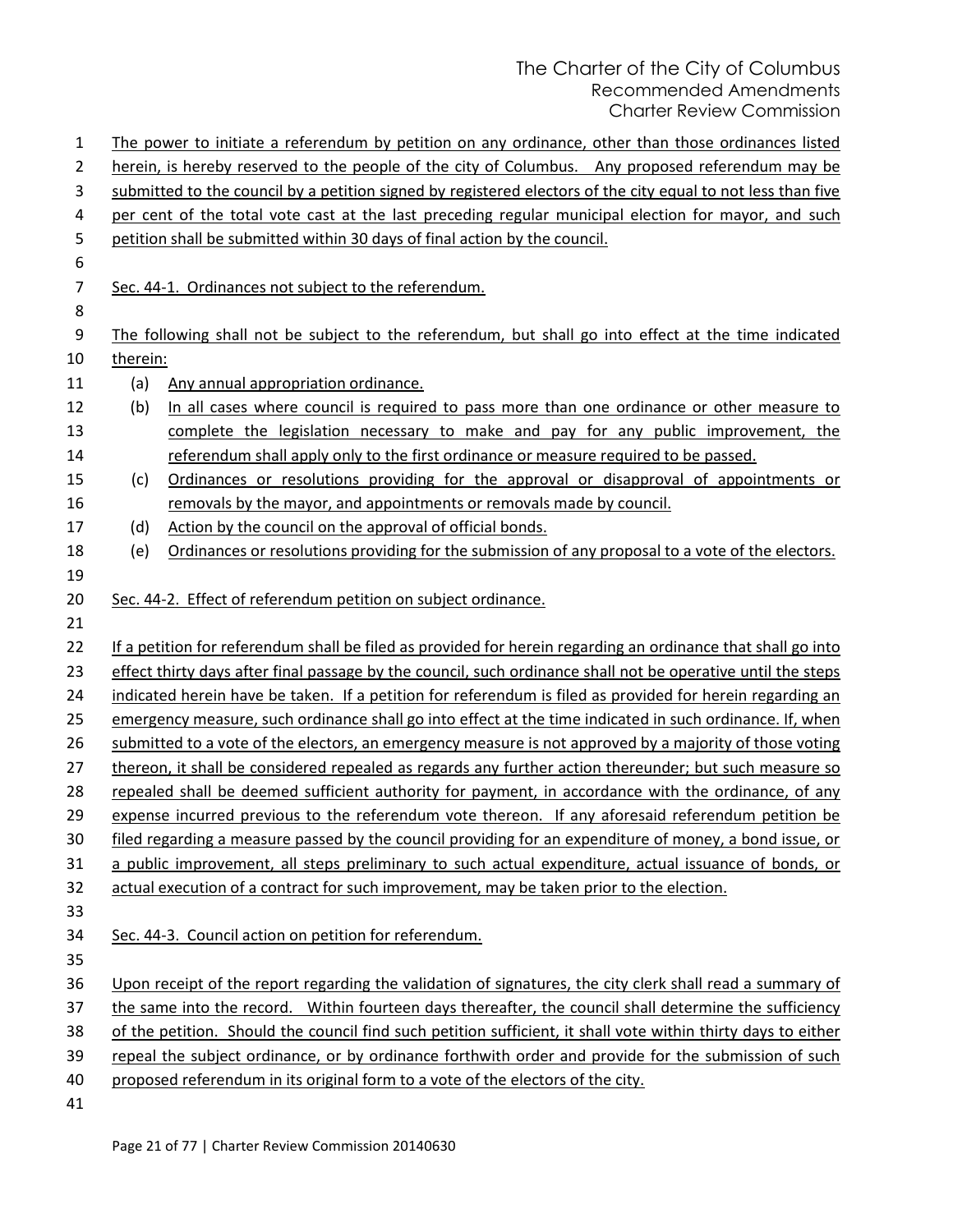| 1              |          | The power to initiate a referendum by petition on any ordinance, other than those ordinances listed           |
|----------------|----------|---------------------------------------------------------------------------------------------------------------|
| 2              |          | herein, is hereby reserved to the people of the city of Columbus. Any proposed referendum may be              |
| 3              |          | submitted to the council by a petition signed by registered electors of the city equal to not less than five  |
| 4              |          | per cent of the total vote cast at the last preceding regular municipal election for mayor, and such          |
| 5              |          | petition shall be submitted within 30 days of final action by the council.                                    |
| 6              |          |                                                                                                               |
| $\overline{7}$ |          | Sec. 44-1. Ordinances not subject to the referendum.                                                          |
| 8              |          |                                                                                                               |
| 9              |          | The following shall not be subject to the referendum, but shall go into effect at the time indicated          |
| 10             | therein: |                                                                                                               |
| 11             | (a)      | Any annual appropriation ordinance.                                                                           |
| 12             | (b)      | In all cases where council is required to pass more than one ordinance or other measure to                    |
| 13             |          | complete the legislation necessary to make and pay for any public improvement, the                            |
| 14             |          | referendum shall apply only to the first ordinance or measure required to be passed.                          |
| 15             | (c)      | Ordinances or resolutions providing for the approval or disapproval of appointments or                        |
| 16             |          | removals by the mayor, and appointments or removals made by council.                                          |
| 17             | (d)      | Action by the council on the approval of official bonds.                                                      |
| 18             | (e)      | Ordinances or resolutions providing for the submission of any proposal to a vote of the electors.             |
| 19             |          |                                                                                                               |
| 20             |          | Sec. 44-2. Effect of referendum petition on subject ordinance.                                                |
| 21             |          |                                                                                                               |
| 22             |          | If a petition for referendum shall be filed as provided for herein regarding an ordinance that shall go into  |
| 23             |          | effect thirty days after final passage by the council, such ordinance shall not be operative until the steps  |
| 24             |          | indicated herein have be taken. If a petition for referendum is filed as provided for herein regarding an     |
| 25             |          | emergency measure, such ordinance shall go into effect at the time indicated in such ordinance. If, when      |
| 26             |          | submitted to a vote of the electors, an emergency measure is not approved by a majority of those voting       |
| 27             |          | thereon, it shall be considered repealed as regards any further action thereunder; but such measure so        |
| 28             |          | repealed shall be deemed sufficient authority for payment, in accordance with the ordinance, of any           |
| 29             |          | expense incurred previous to the referendum vote thereon. If any aforesaid referendum petition be             |
| 30             |          | filed regarding a measure passed by the council providing for an expenditure of money, a bond issue, or       |
| 31             |          | a public improvement, all steps preliminary to such actual expenditure, actual issuance of bonds, or          |
| 32             |          | actual execution of a contract for such improvement, may be taken prior to the election.                      |
| 33             |          |                                                                                                               |
| 34             |          | Sec. 44-3. Council action on petition for referendum.                                                         |
| 35             |          |                                                                                                               |
| 36             |          | Upon receipt of the report regarding the validation of signatures, the city clerk shall read a summary of     |
| 37             |          | the same into the record. Within fourteen days thereafter, the council shall determine the sufficiency        |
| 38             |          | of the petition. Should the council find such petition sufficient, it shall vote within thirty days to either |
| 39             |          | repeal the subject ordinance, or by ordinance forthwith order and provide for the submission of such          |
| 40             |          | proposed referendum in its original form to a vote of the electors of the city.                               |
| 41             |          |                                                                                                               |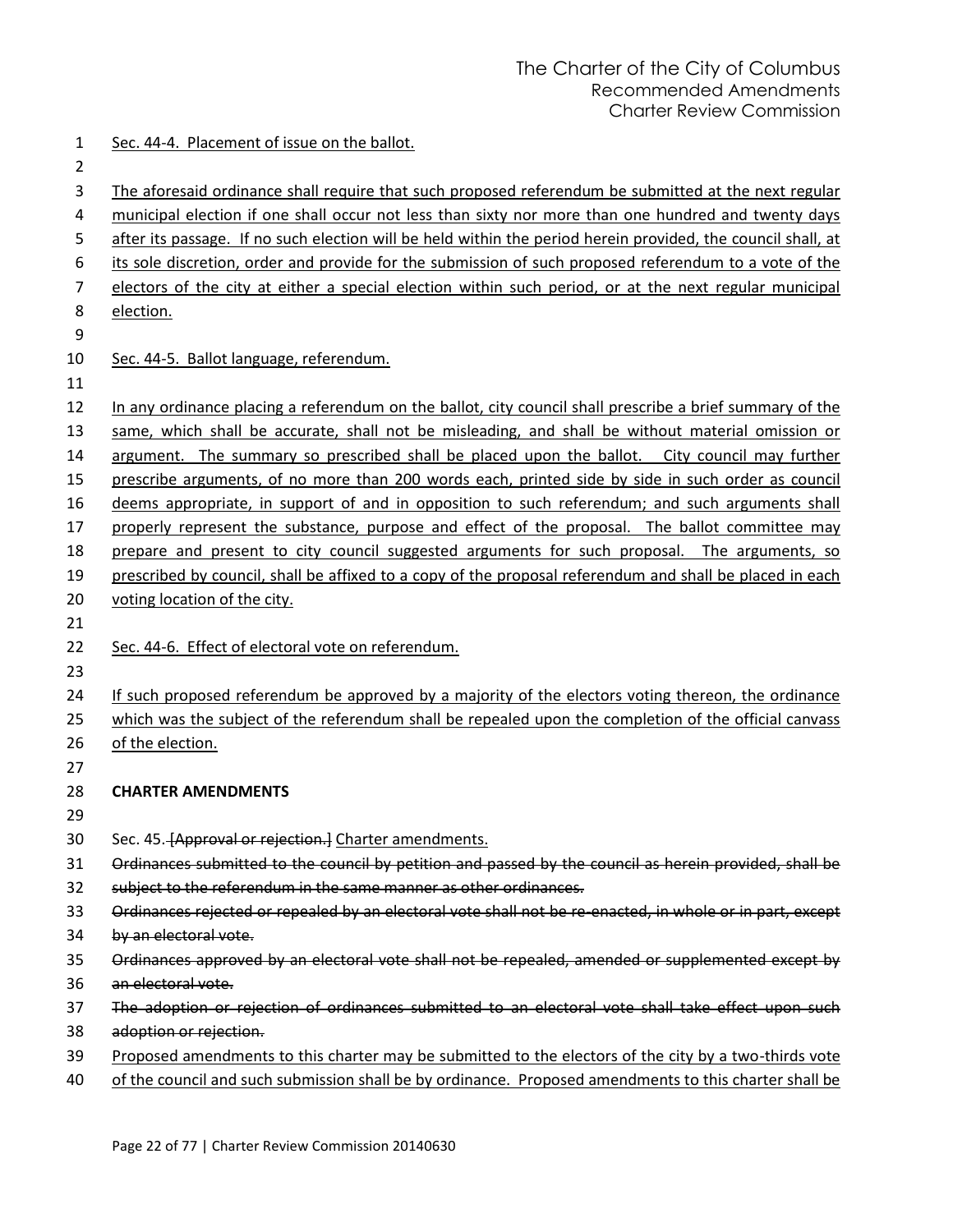- Sec. 44-4. Placement of issue on the ballot.
- 
- 
- The aforesaid ordinance shall require that such proposed referendum be submitted at the next regular
- municipal election if one shall occur not less than sixty nor more than one hundred and twenty days
- after its passage. If no such election will be held within the period herein provided, the council shall, at its sole discretion, order and provide for the submission of such proposed referendum to a vote of the
- electors of the city at either a special election within such period, or at the next regular municipal
- election.
- 

# 10 Sec. 44-5. Ballot language, referendum.

- In any ordinance placing a referendum on the ballot, city council shall prescribe a brief summary of the same, which shall be accurate, shall not be misleading, and shall be without material omission or argument. The summary so prescribed shall be placed upon the ballot. City council may further prescribe arguments, of no more than 200 words each, printed side by side in such order as council deems appropriate, in support of and in opposition to such referendum; and such arguments shall properly represent the substance, purpose and effect of the proposal. The ballot committee may prepare and present to city council suggested arguments for such proposal. The arguments, so prescribed by council, shall be affixed to a copy of the proposal referendum and shall be placed in each voting location of the city.
- 
- Sec. 44-6. Effect of electoral vote on referendum.
- 
- If such proposed referendum be approved by a majority of the electors voting thereon, the ordinance
- which was the subject of the referendum shall be repealed upon the completion of the official canvass
- 26 of the election.
- **CHARTER AMENDMENTS**
- 
- 30 Sec. 45. [Approval or rejection.] Charter amendments.
- Ordinances submitted to the council by petition and passed by the council as herein provided, shall be
- subject to the referendum in the same manner as other ordinances.
- Ordinances rejected or repealed by an electoral vote shall not be re-enacted, in whole or in part, except
- by an electoral vote.
- Ordinances approved by an electoral vote shall not be repealed, amended or supplemented except by
- an electoral vote.
- The adoption or rejection of ordinances submitted to an electoral vote shall take effect upon such
- adoption or rejection.
- Proposed amendments to this charter may be submitted to the electors of the city by a two-thirds vote
- of the council and such submission shall be by ordinance. Proposed amendments to this charter shall be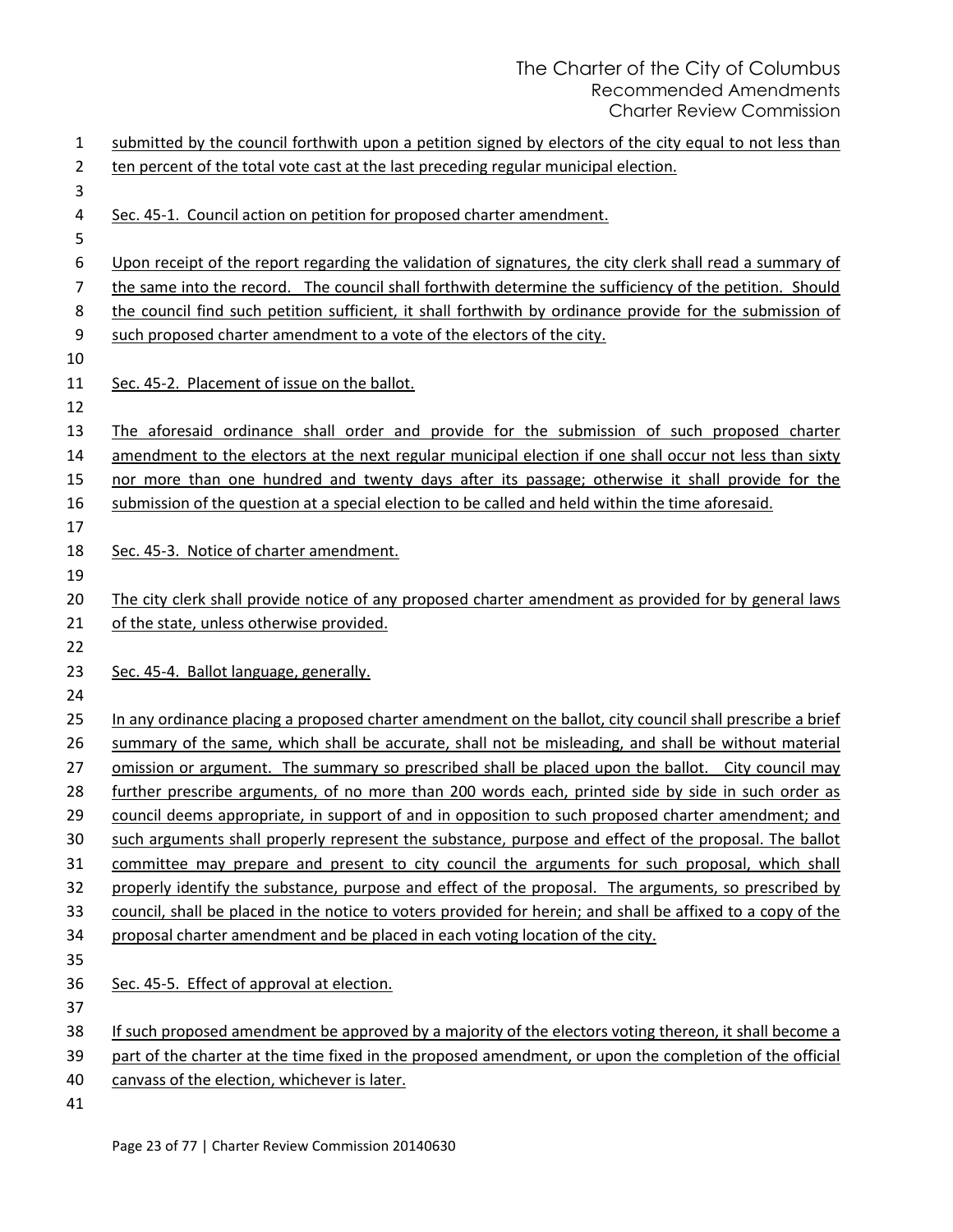| 1  | submitted by the council forthwith upon a petition signed by electors of the city equal to not less than                                                                                                          |
|----|-------------------------------------------------------------------------------------------------------------------------------------------------------------------------------------------------------------------|
| 2  | ten percent of the total vote cast at the last preceding regular municipal election.                                                                                                                              |
| 3  |                                                                                                                                                                                                                   |
| 4  | Sec. 45-1. Council action on petition for proposed charter amendment.                                                                                                                                             |
| 5  |                                                                                                                                                                                                                   |
| 6  | Upon receipt of the report regarding the validation of signatures, the city clerk shall read a summary of                                                                                                         |
| 7  | the same into the record. The council shall forthwith determine the sufficiency of the petition. Should                                                                                                           |
| 8  | the council find such petition sufficient, it shall forthwith by ordinance provide for the submission of                                                                                                          |
| 9  | such proposed charter amendment to a vote of the electors of the city.                                                                                                                                            |
| 10 |                                                                                                                                                                                                                   |
| 11 | Sec. 45-2. Placement of issue on the ballot.                                                                                                                                                                      |
| 12 |                                                                                                                                                                                                                   |
| 13 | The aforesaid ordinance shall order and provide for the submission of such proposed charter                                                                                                                       |
| 14 | amendment to the electors at the next regular municipal election if one shall occur not less than sixty                                                                                                           |
| 15 | nor more than one hundred and twenty days after its passage; otherwise it shall provide for the                                                                                                                   |
| 16 | submission of the question at a special election to be called and held within the time aforesaid.                                                                                                                 |
| 17 |                                                                                                                                                                                                                   |
| 18 | Sec. 45-3. Notice of charter amendment.                                                                                                                                                                           |
| 19 |                                                                                                                                                                                                                   |
| 20 | The city clerk shall provide notice of any proposed charter amendment as provided for by general laws                                                                                                             |
| 21 | of the state, unless otherwise provided.                                                                                                                                                                          |
| 22 |                                                                                                                                                                                                                   |
| 23 | Sec. 45-4. Ballot language, generally.                                                                                                                                                                            |
| 24 |                                                                                                                                                                                                                   |
| 25 | In any ordinance placing a proposed charter amendment on the ballot, city council shall prescribe a brief                                                                                                         |
| 26 | summary of the same, which shall be accurate, shall not be misleading, and shall be without material                                                                                                              |
| 27 | omission or argument. The summary so prescribed shall be placed upon the ballot. City council may                                                                                                                 |
| 28 | further prescribe arguments, of no more than 200 words each, printed side by side in such order as                                                                                                                |
| 29 | council deems appropriate, in support of and in opposition to such proposed charter amendment; and                                                                                                                |
| 30 | such arguments shall properly represent the substance, purpose and effect of the proposal. The ballot                                                                                                             |
| 31 | committee may prepare and present to city council the arguments for such proposal, which shall                                                                                                                    |
| 32 | properly identify the substance, purpose and effect of the proposal. The arguments, so prescribed by                                                                                                              |
| 33 | council, shall be placed in the notice to voters provided for herein; and shall be affixed to a copy of the                                                                                                       |
| 34 | proposal charter amendment and be placed in each voting location of the city.                                                                                                                                     |
| 35 |                                                                                                                                                                                                                   |
| 36 | Sec. 45-5. Effect of approval at election.                                                                                                                                                                        |
| 37 |                                                                                                                                                                                                                   |
| 38 | If such proposed amendment be approved by a majority of the electors voting thereon, it shall become a<br>part of the charter at the time fixed in the proposed amendment, or upon the completion of the official |
| 39 | canvass of the election, whichever is later.                                                                                                                                                                      |
| 40 |                                                                                                                                                                                                                   |
| 41 |                                                                                                                                                                                                                   |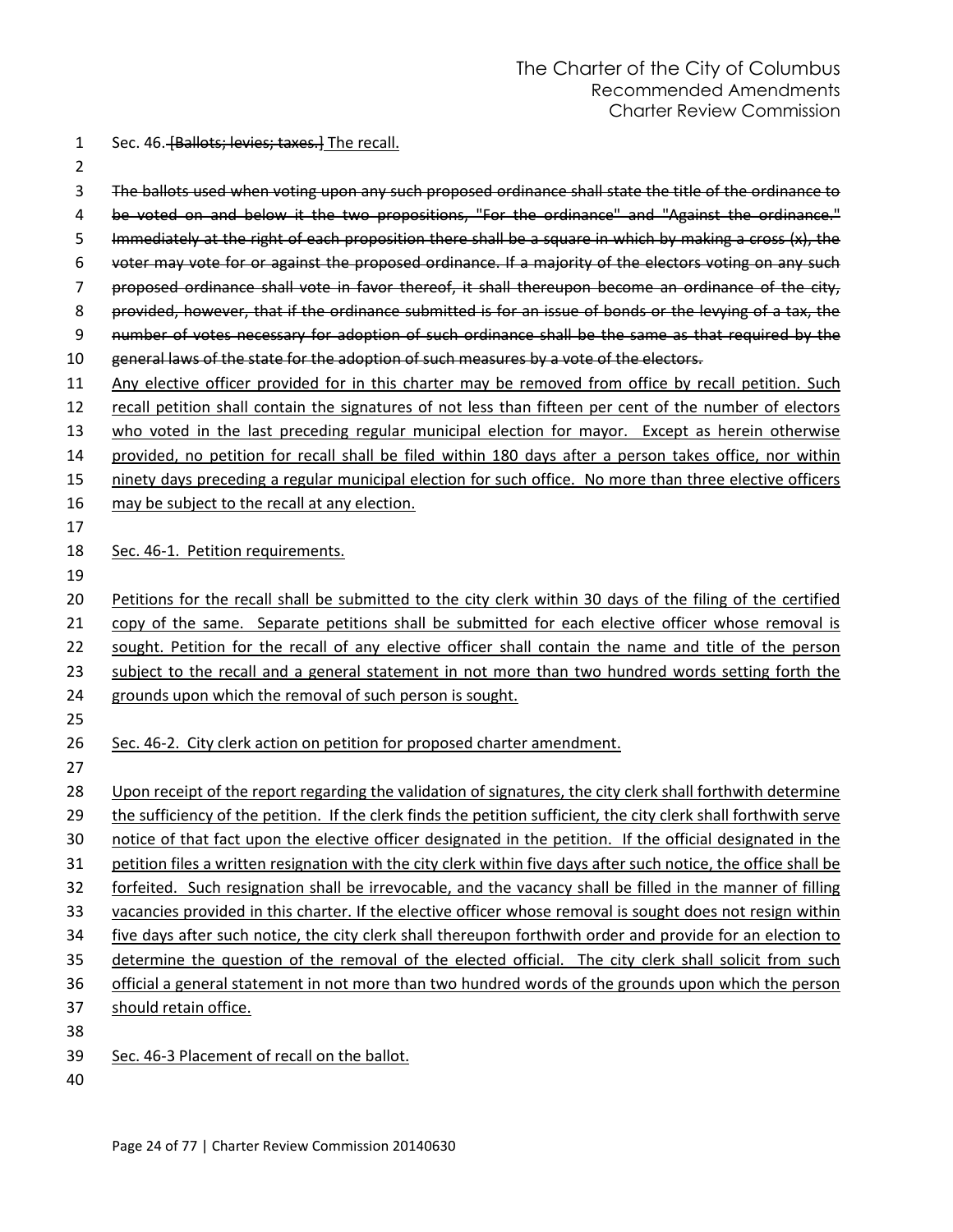- 1 Sec. 46. **[Ballots; levies; taxes.]** The recall.
- 

- 3 The ballots used when voting upon any such proposed ordinance shall state the title of the ordinance to 4 be voted on and below it the two propositions, "For the ordinance" and "Against the ordinance." 5 Immediately at the right of each proposition there shall be a square in which by making a cross (x), the voter may vote for or against the proposed ordinance. If a majority of the electors voting on any such proposed ordinance shall vote in favor thereof, it shall thereupon become an ordinance of the city, provided, however, that if the ordinance submitted is for an issue of bonds or the levying of a tax, the 9 number of votes necessary for adoption of such ordinance shall be the same as that required by the 10 general laws of the state for the adoption of such measures by a vote of the electors. 11 Any elective officer provided for in this charter may be removed from office by recall petition. Such recall petition shall contain the signatures of not less than fifteen per cent of the number of electors who voted in the last preceding regular municipal election for mayor. Except as herein otherwise provided, no petition for recall shall be filed within 180 days after a person takes office, nor within ninety days preceding a regular municipal election for such office. No more than three elective officers 16 may be subject to the recall at any election. Sec. 46-1. Petition requirements. Petitions for the recall shall be submitted to the city clerk within 30 days of the filing of the certified 21 copy of the same. Separate petitions shall be submitted for each elective officer whose removal is 22 sought. Petition for the recall of any elective officer shall contain the name and title of the person 23 subject to the recall and a general statement in not more than two hundred words setting forth the grounds upon which the removal of such person is sought. 26 Sec. 46-2. City clerk action on petition for proposed charter amendment. Upon receipt of the report regarding the validation of signatures, the city clerk shall forthwith determine the sufficiency of the petition. If the clerk finds the petition sufficient, the city clerk shall forthwith serve notice of that fact upon the elective officer designated in the petition. If the official designated in the 31 petition files a written resignation with the city clerk within five days after such notice, the office shall be forfeited. Such resignation shall be irrevocable, and the vacancy shall be filled in the manner of filling
- vacancies provided in this charter. If the elective officer whose removal is sought does not resign within five days after such notice, the city clerk shall thereupon forthwith order and provide for an election to
- determine the question of the removal of the elected official. The city clerk shall solicit from such
- official a general statement in not more than two hundred words of the grounds upon which the person
- should retain office.
- 
- Sec. 46-3 Placement of recall on the ballot.
-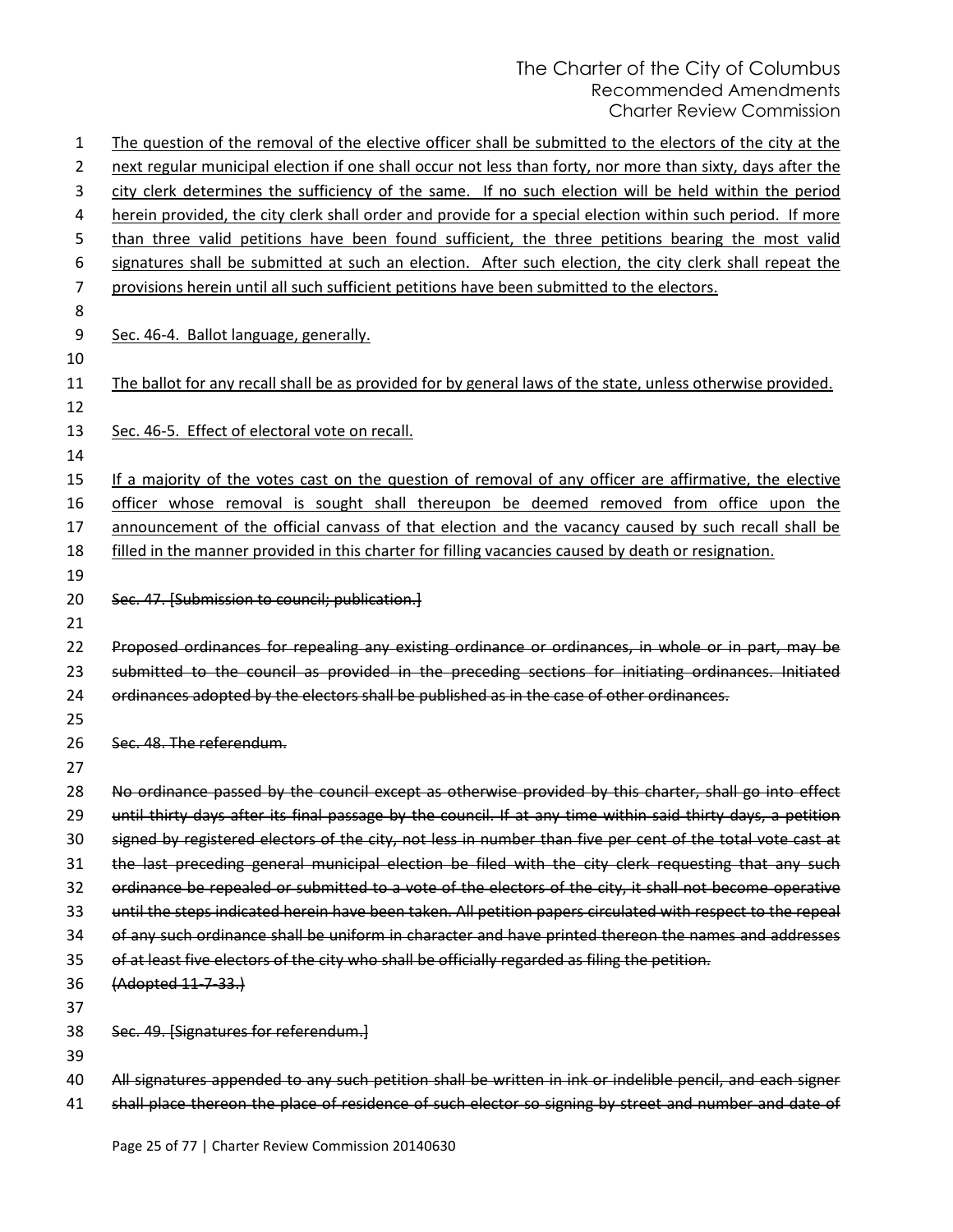| 1  | The question of the removal of the elective officer shall be submitted to the electors of the city at the    |
|----|--------------------------------------------------------------------------------------------------------------|
| 2  | next regular municipal election if one shall occur not less than forty, nor more than sixty, days after the  |
| 3  | city clerk determines the sufficiency of the same. If no such election will be held within the period        |
| 4  | herein provided, the city clerk shall order and provide for a special election within such period. If more   |
| 5  | than three valid petitions have been found sufficient, the three petitions bearing the most valid            |
| 6  | signatures shall be submitted at such an election. After such election, the city clerk shall repeat the      |
| 7  | provisions herein until all such sufficient petitions have been submitted to the electors.                   |
| 8  |                                                                                                              |
| 9  | Sec. 46-4. Ballot language, generally.                                                                       |
| 10 |                                                                                                              |
| 11 | The ballot for any recall shall be as provided for by general laws of the state, unless otherwise provided.  |
| 12 |                                                                                                              |
| 13 | Sec. 46-5. Effect of electoral vote on recall.                                                               |
| 14 |                                                                                                              |
| 15 | If a majority of the votes cast on the question of removal of any officer are affirmative, the elective      |
| 16 | officer whose removal is sought shall thereupon be deemed removed from office upon the                       |
| 17 | announcement of the official canvass of that election and the vacancy caused by such recall shall be         |
| 18 | filled in the manner provided in this charter for filling vacancies caused by death or resignation.          |
| 19 |                                                                                                              |
| 20 | Sec. 47. [Submission to council; publication.]                                                               |
| 21 |                                                                                                              |
| 22 | Proposed ordinances for repealing any existing ordinance or ordinances, in whole or in part, may be          |
| 23 | submitted to the council as provided in the preceding sections for initiating ordinances. Initiated          |
| 24 | ordinances adopted by the electors shall be published as in the case of other ordinances.                    |
| 25 |                                                                                                              |
| 26 | Sec. 48. The referendum.                                                                                     |
| 27 |                                                                                                              |
| 28 | No ordinance passed by the council except as otherwise provided by this charter, shall go into effect        |
| 29 | until thirty days after its final passage by the council. If at any time within said thirty days, a petition |
| 30 | signed by registered electors of the city, not less in number than five per cent of the total vote cast at   |
| 31 | the last preceding general municipal election be filed with the city clerk requesting that any such          |
| 32 | ordinance be repealed or submitted to a vote of the electors of the city, it shall not become operative      |
| 33 | until the steps indicated herein have been taken. All petition papers circulated with respect to the repeal  |
| 34 | of any such ordinance shall be uniform in character and have printed thereon the names and addresses         |
| 35 | of at least five electors of the city who shall be officially regarded as filing the petition.               |
| 36 | (Adopted 11-7-33.)                                                                                           |
| 37 |                                                                                                              |
| 38 | Sec. 49. [Signatures for referendum.]                                                                        |
| 39 |                                                                                                              |
| 40 | All signatures appended to any such petition shall be written in ink or indelible pencil, and each signer    |
| 41 | shall place thereon the place of residence of such elector so signing by street and number and date of       |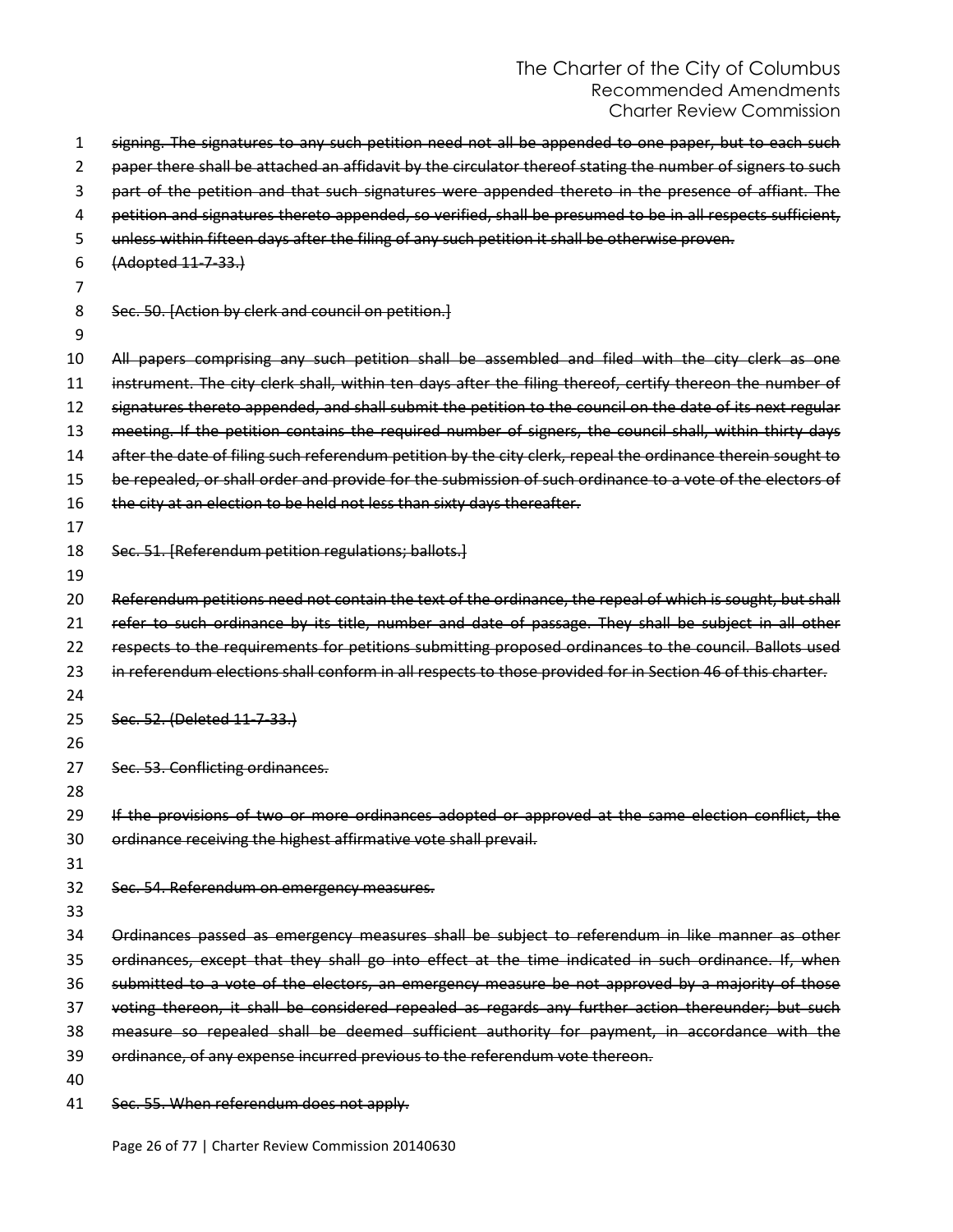| 1  | signing. The signatures to any such petition need not all be appended to one paper, but to each such        |
|----|-------------------------------------------------------------------------------------------------------------|
| 2  | paper there shall be attached an affidavit by the circulator thereof stating the number of signers to such  |
| 3  | part of the petition and that such signatures were appended thereto in the presence of affiant. The         |
| 4  | petition and signatures thereto appended, so verified, shall be presumed to be in all respects sufficient,  |
| 5  | unless within fifteen days after the filing of any such petition it shall be otherwise proven.              |
| 6  | (Adopted 11-7-33.)                                                                                          |
| 7  |                                                                                                             |
| 8  | Sec. 50. [Action by clerk and council on petition.]                                                         |
| 9  |                                                                                                             |
| 10 | All papers comprising any such petition shall be assembled and filed with the city clerk as one             |
| 11 | instrument. The city clerk shall, within ten days after the filing thereof, certify thereon the number of   |
| 12 | signatures thereto appended, and shall submit the petition to the council on the date of its next regular   |
| 13 | meeting. If the petition contains the required number of signers, the council shall, within thirty days     |
| 14 | after the date of filing such referendum petition by the city clerk, repeal the ordinance therein sought to |
| 15 | be repealed, or shall order and provide for the submission of such ordinance to a vote of the electors of   |
| 16 | the city at an election to be held not less than sixty days thereafter.                                     |
| 17 |                                                                                                             |
| 18 | Sec. 51. [Referendum petition regulations; ballots.]                                                        |
| 19 |                                                                                                             |
| 20 | Referendum petitions need not contain the text of the ordinance, the repeal of which is sought, but shall   |
| 21 | refer to such ordinance by its title, number and date of passage. They shall be subject in all other        |
| 22 | respects to the requirements for petitions submitting proposed ordinances to the council. Ballots used      |
| 23 | in referendum elections shall conform in all respects to those provided for in Section 46 of this charter.  |
| 24 |                                                                                                             |
| 25 | Sec. 52. (Deleted 11-7-33.)                                                                                 |
| 26 |                                                                                                             |
| 27 | Sec. 53. Conflicting ordinances.                                                                            |
| 28 |                                                                                                             |
| 29 | If the provisions of two or more ordinances adopted or approved at the same election conflict, the          |
| 30 | ordinance receiving the highest affirmative vote shall prevail.                                             |
| 31 |                                                                                                             |
| 32 | Sec. 54. Referendum on emergency measures.                                                                  |
| 33 |                                                                                                             |
| 34 | Ordinances passed as emergency measures shall be subject to referendum in like manner as other              |
| 35 | ordinances, except that they shall go into effect at the time indicated in such ordinance. If, when         |
| 36 | submitted to a vote of the electors, an emergency measure be not approved by a majority of those            |
| 37 | voting thereon, it shall be considered repealed as regards any further action thereunder; but such          |
| 38 | measure so repealed shall be deemed sufficient authority for payment, in accordance with the                |
| 39 | ordinance, of any expense incurred previous to the referendum vote thereon.                                 |
| 40 |                                                                                                             |
| 41 | Sec. 55. When referendum does not apply.                                                                    |

Page 26 of 77 | Charter Review Commission 20140630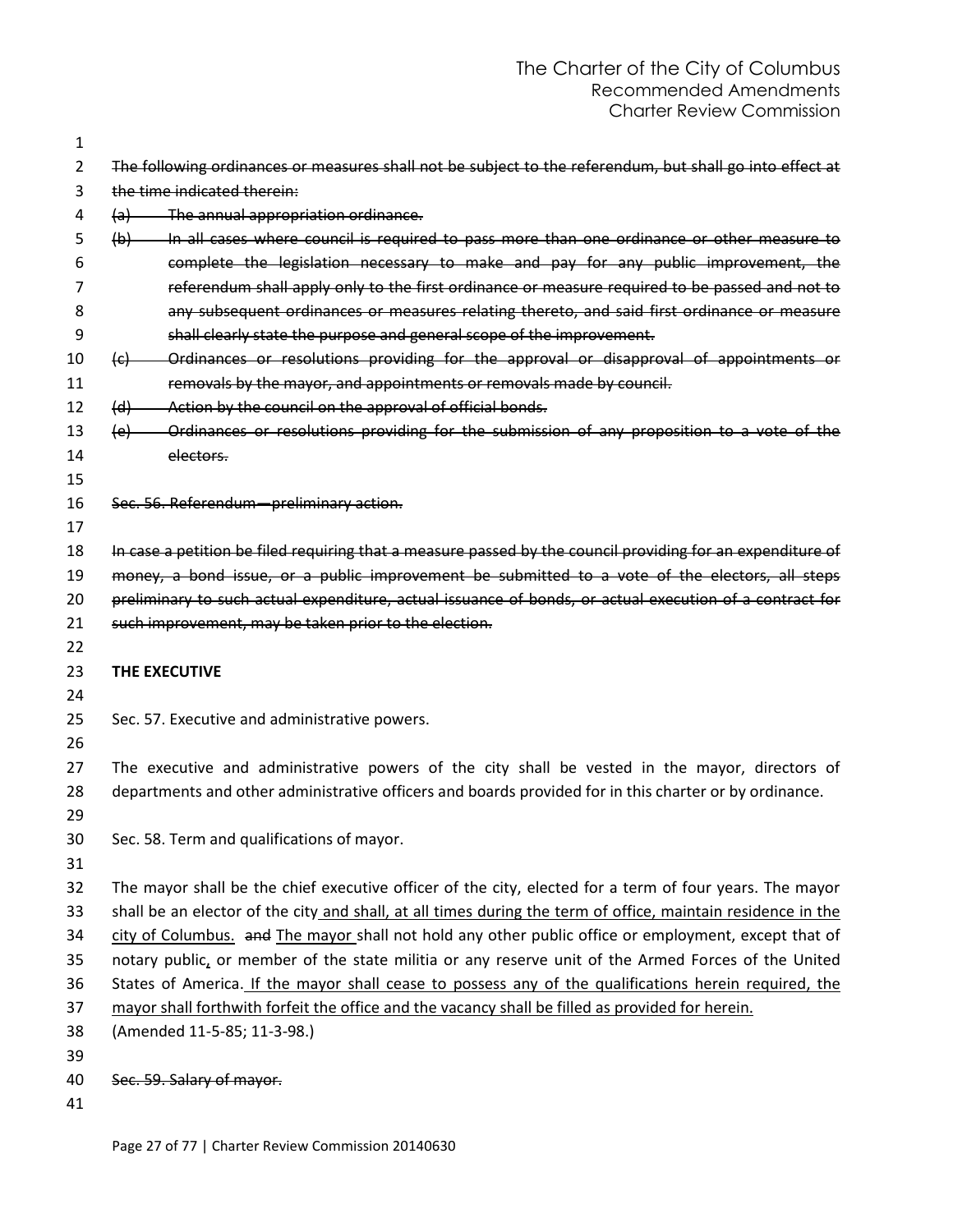| $\mathbf{1}$   |                                                                                                                   |
|----------------|-------------------------------------------------------------------------------------------------------------------|
| $\overline{2}$ | The following ordinances or measures shall not be subject to the referendum, but shall go into effect at          |
| 3              | the time indicated therein:                                                                                       |
| 4              | (a) The annual appropriation ordinance.                                                                           |
| 5              | In all cases where council is required to pass more than one ordinance or other measure to<br>(b)                 |
| 6              | complete the legislation necessary to make and pay for any public improvement, the                                |
| 7              | referendum shall apply only to the first ordinance or measure required to be passed and not to                    |
| 8              | any subsequent ordinances or measures relating thereto, and said first ordinance or measure                       |
| 9              | shall clearly state the purpose and general scope of the improvement.                                             |
| 10             | Ordinances or resolutions providing for the approval or disapproval of appointments or<br>$\left(\epsilon\right)$ |
| 11             | removals by the mayor, and appointments or removals made by council.                                              |
| 12             | Action by the council on the approval of official bonds.<br>(d)                                                   |
| 13             | Ordinances or resolutions providing for the submission of any proposition to a vote of the<br>(e)                 |
| 14             | electors.                                                                                                         |
| 15             |                                                                                                                   |
| 16             | Sec. 56. Referendum-preliminary action.                                                                           |
| 17             |                                                                                                                   |
| 18             | In case a petition be filed requiring that a measure passed by the council providing for an expenditure of        |
| 19             | money, a bond issue, or a public improvement be submitted to a vote of the electors, all steps                    |
| 20             | preliminary to such actual expenditure, actual issuance of bonds, or actual execution of a contract for           |
| 21             | such improvement, may be taken prior to the election.                                                             |
| 22             |                                                                                                                   |
| 23             | THE EXECUTIVE                                                                                                     |
| 24             |                                                                                                                   |
| 25             | Sec. 57. Executive and administrative powers.                                                                     |
| 26             |                                                                                                                   |
| 27             | The executive and administrative powers of the city shall be vested in the mayor, directors of                    |
| 28             | departments and other administrative officers and boards provided for in this charter or by ordinance.            |
| 29             |                                                                                                                   |
| 30             | Sec. 58. Term and qualifications of mayor.                                                                        |
| 31             |                                                                                                                   |
| 32             | The mayor shall be the chief executive officer of the city, elected for a term of four years. The mayor           |
| 33             | shall be an elector of the city and shall, at all times during the term of office, maintain residence in the      |
| 34             | city of Columbus. and The mayor shall not hold any other public office or employment, except that of              |
| 35             | notary public, or member of the state militia or any reserve unit of the Armed Forces of the United               |
| 36             | States of America. If the mayor shall cease to possess any of the qualifications herein required, the             |
| 37             | mayor shall forthwith forfeit the office and the vacancy shall be filled as provided for herein.                  |
| 38             | (Amended 11-5-85; 11-3-98.)                                                                                       |
| 39             |                                                                                                                   |
| 40             | Sec. 59. Salary of mayor.                                                                                         |
| 41             |                                                                                                                   |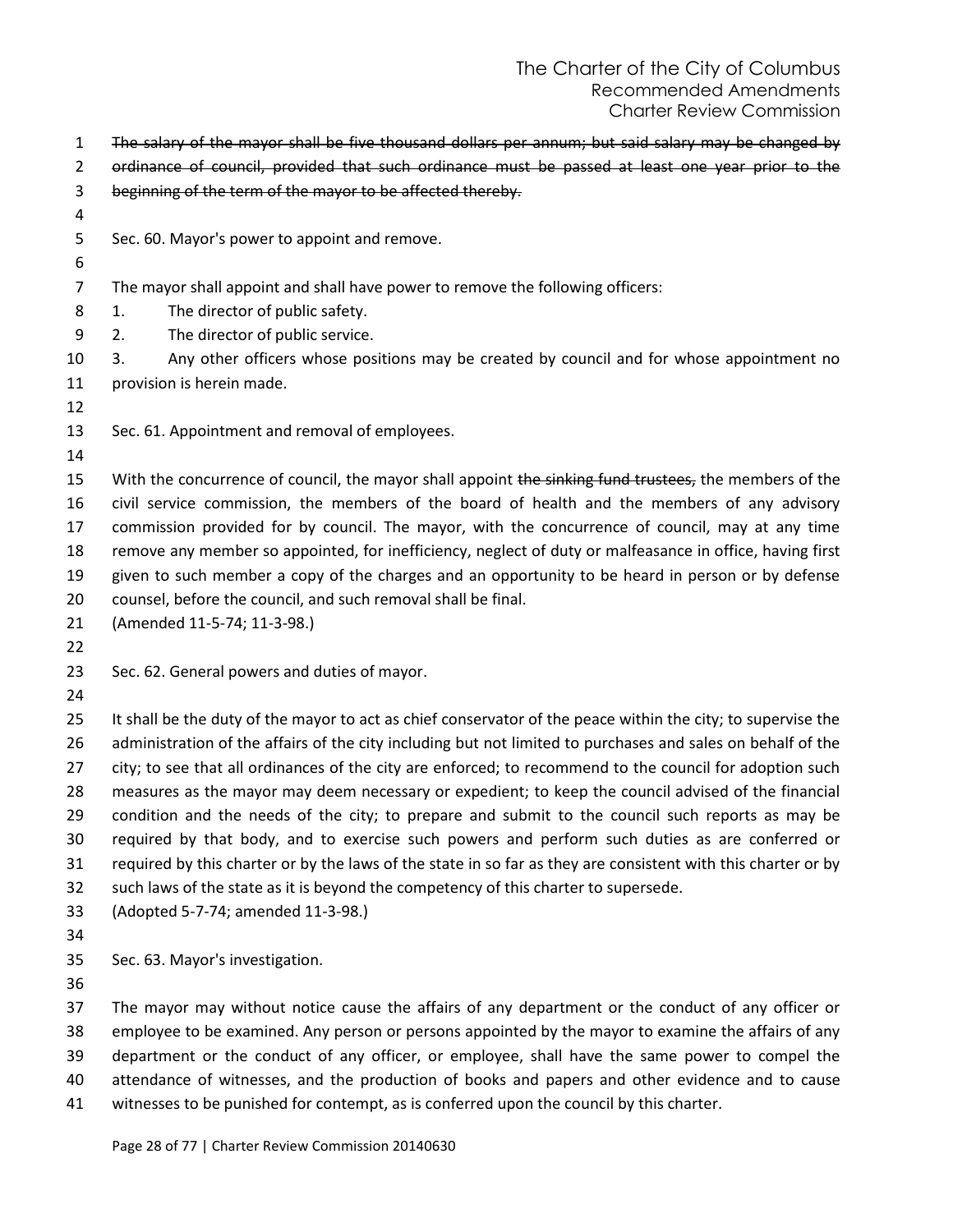- The salary of the mayor shall be five thousand dollars per annum; but said salary may be changed by
- ordinance of council, provided that such ordinance must be passed at least one year prior to the
- beginning of the term of the mayor to be affected thereby.
- 
- Sec. 60. Mayor's power to appoint and remove.
- 
- The mayor shall appoint and shall have power to remove the following officers:
- 1. The director of public safety.
- 2. The director of public service.
- 3. Any other officers whose positions may be created by council and for whose appointment no provision is herein made.
- 
- Sec. 61. Appointment and removal of employees.
- 

15 With the concurrence of council, the mayor shall appoint the sinking fund trustees, the members of the civil service commission, the members of the board of health and the members of any advisory commission provided for by council. The mayor, with the concurrence of council, may at any time remove any member so appointed, for inefficiency, neglect of duty or malfeasance in office, having first given to such member a copy of the charges and an opportunity to be heard in person or by defense counsel, before the council, and such removal shall be final.

- (Amended 11-5-74; 11-3-98.)
- 
- Sec. 62. General powers and duties of mayor.
- 

25 It shall be the duty of the mayor to act as chief conservator of the peace within the city; to supervise the administration of the affairs of the city including but not limited to purchases and sales on behalf of the city; to see that all ordinances of the city are enforced; to recommend to the council for adoption such measures as the mayor may deem necessary or expedient; to keep the council advised of the financial condition and the needs of the city; to prepare and submit to the council such reports as may be required by that body, and to exercise such powers and perform such duties as are conferred or required by this charter or by the laws of the state in so far as they are consistent with this charter or by such laws of the state as it is beyond the competency of this charter to supersede.

- (Adopted 5-7-74; amended 11-3-98.)
- 
- Sec. 63. Mayor's investigation.
- 

 The mayor may without notice cause the affairs of any department or the conduct of any officer or employee to be examined. Any person or persons appointed by the mayor to examine the affairs of any department or the conduct of any officer, or employee, shall have the same power to compel the attendance of witnesses, and the production of books and papers and other evidence and to cause witnesses to be punished for contempt, as is conferred upon the council by this charter.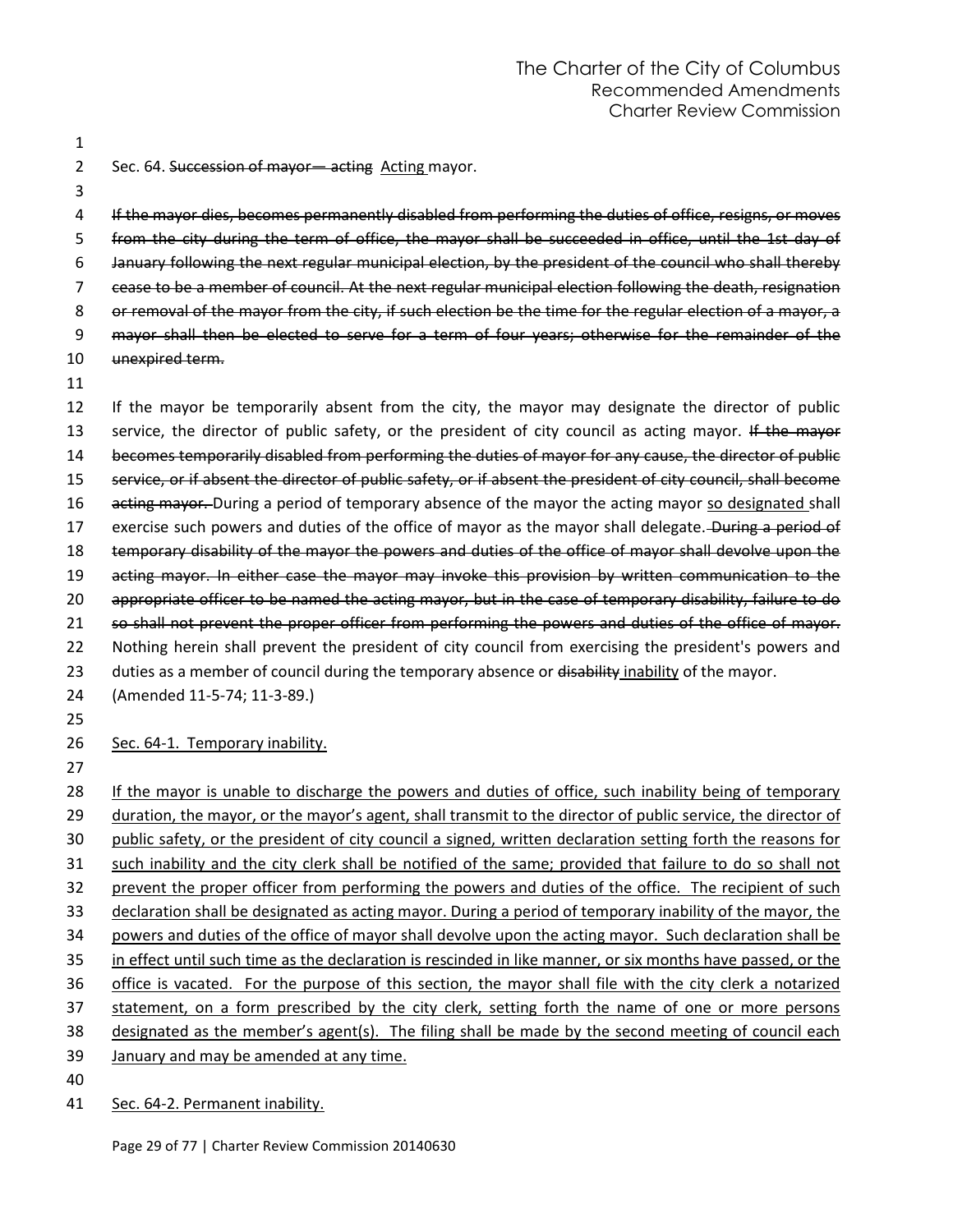1

2 Sec. 64. Succession of mayor-acting Acting mayor.

3

 If the mayor dies, becomes permanently disabled from performing the duties of office, resigns, or moves from the city during the term of office, the mayor shall be succeeded in office, until the 1st day of January following the next regular municipal election, by the president of the council who shall thereby cease to be a member of council. At the next regular municipal election following the death, resignation 8 or removal of the mayor from the city, if such election be the time for the regular election of a mayor, a 9 mayor shall then be elected to serve for a term of four years; otherwise for the remainder of the unexpired term. 11

12 If the mayor be temporarily absent from the city, the mayor may designate the director of public 13 service, the director of public safety, or the president of city council as acting mayor. If the mayor 14 becomes temporarily disabled from performing the duties of mayor for any cause, the director of public 15 service, or if absent the director of public safety, or if absent the president of city council, shall become 16 acting mayor. During a period of temporary absence of the mayor the acting mayor so designated shall 17 exercise such powers and duties of the office of mayor as the mayor shall delegate. During a period of 18 temporary disability of the mayor the powers and duties of the office of mayor shall devolve upon the 19 acting mayor. In either case the mayor may invoke this provision by written communication to the 20 appropriate officer to be named the acting mayor, but in the case of temporary disability, failure to do 21 so shall not prevent the proper officer from performing the powers and duties of the office of mayor. 22 Nothing herein shall prevent the president of city council from exercising the president's powers and 23 duties as a member of council during the temporary absence or disability inability of the mayor. 24 (Amended 11-5-74; 11-3-89.)

25

26 Sec. 64-1. Temporary inability.

- 27
- 28 If the mayor is unable to discharge the powers and duties of office, such inability being of temporary 29 duration, the mayor, or the mayor's agent, shall transmit to the director of public service, the director of 30 public safety, or the president of city council a signed, written declaration setting forth the reasons for 31 such inability and the city clerk shall be notified of the same; provided that failure to do so shall not 32 prevent the proper officer from performing the powers and duties of the office. The recipient of such 33 declaration shall be designated as acting mayor. During a period of temporary inability of the mayor, the 34 powers and duties of the office of mayor shall devolve upon the acting mayor. Such declaration shall be 35 in effect until such time as the declaration is rescinded in like manner, or six months have passed, or the 36 office is vacated. For the purpose of this section, the mayor shall file with the city clerk a notarized 37 statement, on a form prescribed by the city clerk, setting forth the name of one or more persons 38 designated as the member's agent(s). The filing shall be made by the second meeting of council each 39 January and may be amended at any time. 40
- 41 Sec. 64-2. Permanent inability.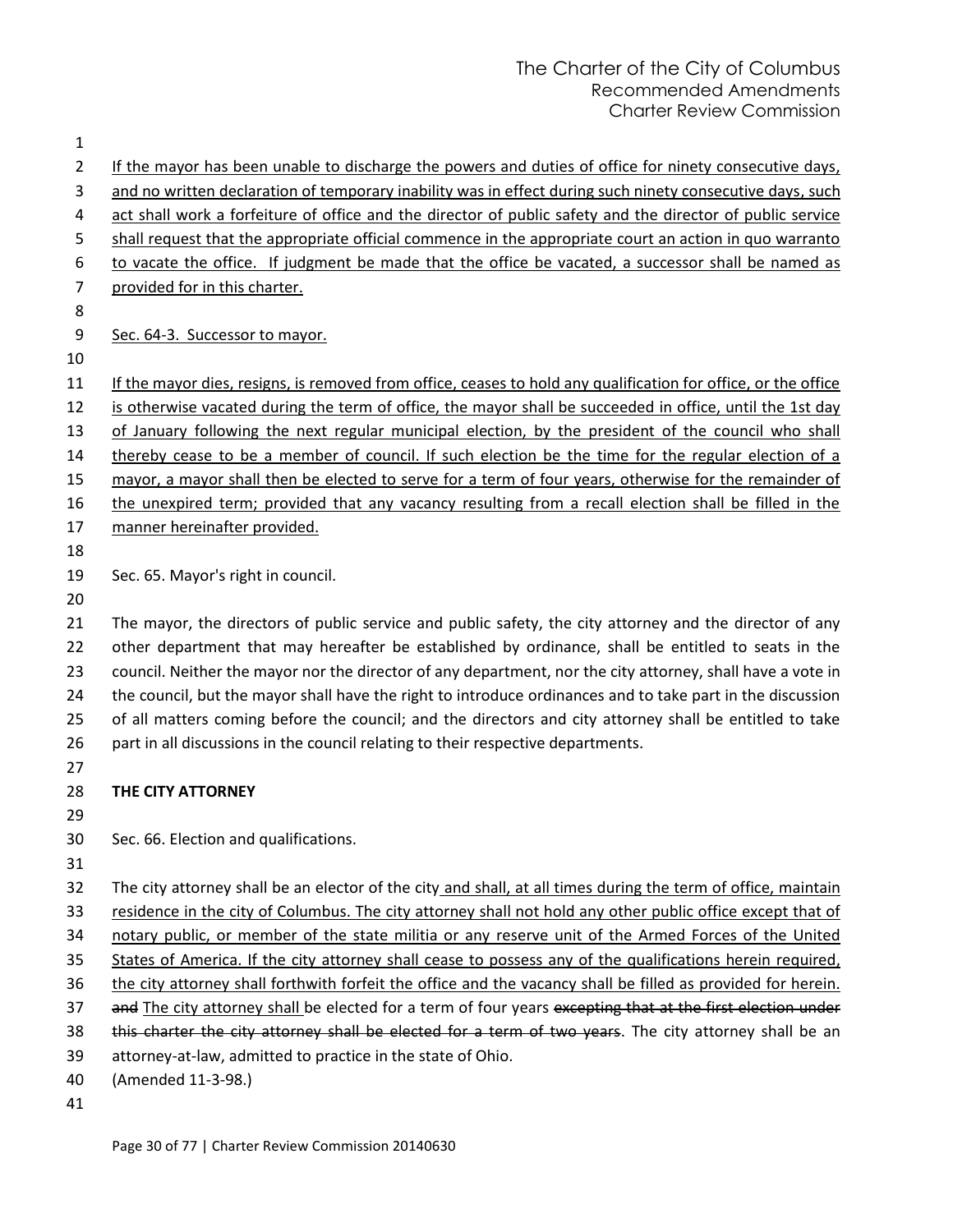| 1              |                                                                                                                                                                                                                      |
|----------------|----------------------------------------------------------------------------------------------------------------------------------------------------------------------------------------------------------------------|
| $\overline{2}$ | If the mayor has been unable to discharge the powers and duties of office for ninety consecutive days,                                                                                                               |
| 3              | and no written declaration of temporary inability was in effect during such ninety consecutive days, such                                                                                                            |
| 4              | act shall work a forfeiture of office and the director of public safety and the director of public service                                                                                                           |
| 5              | shall request that the appropriate official commence in the appropriate court an action in quo warranto                                                                                                              |
| 6              | to vacate the office. If judgment be made that the office be vacated, a successor shall be named as                                                                                                                  |
| 7              | provided for in this charter.                                                                                                                                                                                        |
| 8              |                                                                                                                                                                                                                      |
| 9              | Sec. 64-3. Successor to mayor.                                                                                                                                                                                       |
| 10             |                                                                                                                                                                                                                      |
| 11             | If the mayor dies, resigns, is removed from office, ceases to hold any qualification for office, or the office                                                                                                       |
| 12             | is otherwise vacated during the term of office, the mayor shall be succeeded in office, until the 1st day                                                                                                            |
| 13             | of January following the next regular municipal election, by the president of the council who shall                                                                                                                  |
| 14             | thereby cease to be a member of council. If such election be the time for the regular election of a                                                                                                                  |
| 15             | mayor, a mayor shall then be elected to serve for a term of four years, otherwise for the remainder of                                                                                                               |
| 16             | the unexpired term; provided that any vacancy resulting from a recall election shall be filled in the                                                                                                                |
| 17             | manner hereinafter provided.                                                                                                                                                                                         |
| 18             |                                                                                                                                                                                                                      |
| 19             | Sec. 65. Mayor's right in council.                                                                                                                                                                                   |
| 20             |                                                                                                                                                                                                                      |
| 21             | The mayor, the directors of public service and public safety, the city attorney and the director of any                                                                                                              |
| 22             | other department that may hereafter be established by ordinance, shall be entitled to seats in the                                                                                                                   |
| 23             | council. Neither the mayor nor the director of any department, nor the city attorney, shall have a vote in                                                                                                           |
| 24             | the council, but the mayor shall have the right to introduce ordinances and to take part in the discussion                                                                                                           |
| 25             | of all matters coming before the council; and the directors and city attorney shall be entitled to take                                                                                                              |
| 26             | part in all discussions in the council relating to their respective departments.                                                                                                                                     |
| 27             |                                                                                                                                                                                                                      |
| 28             | THE CITY ATTORNEY                                                                                                                                                                                                    |
| 29             |                                                                                                                                                                                                                      |
| 30             | Sec. 66. Election and qualifications.                                                                                                                                                                                |
| 31             |                                                                                                                                                                                                                      |
| 32             | The city attorney shall be an elector of the city and shall, at all times during the term of office, maintain                                                                                                        |
| 33             | residence in the city of Columbus. The city attorney shall not hold any other public office except that of                                                                                                           |
| 34             | notary public, or member of the state militia or any reserve unit of the Armed Forces of the United                                                                                                                  |
| 35             | States of America. If the city attorney shall cease to possess any of the qualifications herein required,                                                                                                            |
| 36             | the city attorney shall forthwith forfeit the office and the vacancy shall be filled as provided for herein.                                                                                                         |
| 37<br>38       | and The city attorney shall be elected for a term of four years excepting that at the first election under<br>this charter the city attorney shall be elected for a term of two years. The city attorney shall be an |
| 39             | attorney-at-law, admitted to practice in the state of Ohio.                                                                                                                                                          |
| 40             | (Amended 11-3-98.)                                                                                                                                                                                                   |
|                |                                                                                                                                                                                                                      |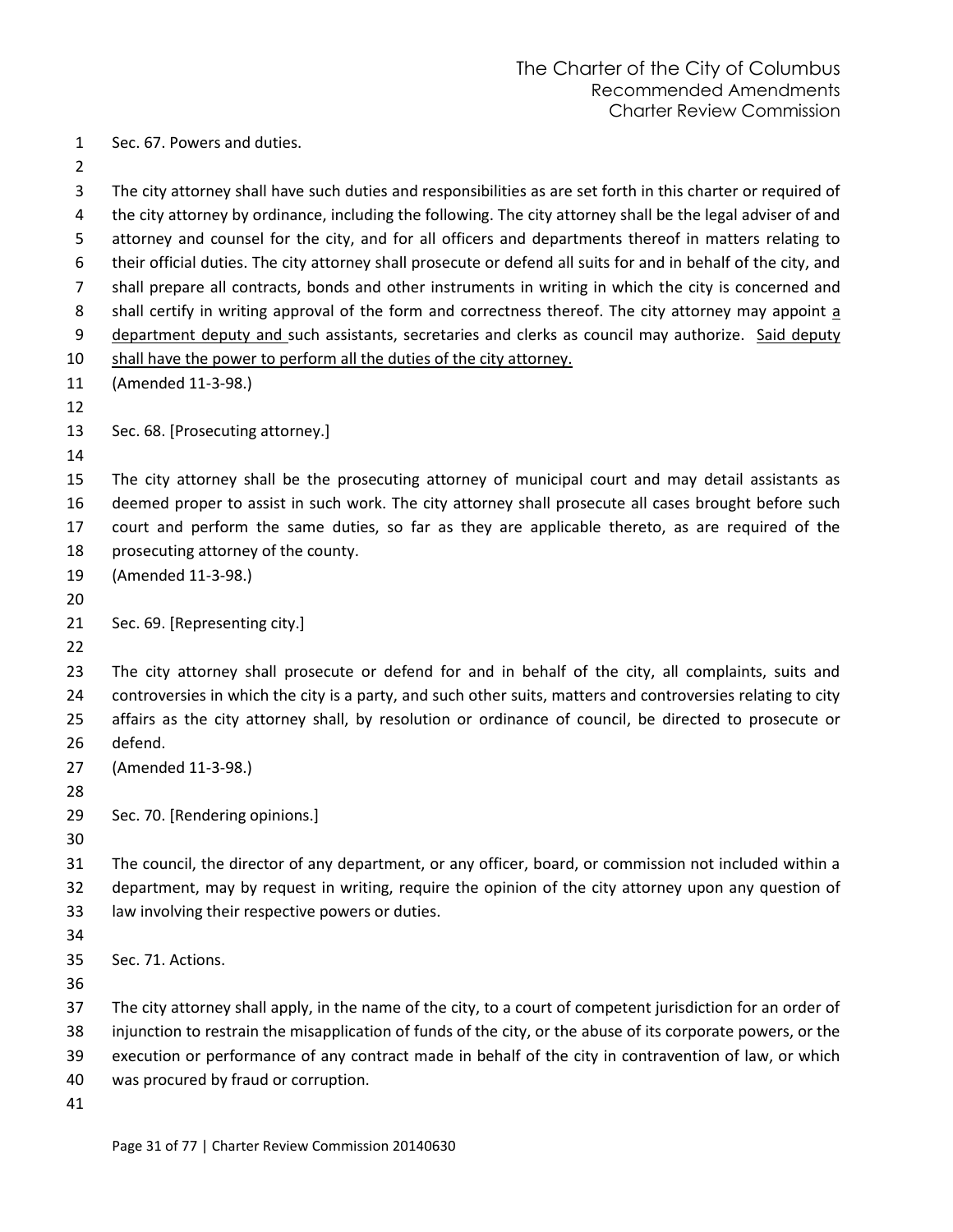Sec. 67. Powers and duties.

 the city attorney by ordinance, including the following. The city attorney shall be the legal adviser of and attorney and counsel for the city, and for all officers and departments thereof in matters relating to their official duties. The city attorney shall prosecute or defend all suits for and in behalf of the city, and shall prepare all contracts, bonds and other instruments in writing in which the city is concerned and shall certify in writing approval of the form and correctness thereof. The city attorney may appoint a department deputy and such assistants, secretaries and clerks as council may authorize. Said deputy 10 shall have the power to perform all the duties of the city attorney. (Amended 11-3-98.) Sec. 68. [Prosecuting attorney.] The city attorney shall be the prosecuting attorney of municipal court and may detail assistants as deemed proper to assist in such work. The city attorney shall prosecute all cases brought before such court and perform the same duties, so far as they are applicable thereto, as are required of the prosecuting attorney of the county. (Amended 11-3-98.) Sec. 69. [Representing city.] The city attorney shall prosecute or defend for and in behalf of the city, all complaints, suits and controversies in which the city is a party, and such other suits, matters and controversies relating to city affairs as the city attorney shall, by resolution or ordinance of council, be directed to prosecute or defend. (Amended 11-3-98.) Sec. 70. [Rendering opinions.] The council, the director of any department, or any officer, board, or commission not included within a department, may by request in writing, require the opinion of the city attorney upon any question of law involving their respective powers or duties. Sec. 71. Actions. The city attorney shall apply, in the name of the city, to a court of competent jurisdiction for an order of injunction to restrain the misapplication of funds of the city, or the abuse of its corporate powers, or the execution or performance of any contract made in behalf of the city in contravention of law, or which was procured by fraud or corruption.

The city attorney shall have such duties and responsibilities as are set forth in this charter or required of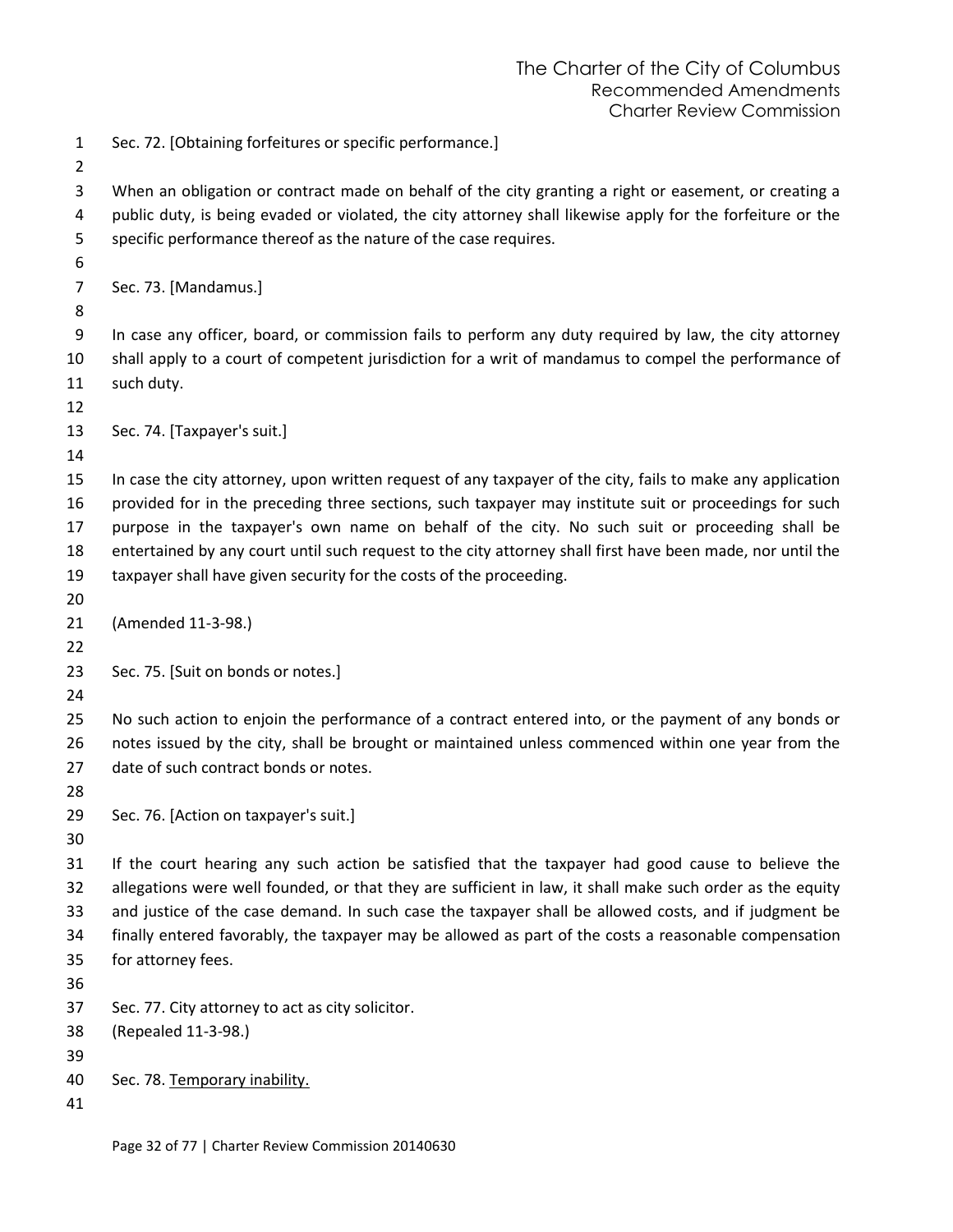Sec. 72. [Obtaining forfeitures or specific performance.]

 When an obligation or contract made on behalf of the city granting a right or easement, or creating a public duty, is being evaded or violated, the city attorney shall likewise apply for the forfeiture or the specific performance thereof as the nature of the case requires.

Sec. 73. [Mandamus.]

 In case any officer, board, or commission fails to perform any duty required by law, the city attorney shall apply to a court of competent jurisdiction for a writ of mandamus to compel the performance of such duty.

```
13 Sec. 74. [Taxpayer's suit.]
```
 In case the city attorney, upon written request of any taxpayer of the city, fails to make any application provided for in the preceding three sections, such taxpayer may institute suit or proceedings for such purpose in the taxpayer's own name on behalf of the city. No such suit or proceeding shall be entertained by any court until such request to the city attorney shall first have been made, nor until the taxpayer shall have given security for the costs of the proceeding.

(Amended 11-3-98.)

Sec. 75. [Suit on bonds or notes.]

 No such action to enjoin the performance of a contract entered into, or the payment of any bonds or notes issued by the city, shall be brought or maintained unless commenced within one year from the date of such contract bonds or notes.

Sec. 76. [Action on taxpayer's suit.]

 If the court hearing any such action be satisfied that the taxpayer had good cause to believe the allegations were well founded, or that they are sufficient in law, it shall make such order as the equity and justice of the case demand. In such case the taxpayer shall be allowed costs, and if judgment be finally entered favorably, the taxpayer may be allowed as part of the costs a reasonable compensation for attorney fees.

Sec. 77. City attorney to act as city solicitor.

(Repealed 11-3-98.)

Sec. 78. Temporary inability.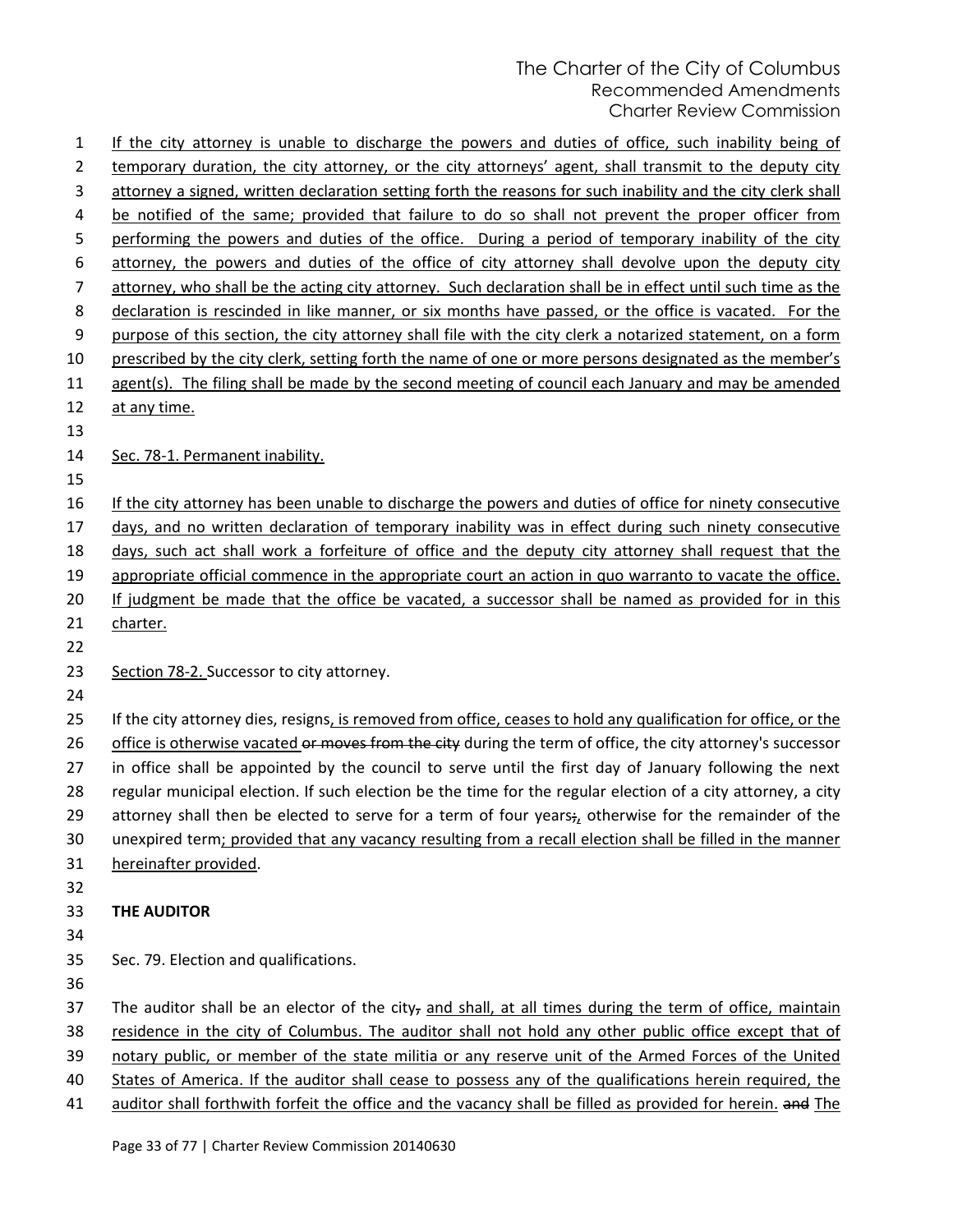If the city attorney is unable to discharge the powers and duties of office, such inability being of temporary duration, the city attorney, or the city attorneys' agent, shall transmit to the deputy city attorney a signed, written declaration setting forth the reasons for such inability and the city clerk shall be notified of the same; provided that failure to do so shall not prevent the proper officer from 5 performing the powers and duties of the office. During a period of temporary inability of the city 6 attorney, the powers and duties of the office of city attorney shall devolve upon the deputy city attorney, who shall be the acting city attorney. Such declaration shall be in effect until such time as the declaration is rescinded in like manner, or six months have passed, or the office is vacated. For the purpose of this section, the city attorney shall file with the city clerk a notarized statement, on a form 10 prescribed by the city clerk, setting forth the name of one or more persons designated as the member's 11 agent(s). The filing shall be made by the second meeting of council each January and may be amended 12 at any time. 14 Sec. 78-1. Permanent inability. 16 If the city attorney has been unable to discharge the powers and duties of office for ninety consecutive days, and no written declaration of temporary inability was in effect during such ninety consecutive days, such act shall work a forfeiture of office and the deputy city attorney shall request that the 19 appropriate official commence in the appropriate court an action in quo warranto to vacate the office. If judgment be made that the office be vacated, a successor shall be named as provided for in this 21 charter. Section 78-2. Successor to city attorney. If the city attorney dies, resigns, is removed from office, ceases to hold any qualification for office, or the 26 office is otherwise vacated or moves from the city during the term of office, the city attorney's successor in office shall be appointed by the council to serve until the first day of January following the next regular municipal election. If such election be the time for the regular election of a city attorney, a city 29 attorney shall then be elected to serve for a term of four years $\frac{1}{2}$  otherwise for the remainder of the unexpired term; provided that any vacancy resulting from a recall election shall be filled in the manner hereinafter provided. **THE AUDITOR** Sec. 79. Election and qualifications. 37 The auditor shall be an elector of the city, and shall, at all times during the term of office, maintain residence in the city of Columbus. The auditor shall not hold any other public office except that of notary public, or member of the state militia or any reserve unit of the Armed Forces of the United States of America. If the auditor shall cease to possess any of the qualifications herein required, the 41 auditor shall forthwith forfeit the office and the vacancy shall be filled as provided for herein. and The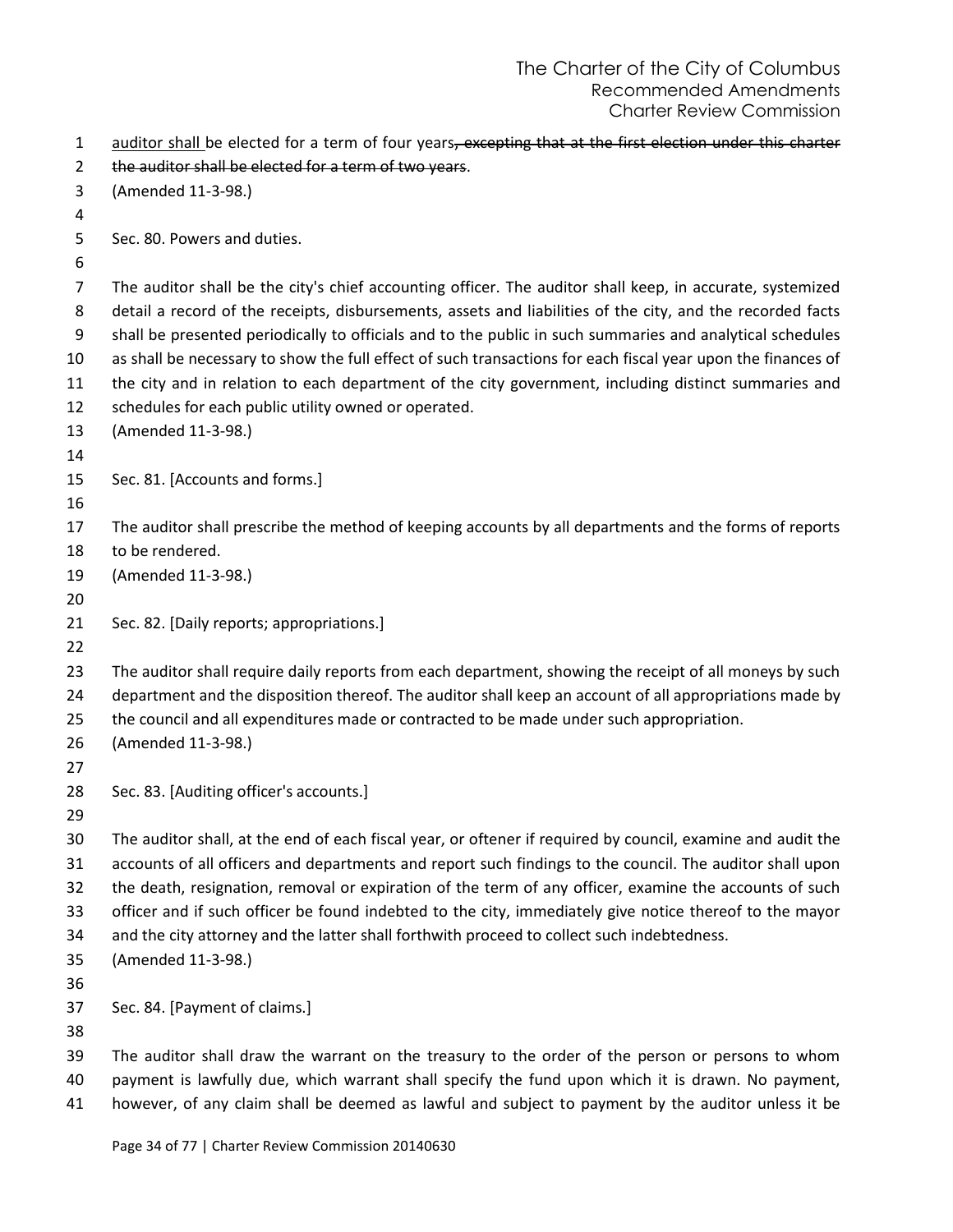| $\mathbf{1}$   | auditor shall be elected for a term of four years, excepting that at the first election under this charter                                                                                                              |
|----------------|-------------------------------------------------------------------------------------------------------------------------------------------------------------------------------------------------------------------------|
| $\overline{2}$ | the auditor shall be elected for a term of two years.                                                                                                                                                                   |
| 3              | (Amended 11-3-98.)                                                                                                                                                                                                      |
| 4              |                                                                                                                                                                                                                         |
| 5              | Sec. 80. Powers and duties.                                                                                                                                                                                             |
| 6              |                                                                                                                                                                                                                         |
| $\overline{7}$ | The auditor shall be the city's chief accounting officer. The auditor shall keep, in accurate, systemized                                                                                                               |
| 8<br>9         | detail a record of the receipts, disbursements, assets and liabilities of the city, and the recorded facts<br>shall be presented periodically to officials and to the public in such summaries and analytical schedules |
| 10             | as shall be necessary to show the full effect of such transactions for each fiscal year upon the finances of                                                                                                            |
| 11             | the city and in relation to each department of the city government, including distinct summaries and                                                                                                                    |
| 12             | schedules for each public utility owned or operated.                                                                                                                                                                    |
| 13             | (Amended 11-3-98.)                                                                                                                                                                                                      |
| 14             |                                                                                                                                                                                                                         |
| 15             | Sec. 81. [Accounts and forms.]                                                                                                                                                                                          |
| 16             |                                                                                                                                                                                                                         |
| 17             | The auditor shall prescribe the method of keeping accounts by all departments and the forms of reports                                                                                                                  |
| 18             | to be rendered.                                                                                                                                                                                                         |
| 19             | (Amended 11-3-98.)                                                                                                                                                                                                      |
| 20             |                                                                                                                                                                                                                         |
| 21             | Sec. 82. [Daily reports; appropriations.]                                                                                                                                                                               |
| 22             |                                                                                                                                                                                                                         |
| 23             | The auditor shall require daily reports from each department, showing the receipt of all moneys by such                                                                                                                 |
| 24             | department and the disposition thereof. The auditor shall keep an account of all appropriations made by                                                                                                                 |
| 25             | the council and all expenditures made or contracted to be made under such appropriation.                                                                                                                                |
| 26             | (Amended 11-3-98.)                                                                                                                                                                                                      |
| 27             |                                                                                                                                                                                                                         |
| 28             | Sec. 83. [Auditing officer's accounts.]                                                                                                                                                                                 |
| 29             |                                                                                                                                                                                                                         |
| 30             | The auditor shall, at the end of each fiscal year, or oftener if required by council, examine and audit the                                                                                                             |
| 31             | accounts of all officers and departments and report such findings to the council. The auditor shall upon                                                                                                                |
| 32             | the death, resignation, removal or expiration of the term of any officer, examine the accounts of such                                                                                                                  |
| 33             | officer and if such officer be found indebted to the city, immediately give notice thereof to the mayor                                                                                                                 |
| 34             | and the city attorney and the latter shall forthwith proceed to collect such indebtedness.                                                                                                                              |
| 35             | (Amended 11-3-98.)                                                                                                                                                                                                      |
| 36             |                                                                                                                                                                                                                         |
| 37             | Sec. 84. [Payment of claims.]                                                                                                                                                                                           |
| 38             |                                                                                                                                                                                                                         |
| 39             | The auditor shall draw the warrant on the treasury to the order of the person or persons to whom                                                                                                                        |
| 40             | payment is lawfully due, which warrant shall specify the fund upon which it is drawn. No payment,                                                                                                                       |

however, of any claim shall be deemed as lawful and subject to payment by the auditor unless it be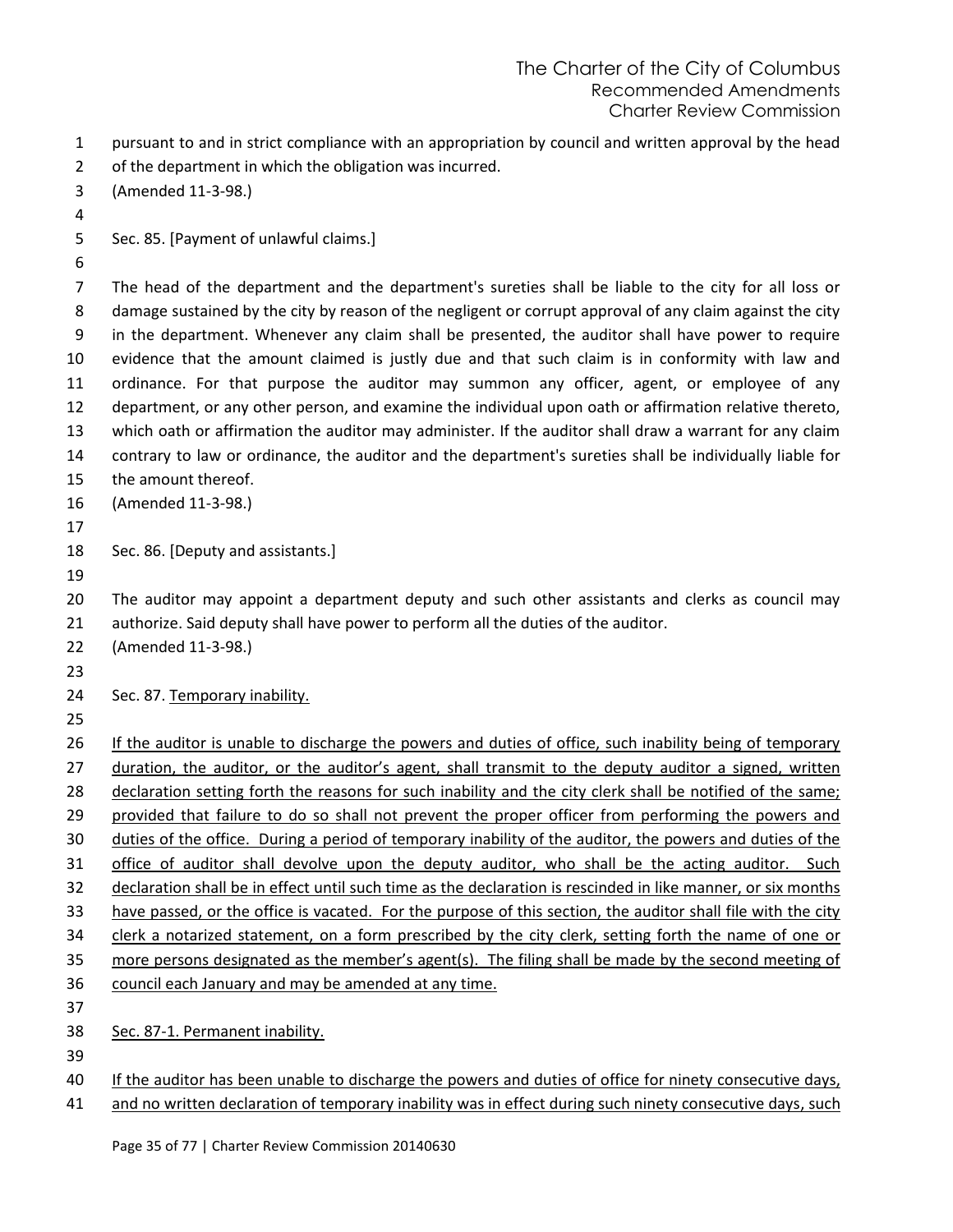pursuant to and in strict compliance with an appropriation by council and written approval by the head

- of the department in which the obligation was incurred.
- (Amended 11-3-98.)
- Sec. 85. [Payment of unlawful claims.]
- 

 The head of the department and the department's sureties shall be liable to the city for all loss or 8 damage sustained by the city by reason of the negligent or corrupt approval of any claim against the city in the department. Whenever any claim shall be presented, the auditor shall have power to require evidence that the amount claimed is justly due and that such claim is in conformity with law and ordinance. For that purpose the auditor may summon any officer, agent, or employee of any department, or any other person, and examine the individual upon oath or affirmation relative thereto, which oath or affirmation the auditor may administer. If the auditor shall draw a warrant for any claim contrary to law or ordinance, the auditor and the department's sureties shall be individually liable for the amount thereof.

(Amended 11-3-98.)

- 
- Sec. 86. [Deputy and assistants.]
- 

 The auditor may appoint a department deputy and such other assistants and clerks as council may authorize. Said deputy shall have power to perform all the duties of the auditor.

- (Amended 11-3-98.)
- 
- 24 Sec. 87. Temporary inability.
- 
- 26 If the auditor is unable to discharge the powers and duties of office, such inability being of temporary duration, the auditor, or the auditor's agent, shall transmit to the deputy auditor a signed, written 28 declaration setting forth the reasons for such inability and the city clerk shall be notified of the same; provided that failure to do so shall not prevent the proper officer from performing the powers and duties of the office. During a period of temporary inability of the auditor, the powers and duties of the 31 office of auditor shall devolve upon the deputy auditor, who shall be the acting auditor. Such 32 declaration shall be in effect until such time as the declaration is rescinded in like manner, or six months have passed, or the office is vacated. For the purpose of this section, the auditor shall file with the city 34 clerk a notarized statement, on a form prescribed by the city clerk, setting forth the name of one or more persons designated as the member's agent(s). The filing shall be made by the second meeting of council each January and may be amended at any time. Sec. 87-1. Permanent inability.
- 

If the auditor has been unable to discharge the powers and duties of office for ninety consecutive days,

41 and no written declaration of temporary inability was in effect during such ninety consecutive days, such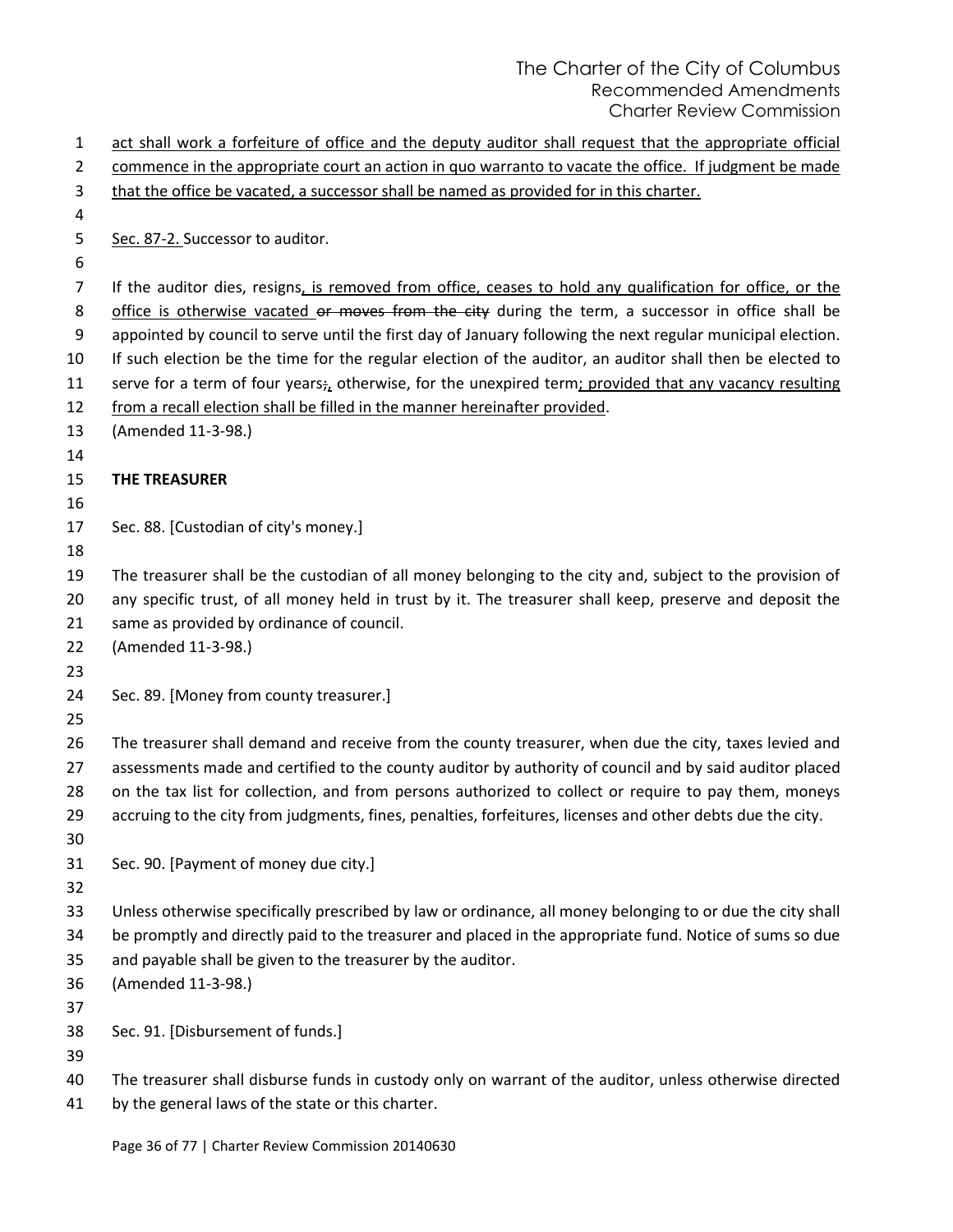| $\mathbf{1}$ | act shall work a forfeiture of office and the deputy auditor shall request that the appropriate official    |
|--------------|-------------------------------------------------------------------------------------------------------------|
| 2            | commence in the appropriate court an action in quo warranto to vacate the office. If judgment be made       |
| 3            | that the office be vacated, a successor shall be named as provided for in this charter.                     |
| 4            |                                                                                                             |
| 5            | Sec. 87-2. Successor to auditor.                                                                            |
| 6            |                                                                                                             |
| 7            | If the auditor dies, resigns, is removed from office, ceases to hold any qualification for office, or the   |
| 8            | office is otherwise vacated or moves from the city during the term, a successor in office shall be          |
| 9            | appointed by council to serve until the first day of January following the next regular municipal election. |
| 10           | If such election be the time for the regular election of the auditor, an auditor shall then be elected to   |
| 11           | serve for a term of four years; otherwise, for the unexpired term; provided that any vacancy resulting      |
| 12           | from a recall election shall be filled in the manner hereinafter provided.                                  |
| 13           | (Amended 11-3-98.)                                                                                          |
| 14           |                                                                                                             |
| 15           | <b>THE TREASURER</b>                                                                                        |
| 16           |                                                                                                             |
| 17           | Sec. 88. [Custodian of city's money.]                                                                       |
| 18           |                                                                                                             |
| 19           | The treasurer shall be the custodian of all money belonging to the city and, subject to the provision of    |
| 20           | any specific trust, of all money held in trust by it. The treasurer shall keep, preserve and deposit the    |
| 21           | same as provided by ordinance of council.                                                                   |
| 22<br>23     | (Amended 11-3-98.)                                                                                          |
| 24           | Sec. 89. [Money from county treasurer.]                                                                     |
| 25           |                                                                                                             |
| 26           | The treasurer shall demand and receive from the county treasurer, when due the city, taxes levied and       |
| 27           | assessments made and certified to the county auditor by authority of council and by said auditor placed     |
| 28           | on the tax list for collection, and from persons authorized to collect or require to pay them, moneys       |
| 29           | accruing to the city from judgments, fines, penalties, forfeitures, licenses and other debts due the city.  |
| 30           |                                                                                                             |
| 31           | Sec. 90. [Payment of money due city.]                                                                       |
| 32           |                                                                                                             |
| 33           | Unless otherwise specifically prescribed by law or ordinance, all money belonging to or due the city shall  |
| 34           | be promptly and directly paid to the treasurer and placed in the appropriate fund. Notice of sums so due    |
| 35           | and payable shall be given to the treasurer by the auditor.                                                 |
| 36           | (Amended 11-3-98.)                                                                                          |
| 37           |                                                                                                             |
| 38           | Sec. 91. [Disbursement of funds.]                                                                           |
| 39           |                                                                                                             |
| 40           | The treasurer shall disburse funds in custody only on warrant of the auditor, unless otherwise directed     |
| 41           | by the general laws of the state or this charter.                                                           |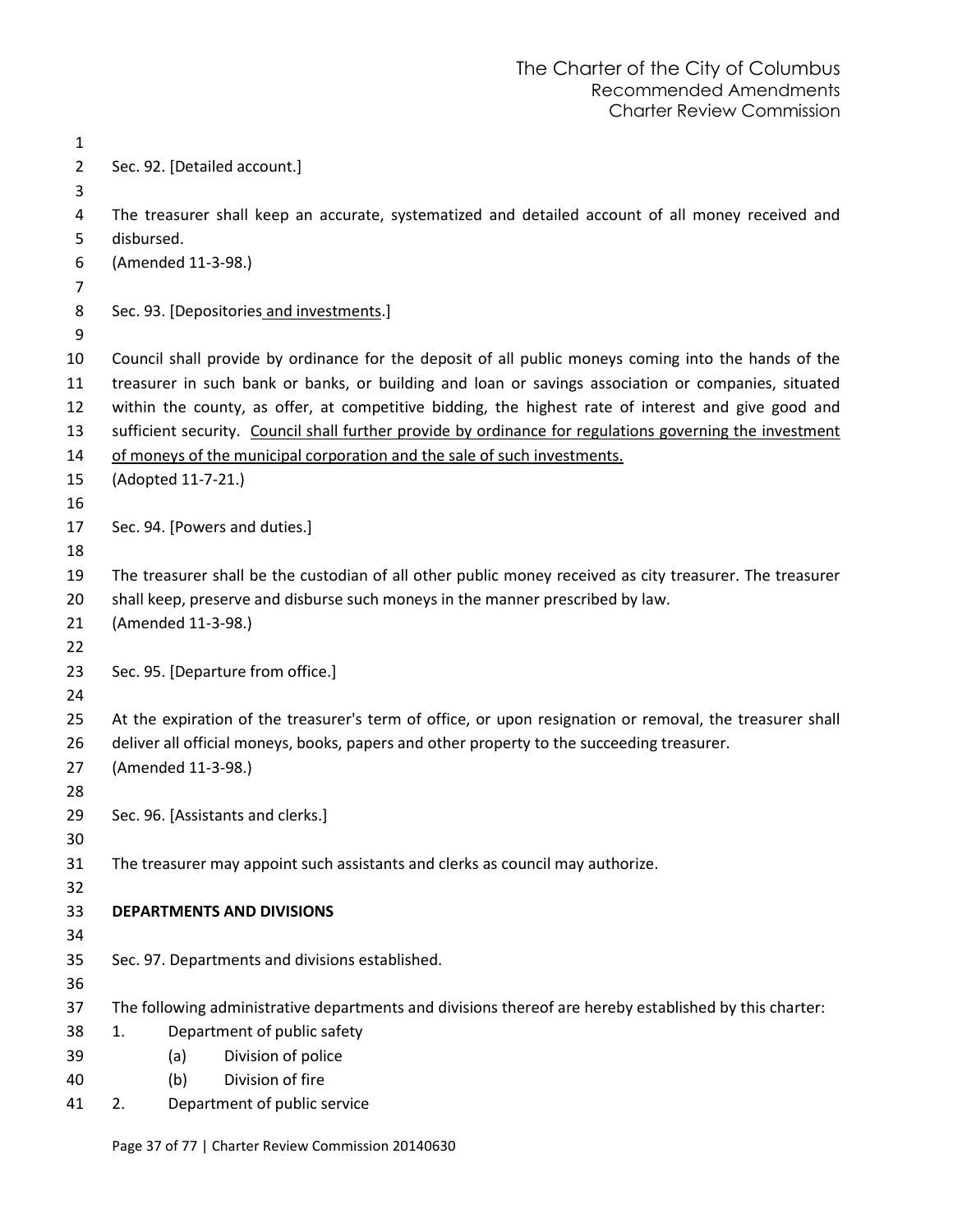| 1              |                    |     |                                                                                                          |
|----------------|--------------------|-----|----------------------------------------------------------------------------------------------------------|
| $\overline{2}$ |                    |     | Sec. 92. [Detailed account.]                                                                             |
| 3              |                    |     |                                                                                                          |
| 4              |                    |     | The treasurer shall keep an accurate, systematized and detailed account of all money received and        |
| 5              | disbursed.         |     |                                                                                                          |
| 6              | (Amended 11-3-98.) |     |                                                                                                          |
| 7              |                    |     |                                                                                                          |
| 8              |                    |     | Sec. 93. [Depositories and investments.]                                                                 |
| 9              |                    |     |                                                                                                          |
| 10             |                    |     | Council shall provide by ordinance for the deposit of all public moneys coming into the hands of the     |
| 11             |                    |     | treasurer in such bank or banks, or building and loan or savings association or companies, situated      |
| 12             |                    |     | within the county, as offer, at competitive bidding, the highest rate of interest and give good and      |
| 13             |                    |     | sufficient security. Council shall further provide by ordinance for regulations governing the investment |
| 14             |                    |     | of moneys of the municipal corporation and the sale of such investments.                                 |
| 15<br>16       | (Adopted 11-7-21.) |     |                                                                                                          |
| 17             |                    |     | Sec. 94. [Powers and duties.]                                                                            |
| 18             |                    |     |                                                                                                          |
| 19             |                    |     | The treasurer shall be the custodian of all other public money received as city treasurer. The treasurer |
| 20             |                    |     | shall keep, preserve and disburse such moneys in the manner prescribed by law.                           |
| 21             | (Amended 11-3-98.) |     |                                                                                                          |
| 22             |                    |     |                                                                                                          |
| 23             |                    |     | Sec. 95. [Departure from office.]                                                                        |
| 24             |                    |     |                                                                                                          |
| 25             |                    |     | At the expiration of the treasurer's term of office, or upon resignation or removal, the treasurer shall |
| 26             |                    |     | deliver all official moneys, books, papers and other property to the succeeding treasurer.               |
| 27             | (Amended 11-3-98.) |     |                                                                                                          |
| 28             |                    |     |                                                                                                          |
| 29             |                    |     | Sec. 96. [Assistants and clerks.]                                                                        |
| 30             |                    |     |                                                                                                          |
| 31             |                    |     | The treasurer may appoint such assistants and clerks as council may authorize.                           |
| 32             |                    |     |                                                                                                          |
| 33             |                    |     | <b>DEPARTMENTS AND DIVISIONS</b>                                                                         |
| 34             |                    |     |                                                                                                          |
| 35<br>36       |                    |     | Sec. 97. Departments and divisions established.                                                          |
| 37             |                    |     | The following administrative departments and divisions thereof are hereby established by this charter:   |
| 38             | 1.                 |     | Department of public safety                                                                              |
| 39             |                    | (a) | Division of police                                                                                       |
| 40             |                    | (b) | Division of fire                                                                                         |
| 41             | 2.                 |     | Department of public service                                                                             |
|                |                    |     |                                                                                                          |

Page 37 of 77 | Charter Review Commission 20140630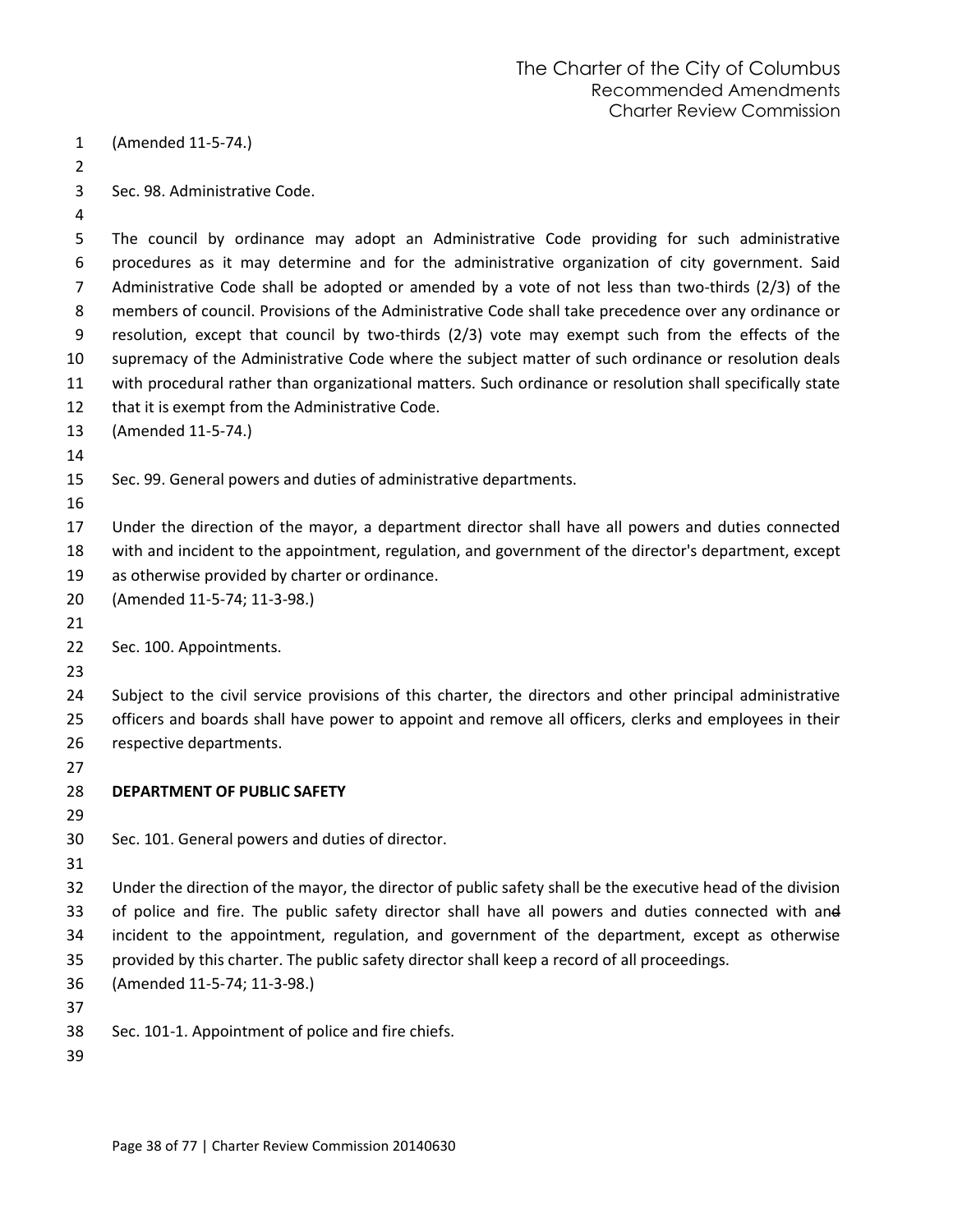(Amended 11-5-74.) Sec. 98. Administrative Code. The council by ordinance may adopt an Administrative Code providing for such administrative procedures as it may determine and for the administrative organization of city government. Said Administrative Code shall be adopted or amended by a vote of not less than two-thirds (2/3) of the members of council. Provisions of the Administrative Code shall take precedence over any ordinance or resolution, except that council by two-thirds (2/3) vote may exempt such from the effects of the supremacy of the Administrative Code where the subject matter of such ordinance or resolution deals with procedural rather than organizational matters. Such ordinance or resolution shall specifically state that it is exempt from the Administrative Code. (Amended 11-5-74.) Sec. 99. General powers and duties of administrative departments. Under the direction of the mayor, a department director shall have all powers and duties connected with and incident to the appointment, regulation, and government of the director's department, except as otherwise provided by charter or ordinance. (Amended 11-5-74; 11-3-98.) Sec. 100. Appointments. Subject to the civil service provisions of this charter, the directors and other principal administrative officers and boards shall have power to appoint and remove all officers, clerks and employees in their respective departments. **DEPARTMENT OF PUBLIC SAFETY** Sec. 101. General powers and duties of director. Under the direction of the mayor, the director of public safety shall be the executive head of the division of police and fire. The public safety director shall have all powers and duties connected with and

incident to the appointment, regulation, and government of the department, except as otherwise

- provided by this charter. The public safety director shall keep a record of all proceedings.
- (Amended 11-5-74; 11-3-98.)
- 

Sec. 101-1. Appointment of police and fire chiefs.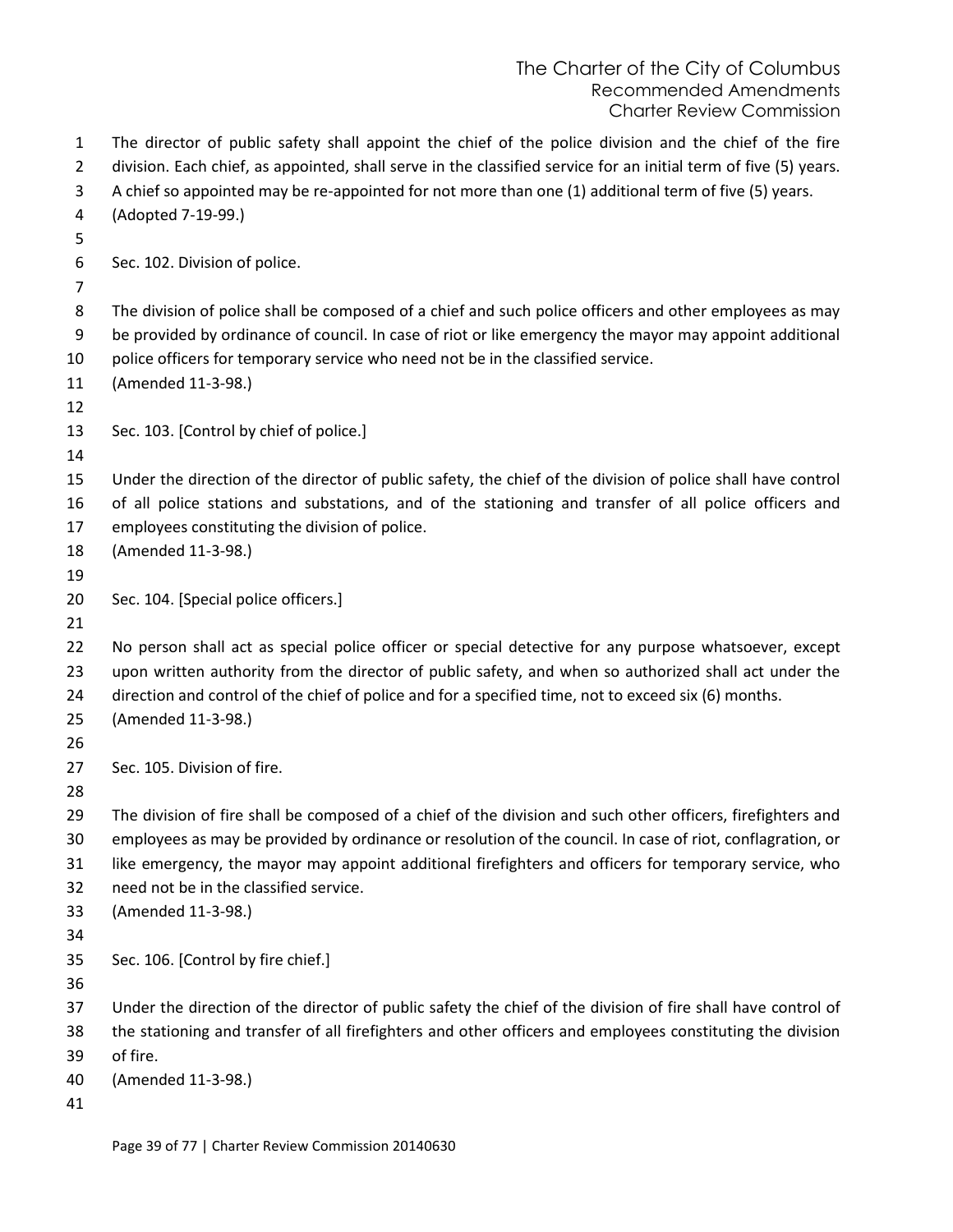| 1<br>$\overline{2}$<br>3<br>4 | The director of public safety shall appoint the chief of the police division and the chief of the fire<br>division. Each chief, as appointed, shall serve in the classified service for an initial term of five (5) years.<br>A chief so appointed may be re-appointed for not more than one (1) additional term of five (5) years.<br>(Adopted 7-19-99.) |
|-------------------------------|-----------------------------------------------------------------------------------------------------------------------------------------------------------------------------------------------------------------------------------------------------------------------------------------------------------------------------------------------------------|
| 5                             |                                                                                                                                                                                                                                                                                                                                                           |
| 6                             | Sec. 102. Division of police.                                                                                                                                                                                                                                                                                                                             |
| 7                             |                                                                                                                                                                                                                                                                                                                                                           |
| 8<br>9                        | The division of police shall be composed of a chief and such police officers and other employees as may<br>be provided by ordinance of council. In case of riot or like emergency the mayor may appoint additional                                                                                                                                        |
| 10                            | police officers for temporary service who need not be in the classified service.                                                                                                                                                                                                                                                                          |
| 11                            | (Amended 11-3-98.)                                                                                                                                                                                                                                                                                                                                        |
| 12                            |                                                                                                                                                                                                                                                                                                                                                           |
| 13                            | Sec. 103. [Control by chief of police.]                                                                                                                                                                                                                                                                                                                   |
| 14                            |                                                                                                                                                                                                                                                                                                                                                           |
| 15                            | Under the direction of the director of public safety, the chief of the division of police shall have control                                                                                                                                                                                                                                              |
| 16                            | of all police stations and substations, and of the stationing and transfer of all police officers and                                                                                                                                                                                                                                                     |
| 17                            | employees constituting the division of police.                                                                                                                                                                                                                                                                                                            |
| 18                            | (Amended 11-3-98.)                                                                                                                                                                                                                                                                                                                                        |
| 19                            |                                                                                                                                                                                                                                                                                                                                                           |
| 20                            | Sec. 104. [Special police officers.]                                                                                                                                                                                                                                                                                                                      |
| 21                            |                                                                                                                                                                                                                                                                                                                                                           |
| 22                            | No person shall act as special police officer or special detective for any purpose whatsoever, except                                                                                                                                                                                                                                                     |
| 23                            | upon written authority from the director of public safety, and when so authorized shall act under the                                                                                                                                                                                                                                                     |
| 24                            | direction and control of the chief of police and for a specified time, not to exceed six (6) months.                                                                                                                                                                                                                                                      |
| 25                            | (Amended 11-3-98.)                                                                                                                                                                                                                                                                                                                                        |
| 26                            |                                                                                                                                                                                                                                                                                                                                                           |
| 27                            | Sec. 105. Division of fire.                                                                                                                                                                                                                                                                                                                               |
| 28                            |                                                                                                                                                                                                                                                                                                                                                           |
| 29                            | The division of fire shall be composed of a chief of the division and such other officers, firefighters and                                                                                                                                                                                                                                               |
| 30                            | employees as may be provided by ordinance or resolution of the council. In case of riot, conflagration, or                                                                                                                                                                                                                                                |
| 31                            | like emergency, the mayor may appoint additional firefighters and officers for temporary service, who                                                                                                                                                                                                                                                     |
| 32                            | need not be in the classified service.                                                                                                                                                                                                                                                                                                                    |
| 33                            | (Amended 11-3-98.)                                                                                                                                                                                                                                                                                                                                        |
| 34                            |                                                                                                                                                                                                                                                                                                                                                           |
| 35                            | Sec. 106. [Control by fire chief.]                                                                                                                                                                                                                                                                                                                        |
| 36                            |                                                                                                                                                                                                                                                                                                                                                           |
| 37                            | Under the direction of the director of public safety the chief of the division of fire shall have control of                                                                                                                                                                                                                                              |
| 38                            | the stationing and transfer of all firefighters and other officers and employees constituting the division                                                                                                                                                                                                                                                |
| 39                            | of fire.                                                                                                                                                                                                                                                                                                                                                  |
| 40                            | (Amended 11-3-98.)                                                                                                                                                                                                                                                                                                                                        |
| 41                            |                                                                                                                                                                                                                                                                                                                                                           |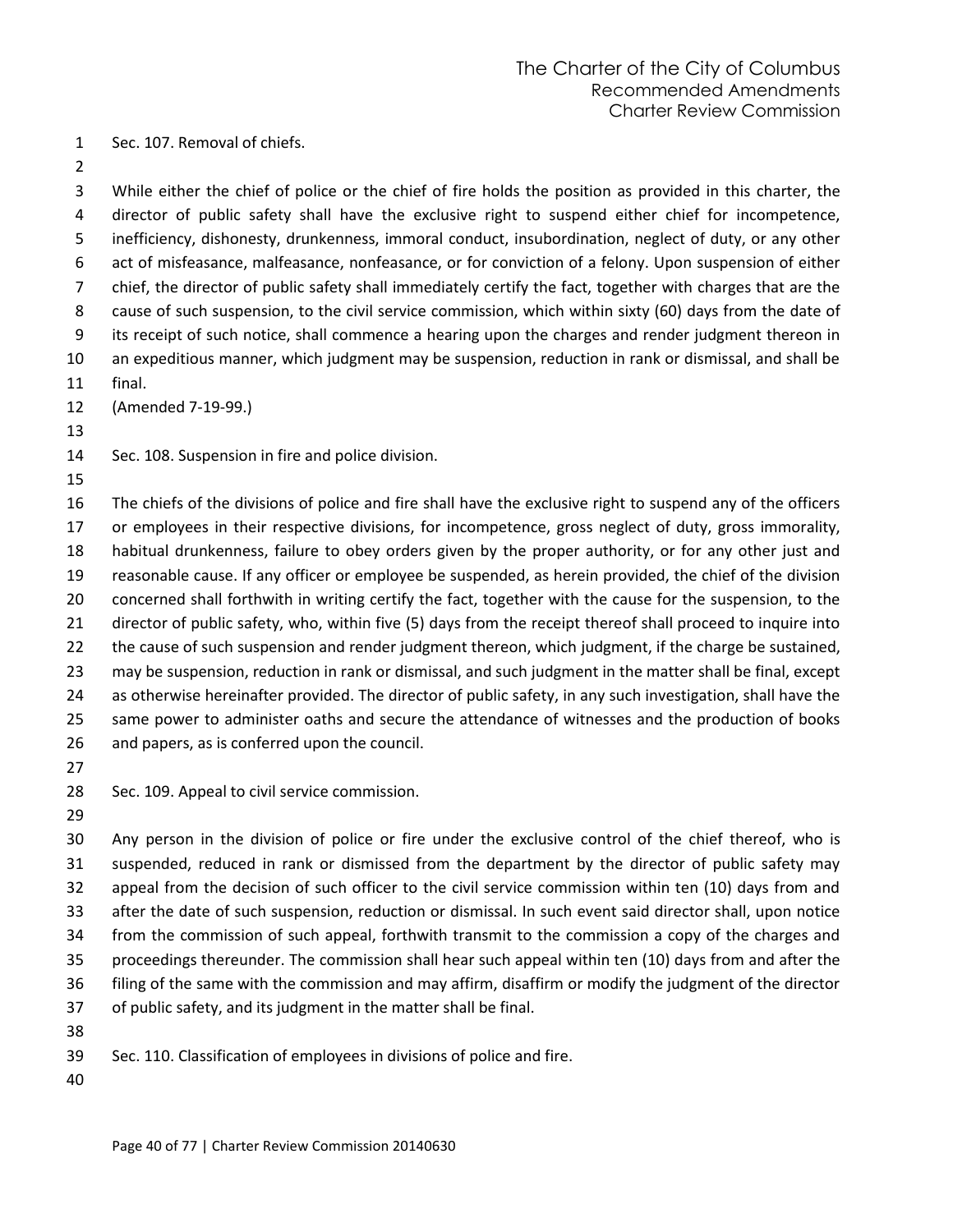Sec. 107. Removal of chiefs.

 While either the chief of police or the chief of fire holds the position as provided in this charter, the director of public safety shall have the exclusive right to suspend either chief for incompetence, inefficiency, dishonesty, drunkenness, immoral conduct, insubordination, neglect of duty, or any other act of misfeasance, malfeasance, nonfeasance, or for conviction of a felony. Upon suspension of either chief, the director of public safety shall immediately certify the fact, together with charges that are the 8 cause of such suspension, to the civil service commission, which within sixty (60) days from the date of its receipt of such notice, shall commence a hearing upon the charges and render judgment thereon in an expeditious manner, which judgment may be suspension, reduction in rank or dismissal, and shall be final.

(Amended 7-19-99.)

Sec. 108. Suspension in fire and police division.

 The chiefs of the divisions of police and fire shall have the exclusive right to suspend any of the officers or employees in their respective divisions, for incompetence, gross neglect of duty, gross immorality, habitual drunkenness, failure to obey orders given by the proper authority, or for any other just and reasonable cause. If any officer or employee be suspended, as herein provided, the chief of the division concerned shall forthwith in writing certify the fact, together with the cause for the suspension, to the director of public safety, who, within five (5) days from the receipt thereof shall proceed to inquire into the cause of such suspension and render judgment thereon, which judgment, if the charge be sustained, may be suspension, reduction in rank or dismissal, and such judgment in the matter shall be final, except as otherwise hereinafter provided. The director of public safety, in any such investigation, shall have the same power to administer oaths and secure the attendance of witnesses and the production of books and papers, as is conferred upon the council.

Sec. 109. Appeal to civil service commission.

 Any person in the division of police or fire under the exclusive control of the chief thereof, who is suspended, reduced in rank or dismissed from the department by the director of public safety may appeal from the decision of such officer to the civil service commission within ten (10) days from and after the date of such suspension, reduction or dismissal. In such event said director shall, upon notice from the commission of such appeal, forthwith transmit to the commission a copy of the charges and proceedings thereunder. The commission shall hear such appeal within ten (10) days from and after the filing of the same with the commission and may affirm, disaffirm or modify the judgment of the director of public safety, and its judgment in the matter shall be final. 

Sec. 110. Classification of employees in divisions of police and fire.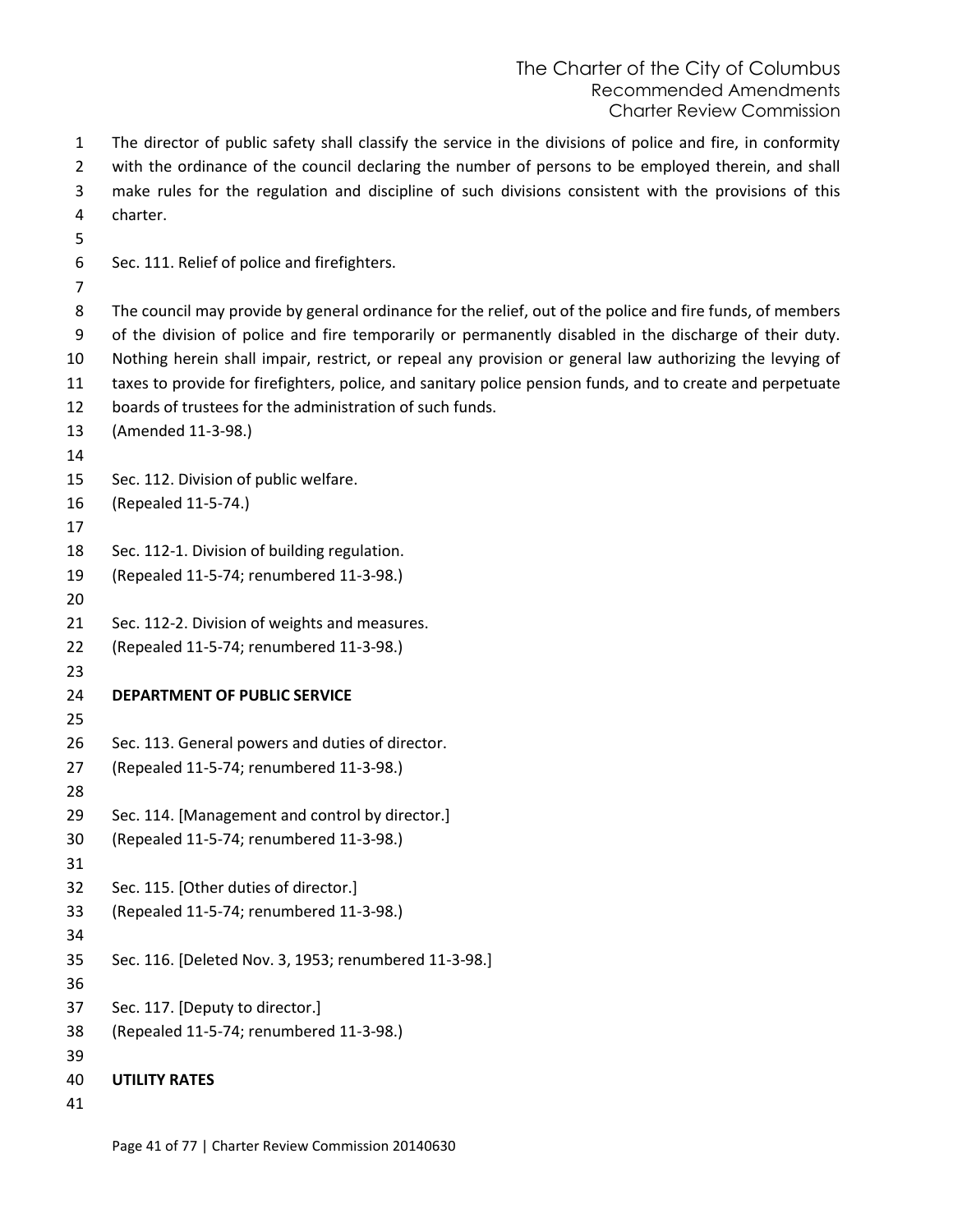The director of public safety shall classify the service in the divisions of police and fire, in conformity with the ordinance of the council declaring the number of persons to be employed therein, and shall make rules for the regulation and discipline of such divisions consistent with the provisions of this charter. Sec. 111. Relief of police and firefighters. The council may provide by general ordinance for the relief, out of the police and fire funds, of members of the division of police and fire temporarily or permanently disabled in the discharge of their duty. Nothing herein shall impair, restrict, or repeal any provision or general law authorizing the levying of taxes to provide for firefighters, police, and sanitary police pension funds, and to create and perpetuate boards of trustees for the administration of such funds. (Amended 11-3-98.) Sec. 112. Division of public welfare. (Repealed 11-5-74.) Sec. 112-1. Division of building regulation. (Repealed 11-5-74; renumbered 11-3-98.) Sec. 112-2. Division of weights and measures. (Repealed 11-5-74; renumbered 11-3-98.) **DEPARTMENT OF PUBLIC SERVICE** Sec. 113. General powers and duties of director. (Repealed 11-5-74; renumbered 11-3-98.) Sec. 114. [Management and control by director.] (Repealed 11-5-74; renumbered 11-3-98.) Sec. 115. [Other duties of director.] (Repealed 11-5-74; renumbered 11-3-98.) Sec. 116. [Deleted Nov. 3, 1953; renumbered 11-3-98.] Sec. 117. [Deputy to director.] (Repealed 11-5-74; renumbered 11-3-98.) 

- **UTILITY RATES**
-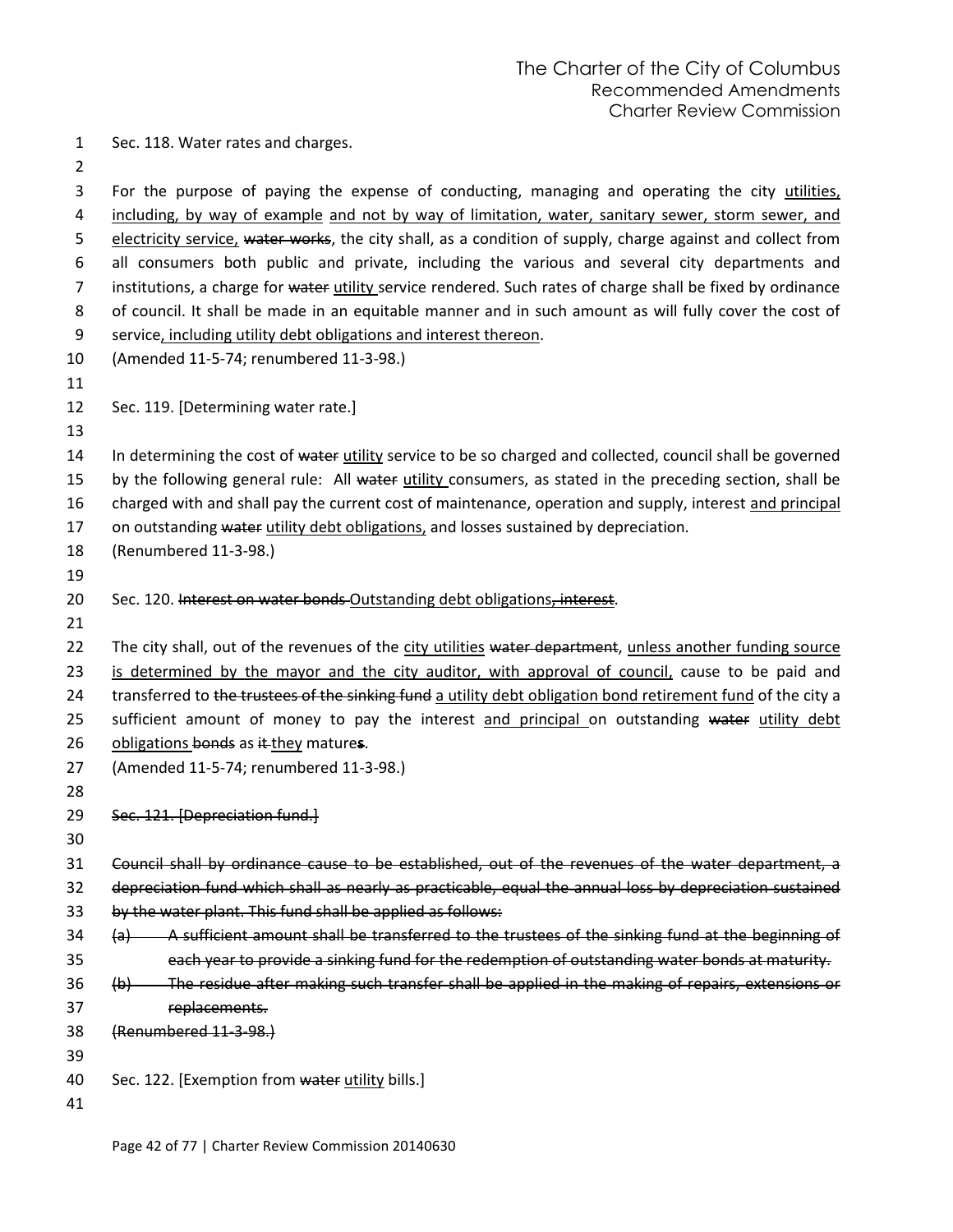Sec. 118. Water rates and charges.

 For the purpose of paying the expense of conducting, managing and operating the city utilities, including, by way of example and not by way of limitation, water, sanitary sewer, storm sewer, and 5 electricity service, water works, the city shall, as a condition of supply, charge against and collect from all consumers both public and private, including the various and several city departments and 7 institutions, a charge for water utility service rendered. Such rates of charge shall be fixed by ordinance of council. It shall be made in an equitable manner and in such amount as will fully cover the cost of service, including utility debt obligations and interest thereon. (Amended 11-5-74; renumbered 11-3-98.) 

- Sec. 119. [Determining water rate.]
- 

14 In determining the cost of water utility service to be so charged and collected, council shall be governed 15 by the following general rule: All water utility consumers, as stated in the preceding section, shall be

16 charged with and shall pay the current cost of maintenance, operation and supply, interest and principal

17 on outstanding water utility debt obligations, and losses sustained by depreciation.

- (Renumbered 11-3-98.)
- 

20 Sec. 120. Interest on water bonds Outstanding debt obligations, interest.

22 The city shall, out of the revenues of the city utilities water department, unless another funding source is determined by the mayor and the city auditor, with approval of council, cause to be paid and 24 transferred to the trustees of the sinking fund a utility debt obligation bond retirement fund of the city a 25 sufficient amount of money to pay the interest and principal on outstanding water utility debt obligations bonds as it they mature**s**.

- (Amended 11-5-74; renumbered 11-3-98.)
- 

Sec. 121. [Depreciation fund.]

Council shall by ordinance cause to be established, out of the revenues of the water department, a

depreciation fund which shall as nearly as practicable, equal the annual loss by depreciation sustained

by the water plant. This fund shall be applied as follows:

34 (a) A sufficient amount shall be transferred to the trustees of the sinking fund at the beginning of each year to provide a sinking fund for the redemption of outstanding water bonds at maturity.

- (b) The residue after making such transfer shall be applied in the making of repairs, extensions or replacements.
- (Renumbered 11-3-98.)
- 

40 Sec. 122. [Exemption from water utility bills.]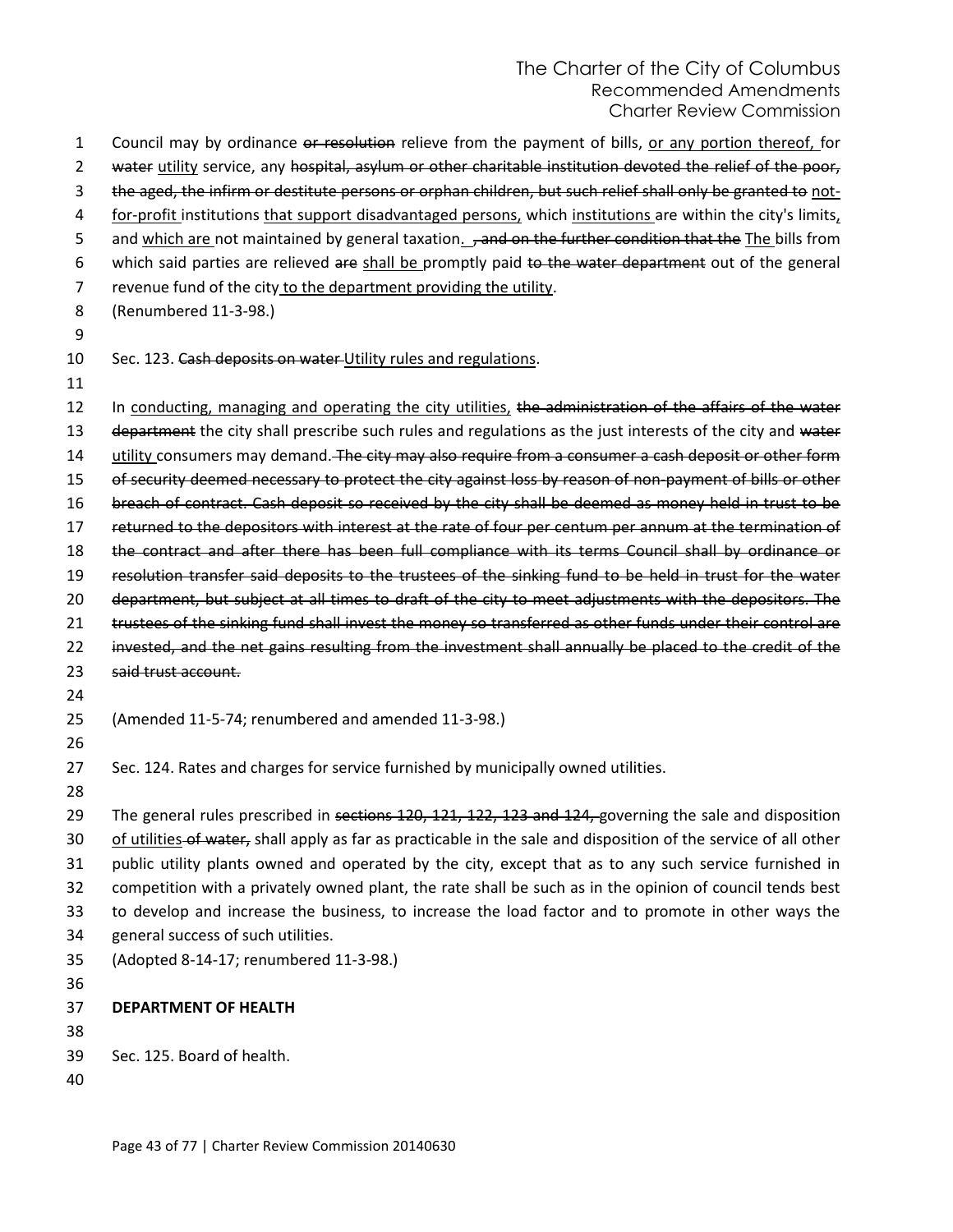1 Council may by ordinance or resolution relieve from the payment of bills, or any portion thereof, for 2 water utility service, any hospital, asylum or other charitable institution devoted the relief of the poor, 3 the aged, the infirm or destitute persons or orphan children, but such relief shall only be granted to not-4 for-profit institutions that support disadvantaged persons, which institutions are within the city's limits, 5 and which are not maintained by general taxation. , and on the further condition that the The bills from 6 which said parties are relieved are shall be promptly paid to the water department out of the general 7 revenue fund of the city to the department providing the utility. 8 (Renumbered 11-3-98.) 9 10 Sec. 123. Cash deposits on water-Utility rules and regulations. 11 12 In conducting, managing and operating the city utilities, the administration of the affairs of the water 13 department the city shall prescribe such rules and regulations as the just interests of the city and water 14 utility consumers may demand. The city may also require from a consumer a cash deposit or other form 15 of security deemed necessary to protect the city against loss by reason of non-payment of bills or other 16 breach of contract. Cash deposit so received by the city shall be deemed as money held in trust to be 17 returned to the depositors with interest at the rate of four per centum per annum at the termination of 18 the contract and after there has been full compliance with its terms Council shall by ordinance or 19 resolution transfer said deposits to the trustees of the sinking fund to be held in trust for the water 20 department, but subject at all times to draft of the city to meet adjustments with the depositors. The 21 trustees of the sinking fund shall invest the money so transferred as other funds under their control are 22 invested, and the net gains resulting from the investment shall annually be placed to the credit of the 23 said trust account. 24 25 (Amended 11-5-74; renumbered and amended 11-3-98.) 26 27 Sec. 124. Rates and charges for service furnished by municipally owned utilities. 28 29 The general rules prescribed in sections 120, 121, 122, 123 and 124, governing the sale and disposition 30 of utilities-of water, shall apply as far as practicable in the sale and disposition of the service of all other 31 public utility plants owned and operated by the city, except that as to any such service furnished in 32 competition with a privately owned plant, the rate shall be such as in the opinion of council tends best 33 to develop and increase the business, to increase the load factor and to promote in other ways the 34 general success of such utilities. 35 (Adopted 8-14-17; renumbered 11-3-98.) 36 37 **DEPARTMENT OF HEALTH** 38 39 Sec. 125. Board of health. 40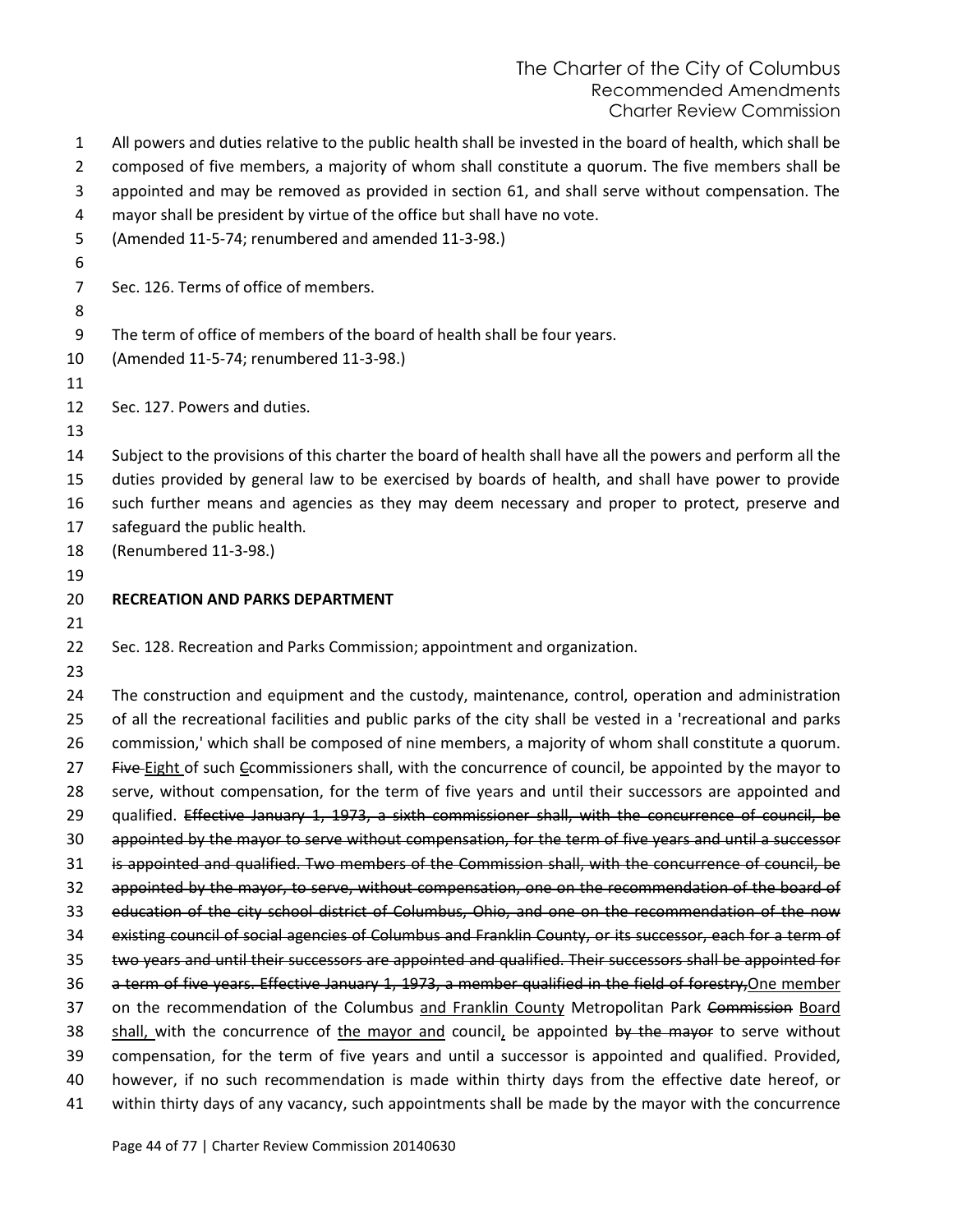| $\mathbf{1}$   | All powers and duties relative to the public health shall be invested in the board of health, which shall be                                                                                             |
|----------------|----------------------------------------------------------------------------------------------------------------------------------------------------------------------------------------------------------|
| $\overline{2}$ | composed of five members, a majority of whom shall constitute a quorum. The five members shall be                                                                                                        |
| 3              | appointed and may be removed as provided in section 61, and shall serve without compensation. The                                                                                                        |
| 4              | mayor shall be president by virtue of the office but shall have no vote.                                                                                                                                 |
| 5              | (Amended 11-5-74; renumbered and amended 11-3-98.)                                                                                                                                                       |
| 6              |                                                                                                                                                                                                          |
| $\overline{7}$ | Sec. 126. Terms of office of members.                                                                                                                                                                    |
| 8              |                                                                                                                                                                                                          |
| 9              | The term of office of members of the board of health shall be four years.                                                                                                                                |
| 10             | (Amended 11-5-74; renumbered 11-3-98.)                                                                                                                                                                   |
| 11             |                                                                                                                                                                                                          |
| 12             | Sec. 127. Powers and duties.                                                                                                                                                                             |
| 13             |                                                                                                                                                                                                          |
| 14             | Subject to the provisions of this charter the board of health shall have all the powers and perform all the                                                                                              |
| 15             | duties provided by general law to be exercised by boards of health, and shall have power to provide                                                                                                      |
| 16             | such further means and agencies as they may deem necessary and proper to protect, preserve and                                                                                                           |
| 17             | safeguard the public health.                                                                                                                                                                             |
| 18             | (Renumbered 11-3-98.)                                                                                                                                                                                    |
| 19             |                                                                                                                                                                                                          |
| 20             | <b>RECREATION AND PARKS DEPARTMENT</b>                                                                                                                                                                   |
| 21             |                                                                                                                                                                                                          |
| 22             | Sec. 128. Recreation and Parks Commission; appointment and organization.                                                                                                                                 |
| 23             |                                                                                                                                                                                                          |
| 24             | The construction and equipment and the custody, maintenance, control, operation and administration                                                                                                       |
| 25             | of all the recreational facilities and public parks of the city shall be vested in a 'recreational and parks                                                                                             |
| 26             | commission,' which shall be composed of nine members, a majority of whom shall constitute a quorum.                                                                                                      |
| 27             | Five-Eight of such Ecommissioners shall, with the concurrence of council, be appointed by the mayor to                                                                                                   |
| 28             | serve, without compensation, for the term of five years and until their successors are appointed and                                                                                                     |
| 29             | qualified. Effective January 1, 1973, a sixth commissioner shall, with the concurrence of council, be                                                                                                    |
| 30             | appointed by the mayor to serve without compensation, for the term of five years and until a successor                                                                                                   |
| 31             | is appointed and qualified. Two members of the Commission shall, with the concurrence of council, be                                                                                                     |
| 32             | appointed by the mayor, to serve, without compensation, one on the recommendation of the board of                                                                                                        |
| 33             | education of the city school district of Columbus, Ohio, and one on the recommendation of the now                                                                                                        |
| 34             | existing council of social agencies of Columbus and Franklin County, or its successor, each for a term of                                                                                                |
| 35             | two years and until their successors are appointed and qualified. Their successors shall be appointed for                                                                                                |
| 36             | a term of five years. Effective January 1, 1973, a member qualified in the field of forestry, One member                                                                                                 |
| 37             | on the recommendation of the Columbus and Franklin County Metropolitan Park Commission Board                                                                                                             |
| 38             | shall, with the concurrence of the mayor and council, be appointed by the mayor to serve without                                                                                                         |
| 39             |                                                                                                                                                                                                          |
|                | compensation, for the term of five years and until a successor is appointed and qualified. Provided,                                                                                                     |
| 40<br>41       | however, if no such recommendation is made within thirty days from the effective date hereof, or<br>within thirty days of any vacancy, such appointments shall be made by the mayor with the concurrence |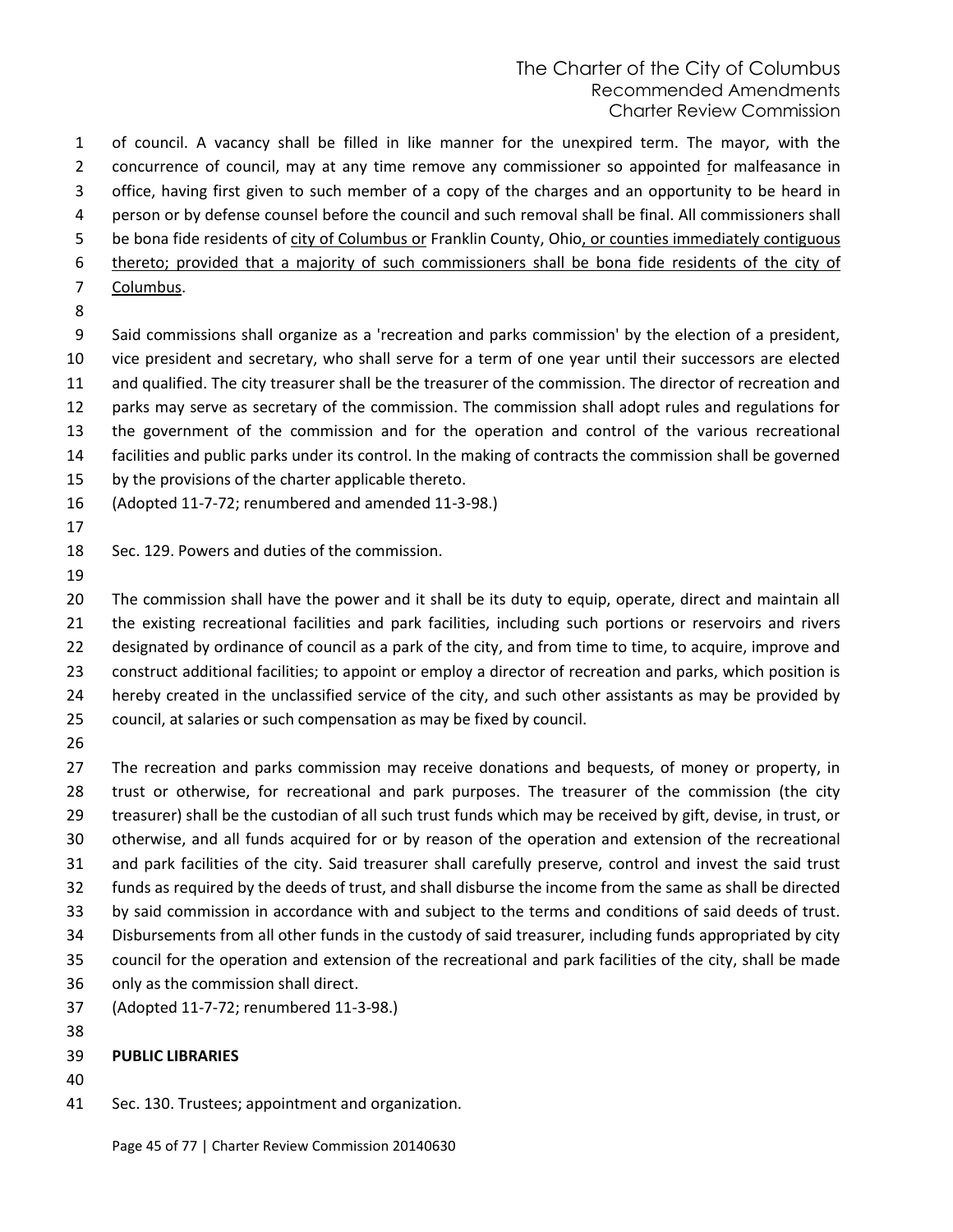of council. A vacancy shall be filled in like manner for the unexpired term. The mayor, with the concurrence of council, may at any time remove any commissioner so appointed for malfeasance in office, having first given to such member of a copy of the charges and an opportunity to be heard in person or by defense counsel before the council and such removal shall be final. All commissioners shall be bona fide residents of city of Columbus or Franklin County, Ohio, or counties immediately contiguous thereto; provided that a majority of such commissioners shall be bona fide residents of the city of Columbus.

 Said commissions shall organize as a 'recreation and parks commission' by the election of a president, vice president and secretary, who shall serve for a term of one year until their successors are elected and qualified. The city treasurer shall be the treasurer of the commission. The director of recreation and parks may serve as secretary of the commission. The commission shall adopt rules and regulations for the government of the commission and for the operation and control of the various recreational facilities and public parks under its control. In the making of contracts the commission shall be governed

- by the provisions of the charter applicable thereto.
- (Adopted 11-7-72; renumbered and amended 11-3-98.)
- 
- Sec. 129. Powers and duties of the commission.
- 

 The commission shall have the power and it shall be its duty to equip, operate, direct and maintain all the existing recreational facilities and park facilities, including such portions or reservoirs and rivers designated by ordinance of council as a park of the city, and from time to time, to acquire, improve and construct additional facilities; to appoint or employ a director of recreation and parks, which position is hereby created in the unclassified service of the city, and such other assistants as may be provided by council, at salaries or such compensation as may be fixed by council.

 The recreation and parks commission may receive donations and bequests, of money or property, in trust or otherwise, for recreational and park purposes. The treasurer of the commission (the city treasurer) shall be the custodian of all such trust funds which may be received by gift, devise, in trust, or otherwise, and all funds acquired for or by reason of the operation and extension of the recreational and park facilities of the city. Said treasurer shall carefully preserve, control and invest the said trust funds as required by the deeds of trust, and shall disburse the income from the same as shall be directed by said commission in accordance with and subject to the terms and conditions of said deeds of trust. Disbursements from all other funds in the custody of said treasurer, including funds appropriated by city council for the operation and extension of the recreational and park facilities of the city, shall be made only as the commission shall direct. (Adopted 11-7-72; renumbered 11-3-98.)

### **PUBLIC LIBRARIES**

- 
- Sec. 130. Trustees; appointment and organization.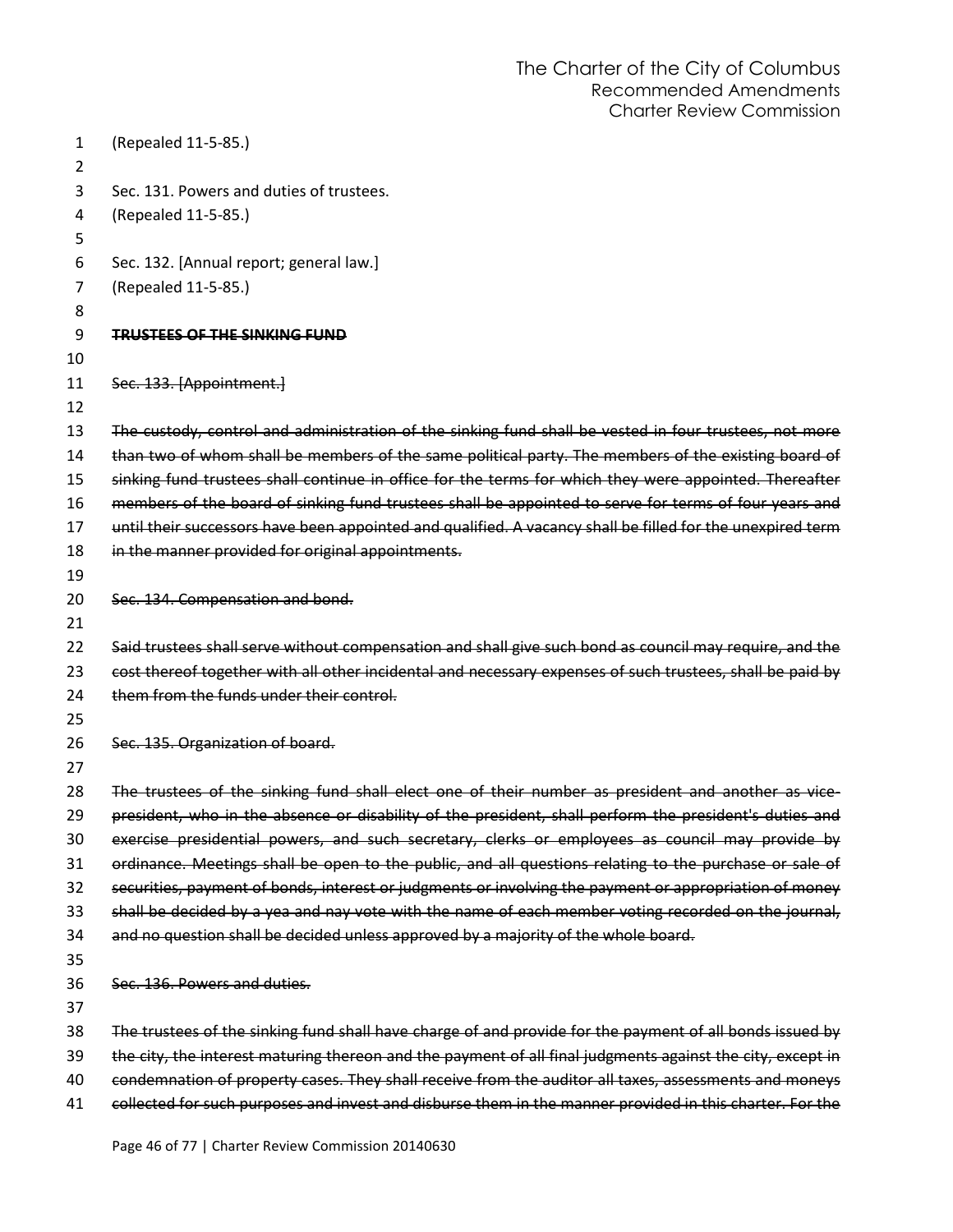| 1<br>$\overline{2}$ | (Repealed 11-5-85.)                                                                                        |
|---------------------|------------------------------------------------------------------------------------------------------------|
| 3<br>4              | Sec. 131. Powers and duties of trustees.<br>(Repealed 11-5-85.)                                            |
| 5                   |                                                                                                            |
| 6                   | Sec. 132. [Annual report; general law.]                                                                    |
| 7                   | (Repealed 11-5-85.)                                                                                        |
| 8                   |                                                                                                            |
| 9                   | <b>TRUSTEES OF THE SINKING FUND</b>                                                                        |
| 10                  |                                                                                                            |
| 11                  | Sec. 133. [Appointment.]                                                                                   |
| 12                  |                                                                                                            |
| 13                  | The custody, control and administration of the sinking fund shall be vested in four trustees, not more     |
| 14                  | than two of whom shall be members of the same political party. The members of the existing board of        |
| 15                  | sinking fund trustees shall continue in office for the terms for which they were appointed. Thereafter     |
| 16                  | members of the board of sinking fund trustees shall be appointed to serve for terms of four years and      |
| 17                  | until their successors have been appointed and qualified. A vacancy shall be filled for the unexpired term |
| 18                  | in the manner provided for original appointments.                                                          |
| 19                  |                                                                                                            |
| 20                  | Sec. 134. Compensation and bond.                                                                           |
| 21                  |                                                                                                            |
| 22                  | Said trustees shall serve without compensation and shall give such bond as council may require, and the    |
| 23                  | cost thereof together with all other incidental and necessary expenses of such trustees, shall be paid by  |
| 24                  | them from the funds under their control.                                                                   |
| 25                  |                                                                                                            |
| 26                  | Sec. 135. Organization of board.                                                                           |
| 27                  |                                                                                                            |
| 28                  | The trustees of the sinking fund shall elect one of their number as president and another as vice-         |
| 29                  | president, who in the absence or disability of the president, shall perform the president's duties and     |
| 30                  | exercise presidential powers, and such secretary, clerks or employees as council may provide by            |
| 31                  | ordinance. Meetings shall be open to the public, and all questions relating to the purchase or sale of     |
| 32                  | securities, payment of bonds, interest or judgments or involving the payment or appropriation of money     |
| 33                  | shall be decided by a yea and nay vote with the name of each member voting recorded on the journal,        |
| 34                  | and no question shall be decided unless approved by a majority of the whole board.                         |
| 35                  |                                                                                                            |
| 36                  | Sec. 136. Powers and duties.                                                                               |
| 37                  |                                                                                                            |
| 38                  | The trustees of the sinking fund shall have charge of and provide for the payment of all bonds issued by   |
| 39                  | the city, the interest maturing thereon and the payment of all final judgments against the city, except in |
| 40                  | condemnation of property cases. They shall receive from the auditor all taxes, assessments and moneys      |
| 41                  | collected for such purposes and invest and disburse them in the manner provided in this charter. For the   |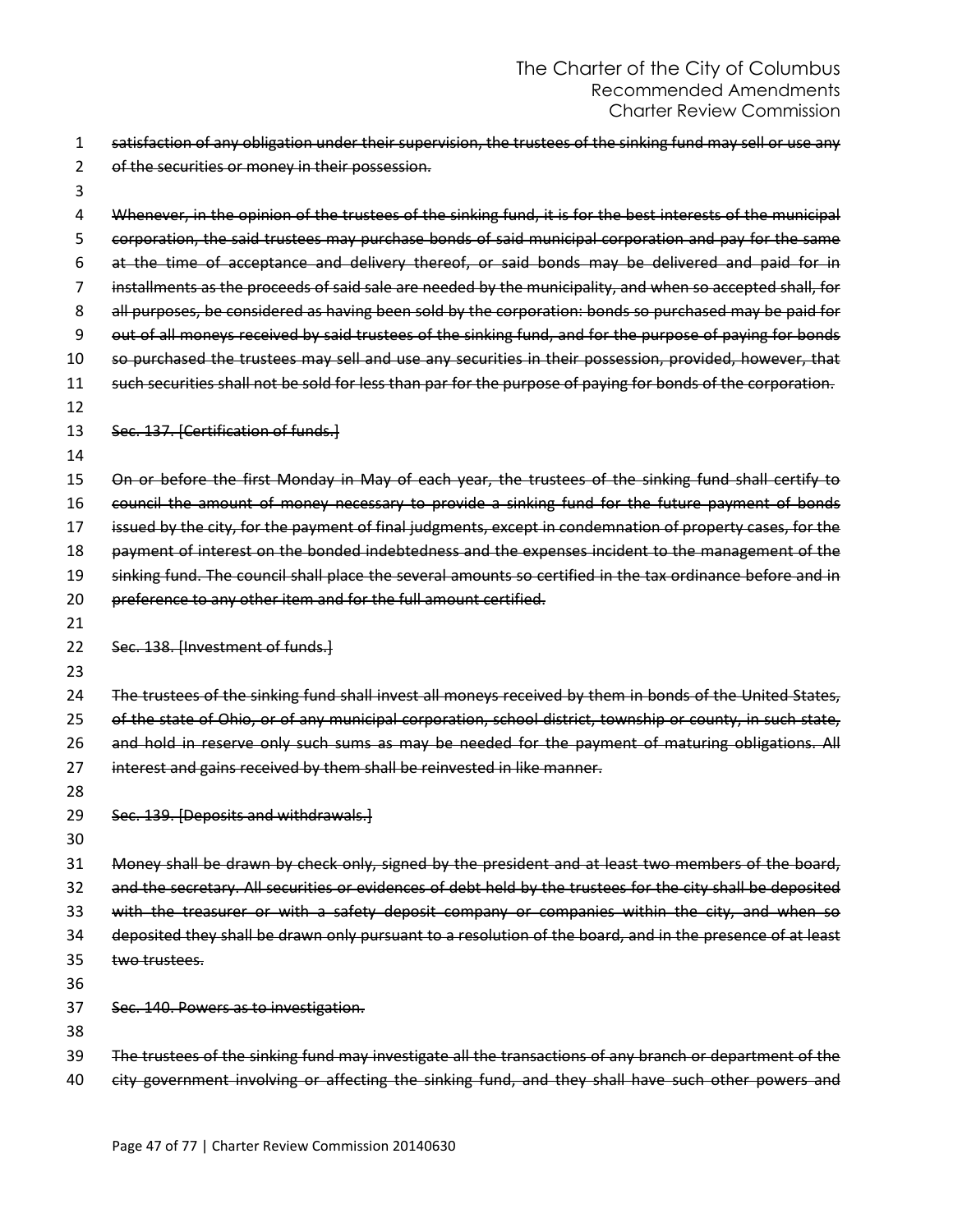| 1        | satisfaction of any obligation under their supervision, the trustees of the sinking fund may sell or use any                                                                                                   |
|----------|----------------------------------------------------------------------------------------------------------------------------------------------------------------------------------------------------------------|
| 2        | of the securities or money in their possession.                                                                                                                                                                |
| 3        |                                                                                                                                                                                                                |
| 4        | Whenever, in the opinion of the trustees of the sinking fund, it is for the best interests of the municipal                                                                                                    |
| 5        | corporation, the said trustees may purchase bonds of said municipal corporation and pay for the same                                                                                                           |
| 6        | at the time of acceptance and delivery thereof, or said bonds may be delivered and paid for in                                                                                                                 |
| 7        | installments as the proceeds of said sale are needed by the municipality, and when so accepted shall, for                                                                                                      |
| 8        | all purposes, be considered as having been sold by the corporation: bonds so purchased may be paid for                                                                                                         |
| 9        | out of all moneys received by said trustees of the sinking fund, and for the purpose of paying for bonds                                                                                                       |
| 10       | so purchased the trustees may sell and use any securities in their possession, provided, however, that                                                                                                         |
| 11       | such securities shall not be sold for less than par for the purpose of paying for bonds of the corporation.                                                                                                    |
| 12       |                                                                                                                                                                                                                |
| 13       | Sec. 137. [Certification of funds.]                                                                                                                                                                            |
| 14       |                                                                                                                                                                                                                |
| 15       | On or before the first Monday in May of each year, the trustees of the sinking fund shall certify to                                                                                                           |
| 16       | council the amount of money necessary to provide a sinking fund for the future payment of bonds                                                                                                                |
| 17       | issued by the city, for the payment of final judgments, except in condemnation of property cases, for the                                                                                                      |
| 18       | payment of interest on the bonded indebtedness and the expenses incident to the management of the                                                                                                              |
| 19       | sinking fund. The council shall place the several amounts so certified in the tax ordinance before and in                                                                                                      |
| 20       | preference to any other item and for the full amount certified.                                                                                                                                                |
| 21       |                                                                                                                                                                                                                |
| 22       | Sec. 138. [Investment of funds.]                                                                                                                                                                               |
| 23       |                                                                                                                                                                                                                |
| 24       | The trustees of the sinking fund shall invest all moneys received by them in bonds of the United States,                                                                                                       |
| 25       | of the state of Ohio, or of any municipal corporation, school district, township or county, in such state,                                                                                                     |
| 26       | and hold in reserve only such sums as may be needed for the payment of maturing obligations. All                                                                                                               |
| 27       | interest and gains received by them shall be reinvested in like manner.                                                                                                                                        |
| 28       |                                                                                                                                                                                                                |
| 29       | Sec. 139. [Deposits and withdrawals.]                                                                                                                                                                          |
| 30       |                                                                                                                                                                                                                |
| 31       | Money shall be drawn by check only, signed by the president and at least two members of the board,                                                                                                             |
| 32       | and the secretary. All securities or evidences of debt held by the trustees for the city shall be deposited                                                                                                    |
| 33       | with the treasurer or with a safety deposit company or companies within the city, and when so                                                                                                                  |
| 34       | deposited they shall be drawn only pursuant to a resolution of the board, and in the presence of at least                                                                                                      |
| 35       | two trustees.                                                                                                                                                                                                  |
| 36       |                                                                                                                                                                                                                |
| 37       | Sec. 140. Powers as to investigation.                                                                                                                                                                          |
|          |                                                                                                                                                                                                                |
| 38       |                                                                                                                                                                                                                |
| 39<br>40 | The trustees of the sinking fund may investigate all the transactions of any branch or department of the<br>city government involving or affecting the sinking fund, and they shall have such other powers and |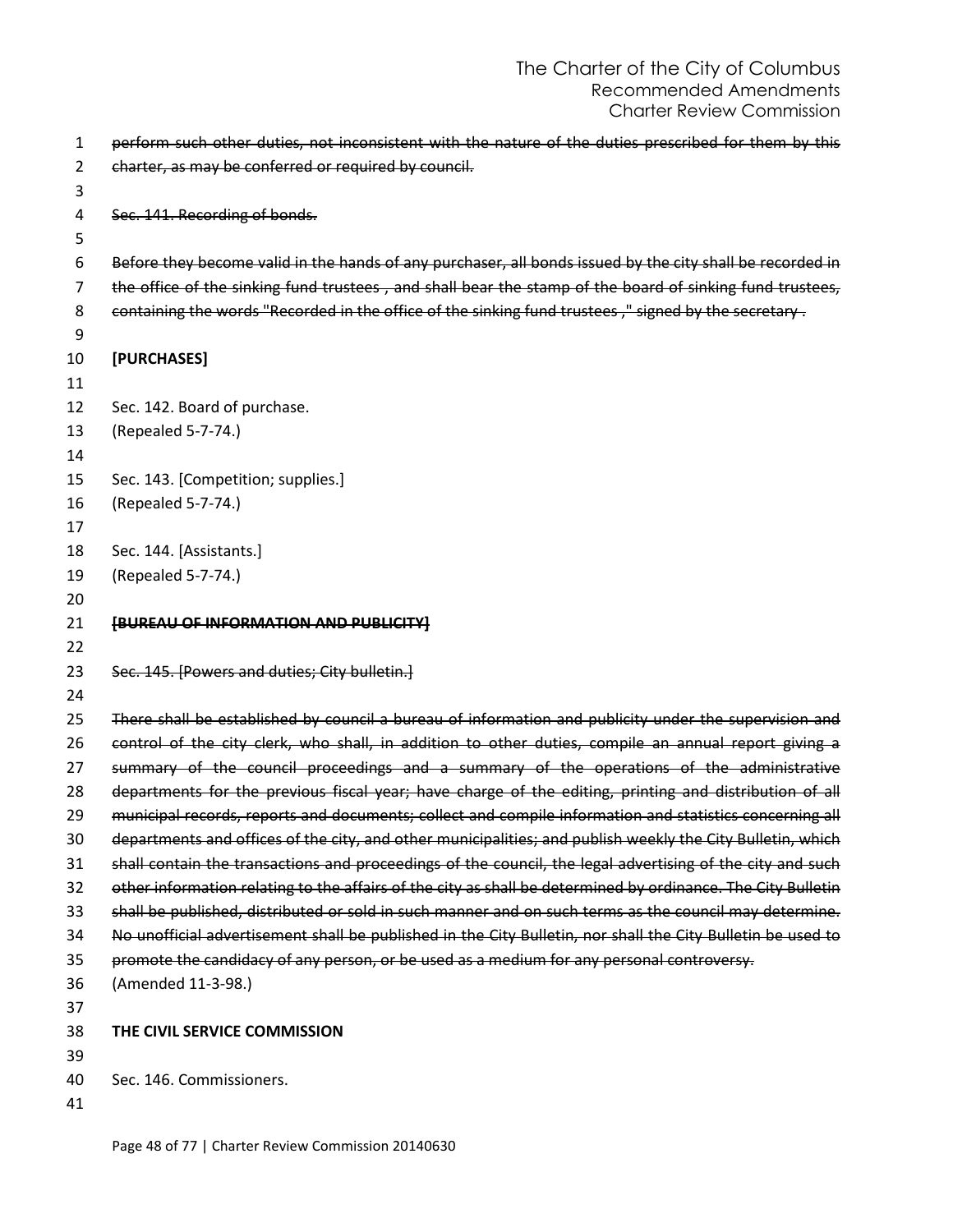```
1 perform such other duties, not inconsistent with the nature of the duties prescribed for them by this 
 2 charter, as may be conferred or required by council.
 3
 4 Sec. 141. Recording of bonds.
 5
 6 Before they become valid in the hands of any purchaser, all bonds issued by the city shall be recorded in 
 7 the office of the sinking fund trustees, and shall bear the stamp of the board of sinking fund trustees,
 8 containing the words "Recorded in the office of the sinking fund trustees," signed by the secretary.
 9
10 [PURCHASES]
11
12 Sec. 142. Board of purchase.
13 (Repealed 5-7-74.) 
14
15 Sec. 143. [Competition; supplies.]
16 (Repealed 5-7-74.) 
17
18 Sec. 144. [Assistants.]
19 (Repealed 5-7-74.)
20 
21 [BUREAU OF INFORMATION AND PUBLICITY]
22
23 Sec. 145. [Powers and duties: City bulletin.]
24
25 There shall be established by council a bureau of information and publicity under the supervision and
26 control of the city clerk, who shall, in addition to other duties, compile an annual report giving a
27 summary of the council proceedings and a summary of the operations of the administrative 
28 departments for the previous fiscal year; have charge of the editing, printing and distribution of all
29 municipal records, reports and documents; collect and compile information and statistics concerning all
30 departments and offices of the city, and other municipalities; and publish weekly the City Bulletin, which
31 shall contain the transactions and proceedings of the council, the legal advertising of the city and such
32 other information relating to the affairs of the city as shall be determined by ordinance. The City Bulletin 
33 shall be published, distributed or sold in such manner and on such terms as the council may determine. 
34 No unofficial advertisement shall be published in the City Bulletin, nor shall the City Bulletin be used to 
35 promote the candidacy of any person, or be used as a medium for any personal controversy.
36 (Amended 11-3-98.) 
37
38 THE CIVIL SERVICE COMMISSION
39
40 Sec. 146. Commissioners.
41
```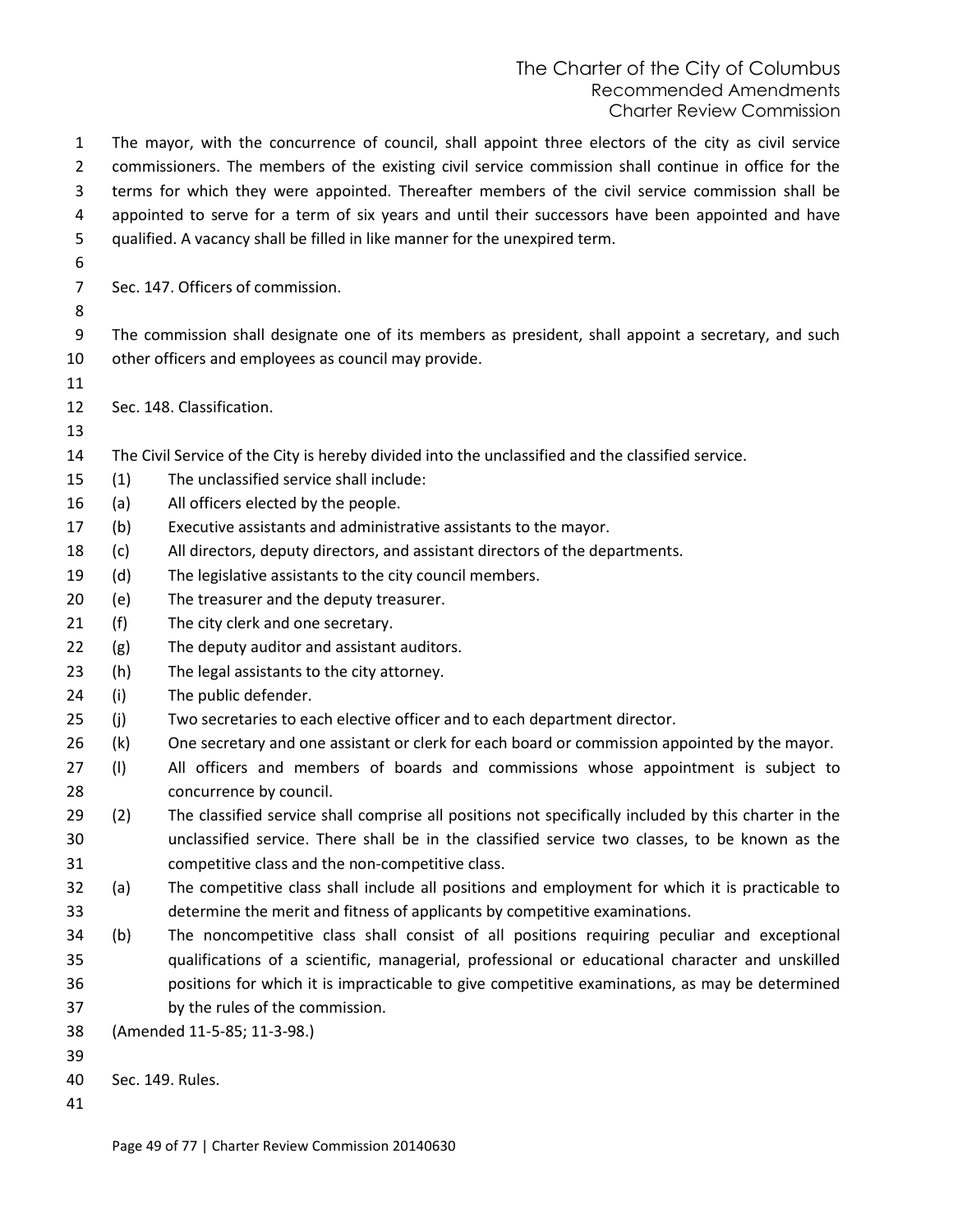The mayor, with the concurrence of council, shall appoint three electors of the city as civil service commissioners. The members of the existing civil service commission shall continue in office for the terms for which they were appointed. Thereafter members of the civil service commission shall be appointed to serve for a term of six years and until their successors have been appointed and have qualified. A vacancy shall be filled in like manner for the unexpired term. Sec. 147. Officers of commission. The commission shall designate one of its members as president, shall appoint a secretary, and such other officers and employees as council may provide. Sec. 148. Classification. The Civil Service of the City is hereby divided into the unclassified and the classified service. (1) The unclassified service shall include: (a) All officers elected by the people. (b) Executive assistants and administrative assistants to the mayor. (c) All directors, deputy directors, and assistant directors of the departments. (d) The legislative assistants to the city council members. (e) The treasurer and the deputy treasurer. (f) The city clerk and one secretary. (g) The deputy auditor and assistant auditors. (h) The legal assistants to the city attorney. (i) The public defender. (j) Two secretaries to each elective officer and to each department director. (k) One secretary and one assistant or clerk for each board or commission appointed by the mayor. 27 (I) All officers and members of boards and commissions whose appointment is subject to concurrence by council. (2) The classified service shall comprise all positions not specifically included by this charter in the unclassified service. There shall be in the classified service two classes, to be known as the competitive class and the non-competitive class. (a) The competitive class shall include all positions and employment for which it is practicable to determine the merit and fitness of applicants by competitive examinations. (b) The noncompetitive class shall consist of all positions requiring peculiar and exceptional qualifications of a scientific, managerial, professional or educational character and unskilled positions for which it is impracticable to give competitive examinations, as may be determined by the rules of the commission. (Amended 11-5-85; 11-3-98.) Sec. 149. Rules.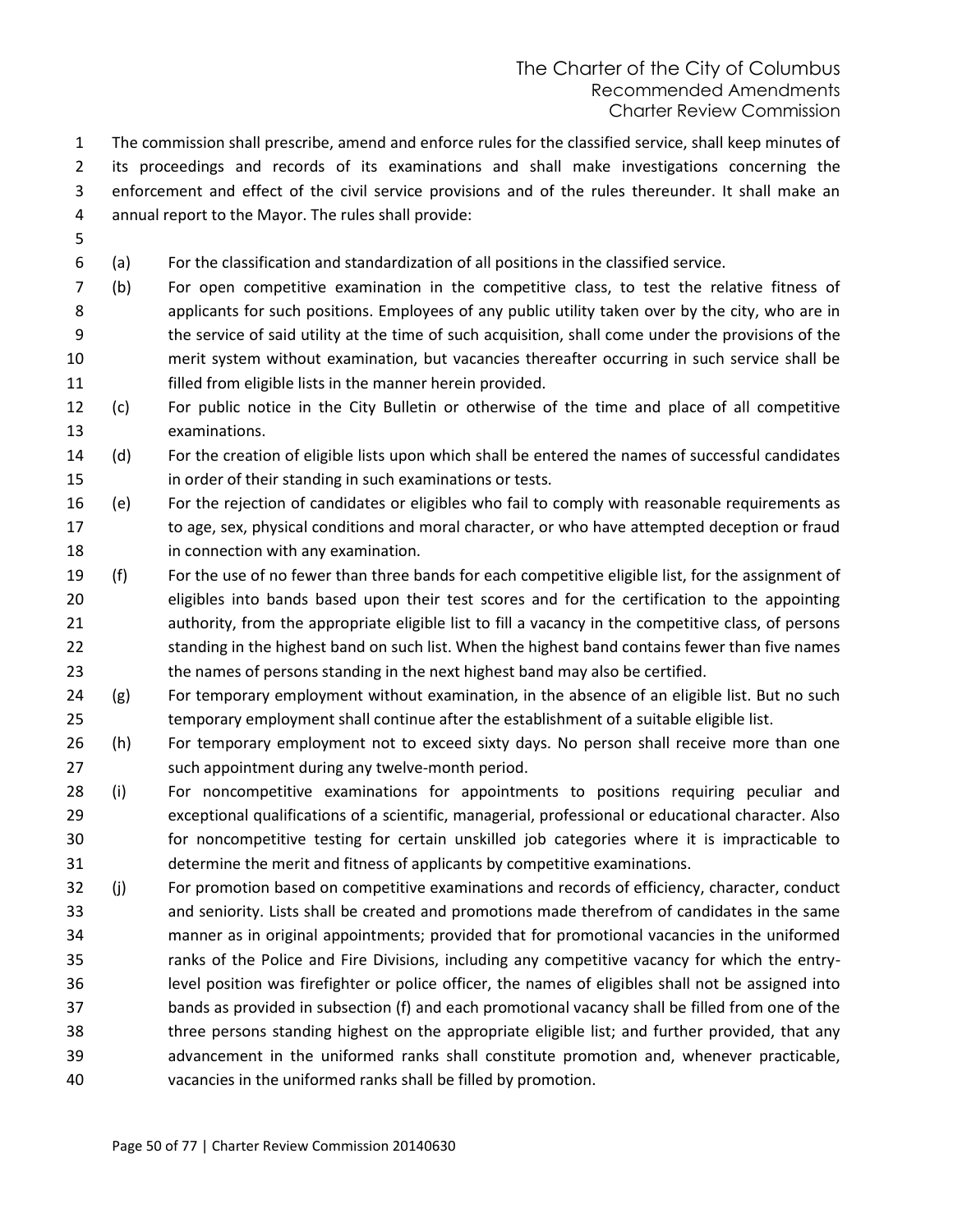The commission shall prescribe, amend and enforce rules for the classified service, shall keep minutes of its proceedings and records of its examinations and shall make investigations concerning the enforcement and effect of the civil service provisions and of the rules thereunder. It shall make an annual report to the Mayor. The rules shall provide:

- 
- (a) For the classification and standardization of all positions in the classified service.
- (b) For open competitive examination in the competitive class, to test the relative fitness of applicants for such positions. Employees of any public utility taken over by the city, who are in the service of said utility at the time of such acquisition, shall come under the provisions of the merit system without examination, but vacancies thereafter occurring in such service shall be filled from eligible lists in the manner herein provided.
- (c) For public notice in the City Bulletin or otherwise of the time and place of all competitive examinations.
- (d) For the creation of eligible lists upon which shall be entered the names of successful candidates in order of their standing in such examinations or tests.
- (e) For the rejection of candidates or eligibles who fail to comply with reasonable requirements as to age, sex, physical conditions and moral character, or who have attempted deception or fraud in connection with any examination.
- (f) For the use of no fewer than three bands for each competitive eligible list, for the assignment of eligibles into bands based upon their test scores and for the certification to the appointing authority, from the appropriate eligible list to fill a vacancy in the competitive class, of persons standing in the highest band on such list. When the highest band contains fewer than five names the names of persons standing in the next highest band may also be certified.
- (g) For temporary employment without examination, in the absence of an eligible list. But no such temporary employment shall continue after the establishment of a suitable eligible list.
- (h) For temporary employment not to exceed sixty days. No person shall receive more than one such appointment during any twelve-month period.
- (i) For noncompetitive examinations for appointments to positions requiring peculiar and exceptional qualifications of a scientific, managerial, professional or educational character. Also for noncompetitive testing for certain unskilled job categories where it is impracticable to determine the merit and fitness of applicants by competitive examinations.
- (j) For promotion based on competitive examinations and records of efficiency, character, conduct and seniority. Lists shall be created and promotions made therefrom of candidates in the same manner as in original appointments; provided that for promotional vacancies in the uniformed ranks of the Police and Fire Divisions, including any competitive vacancy for which the entry- level position was firefighter or police officer, the names of eligibles shall not be assigned into bands as provided in subsection (f) and each promotional vacancy shall be filled from one of the three persons standing highest on the appropriate eligible list; and further provided, that any advancement in the uniformed ranks shall constitute promotion and, whenever practicable, vacancies in the uniformed ranks shall be filled by promotion.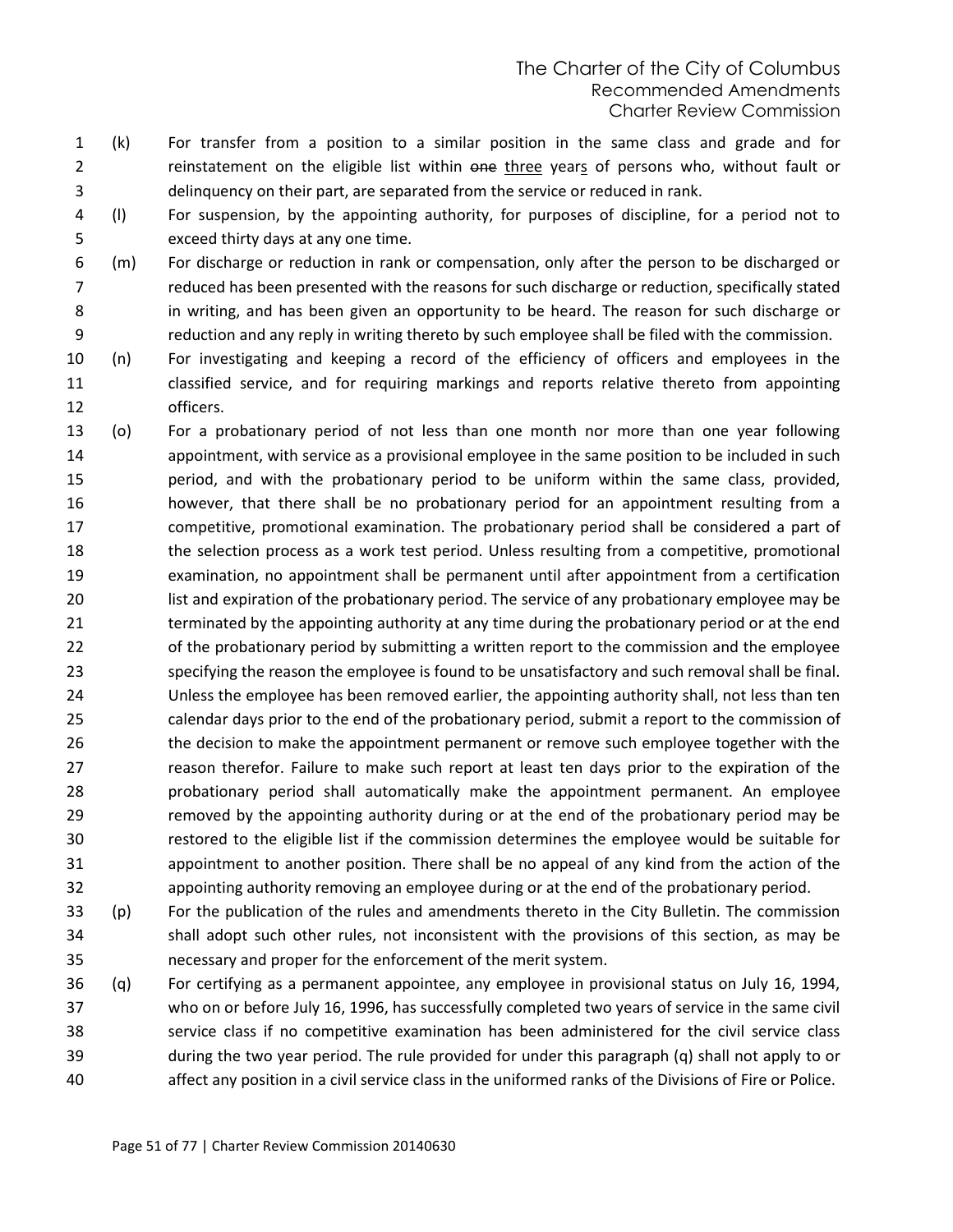- (k) For transfer from a position to a similar position in the same class and grade and for 2 reinstatement on the eligible list within one three years of persons who, without fault or delinquency on their part, are separated from the service or reduced in rank.
- (l) For suspension, by the appointing authority, for purposes of discipline, for a period not to exceed thirty days at any one time.
- (m) For discharge or reduction in rank or compensation, only after the person to be discharged or reduced has been presented with the reasons for such discharge or reduction, specifically stated in writing, and has been given an opportunity to be heard. The reason for such discharge or reduction and any reply in writing thereto by such employee shall be filed with the commission.
- (n) For investigating and keeping a record of the efficiency of officers and employees in the classified service, and for requiring markings and reports relative thereto from appointing officers.
- (o) For a probationary period of not less than one month nor more than one year following appointment, with service as a provisional employee in the same position to be included in such period, and with the probationary period to be uniform within the same class, provided, however, that there shall be no probationary period for an appointment resulting from a competitive, promotional examination. The probationary period shall be considered a part of the selection process as a work test period. Unless resulting from a competitive, promotional examination, no appointment shall be permanent until after appointment from a certification list and expiration of the probationary period. The service of any probationary employee may be terminated by the appointing authority at any time during the probationary period or at the end of the probationary period by submitting a written report to the commission and the employee specifying the reason the employee is found to be unsatisfactory and such removal shall be final. Unless the employee has been removed earlier, the appointing authority shall, not less than ten calendar days prior to the end of the probationary period, submit a report to the commission of the decision to make the appointment permanent or remove such employee together with the reason therefor. Failure to make such report at least ten days prior to the expiration of the probationary period shall automatically make the appointment permanent. An employee removed by the appointing authority during or at the end of the probationary period may be restored to the eligible list if the commission determines the employee would be suitable for appointment to another position. There shall be no appeal of any kind from the action of the appointing authority removing an employee during or at the end of the probationary period.
- (p) For the publication of the rules and amendments thereto in the City Bulletin. The commission shall adopt such other rules, not inconsistent with the provisions of this section, as may be necessary and proper for the enforcement of the merit system.
- (q) For certifying as a permanent appointee, any employee in provisional status on July 16, 1994, who on or before July 16, 1996, has successfully completed two years of service in the same civil service class if no competitive examination has been administered for the civil service class during the two year period. The rule provided for under this paragraph (q) shall not apply to or affect any position in a civil service class in the uniformed ranks of the Divisions of Fire or Police.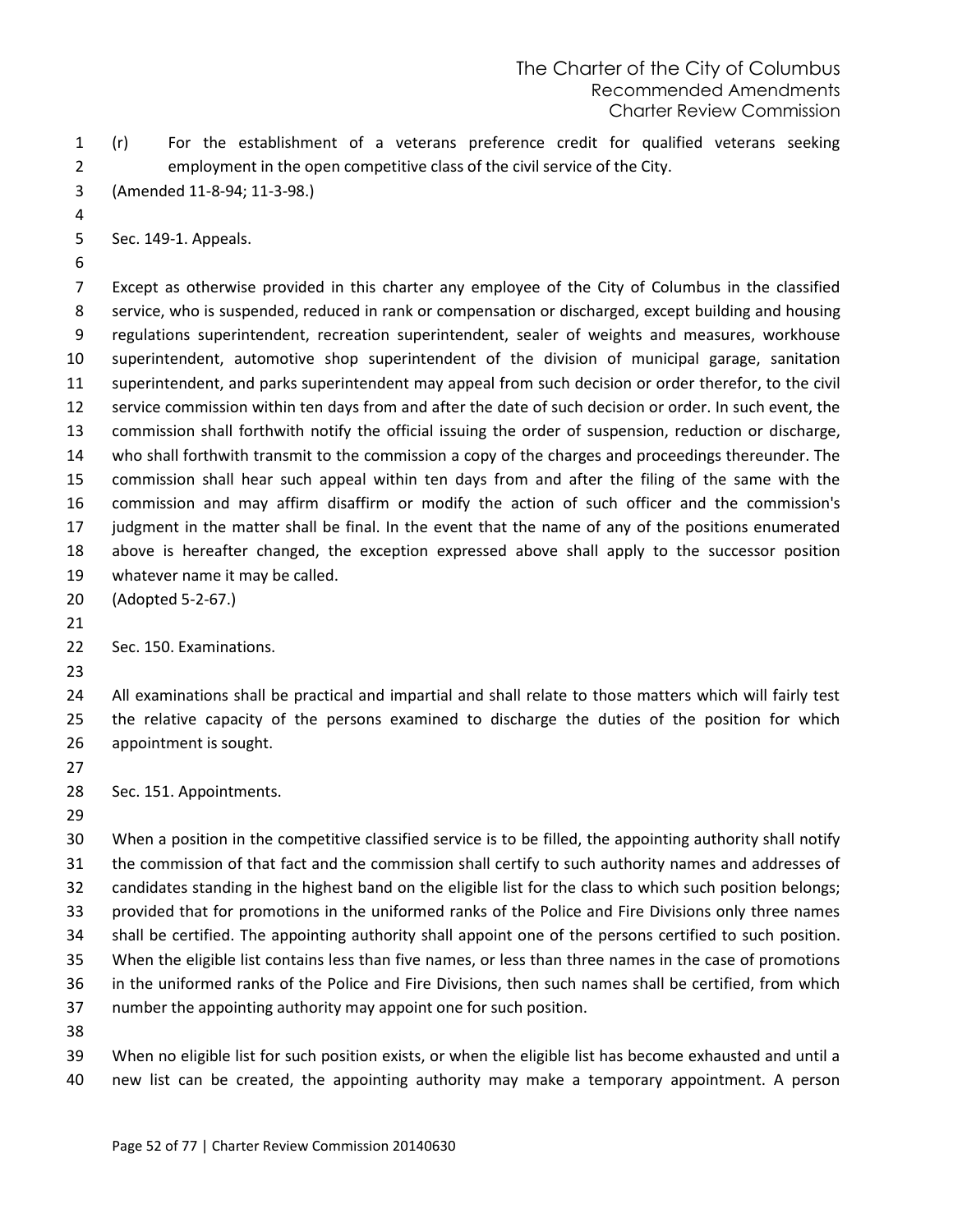- (r) For the establishment of a veterans preference credit for qualified veterans seeking employment in the open competitive class of the civil service of the City.
- (Amended 11-8-94; 11-3-98.)

Sec. 149-1. Appeals.

 Except as otherwise provided in this charter any employee of the City of Columbus in the classified service, who is suspended, reduced in rank or compensation or discharged, except building and housing regulations superintendent, recreation superintendent, sealer of weights and measures, workhouse superintendent, automotive shop superintendent of the division of municipal garage, sanitation superintendent, and parks superintendent may appeal from such decision or order therefor, to the civil service commission within ten days from and after the date of such decision or order. In such event, the commission shall forthwith notify the official issuing the order of suspension, reduction or discharge, who shall forthwith transmit to the commission a copy of the charges and proceedings thereunder. The commission shall hear such appeal within ten days from and after the filing of the same with the commission and may affirm disaffirm or modify the action of such officer and the commission's judgment in the matter shall be final. In the event that the name of any of the positions enumerated above is hereafter changed, the exception expressed above shall apply to the successor position whatever name it may be called.

(Adopted 5-2-67.)

 All examinations shall be practical and impartial and shall relate to those matters which will fairly test the relative capacity of the persons examined to discharge the duties of the position for which appointment is sought.

Sec. 151. Appointments.

 When a position in the competitive classified service is to be filled, the appointing authority shall notify the commission of that fact and the commission shall certify to such authority names and addresses of candidates standing in the highest band on the eligible list for the class to which such position belongs; provided that for promotions in the uniformed ranks of the Police and Fire Divisions only three names shall be certified. The appointing authority shall appoint one of the persons certified to such position. When the eligible list contains less than five names, or less than three names in the case of promotions in the uniformed ranks of the Police and Fire Divisions, then such names shall be certified, from which number the appointing authority may appoint one for such position. 

 When no eligible list for such position exists, or when the eligible list has become exhausted and until a new list can be created, the appointing authority may make a temporary appointment. A person

Sec. 150. Examinations.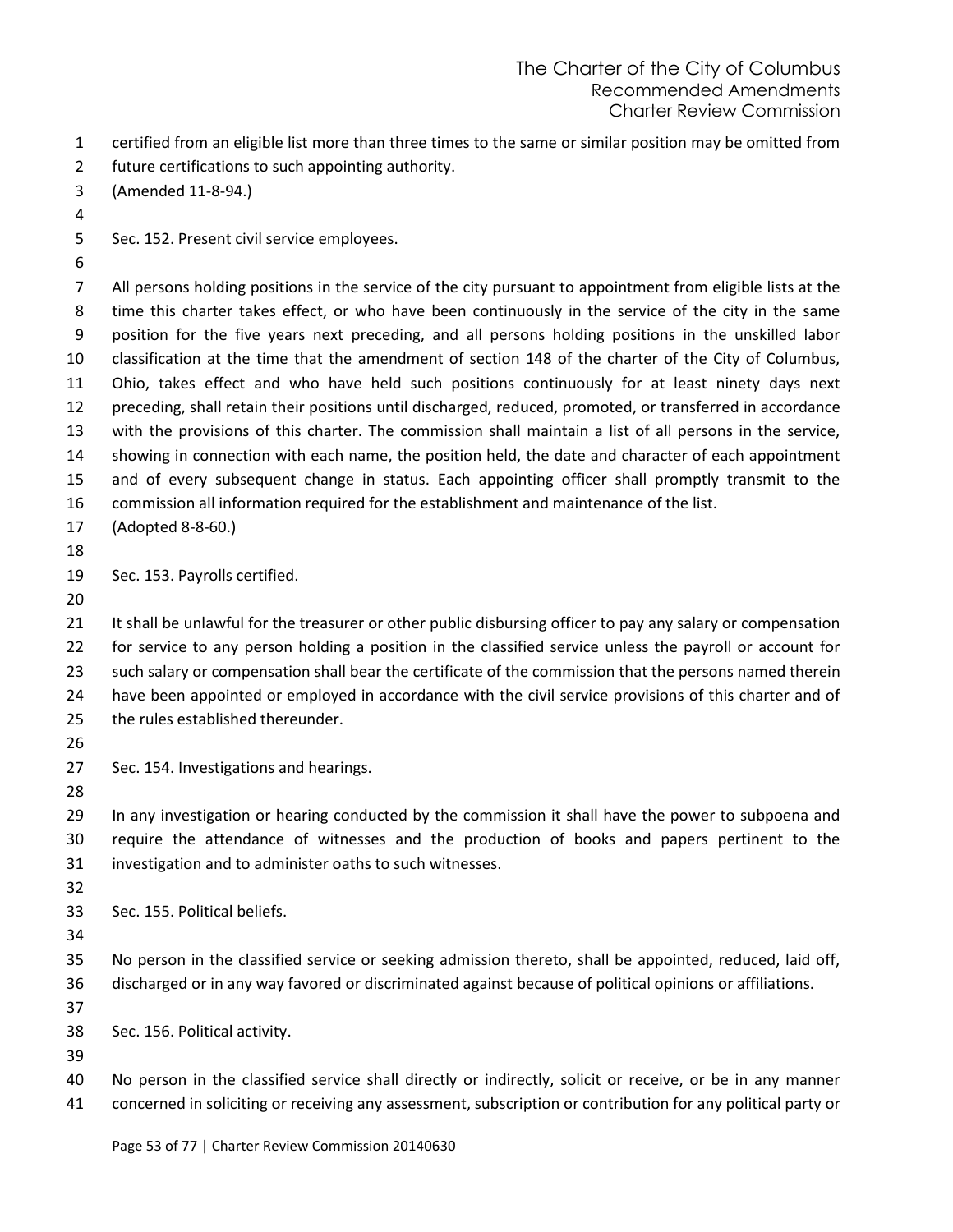- certified from an eligible list more than three times to the same or similar position may be omitted from
- future certifications to such appointing authority.
- (Amended 11-8-94.)
- 
- Sec. 152. Present civil service employees.

 All persons holding positions in the service of the city pursuant to appointment from eligible lists at the time this charter takes effect, or who have been continuously in the service of the city in the same position for the five years next preceding, and all persons holding positions in the unskilled labor classification at the time that the amendment of section 148 of the charter of the City of Columbus, Ohio, takes effect and who have held such positions continuously for at least ninety days next preceding, shall retain their positions until discharged, reduced, promoted, or transferred in accordance with the provisions of this charter. The commission shall maintain a list of all persons in the service, showing in connection with each name, the position held, the date and character of each appointment and of every subsequent change in status. Each appointing officer shall promptly transmit to the commission all information required for the establishment and maintenance of the list.

- (Adopted 8-8-60.)
- 
- Sec. 153. Payrolls certified.
- 

21 It shall be unlawful for the treasurer or other public disbursing officer to pay any salary or compensation for service to any person holding a position in the classified service unless the payroll or account for 23 such salary or compensation shall bear the certificate of the commission that the persons named therein have been appointed or employed in accordance with the civil service provisions of this charter and of the rules established thereunder.

- 
- Sec. 154. Investigations and hearings.
- 

 In any investigation or hearing conducted by the commission it shall have the power to subpoena and require the attendance of witnesses and the production of books and papers pertinent to the investigation and to administer oaths to such witnesses.

- 
- Sec. 155. Political beliefs.
- 

 No person in the classified service or seeking admission thereto, shall be appointed, reduced, laid off, discharged or in any way favored or discriminated against because of political opinions or affiliations.

- 
- Sec. 156. Political activity.
- 

No person in the classified service shall directly or indirectly, solicit or receive, or be in any manner

concerned in soliciting or receiving any assessment, subscription or contribution for any political party or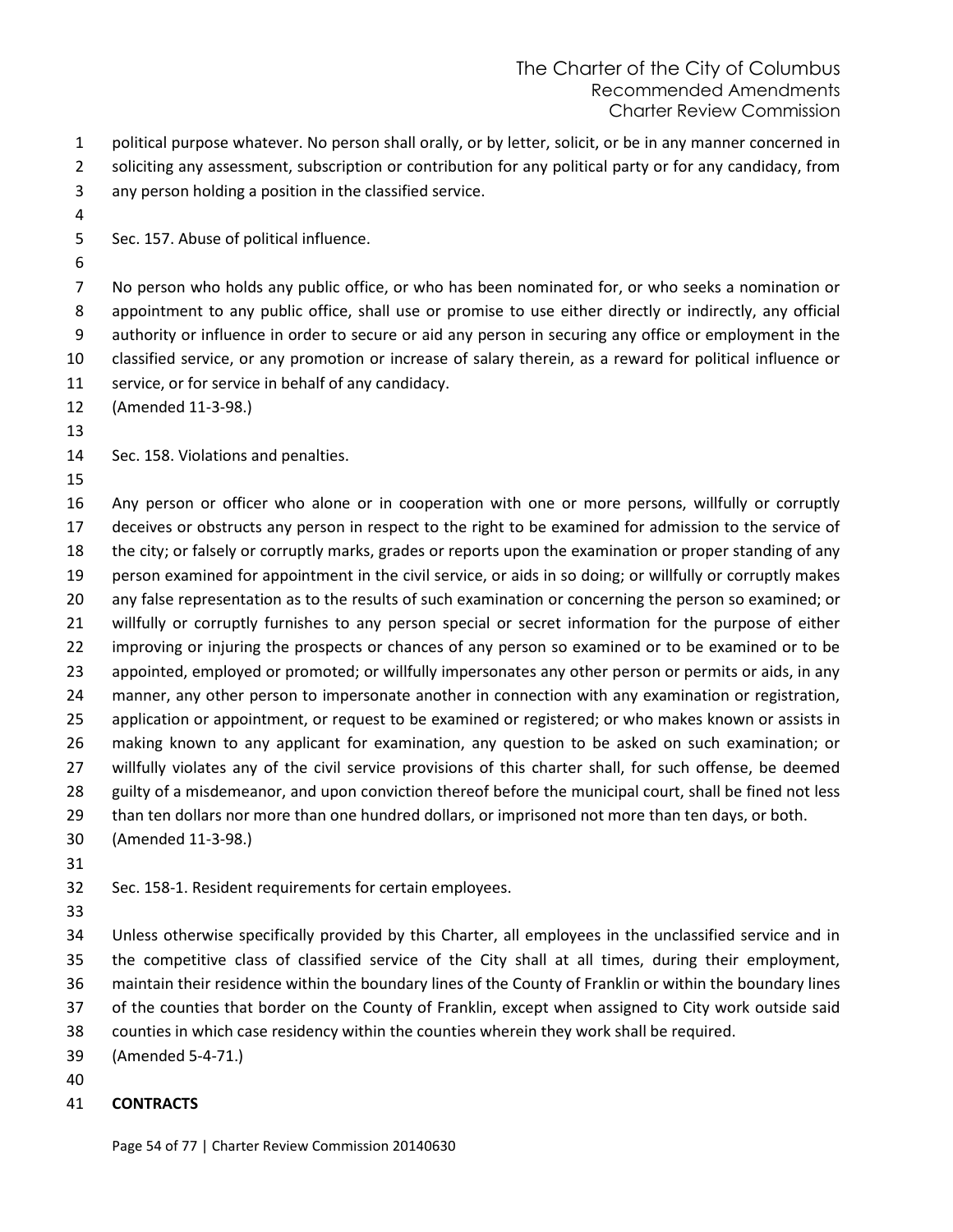political purpose whatever. No person shall orally, or by letter, solicit, or be in any manner concerned in soliciting any assessment, subscription or contribution for any political party or for any candidacy, from

- any person holding a position in the classified service.
- 

Sec. 157. Abuse of political influence.

 No person who holds any public office, or who has been nominated for, or who seeks a nomination or appointment to any public office, shall use or promise to use either directly or indirectly, any official authority or influence in order to secure or aid any person in securing any office or employment in the classified service, or any promotion or increase of salary therein, as a reward for political influence or service, or for service in behalf of any candidacy.

(Amended 11-3-98.)

Sec. 158. Violations and penalties.

 Any person or officer who alone or in cooperation with one or more persons, willfully or corruptly deceives or obstructs any person in respect to the right to be examined for admission to the service of the city; or falsely or corruptly marks, grades or reports upon the examination or proper standing of any person examined for appointment in the civil service, or aids in so doing; or willfully or corruptly makes any false representation as to the results of such examination or concerning the person so examined; or willfully or corruptly furnishes to any person special or secret information for the purpose of either improving or injuring the prospects or chances of any person so examined or to be examined or to be appointed, employed or promoted; or willfully impersonates any other person or permits or aids, in any manner, any other person to impersonate another in connection with any examination or registration, application or appointment, or request to be examined or registered; or who makes known or assists in making known to any applicant for examination, any question to be asked on such examination; or willfully violates any of the civil service provisions of this charter shall, for such offense, be deemed 28 guilty of a misdemeanor, and upon conviction thereof before the municipal court, shall be fined not less than ten dollars nor more than one hundred dollars, or imprisoned not more than ten days, or both.

(Amended 11-3-98.)

Sec. 158-1. Resident requirements for certain employees.

 Unless otherwise specifically provided by this Charter, all employees in the unclassified service and in the competitive class of classified service of the City shall at all times, during their employment, maintain their residence within the boundary lines of the County of Franklin or within the boundary lines of the counties that border on the County of Franklin, except when assigned to City work outside said counties in which case residency within the counties wherein they work shall be required.

- (Amended 5-4-71.)
- 

# **CONTRACTS**

Page 54 of 77 | Charter Review Commission 20140630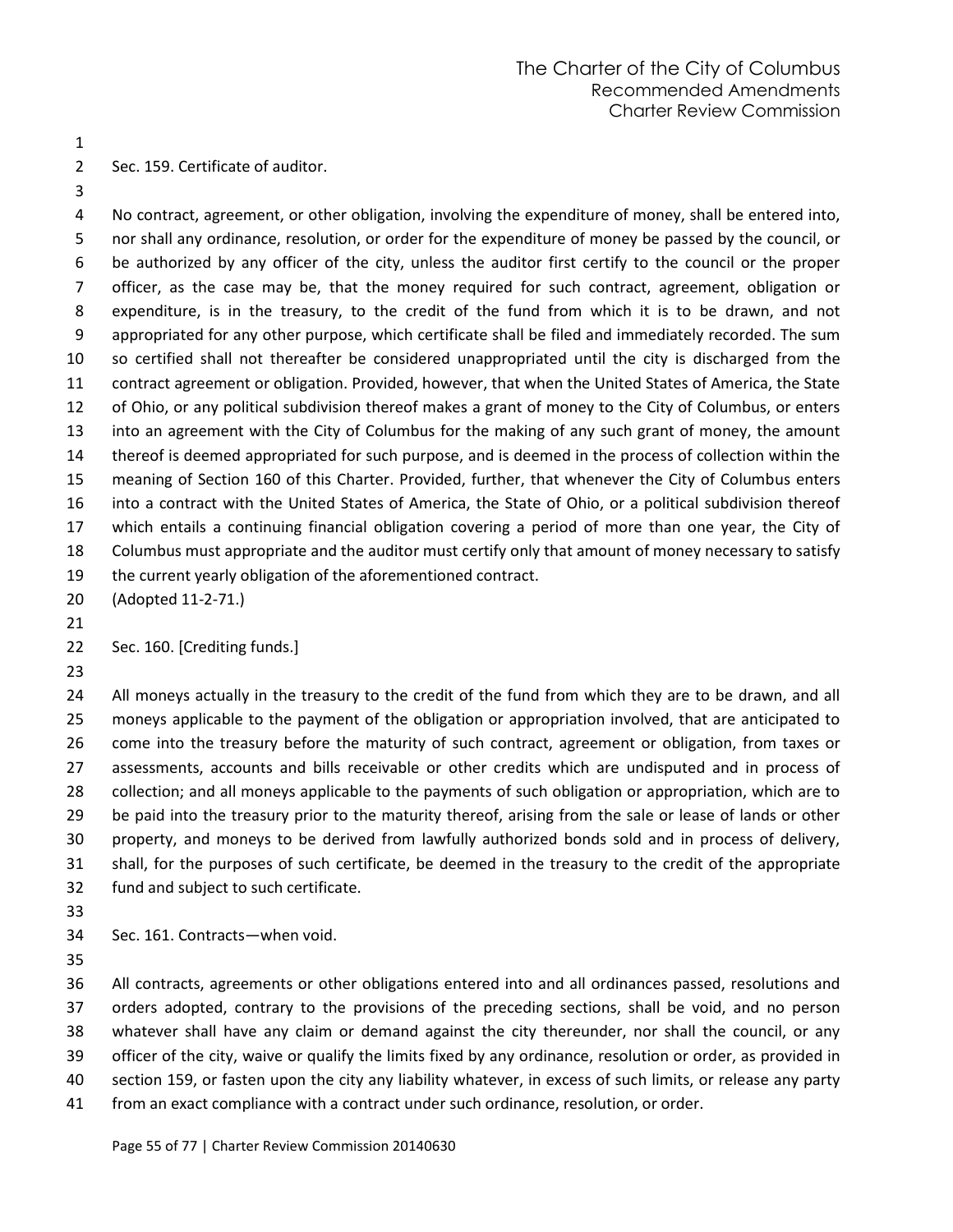Sec. 159. Certificate of auditor.

 No contract, agreement, or other obligation, involving the expenditure of money, shall be entered into, nor shall any ordinance, resolution, or order for the expenditure of money be passed by the council, or be authorized by any officer of the city, unless the auditor first certify to the council or the proper officer, as the case may be, that the money required for such contract, agreement, obligation or expenditure, is in the treasury, to the credit of the fund from which it is to be drawn, and not appropriated for any other purpose, which certificate shall be filed and immediately recorded. The sum so certified shall not thereafter be considered unappropriated until the city is discharged from the contract agreement or obligation. Provided, however, that when the United States of America, the State of Ohio, or any political subdivision thereof makes a grant of money to the City of Columbus, or enters into an agreement with the City of Columbus for the making of any such grant of money, the amount thereof is deemed appropriated for such purpose, and is deemed in the process of collection within the meaning of Section 160 of this Charter. Provided, further, that whenever the City of Columbus enters into a contract with the United States of America, the State of Ohio, or a political subdivision thereof which entails a continuing financial obligation covering a period of more than one year, the City of Columbus must appropriate and the auditor must certify only that amount of money necessary to satisfy the current yearly obligation of the aforementioned contract.

- (Adopted 11-2-71.)
- 

#### Sec. 160. [Crediting funds.]

24 All moneys actually in the treasury to the credit of the fund from which they are to be drawn, and all moneys applicable to the payment of the obligation or appropriation involved, that are anticipated to come into the treasury before the maturity of such contract, agreement or obligation, from taxes or assessments, accounts and bills receivable or other credits which are undisputed and in process of collection; and all moneys applicable to the payments of such obligation or appropriation, which are to be paid into the treasury prior to the maturity thereof, arising from the sale or lease of lands or other property, and moneys to be derived from lawfully authorized bonds sold and in process of delivery, shall, for the purposes of such certificate, be deemed in the treasury to the credit of the appropriate fund and subject to such certificate.

Sec. 161. Contracts—when void.

 All contracts, agreements or other obligations entered into and all ordinances passed, resolutions and orders adopted, contrary to the provisions of the preceding sections, shall be void, and no person whatever shall have any claim or demand against the city thereunder, nor shall the council, or any officer of the city, waive or qualify the limits fixed by any ordinance, resolution or order, as provided in section 159, or fasten upon the city any liability whatever, in excess of such limits, or release any party from an exact compliance with a contract under such ordinance, resolution, or order.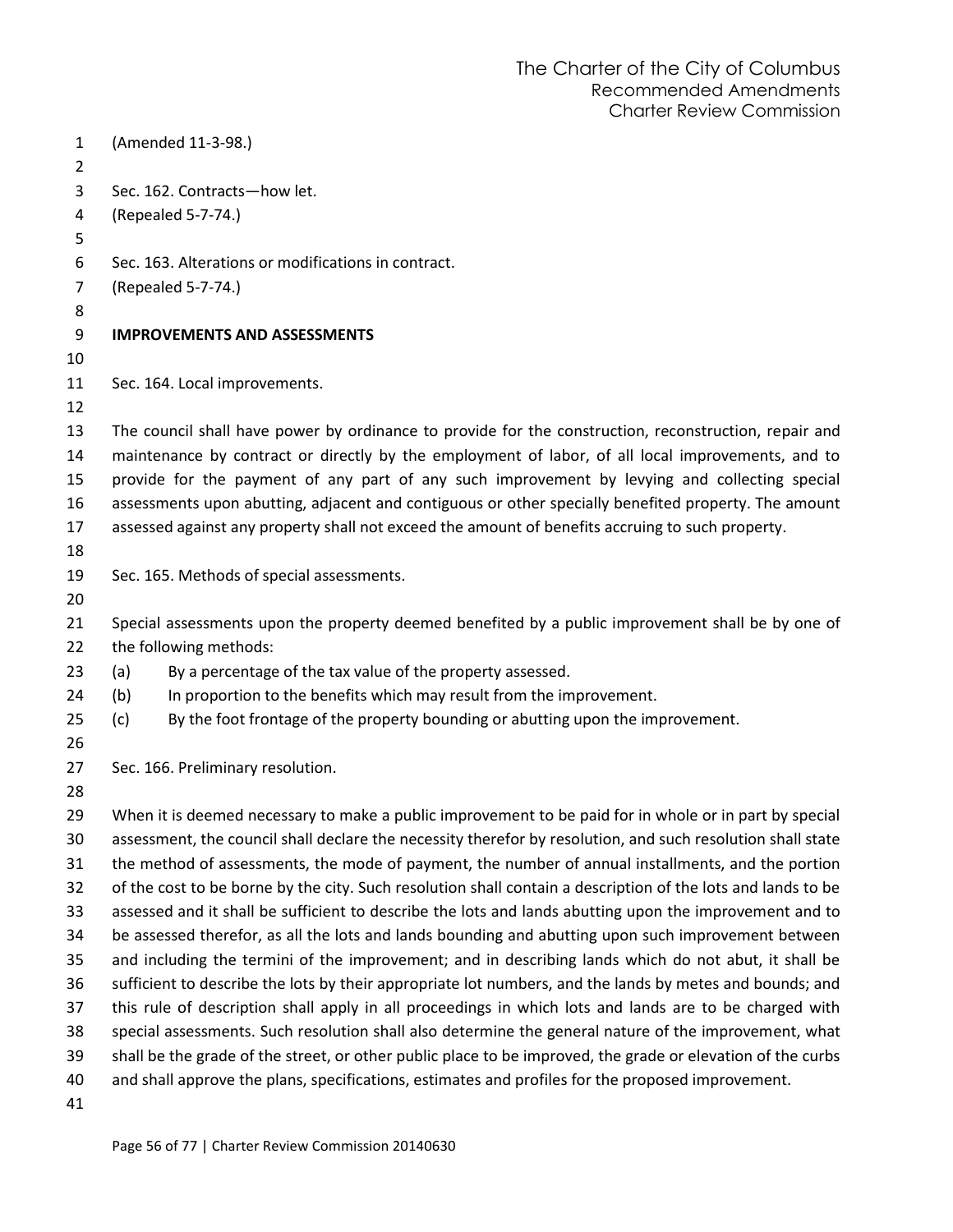| 1<br>$\overline{2}$ |     | (Amended 11-3-98.)                                                                                           |
|---------------------|-----|--------------------------------------------------------------------------------------------------------------|
| 3                   |     | Sec. 162. Contracts-how let.                                                                                 |
| 4                   |     | (Repealed 5-7-74.)                                                                                           |
| 5                   |     |                                                                                                              |
| 6                   |     | Sec. 163. Alterations or modifications in contract.                                                          |
| 7                   |     | (Repealed 5-7-74.)                                                                                           |
| 8                   |     |                                                                                                              |
| 9                   |     | <b>IMPROVEMENTS AND ASSESSMENTS</b>                                                                          |
| 10                  |     |                                                                                                              |
| 11                  |     | Sec. 164. Local improvements.                                                                                |
| 12                  |     |                                                                                                              |
| 13                  |     | The council shall have power by ordinance to provide for the construction, reconstruction, repair and        |
| 14                  |     | maintenance by contract or directly by the employment of labor, of all local improvements, and to            |
| 15                  |     | provide for the payment of any part of any such improvement by levying and collecting special                |
| 16                  |     | assessments upon abutting, adjacent and contiguous or other specially benefited property. The amount         |
| 17                  |     | assessed against any property shall not exceed the amount of benefits accruing to such property.             |
| 18                  |     |                                                                                                              |
| 19                  |     | Sec. 165. Methods of special assessments.                                                                    |
| 20                  |     |                                                                                                              |
| 21                  |     | Special assessments upon the property deemed benefited by a public improvement shall be by one of            |
| 22                  |     | the following methods:                                                                                       |
| 23                  | (a) | By a percentage of the tax value of the property assessed.                                                   |
| 24                  | (b) | In proportion to the benefits which may result from the improvement.                                         |
| 25                  | (c) | By the foot frontage of the property bounding or abutting upon the improvement.                              |
| 26                  |     |                                                                                                              |
| 27                  |     | Sec. 166. Preliminary resolution.                                                                            |
| 28                  |     |                                                                                                              |
| 29                  |     | When it is deemed necessary to make a public improvement to be paid for in whole or in part by special       |
| 30                  |     | assessment, the council shall declare the necessity therefor by resolution, and such resolution shall state  |
| 31                  |     | the method of assessments, the mode of payment, the number of annual installments, and the portion           |
| 32                  |     | of the cost to be borne by the city. Such resolution shall contain a description of the lots and lands to be |
| 33                  |     | assessed and it shall be sufficient to describe the lots and lands abutting upon the improvement and to      |
| 34                  |     | be assessed therefor, as all the lots and lands bounding and abutting upon such improvement between          |
| 35                  |     | and including the termini of the improvement; and in describing lands which do not abut, it shall be         |
| 36                  |     | sufficient to describe the lots by their appropriate lot numbers, and the lands by metes and bounds; and     |
| 37                  |     | this rule of description shall apply in all proceedings in which lots and lands are to be charged with       |
| 38                  |     | special assessments. Such resolution shall also determine the general nature of the improvement, what        |
| 39                  |     | shall be the grade of the street, or other public place to be improved, the grade or elevation of the curbs  |
| 40                  |     | and shall approve the plans, specifications, estimates and profiles for the proposed improvement.            |
| 41                  |     |                                                                                                              |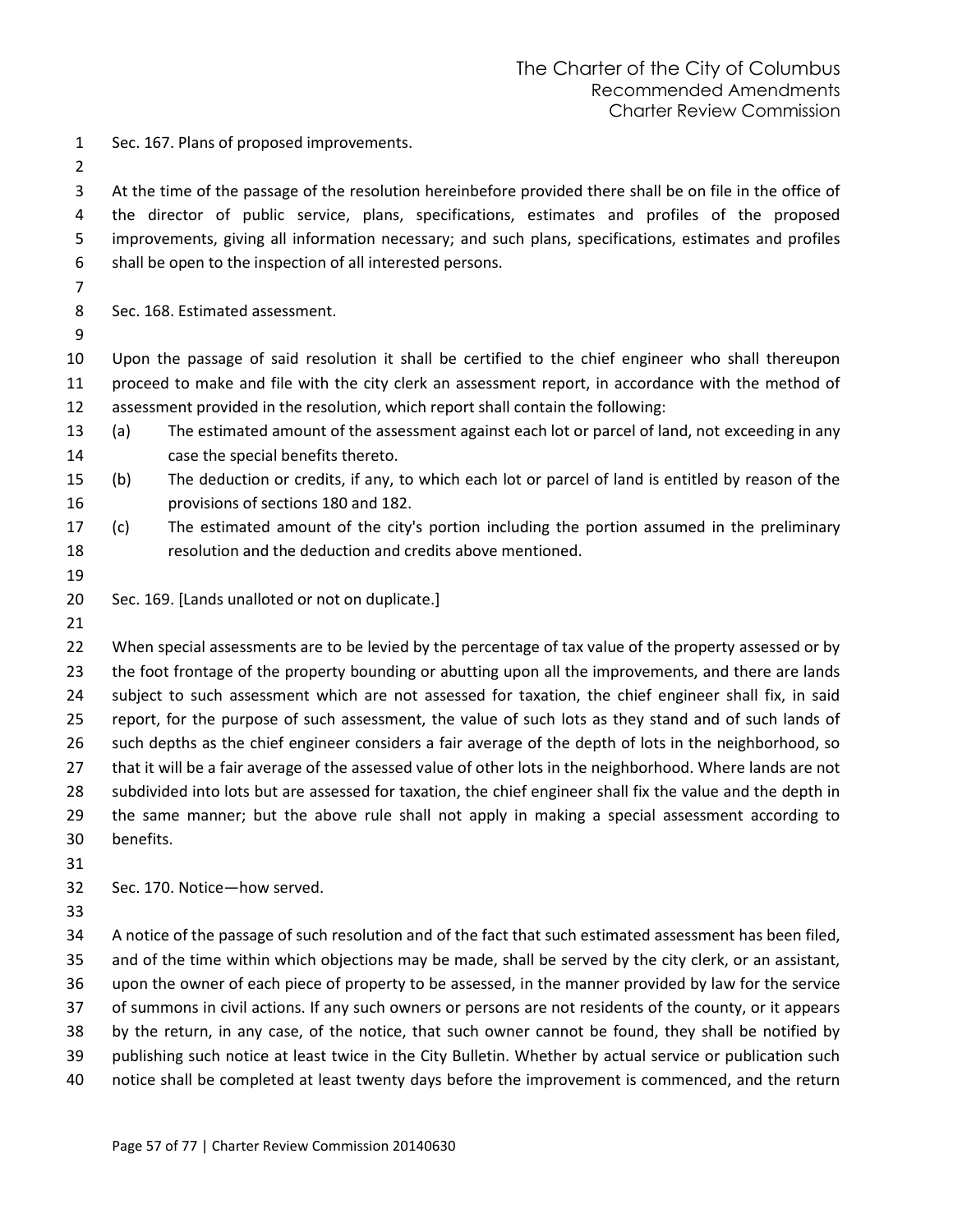- Sec. 167. Plans of proposed improvements.
- 

 At the time of the passage of the resolution hereinbefore provided there shall be on file in the office of the director of public service, plans, specifications, estimates and profiles of the proposed improvements, giving all information necessary; and such plans, specifications, estimates and profiles shall be open to the inspection of all interested persons.

Sec. 168. Estimated assessment.

 Upon the passage of said resolution it shall be certified to the chief engineer who shall thereupon proceed to make and file with the city clerk an assessment report, in accordance with the method of assessment provided in the resolution, which report shall contain the following:

- (a) The estimated amount of the assessment against each lot or parcel of land, not exceeding in any case the special benefits thereto.
- (b) The deduction or credits, if any, to which each lot or parcel of land is entitled by reason of the provisions of sections 180 and 182.
- (c) The estimated amount of the city's portion including the portion assumed in the preliminary resolution and the deduction and credits above mentioned.
- 

Sec. 169. [Lands unalloted or not on duplicate.]

 When special assessments are to be levied by the percentage of tax value of the property assessed or by 23 the foot frontage of the property bounding or abutting upon all the improvements, and there are lands subject to such assessment which are not assessed for taxation, the chief engineer shall fix, in said report, for the purpose of such assessment, the value of such lots as they stand and of such lands of such depths as the chief engineer considers a fair average of the depth of lots in the neighborhood, so that it will be a fair average of the assessed value of other lots in the neighborhood. Where lands are not subdivided into lots but are assessed for taxation, the chief engineer shall fix the value and the depth in the same manner; but the above rule shall not apply in making a special assessment according to benefits.

Sec. 170. Notice—how served.

 A notice of the passage of such resolution and of the fact that such estimated assessment has been filed, and of the time within which objections may be made, shall be served by the city clerk, or an assistant, upon the owner of each piece of property to be assessed, in the manner provided by law for the service of summons in civil actions. If any such owners or persons are not residents of the county, or it appears by the return, in any case, of the notice, that such owner cannot be found, they shall be notified by publishing such notice at least twice in the City Bulletin. Whether by actual service or publication such notice shall be completed at least twenty days before the improvement is commenced, and the return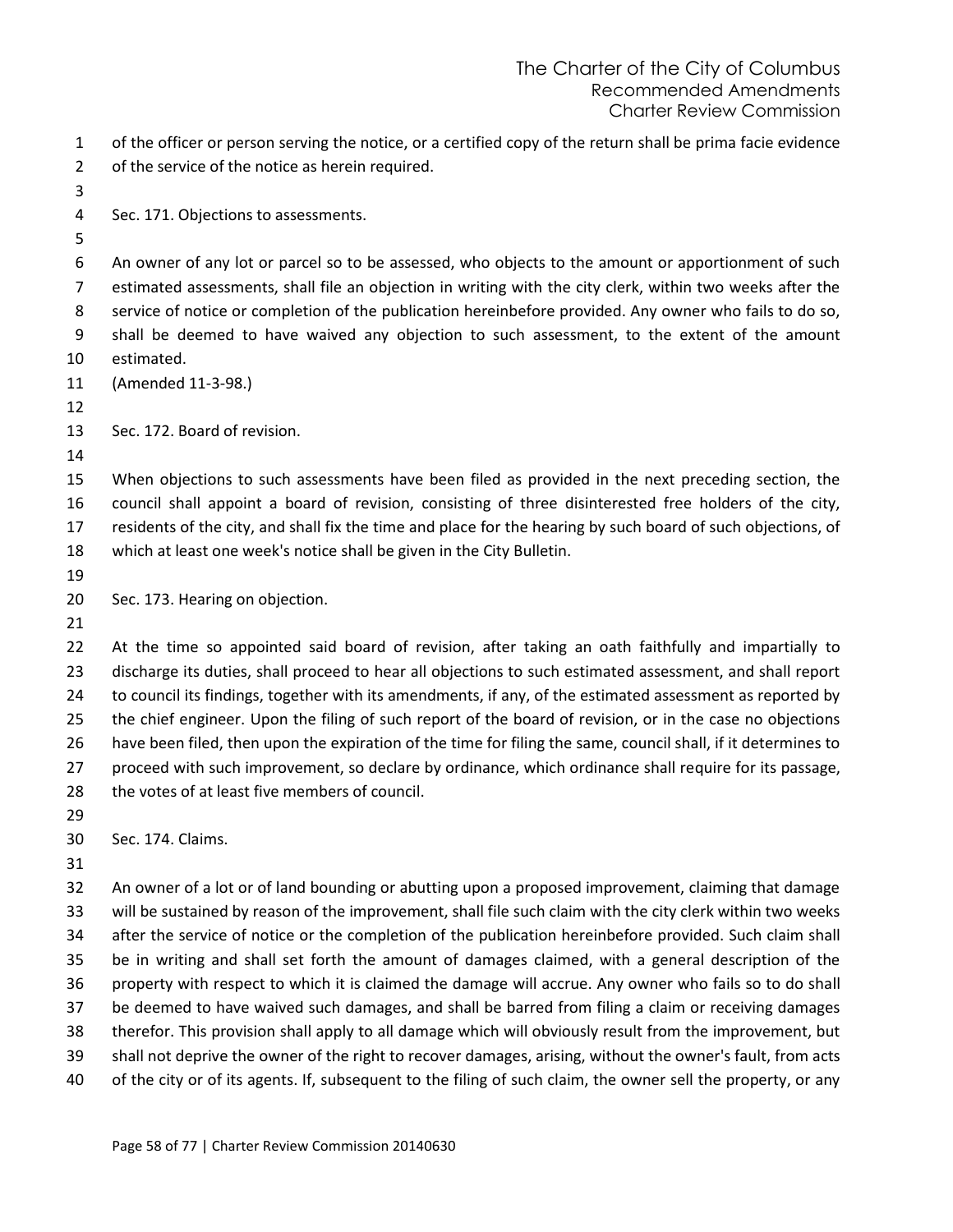| of the officer or person serving the notice, or a certified copy of the return shall be prima facie evidence |
|--------------------------------------------------------------------------------------------------------------|
| of the service of the notice as herein required.                                                             |

- Sec. 171. Objections to assessments.
- 

 An owner of any lot or parcel so to be assessed, who objects to the amount or apportionment of such estimated assessments, shall file an objection in writing with the city clerk, within two weeks after the service of notice or completion of the publication hereinbefore provided. Any owner who fails to do so, shall be deemed to have waived any objection to such assessment, to the extent of the amount estimated.

(Amended 11-3-98.)

Sec. 172. Board of revision.

 When objections to such assessments have been filed as provided in the next preceding section, the council shall appoint a board of revision, consisting of three disinterested free holders of the city, residents of the city, and shall fix the time and place for the hearing by such board of such objections, of which at least one week's notice shall be given in the City Bulletin.

Sec. 173. Hearing on objection.

 At the time so appointed said board of revision, after taking an oath faithfully and impartially to discharge its duties, shall proceed to hear all objections to such estimated assessment, and shall report to council its findings, together with its amendments, if any, of the estimated assessment as reported by the chief engineer. Upon the filing of such report of the board of revision, or in the case no objections have been filed, then upon the expiration of the time for filing the same, council shall, if it determines to proceed with such improvement, so declare by ordinance, which ordinance shall require for its passage, the votes of at least five members of council.

Sec. 174. Claims.

 An owner of a lot or of land bounding or abutting upon a proposed improvement, claiming that damage will be sustained by reason of the improvement, shall file such claim with the city clerk within two weeks after the service of notice or the completion of the publication hereinbefore provided. Such claim shall be in writing and shall set forth the amount of damages claimed, with a general description of the property with respect to which it is claimed the damage will accrue. Any owner who fails so to do shall be deemed to have waived such damages, and shall be barred from filing a claim or receiving damages therefor. This provision shall apply to all damage which will obviously result from the improvement, but shall not deprive the owner of the right to recover damages, arising, without the owner's fault, from acts of the city or of its agents. If, subsequent to the filing of such claim, the owner sell the property, or any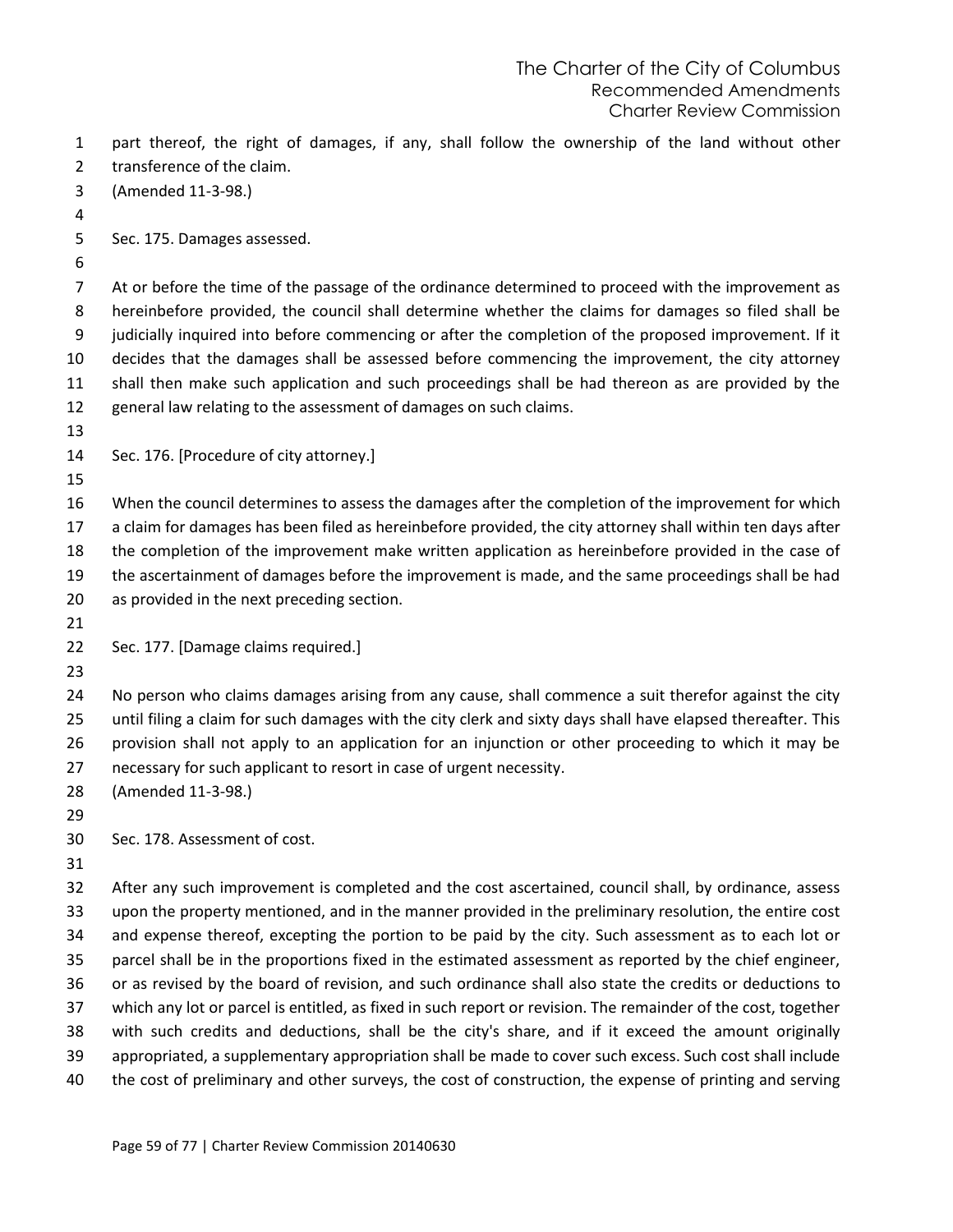part thereof, the right of damages, if any, shall follow the ownership of the land without other transference of the claim.

- (Amended 11-3-98.)
- 
- Sec. 175. Damages assessed.
- 

 At or before the time of the passage of the ordinance determined to proceed with the improvement as hereinbefore provided, the council shall determine whether the claims for damages so filed shall be judicially inquired into before commencing or after the completion of the proposed improvement. If it decides that the damages shall be assessed before commencing the improvement, the city attorney shall then make such application and such proceedings shall be had thereon as are provided by the general law relating to the assessment of damages on such claims.

- 
- Sec. 176. [Procedure of city attorney.]
- 

 When the council determines to assess the damages after the completion of the improvement for which a claim for damages has been filed as hereinbefore provided, the city attorney shall within ten days after the completion of the improvement make written application as hereinbefore provided in the case of the ascertainment of damages before the improvement is made, and the same proceedings shall be had as provided in the next preceding section.

- 
- Sec. 177. [Damage claims required.]
- 

 No person who claims damages arising from any cause, shall commence a suit therefor against the city until filing a claim for such damages with the city clerk and sixty days shall have elapsed thereafter. This provision shall not apply to an application for an injunction or other proceeding to which it may be necessary for such applicant to resort in case of urgent necessity.

- (Amended 11-3-98.)
- 

Sec. 178. Assessment of cost.

 After any such improvement is completed and the cost ascertained, council shall, by ordinance, assess upon the property mentioned, and in the manner provided in the preliminary resolution, the entire cost and expense thereof, excepting the portion to be paid by the city. Such assessment as to each lot or parcel shall be in the proportions fixed in the estimated assessment as reported by the chief engineer, or as revised by the board of revision, and such ordinance shall also state the credits or deductions to which any lot or parcel is entitled, as fixed in such report or revision. The remainder of the cost, together with such credits and deductions, shall be the city's share, and if it exceed the amount originally appropriated, a supplementary appropriation shall be made to cover such excess. Such cost shall include the cost of preliminary and other surveys, the cost of construction, the expense of printing and serving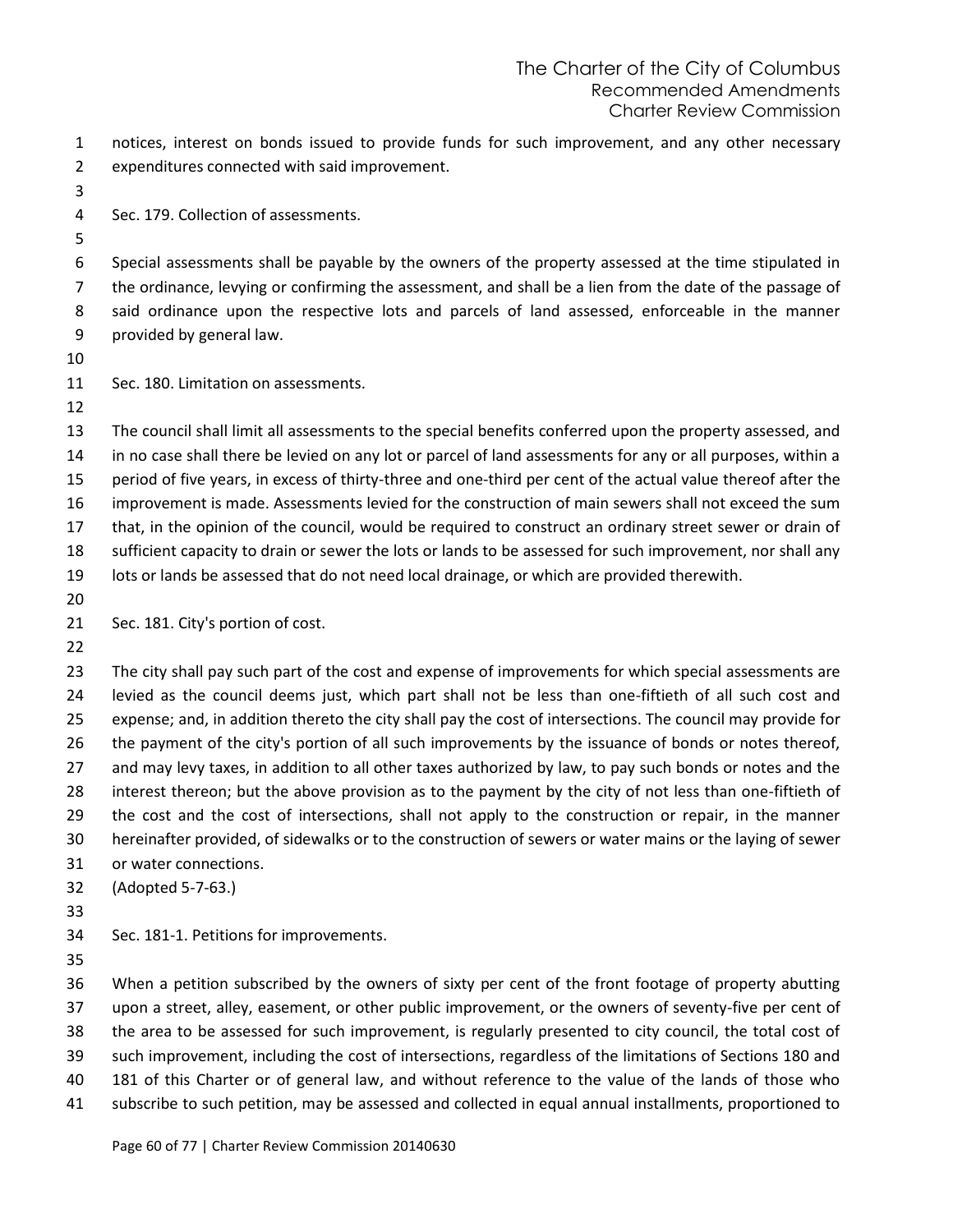notices, interest on bonds issued to provide funds for such improvement, and any other necessary expenditures connected with said improvement.

Sec. 179. Collection of assessments.

 Special assessments shall be payable by the owners of the property assessed at the time stipulated in the ordinance, levying or confirming the assessment, and shall be a lien from the date of the passage of said ordinance upon the respective lots and parcels of land assessed, enforceable in the manner provided by general law.

Sec. 180. Limitation on assessments.

 The council shall limit all assessments to the special benefits conferred upon the property assessed, and in no case shall there be levied on any lot or parcel of land assessments for any or all purposes, within a period of five years, in excess of thirty-three and one-third per cent of the actual value thereof after the improvement is made. Assessments levied for the construction of main sewers shall not exceed the sum that, in the opinion of the council, would be required to construct an ordinary street sewer or drain of sufficient capacity to drain or sewer the lots or lands to be assessed for such improvement, nor shall any lots or lands be assessed that do not need local drainage, or which are provided therewith. 

- 21 Sec. 181. City's portion of cost.
- 

23 The city shall pay such part of the cost and expense of improvements for which special assessments are levied as the council deems just, which part shall not be less than one-fiftieth of all such cost and expense; and, in addition thereto the city shall pay the cost of intersections. The council may provide for the payment of the city's portion of all such improvements by the issuance of bonds or notes thereof, and may levy taxes, in addition to all other taxes authorized by law, to pay such bonds or notes and the interest thereon; but the above provision as to the payment by the city of not less than one-fiftieth of the cost and the cost of intersections, shall not apply to the construction or repair, in the manner hereinafter provided, of sidewalks or to the construction of sewers or water mains or the laying of sewer or water connections.

(Adopted 5-7-63.)

- 
- Sec. 181-1. Petitions for improvements.
- 

 When a petition subscribed by the owners of sixty per cent of the front footage of property abutting upon a street, alley, easement, or other public improvement, or the owners of seventy-five per cent of the area to be assessed for such improvement, is regularly presented to city council, the total cost of such improvement, including the cost of intersections, regardless of the limitations of Sections 180 and 181 of this Charter or of general law, and without reference to the value of the lands of those who subscribe to such petition, may be assessed and collected in equal annual installments, proportioned to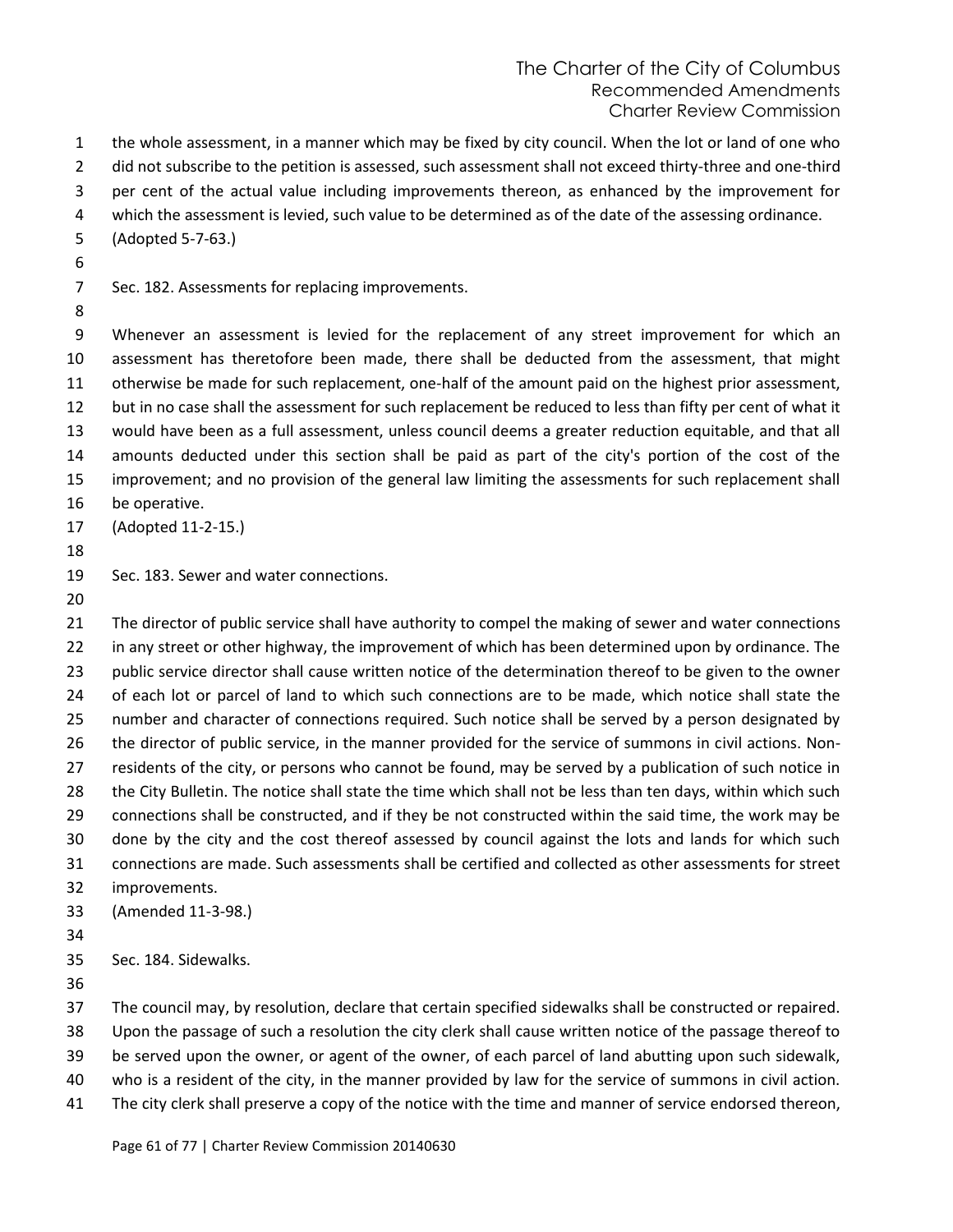the whole assessment, in a manner which may be fixed by city council. When the lot or land of one who

2 did not subscribe to the petition is assessed, such assessment shall not exceed thirty-three and one-third

- per cent of the actual value including improvements thereon, as enhanced by the improvement for
- which the assessment is levied, such value to be determined as of the date of the assessing ordinance.
- (Adopted 5-7-63.)
- 

Sec. 182. Assessments for replacing improvements.

 Whenever an assessment is levied for the replacement of any street improvement for which an assessment has theretofore been made, there shall be deducted from the assessment, that might otherwise be made for such replacement, one-half of the amount paid on the highest prior assessment, but in no case shall the assessment for such replacement be reduced to less than fifty per cent of what it would have been as a full assessment, unless council deems a greater reduction equitable, and that all amounts deducted under this section shall be paid as part of the city's portion of the cost of the improvement; and no provision of the general law limiting the assessments for such replacement shall be operative.

- (Adopted 11-2-15.)
- 

Sec. 183. Sewer and water connections.

21 The director of public service shall have authority to compel the making of sewer and water connections 22 in any street or other highway, the improvement of which has been determined upon by ordinance. The 23 public service director shall cause written notice of the determination thereof to be given to the owner of each lot or parcel of land to which such connections are to be made, which notice shall state the number and character of connections required. Such notice shall be served by a person designated by the director of public service, in the manner provided for the service of summons in civil actions. Non- residents of the city, or persons who cannot be found, may be served by a publication of such notice in the City Bulletin. The notice shall state the time which shall not be less than ten days, within which such connections shall be constructed, and if they be not constructed within the said time, the work may be done by the city and the cost thereof assessed by council against the lots and lands for which such connections are made. Such assessments shall be certified and collected as other assessments for street improvements. (Amended 11-3-98.) 

Sec. 184. Sidewalks.

The council may, by resolution, declare that certain specified sidewalks shall be constructed or repaired.

Upon the passage of such a resolution the city clerk shall cause written notice of the passage thereof to

be served upon the owner, or agent of the owner, of each parcel of land abutting upon such sidewalk,

- who is a resident of the city, in the manner provided by law for the service of summons in civil action.
- The city clerk shall preserve a copy of the notice with the time and manner of service endorsed thereon,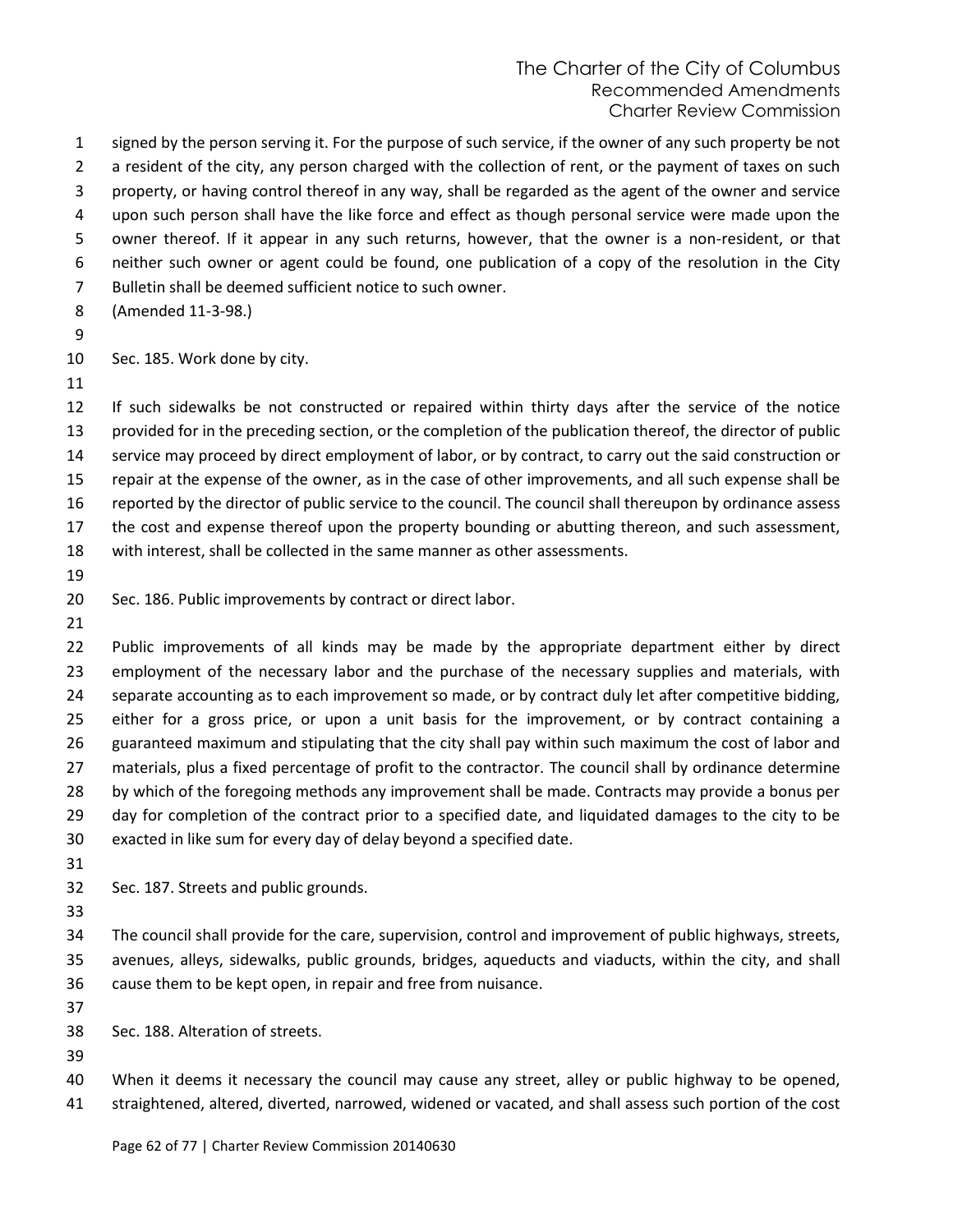signed by the person serving it. For the purpose of such service, if the owner of any such property be not 2 a resident of the city, any person charged with the collection of rent, or the payment of taxes on such property, or having control thereof in any way, shall be regarded as the agent of the owner and service upon such person shall have the like force and effect as though personal service were made upon the owner thereof. If it appear in any such returns, however, that the owner is a non-resident, or that neither such owner or agent could be found, one publication of a copy of the resolution in the City Bulletin shall be deemed sufficient notice to such owner.

- (Amended 11-3-98.)
- 

Sec. 185. Work done by city.

 If such sidewalks be not constructed or repaired within thirty days after the service of the notice provided for in the preceding section, or the completion of the publication thereof, the director of public service may proceed by direct employment of labor, or by contract, to carry out the said construction or repair at the expense of the owner, as in the case of other improvements, and all such expense shall be reported by the director of public service to the council. The council shall thereupon by ordinance assess the cost and expense thereof upon the property bounding or abutting thereon, and such assessment, with interest, shall be collected in the same manner as other assessments.

Sec. 186. Public improvements by contract or direct labor.

 Public improvements of all kinds may be made by the appropriate department either by direct 23 employment of the necessary labor and the purchase of the necessary supplies and materials, with 24 separate accounting as to each improvement so made, or by contract duly let after competitive bidding, either for a gross price, or upon a unit basis for the improvement, or by contract containing a guaranteed maximum and stipulating that the city shall pay within such maximum the cost of labor and materials, plus a fixed percentage of profit to the contractor. The council shall by ordinance determine by which of the foregoing methods any improvement shall be made. Contracts may provide a bonus per day for completion of the contract prior to a specified date, and liquidated damages to the city to be exacted in like sum for every day of delay beyond a specified date.

Sec. 187. Streets and public grounds.

 The council shall provide for the care, supervision, control and improvement of public highways, streets, avenues, alleys, sidewalks, public grounds, bridges, aqueducts and viaducts, within the city, and shall cause them to be kept open, in repair and free from nuisance.

Sec. 188. Alteration of streets.

 When it deems it necessary the council may cause any street, alley or public highway to be opened, straightened, altered, diverted, narrowed, widened or vacated, and shall assess such portion of the cost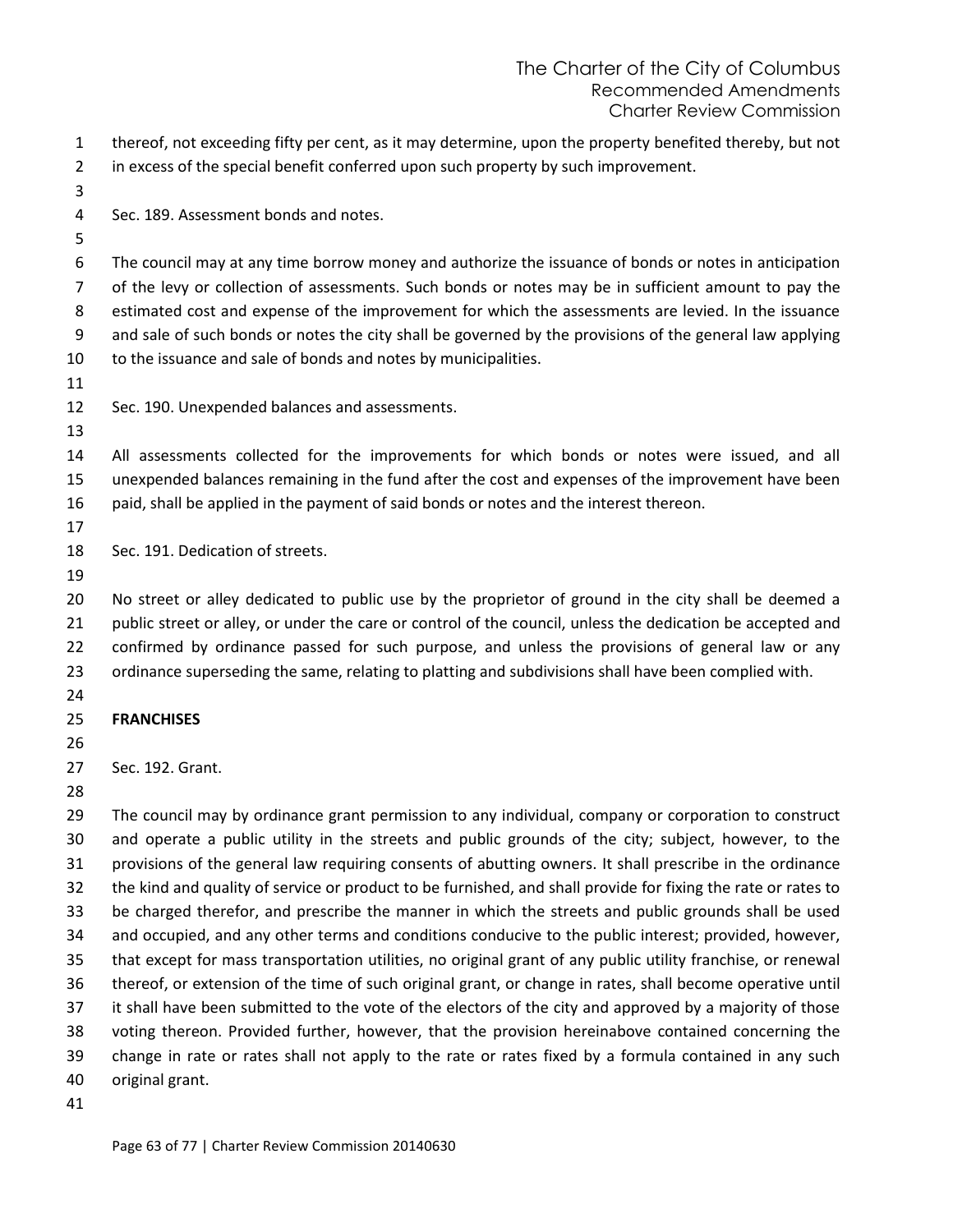- thereof, not exceeding fifty per cent, as it may determine, upon the property benefited thereby, but not in excess of the special benefit conferred upon such property by such improvement.
- Sec. 189. Assessment bonds and notes.

 The council may at any time borrow money and authorize the issuance of bonds or notes in anticipation of the levy or collection of assessments. Such bonds or notes may be in sufficient amount to pay the estimated cost and expense of the improvement for which the assessments are levied. In the issuance and sale of such bonds or notes the city shall be governed by the provisions of the general law applying to the issuance and sale of bonds and notes by municipalities.

- Sec. 190. Unexpended balances and assessments.
- All assessments collected for the improvements for which bonds or notes were issued, and all unexpended balances remaining in the fund after the cost and expenses of the improvement have been paid, shall be applied in the payment of said bonds or notes and the interest thereon.
- 
- Sec. 191. Dedication of streets.
- 

 No street or alley dedicated to public use by the proprietor of ground in the city shall be deemed a public street or alley, or under the care or control of the council, unless the dedication be accepted and confirmed by ordinance passed for such purpose, and unless the provisions of general law or any ordinance superseding the same, relating to platting and subdivisions shall have been complied with.

- 
- **FRANCHISES**

- Sec. 192. Grant.
- 

 The council may by ordinance grant permission to any individual, company or corporation to construct and operate a public utility in the streets and public grounds of the city; subject, however, to the provisions of the general law requiring consents of abutting owners. It shall prescribe in the ordinance the kind and quality of service or product to be furnished, and shall provide for fixing the rate or rates to be charged therefor, and prescribe the manner in which the streets and public grounds shall be used and occupied, and any other terms and conditions conducive to the public interest; provided, however, that except for mass transportation utilities, no original grant of any public utility franchise, or renewal thereof, or extension of the time of such original grant, or change in rates, shall become operative until 37 it shall have been submitted to the vote of the electors of the city and approved by a majority of those voting thereon. Provided further, however, that the provision hereinabove contained concerning the change in rate or rates shall not apply to the rate or rates fixed by a formula contained in any such original grant.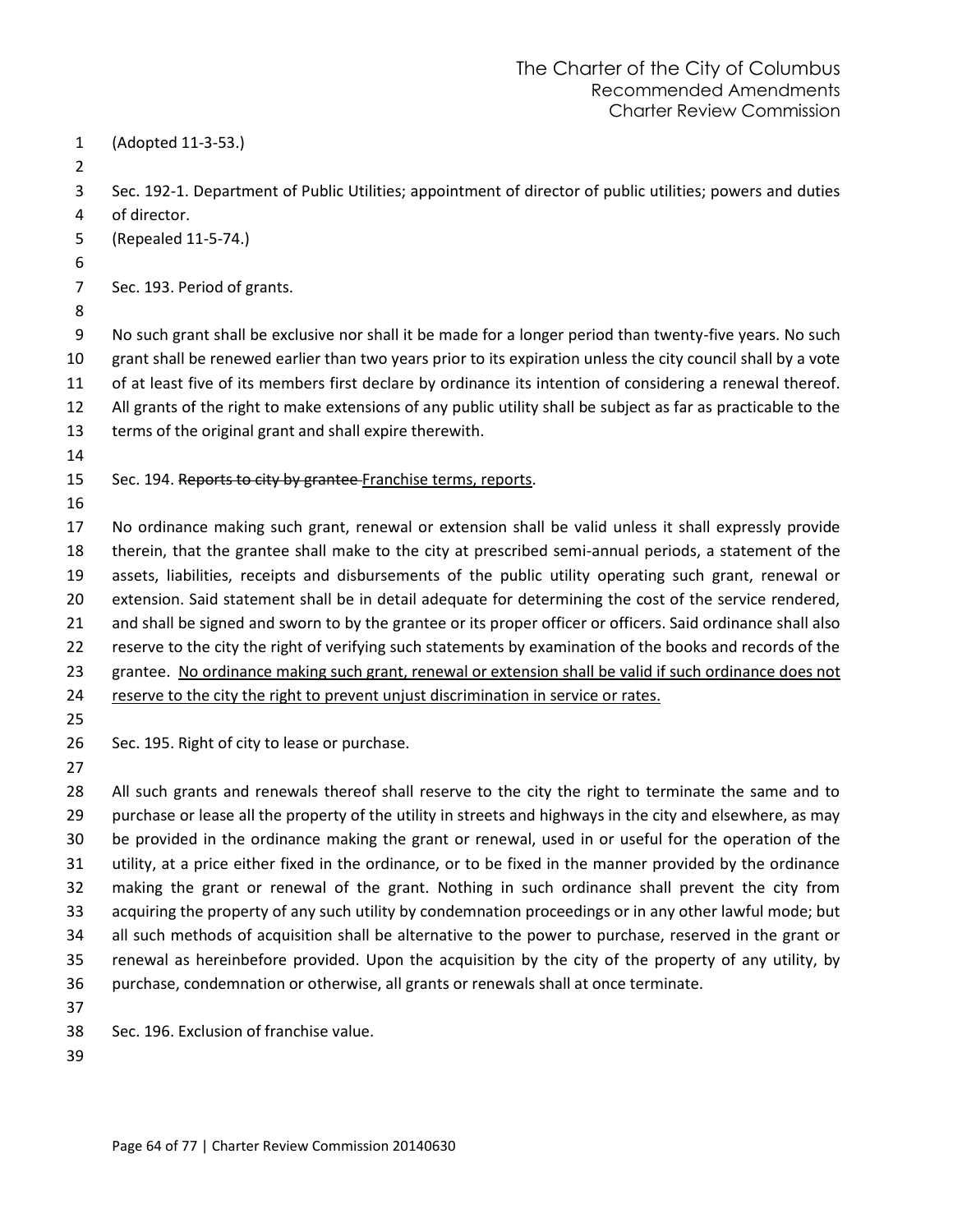- (Adopted 11-3-53.) Sec. 192-1. Department of Public Utilities; appointment of director of public utilities; powers and duties of director. (Repealed 11-5-74.) Sec. 193. Period of grants. No such grant shall be exclusive nor shall it be made for a longer period than twenty-five years. No such grant shall be renewed earlier than two years prior to its expiration unless the city council shall by a vote of at least five of its members first declare by ordinance its intention of considering a renewal thereof. All grants of the right to make extensions of any public utility shall be subject as far as practicable to the terms of the original grant and shall expire therewith. 15 Sec. 194. Reports to city by grantee-Franchise terms, reports. No ordinance making such grant, renewal or extension shall be valid unless it shall expressly provide therein, that the grantee shall make to the city at prescribed semi-annual periods, a statement of the assets, liabilities, receipts and disbursements of the public utility operating such grant, renewal or extension. Said statement shall be in detail adequate for determining the cost of the service rendered, and shall be signed and sworn to by the grantee or its proper officer or officers. Said ordinance shall also reserve to the city the right of verifying such statements by examination of the books and records of the grantee. No ordinance making such grant, renewal or extension shall be valid if such ordinance does not reserve to the city the right to prevent unjust discrimination in service or rates. Sec. 195. Right of city to lease or purchase. All such grants and renewals thereof shall reserve to the city the right to terminate the same and to purchase or lease all the property of the utility in streets and highways in the city and elsewhere, as may be provided in the ordinance making the grant or renewal, used in or useful for the operation of the utility, at a price either fixed in the ordinance, or to be fixed in the manner provided by the ordinance making the grant or renewal of the grant. Nothing in such ordinance shall prevent the city from acquiring the property of any such utility by condemnation proceedings or in any other lawful mode; but all such methods of acquisition shall be alternative to the power to purchase, reserved in the grant or renewal as hereinbefore provided. Upon the acquisition by the city of the property of any utility, by purchase, condemnation or otherwise, all grants or renewals shall at once terminate. Sec. 196. Exclusion of franchise value.
-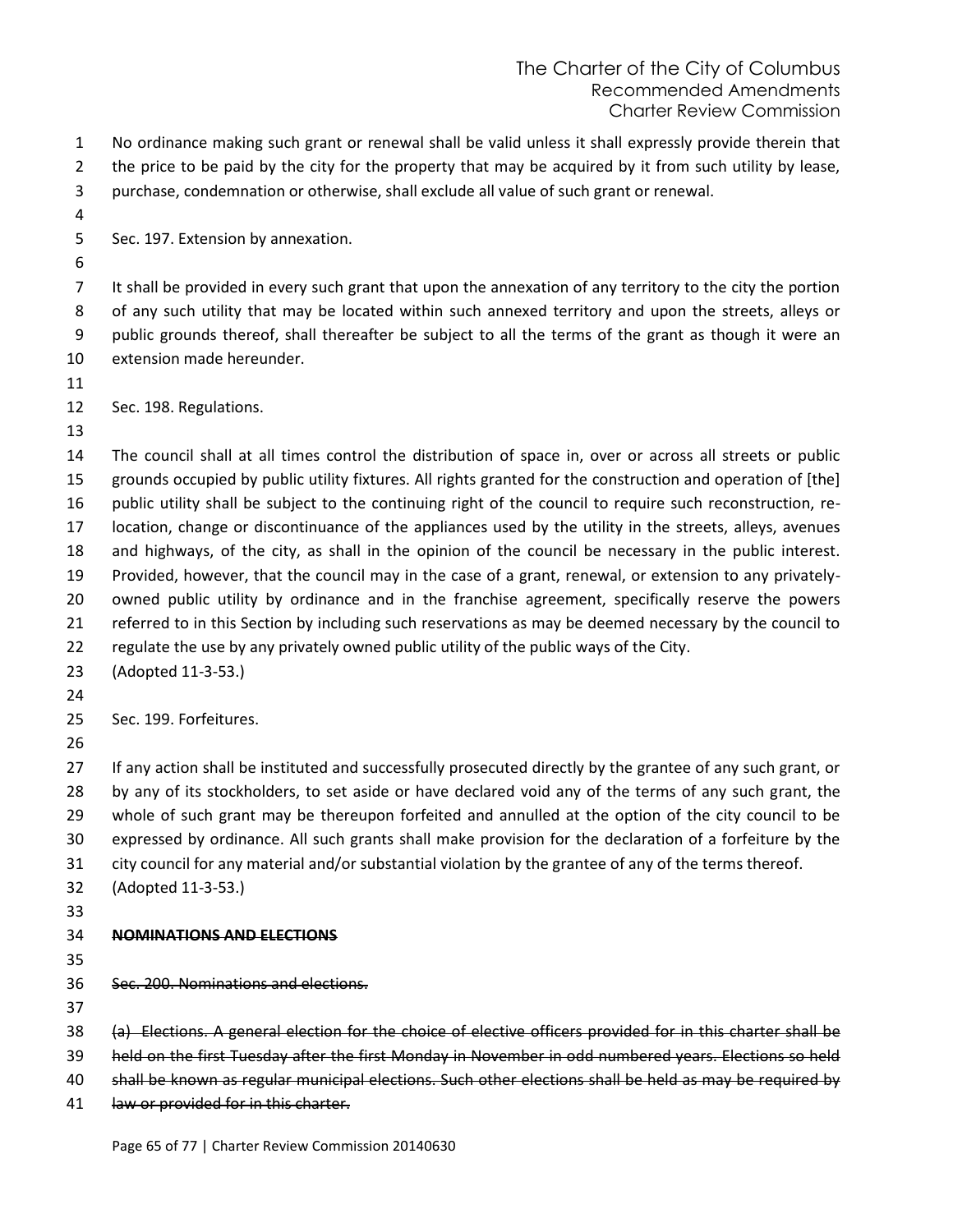No ordinance making such grant or renewal shall be valid unless it shall expressly provide therein that 2 the price to be paid by the city for the property that may be acquired by it from such utility by lease, purchase, condemnation or otherwise, shall exclude all value of such grant or renewal.

Sec. 197. Extension by annexation.

 It shall be provided in every such grant that upon the annexation of any territory to the city the portion of any such utility that may be located within such annexed territory and upon the streets, alleys or public grounds thereof, shall thereafter be subject to all the terms of the grant as though it were an extension made hereunder.

Sec. 198. Regulations.

 The council shall at all times control the distribution of space in, over or across all streets or public grounds occupied by public utility fixtures. All rights granted for the construction and operation of [the] public utility shall be subject to the continuing right of the council to require such reconstruction, re- location, change or discontinuance of the appliances used by the utility in the streets, alleys, avenues and highways, of the city, as shall in the opinion of the council be necessary in the public interest. Provided, however, that the council may in the case of a grant, renewal, or extension to any privately- owned public utility by ordinance and in the franchise agreement, specifically reserve the powers referred to in this Section by including such reservations as may be deemed necessary by the council to regulate the use by any privately owned public utility of the public ways of the City.

(Adopted 11-3-53.)

Sec. 199. Forfeitures.

 If any action shall be instituted and successfully prosecuted directly by the grantee of any such grant, or by any of its stockholders, to set aside or have declared void any of the terms of any such grant, the whole of such grant may be thereupon forfeited and annulled at the option of the city council to be expressed by ordinance. All such grants shall make provision for the declaration of a forfeiture by the

city council for any material and/or substantial violation by the grantee of any of the terms thereof.

- (Adopted 11-3-53.)
- 

# **NOMINATIONS AND ELECTIONS**

Sec. 200. Nominations and elections.

(a) Elections. A general election for the choice of elective officers provided for in this charter shall be

held on the first Tuesday after the first Monday in November in odd numbered years. Elections so held

- shall be known as regular municipal elections. Such other elections shall be held as may be required by
- 41 law or provided for in this charter.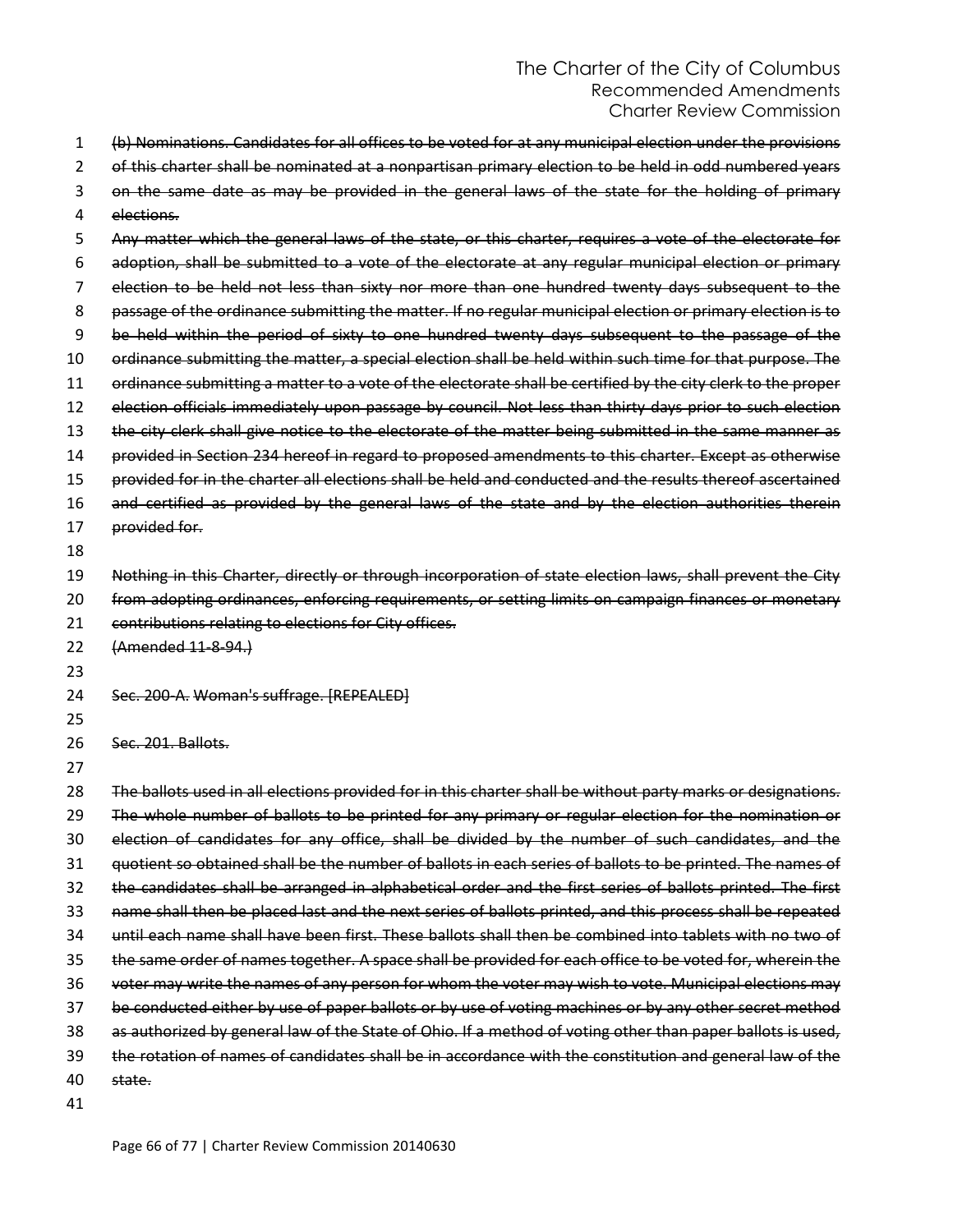| 1        | (b) Nominations. Candidates for all offices to be voted for at any municipal election under the provisions   |
|----------|--------------------------------------------------------------------------------------------------------------|
| 2        | of this charter shall be nominated at a nonpartisan primary election to be held in odd numbered years        |
| 3        | on the same date as may be provided in the general laws of the state for the holding of primary              |
| 4        | elections.                                                                                                   |
| 5        | Any matter which the general laws of the state, or this charter, requires a vote of the electorate for       |
| 6        | adoption, shall be submitted to a vote of the electorate at any regular municipal election or primary        |
| 7        | election to be held not less than sixty nor more than one hundred twenty days subsequent to the              |
| 8        | passage of the ordinance submitting the matter. If no regular municipal election or primary election is to   |
| 9        | be held within the period of sixty to one hundred twenty days subsequent to the passage of the               |
| 10       | ordinance submitting the matter, a special election shall be held within such time for that purpose. The     |
| 11       | ordinance submitting a matter to a vote of the electorate shall be certified by the city clerk to the proper |
| 12       | election officials immediately upon passage by council. Not less than thirty days prior to such election     |
| 13       | the city clerk shall give notice to the electorate of the matter being submitted in the same manner as       |
| 14       | provided in Section 234 hereof in regard to proposed amendments to this charter. Except as otherwise         |
| 15       | provided for in the charter all elections shall be held and conducted and the results thereof ascertained    |
| 16       | and certified as provided by the general laws of the state and by the election authorities therein           |
| 17       | provided for.                                                                                                |
| 18       |                                                                                                              |
| 19       | Nothing in this Charter, directly or through incorporation of state election laws, shall prevent the City    |
| 20       | from adopting ordinances, enforcing requirements, or setting limits on campaign finances or monetary         |
| 21       | contributions relating to elections for City offices.                                                        |
| 22       | (Amended 11-8-94.)                                                                                           |
| 23       |                                                                                                              |
| 24       | Sec. 200-A. Woman's suffrage. [REPEALED]                                                                     |
| 25       |                                                                                                              |
| 26       | Sec. 201 Ballots                                                                                             |
| 27       |                                                                                                              |
| 28       | The ballots used in all elections provided for in this charter shall be without party marks or designations. |
| 29       | The whole number of ballots to be printed for any primary or regular election for the nomination or          |
| 30       | election of candidates for any office, shall be divided by the number of such candidates, and the            |
| 31       | quotient so obtained shall be the number of ballots in each series of ballots to be printed. The names of    |
| 32       | the candidates shall be arranged in alphabetical order and the first series of ballots printed. The first    |
| 33       | name shall then be placed last and the next series of ballots printed, and this process shall be repeated    |
| 34       | until each name shall have been first. These ballots shall then be combined into tablets with no two of      |
| 35       | the same order of names together. A space shall be provided for each office to be voted for, wherein the     |
| 36       | voter may write the names of any person for whom the voter may wish to vote. Municipal elections may         |
| 37       | be conducted either by use of paper ballots or by use of voting machines or by any other secret method       |
| 38       |                                                                                                              |
|          | as authorized by general law of the State of Ohio. If a method of voting other than paper ballots is used,   |
| 39       | the rotation of names of candidates shall be in accordance with the constitution and general law of the      |
| 40<br>41 | state.                                                                                                       |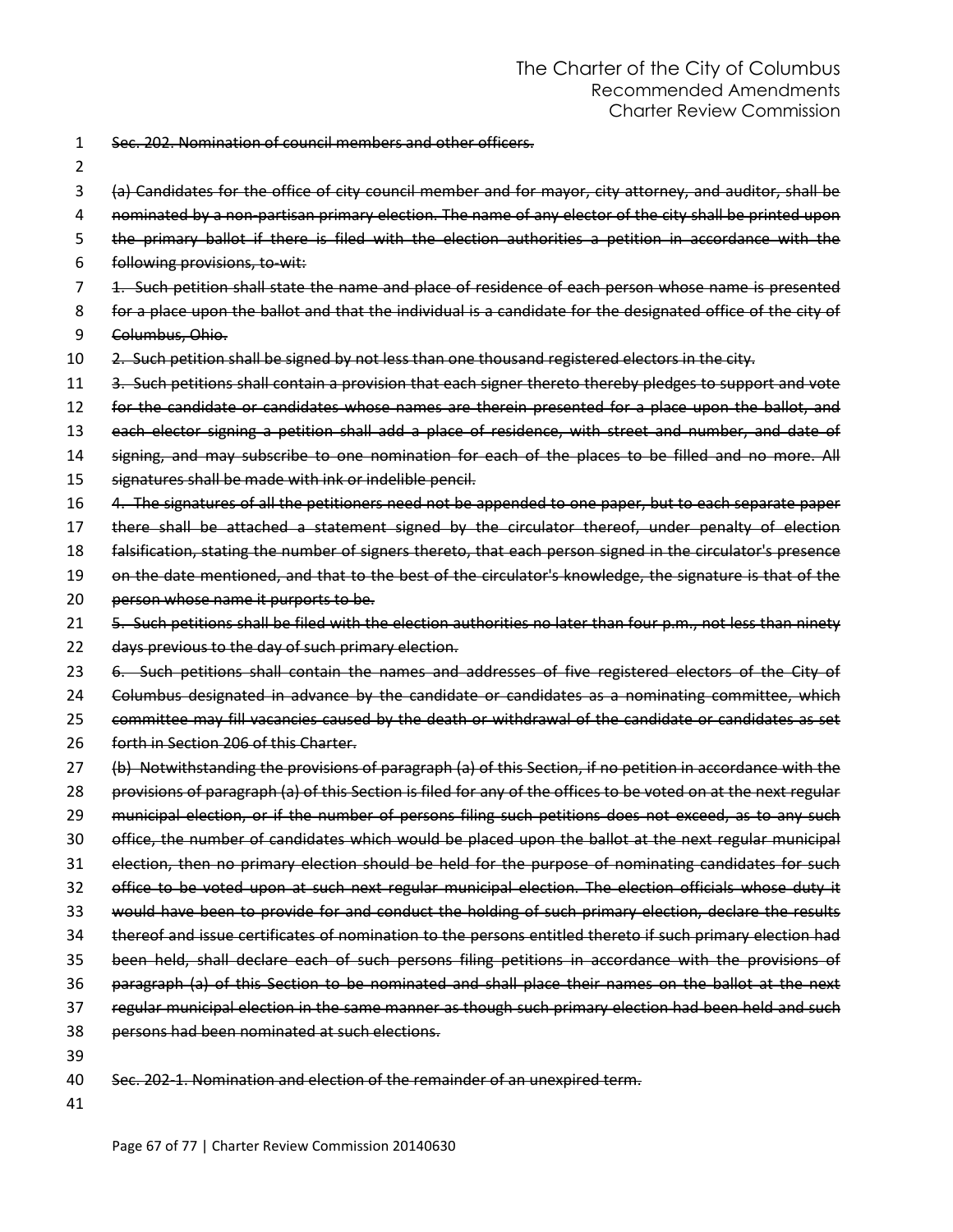- Sec. 202. Nomination of council members and other officers.
- 
- (a) Candidates for the office of city council member and for mayor, city attorney, and auditor, shall be
- nominated by a non-partisan primary election. The name of any elector of the city shall be printed upon
- the primary ballot if there is filed with the election authorities a petition in accordance with the
- following provisions, to-wit:
- 1. Such petition shall state the name and place of residence of each person whose name is presented
- for a place upon the ballot and that the individual is a candidate for the designated office of the city of
- Columbus, Ohio.
- 10 2. Such petition shall be signed by not less than one thousand registered electors in the city.
- 3. Such petitions shall contain a provision that each signer thereto thereby pledges to support and vote
- for the candidate or candidates whose names are therein presented for a place upon the ballot, and
- 13 each elector signing a petition shall add a place of residence, with street and number, and date of
- 14 signing, and may subscribe to one nomination for each of the places to be filled and no more. All
- signatures shall be made with ink or indelible pencil.
- 4. The signatures of all the petitioners need not be appended to one paper, but to each separate paper
- there shall be attached a statement signed by the circulator thereof, under penalty of election
- falsification, stating the number of signers thereto, that each person signed in the circulator's presence
- 19 on the date mentioned, and that to the best of the circulator's knowledge, the signature is that of the
- 20 person whose name it purports to be.
- 21 5. Such petitions shall be filed with the election authorities no later than four p.m., not less than ninety
- days previous to the day of such primary election.
- 23 6. Such petitions shall contain the names and addresses of five registered electors of the City of
- 24 Golumbus designated in advance by the candidate or candidates as a nominating committee, which
- 25 committee may fill vacancies caused by the death or withdrawal of the candidate or candidates as set
- forth in Section 206 of this Charter.
- (b) Notwithstanding the provisions of paragraph (a) of this Section, if no petition in accordance with the
- 28 provisions of paragraph (a) of this Section is filed for any of the offices to be voted on at the next regular
- 29 municipal election, or if the number of persons filing such petitions does not exceed, as to any such
- office, the number of candidates which would be placed upon the ballot at the next regular municipal
- 31 election, then no primary election should be held for the purpose of nominating candidates for such
- office to be voted upon at such next regular municipal election. The election officials whose duty it
- would have been to provide for and conduct the holding of such primary election, declare the results
- thereof and issue certificates of nomination to the persons entitled thereto if such primary election had
- been held, shall declare each of such persons filing petitions in accordance with the provisions of
- paragraph (a) of this Section to be nominated and shall place their names on the ballot at the next
- regular municipal election in the same manner as though such primary election had been held and such
- persons had been nominated at such elections.
- 
- Sec. 202-1. Nomination and election of the remainder of an unexpired term.
-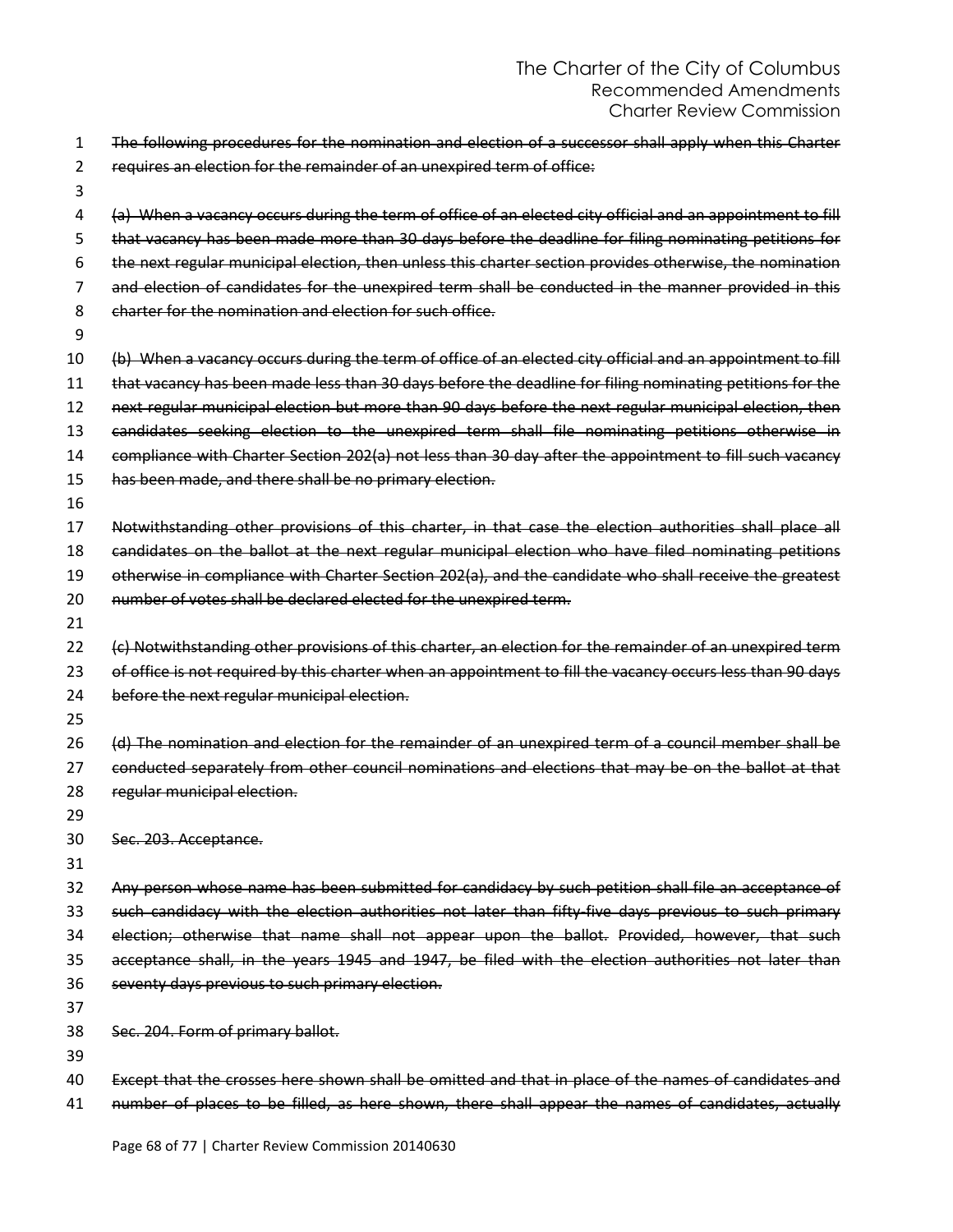- The following procedures for the nomination and election of a successor shall apply when this Charter requires an election for the remainder of an unexpired term of office:
- 

 (a) When a vacancy occurs during the term of office of an elected city official and an appointment to fill that vacancy has been made more than 30 days before the deadline for filing nominating petitions for the next regular municipal election, then unless this charter section provides otherwise, the nomination and election of candidates for the unexpired term shall be conducted in the manner provided in this charter for the nomination and election for such office.

(b) When a vacancy occurs during the term of office of an elected city official and an appointment to fill

that vacancy has been made less than 30 days before the deadline for filing nominating petitions for the

 next regular municipal election but more than 90 days before the next regular municipal election, then candidates seeking election to the unexpired term shall file nominating petitions otherwise in

14 compliance with Charter Section 202(a) not less than 30 day after the appointment to fill such vacancy 15 has been made, and there shall be no primary election.

 Notwithstanding other provisions of this charter, in that case the election authorities shall place all candidates on the ballot at the next regular municipal election who have filed nominating petitions

19 otherwise in compliance with Charter Section 202(a), and the candidate who shall receive the greatest

20 number of votes shall be declared elected for the unexpired term.

22 (c) Notwithstanding other provisions of this charter, an election for the remainder of an unexpired term 23 of office is not required by this charter when an appointment to fill the vacancy occurs less than 90 days before the next regular municipal election.

 (d) The nomination and election for the remainder of an unexpired term of a council member shall be conducted separately from other council nominations and elections that may be on the ballot at that

- regular municipal election.
- 

Sec. 203. Acceptance.

 Any person whose name has been submitted for candidacy by such petition shall file an acceptance of such candidacy with the election authorities not later than fifty-five days previous to such primary election; otherwise that name shall not appear upon the ballot. Provided, however, that such acceptance shall, in the years 1945 and 1947, be filed with the election authorities not later than seventy days previous to such primary election.

Sec. 204. Form of primary ballot.

Except that the crosses here shown shall be omitted and that in place of the names of candidates and

41 number of places to be filled, as here shown, there shall appear the names of candidates, actually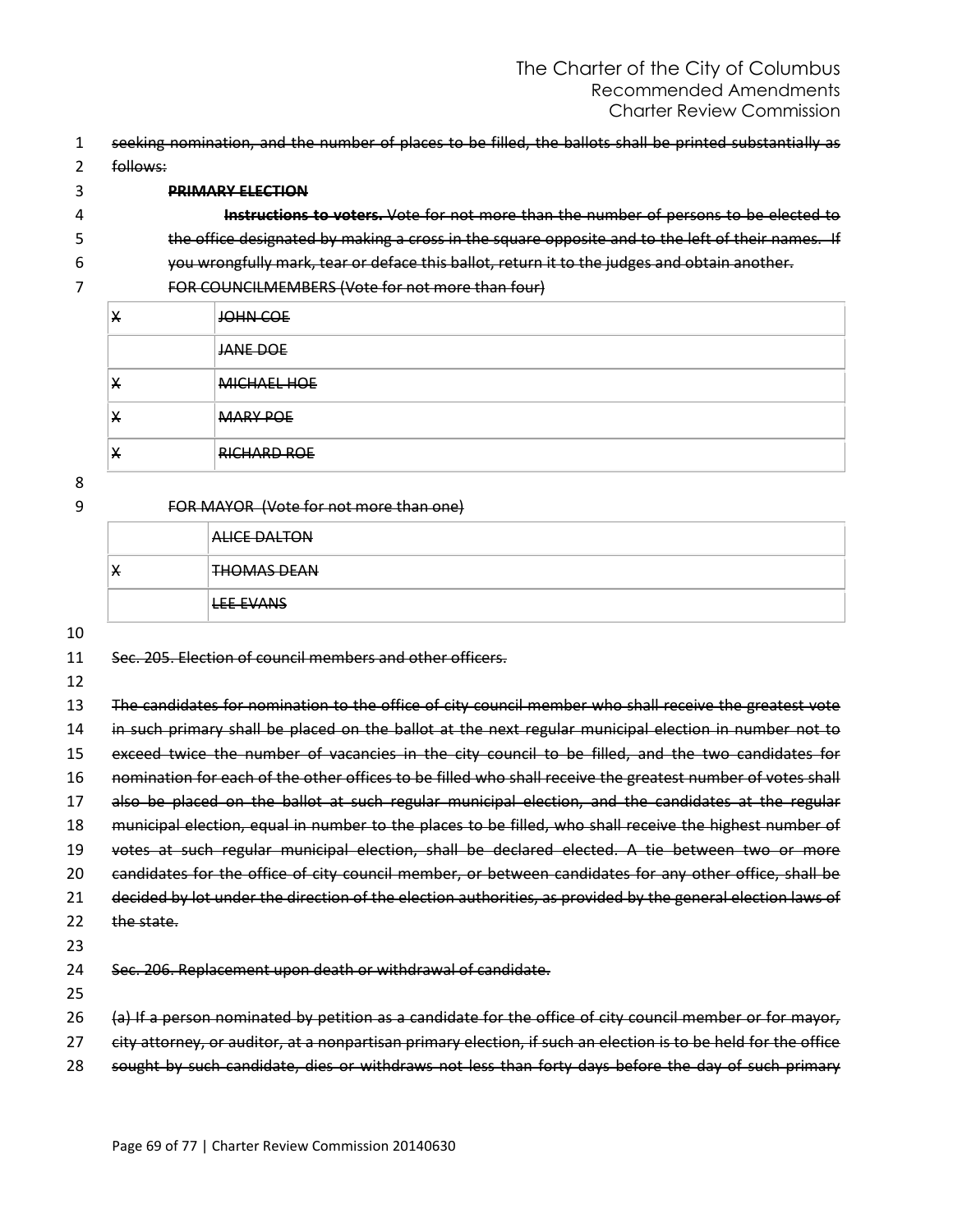- 1 seeking nomination, and the number of places to be filled, the ballots shall be printed substantially as
- 2 follows:

#### 3 **PRIMARY ELECTION**

| 4 | Instructions to voters. Vote for not more than the number of persons to be elected to             |
|---|---------------------------------------------------------------------------------------------------|
|   | the office designated by making a cross in the square opposite and to the left of their names. If |
| 6 | you wrongfully mark, tear or deface this ballot, return it to the judges and obtain another.      |

7 FOR COUNCILMEMBERS (Vote for not more than four)

| $\overline{ }$ | JOHN COE           |
|----------------|--------------------|
|                | JANE DOE           |
| $\bm{\pi}$     | <b>MICHAEL HOE</b> |
| $\star$        | <b>MARY POE</b>    |
| ∧              | <b>RICHARD ROE</b> |

8

| FOR MAYOR (Vote for not more than one)<br>9 |  |  |
|---------------------------------------------|--|--|
|                                             |  |  |
|                                             |  |  |

|   | <b>ALICE DALTON</b> |
|---|---------------------|
| X | <b>THOMAS DEAN</b>  |
|   | LEE EVANS           |

10

11 Sec. 205. Election of council members and other officers.

12

13 The candidates for nomination to the office of city council member who shall receive the greatest vote 14 in such primary shall be placed on the ballot at the next regular municipal election in number not to 15 exceed twice the number of vacancies in the city council to be filled, and the two candidates for 16 nomination for each of the other offices to be filled who shall receive the greatest number of votes shall 17 also be placed on the ballot at such regular municipal election, and the candidates at the regular 18 municipal election, equal in number to the places to be filled, who shall receive the highest number of 19 votes at such regular municipal election, shall be declared elected. A tie between two or more 20 candidates for the office of city council member, or between candidates for any other office, shall be 21 decided by lot under the direction of the election authorities, as provided by the general election laws of 22 the state. 23 24 Sec. 206. Replacement upon death or withdrawal of candidate.

25

- 26 (a) If a person nominated by petition as a candidate for the office of city council member or for mayor,
- 27 city attorney, or auditor, at a nonpartisan primary election, if such an election is to be held for the office
- 28 sought by such candidate, dies or withdraws not less than forty days before the day of such primary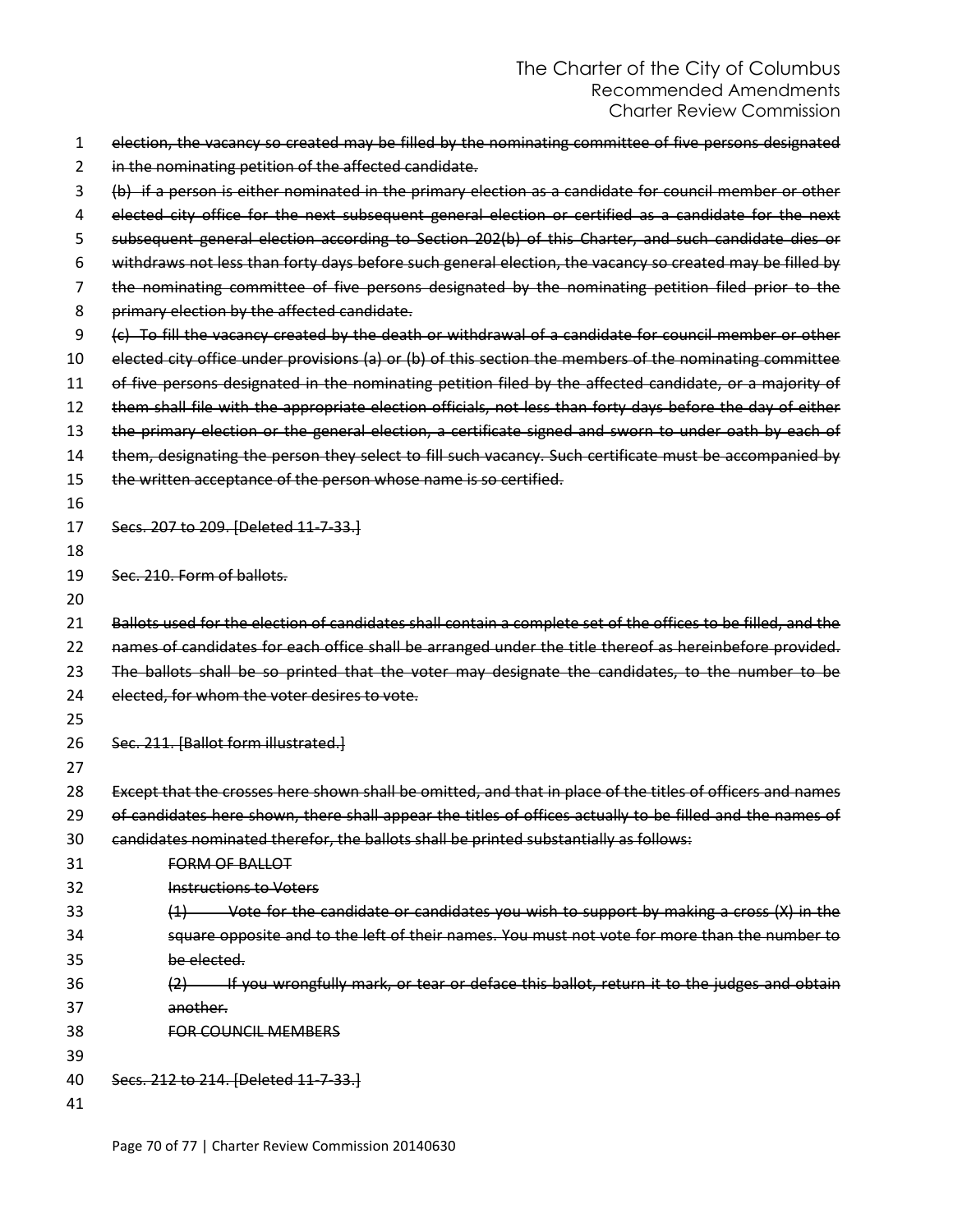| 1  | election, the vacancy so created may be filled by the nominating committee of five persons designated         |
|----|---------------------------------------------------------------------------------------------------------------|
| 2  | in the nominating petition of the affected candidate.                                                         |
| 3  | (b) if a person is either nominated in the primary election as a candidate for council member or other        |
| 4  | elected city office for the next subsequent general election or certified as a candidate for the next         |
| 5  | subsequent general election according to Section 202(b) of this Charter, and such candidate dies or           |
| 6  | withdraws not less than forty days before such general election, the vacancy so created may be filled by      |
| 7  | the nominating committee of five persons designated by the nominating petition filed prior to the             |
| 8  | primary election by the affected candidate.                                                                   |
| 9  | (c) To fill the vacancy created by the death or withdrawal of a candidate for council member or other         |
| 10 | elected city office under provisions (a) or (b) of this section the members of the nominating committee       |
| 11 | of five persons designated in the nominating petition filed by the affected candidate, or a majority of       |
| 12 | them shall file with the appropriate election officials, not less than forty days before the day of either    |
| 13 | the primary election or the general election, a certificate signed and sworn to under oath by each of         |
| 14 | them, designating the person they select to fill such vacancy. Such certificate must be accompanied by        |
| 15 | the written acceptance of the person whose name is so certified.                                              |
| 16 |                                                                                                               |
| 17 | Secs. 207 to 209. [Deleted 11-7-33.]                                                                          |
| 18 |                                                                                                               |
| 19 | Sec. 210. Form of ballots.                                                                                    |
| 20 |                                                                                                               |
| 21 | Ballots used for the election of candidates shall contain a complete set of the offices to be filled, and the |
| 22 | names of candidates for each office shall be arranged under the title thereof as hereinbefore provided.       |
| 23 | The ballots shall be so printed that the voter may designate the candidates, to the number to be              |
| 24 | elected, for whom the voter desires to vote.                                                                  |
| 25 |                                                                                                               |
| 26 | Sec. 211. [Ballot form illustrated.]                                                                          |
| 27 |                                                                                                               |
| 28 | Except that the crosses here shown shall be omitted, and that in place of the titles of officers and names    |
| 29 | of candidates here shown, there shall appear the titles of offices actually to be filled and the names of     |
| 30 | candidates nominated therefor, the ballots shall be printed substantially as follows:                         |
| 31 | <b>FORM OF BALLOT</b>                                                                                         |
| 32 | <b>Instructions to Voters</b>                                                                                 |
| 33 | $(1)$ Vote for the candidate or candidates you wish to support by making a cross $(X)$ in the                 |
| 34 | square opposite and to the left of their names. You must not vote for more than the number to                 |
| 35 | be elected.                                                                                                   |
| 36 | (2) If you wrongfully mark, or tear or deface this ballot, return it to the judges and obtain                 |
| 37 | another.                                                                                                      |
| 38 | <b>FOR COUNCIL MEMBERS</b>                                                                                    |
| 39 |                                                                                                               |
| 40 | Secs. 212 to 214. [Deleted 11-7-33.]                                                                          |
| 41 |                                                                                                               |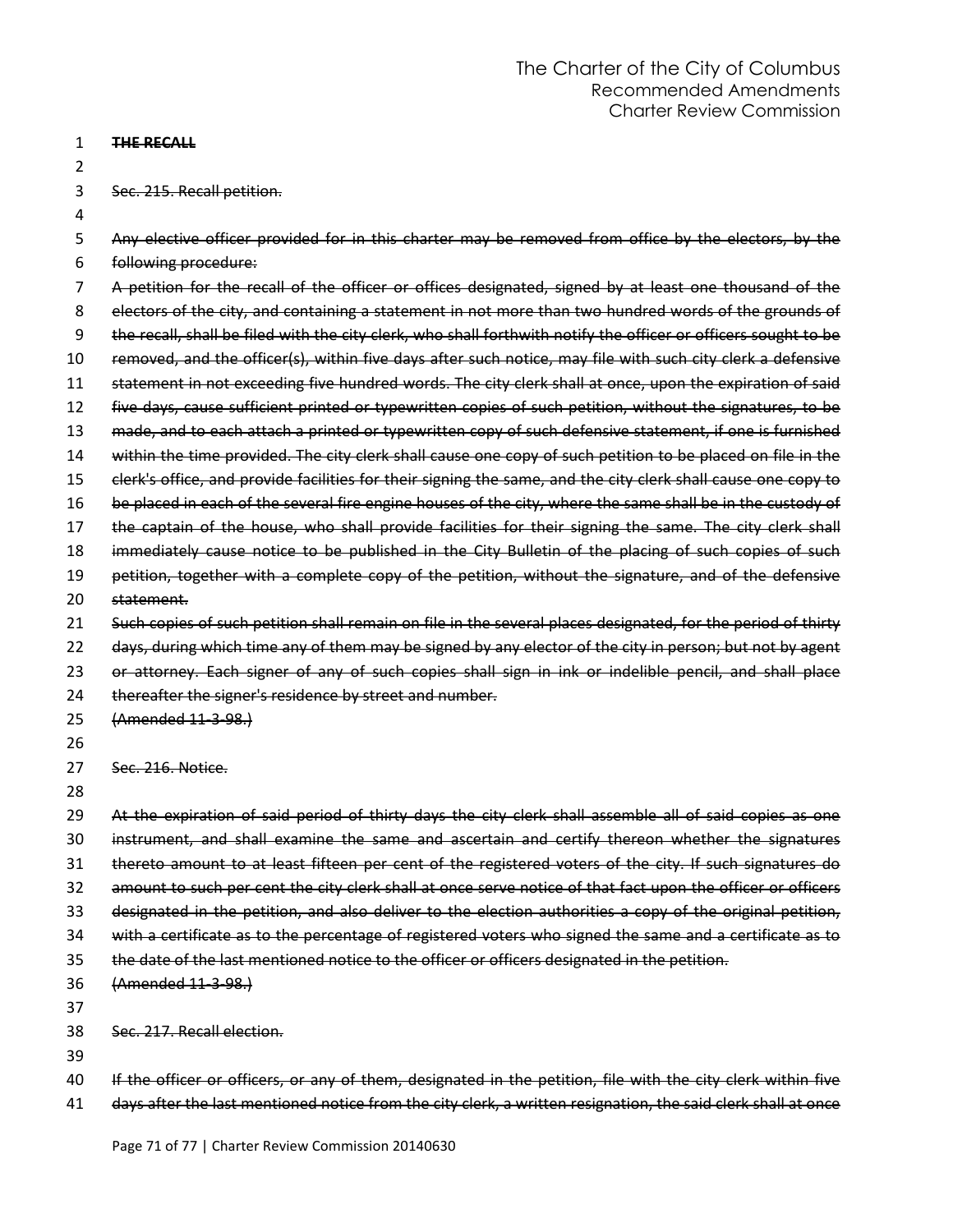#### 1 **THE RECALL**

2

3 Sec. 215. Recall petition.

| 3  | Sec. 215. Recall petition.                                                                                      |
|----|-----------------------------------------------------------------------------------------------------------------|
| 4  |                                                                                                                 |
| 5  | Any elective officer provided for in this charter may be removed from office by the electors, by the            |
| 6  | following procedure:                                                                                            |
| 7  | A petition for the recall of the officer or offices designated, signed by at least one thousand of the          |
| 8  | electors of the city, and containing a statement in not more than two hundred words of the grounds of           |
| 9  | the recall, shall be filed with the city clerk, who shall forthwith notify the officer or officers sought to be |
| 10 | removed, and the officer(s), within five days after such notice, may file with such city clerk a defensive      |
| 11 | statement in not exceeding five hundred words. The city clerk shall at once, upon the expiration of said        |
| 12 | five days, cause sufficient printed or typewritten copies of such petition, without the signatures, to be       |
| 13 | made, and to each attach a printed or typewritten copy of such defensive statement, if one is furnished         |
| 14 | within the time provided. The city clerk shall cause one copy of such petition to be placed on file in the      |
| 15 | clerk's office, and provide facilities for their signing the same, and the city clerk shall cause one copy to   |
| 16 | be placed in each of the several fire engine houses of the city, where the same shall be in the custody of      |
| 17 | the captain of the house, who shall provide facilities for their signing the same. The city clerk shall         |
| 18 | immediately cause notice to be published in the City Bulletin of the placing of such copies of such             |
| 19 | petition, together with a complete copy of the petition, without the signature, and of the defensive            |
| 20 | statement.                                                                                                      |
| 21 | Such copies of such petition shall remain on file in the several places designated, for the period of thirty    |
| 22 | days, during which time any of them may be signed by any elector of the city in person; but not by agent        |
| 23 | or attorney. Each signer of any of such copies shall sign in ink or indelible pencil, and shall place           |
| 24 | thereafter the signer's residence by street and number.                                                         |
| 25 | (Amended 11-3-98.)                                                                                              |
| 26 |                                                                                                                 |
| 27 | Sec. 216. Notice.                                                                                               |
| 28 |                                                                                                                 |
| 29 | At the expiration of said period of thirty days the city clerk shall assemble all of said copies as one         |
| 30 | instrument, and shall examine the same and ascertain and certify thereon whether the signatures                 |
| 31 | thereto amount to at least fifteen per cent of the registered voters of the city. If such signatures do         |
| 32 | amount to such per cent the city clerk shall at once serve notice of that fact upon the officer or officers     |
| 33 | designated in the petition, and also deliver to the election authorities a copy of the original petition,       |
| 34 | with a certificate as to the percentage of registered voters who signed the same and a certificate as to        |
| 35 | the date of the last mentioned notice to the officer or officers designated in the petition.                    |
| 36 | (Amended 11-3-98.)                                                                                              |
| 37 |                                                                                                                 |
| 38 | Sec. 217. Recall election.                                                                                      |
| 39 |                                                                                                                 |
| 40 | If the officer or officers, or any of them, designated in the petition, file with the city clerk within five    |
| 41 | days after the last mentioned notice from the city clerk, a written resignation, the said clerk shall at once   |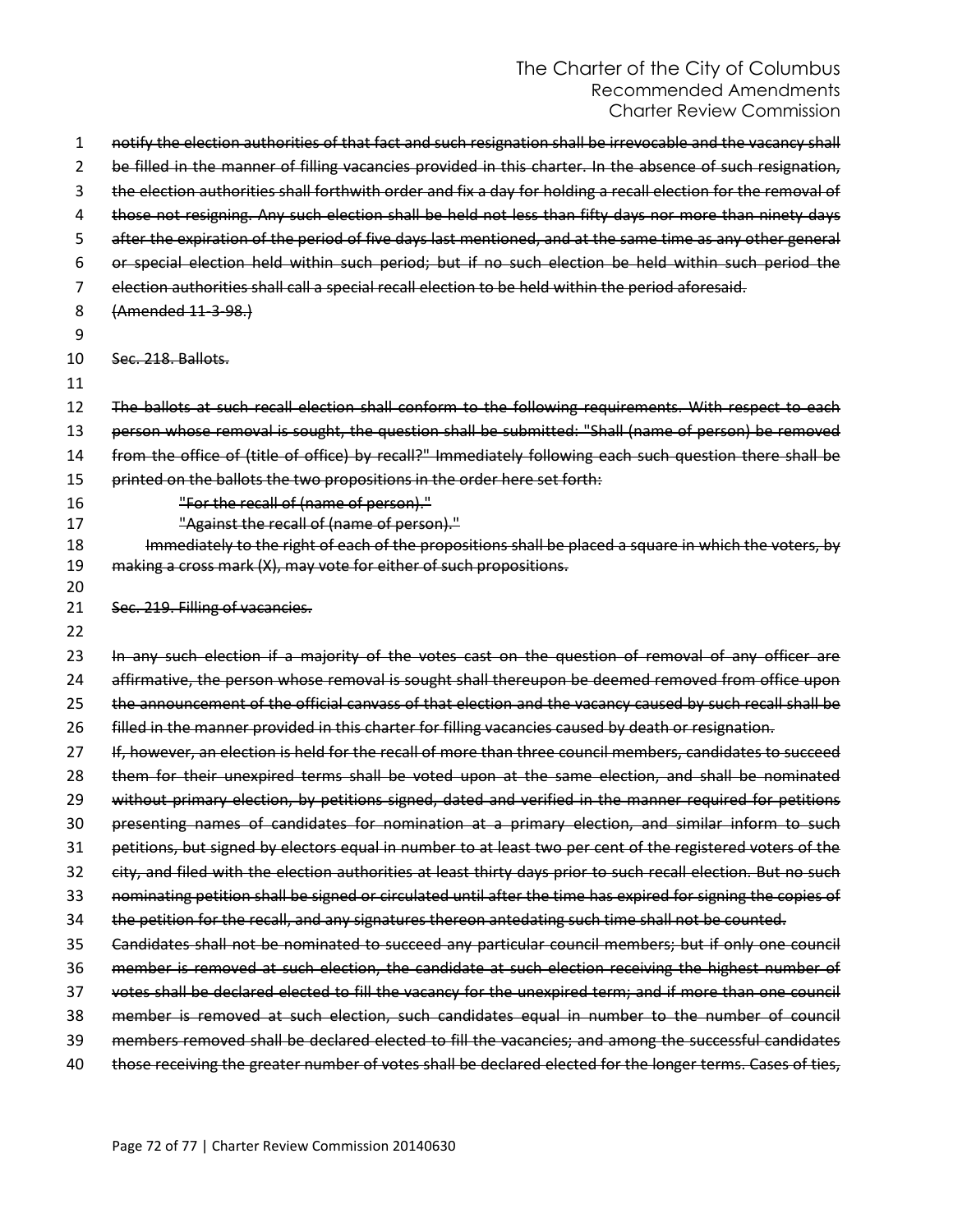| 1        | notify the election authorities of that fact and such resignation shall be irrevocable and the vacancy shall  |
|----------|---------------------------------------------------------------------------------------------------------------|
| 2        | be filled in the manner of filling vacancies provided in this charter. In the absence of such resignation,    |
| 3        | the election authorities shall forthwith order and fix a day for holding a recall election for the removal of |
| 4        | those not resigning. Any such election shall be held not less than fifty days nor more than ninety days       |
| 5        | after the expiration of the period of five days last mentioned, and at the same time as any other general     |
| 6        | or special election held within such period; but if no such election be held within such period the           |
| 7        | election authorities shall call a special recall election to be held within the period aforesaid.             |
| 8        | (Amended 11-3-98.)                                                                                            |
| 9        |                                                                                                               |
| 10       | Sec. 218, Ballots.                                                                                            |
| 11       |                                                                                                               |
| 12       | The ballots at such recall election shall conform to the following requirements. With respect to each         |
| 13       | person whose removal is sought, the question shall be submitted: "Shall (name of person) be removed           |
| 14       | from the office of (title of office) by recall?" Immediately following each such question there shall be      |
| 15       | printed on the ballots the two propositions in the order here set forth:                                      |
| 16       | "For the recall of (name of person)."                                                                         |
| 17       | "Against the recall of (name of person)."                                                                     |
| 18       | Immediately to the right of each of the propositions shall be placed a square in which the voters, by         |
| 19<br>20 | making a cross mark (X), may vote for either of such propositions.                                            |
| 21       | Sec. 219. Filling of vacancies.                                                                               |
| 22       |                                                                                                               |
| 23       | In any such election if a majority of the votes cast on the question of removal of any officer are            |
| 24       | affirmative, the person whose removal is sought shall thereupon be deemed removed from office upon            |
| 25       | the announcement of the official canvass of that election and the vacancy caused by such recall shall be      |
| 26       | filled in the manner provided in this charter for filling vacancies caused by death or resignation.           |
| 27       | If, however, an election is held for the recall of more than three council members, candidates to succeed     |
| 28       | them for their unexpired terms shall be voted upon at the same election, and shall be nominated               |
| 29       | without primary election, by petitions signed, dated and verified in the manner required for petitions        |
| 30       | presenting names of candidates for nomination at a primary election, and similar inform to such               |
| 31       | petitions, but signed by electors equal in number to at least two per cent of the registered voters of the    |
| 32       | city, and filed with the election authorities at least thirty days prior to such recall election. But no such |
| 33       | nominating petition shall be signed or circulated until after the time has expired for signing the copies of  |
| 34       | the petition for the recall, and any signatures thereon antedating such time shall not be counted.            |
| 35       | Candidates shall not be nominated to succeed any particular council members; but if only one council          |
| 36       | member is removed at such election, the candidate at such election receiving the highest number of            |
| 37       | votes shall be declared elected to fill the vacancy for the unexpired term; and if more than one council      |
| 38       | member is removed at such election, such candidates equal in number to the number of council                  |
| 39       | members removed shall be declared elected to fill the vacancies; and among the successful candidates          |
| 40       | those receiving the greater number of votes shall be declared elected for the longer terms. Cases of ties,    |
|          |                                                                                                               |
|          |                                                                                                               |
|          |                                                                                                               |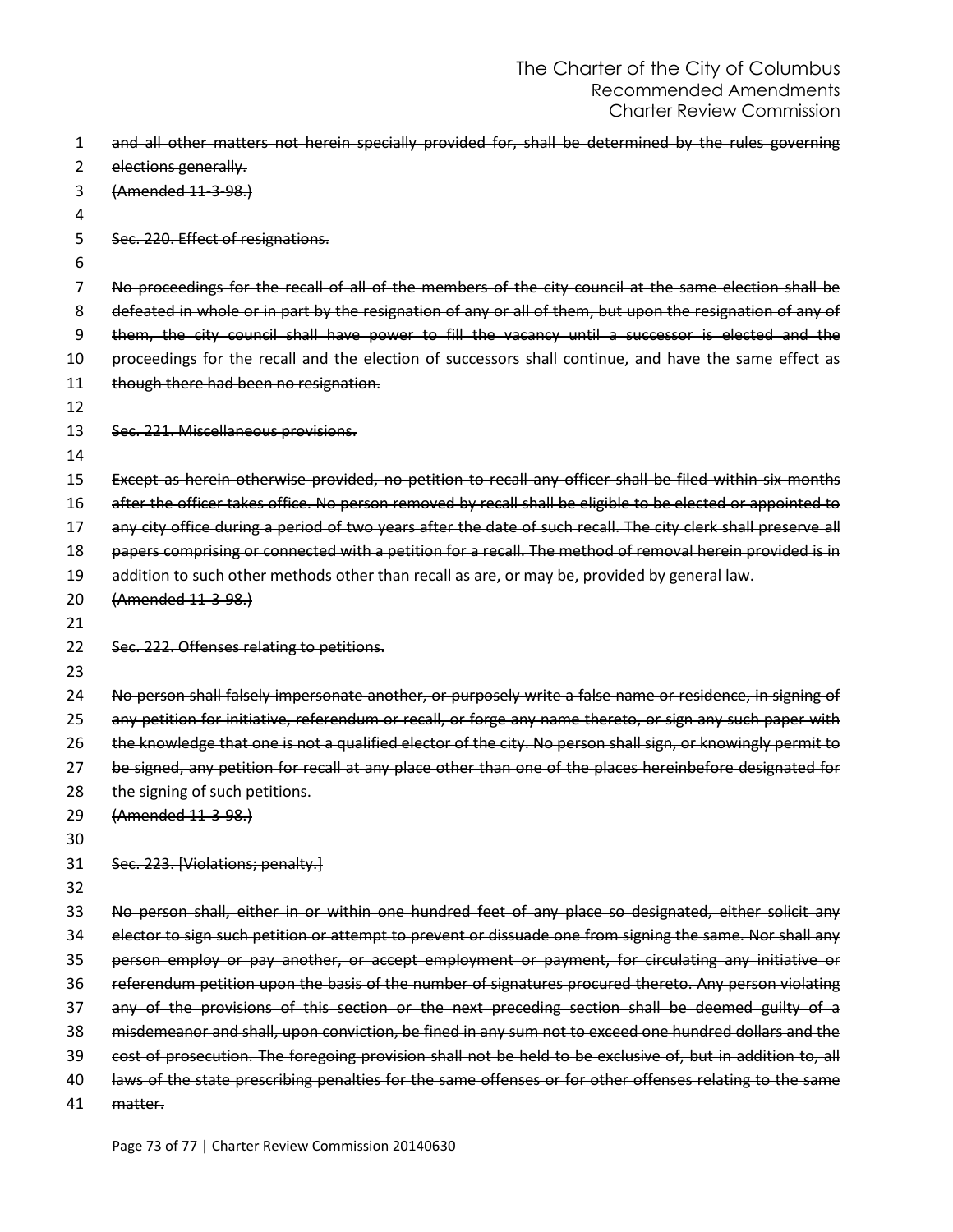| 1  | and all other matters not herein specially provided for, shall be determined by the rules governing           |
|----|---------------------------------------------------------------------------------------------------------------|
| 2  | elections generally.                                                                                          |
| 3  | (Amended 11-3-98.)                                                                                            |
| 4  |                                                                                                               |
| 5  | Sec. 220. Effect of resignations.                                                                             |
| 6  |                                                                                                               |
| 7  | No proceedings for the recall of all of the members of the city council at the same election shall be         |
| 8  | defeated in whole or in part by the resignation of any or all of them, but upon the resignation of any of     |
| 9  | them, the city council shall have power to fill the vacancy until a successor is elected and the              |
| 10 | proceedings for the recall and the election of successors shall continue, and have the same effect as         |
| 11 | though there had been no resignation.                                                                         |
| 12 |                                                                                                               |
| 13 | Sec. 221. Miscellaneous provisions.                                                                           |
| 14 |                                                                                                               |
| 15 | Except as herein otherwise provided, no petition to recall any officer shall be filed within six months       |
| 16 | after the officer takes office. No person removed by recall shall be eligible to be elected or appointed to   |
| 17 | any city office during a period of two years after the date of such recall. The city clerk shall preserve all |
| 18 | papers comprising or connected with a petition for a recall. The method of removal herein provided is in      |
| 19 | addition to such other methods other than recall as are, or may be, provided by general law.                  |
| 20 | (Amended 11-3-98.)                                                                                            |
| 21 |                                                                                                               |
| 22 | Sec. 222. Offenses relating to petitions.                                                                     |
| 23 |                                                                                                               |
| 24 | No person shall falsely impersonate another, or purposely write a false name or residence, in signing of      |
| 25 | any petition for initiative, referendum or recall, or forge any name thereto, or sign any such paper with     |
| 26 | the knowledge that one is not a qualified elector of the city. No person shall sign, or knowingly permit to   |
| 27 | be signed, any petition for recall at any place other than one of the places hereinbefore designated for      |
| 28 | the signing of such petitions.                                                                                |
| 29 | (Amended 11-3-98.)                                                                                            |
| 30 |                                                                                                               |
| 31 | Sec. 223. [Violations; penalty.]                                                                              |
| 32 |                                                                                                               |
| 33 | No person shall, either in or within one hundred feet of any place so designated, either solicit any          |
| 34 | elector to sign such petition or attempt to prevent or dissuade one from signing the same. Nor shall any      |
| 35 | person employ or pay another, or accept employment or payment, for circulating any initiative or              |
| 36 | referendum petition upon the basis of the number of signatures procured thereto. Any person violating         |
| 37 | any of the provisions of this section or the next preceding section shall be deemed guilty of a               |
| 38 |                                                                                                               |
|    | misdemeanor and shall, upon conviction, be fined in any sum not to exceed one hundred dollars and the         |
| 39 | cost of prosecution. The foregoing provision shall not be held to be exclusive of, but in addition to, all    |
| 40 | laws of the state prescribing penalties for the same offenses or for other offenses relating to the same      |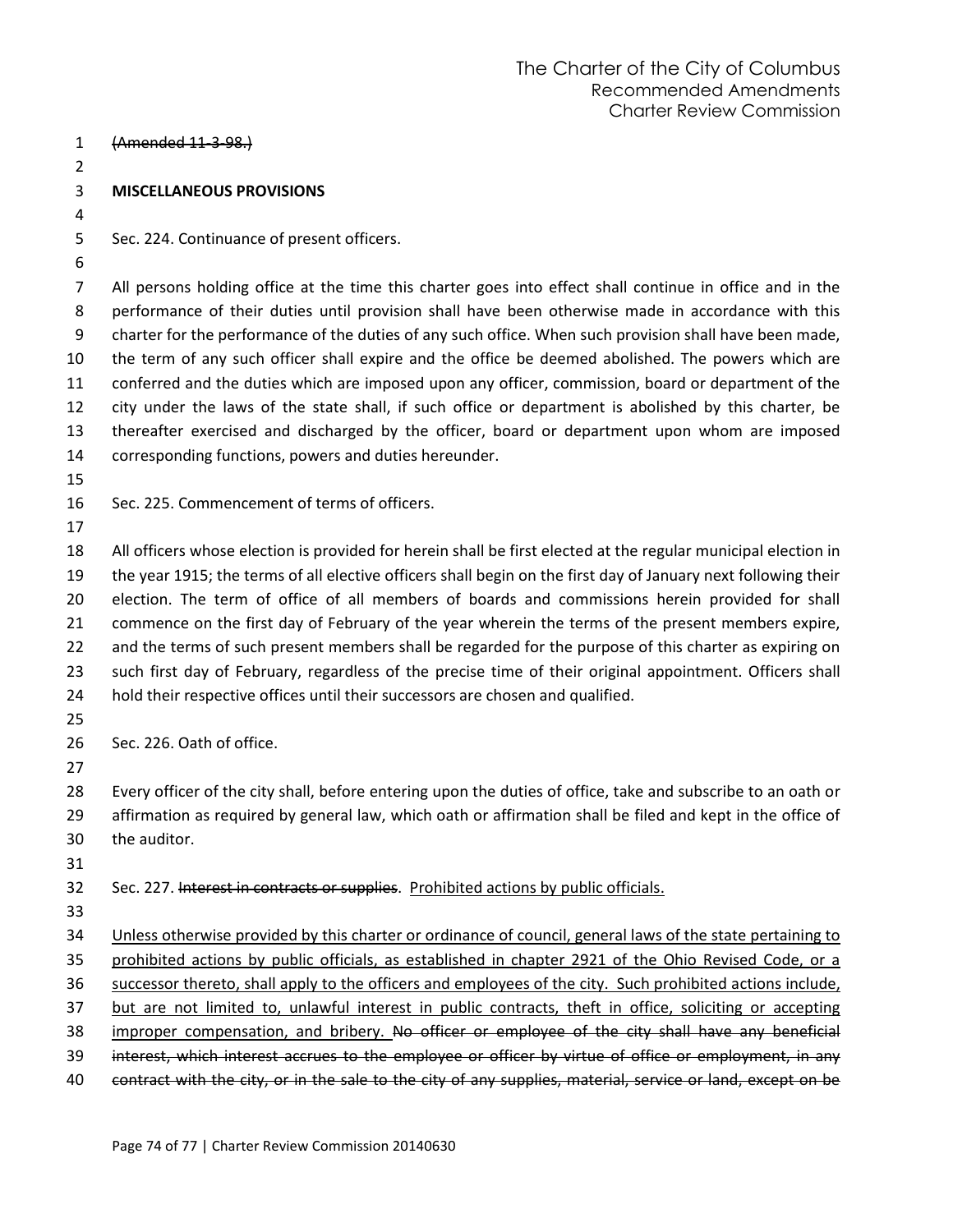(Amended 11-3-98.) **MISCELLANEOUS PROVISIONS** Sec. 224. Continuance of present officers. All persons holding office at the time this charter goes into effect shall continue in office and in the performance of their duties until provision shall have been otherwise made in accordance with this charter for the performance of the duties of any such office. When such provision shall have been made, the term of any such officer shall expire and the office be deemed abolished. The powers which are conferred and the duties which are imposed upon any officer, commission, board or department of the city under the laws of the state shall, if such office or department is abolished by this charter, be thereafter exercised and discharged by the officer, board or department upon whom are imposed corresponding functions, powers and duties hereunder. Sec. 225. Commencement of terms of officers. All officers whose election is provided for herein shall be first elected at the regular municipal election in the year 1915; the terms of all elective officers shall begin on the first day of January next following their election. The term of office of all members of boards and commissions herein provided for shall commence on the first day of February of the year wherein the terms of the present members expire, 22 and the terms of such present members shall be regarded for the purpose of this charter as expiring on such first day of February, regardless of the precise time of their original appointment. Officers shall hold their respective offices until their successors are chosen and qualified. Sec. 226. Oath of office. Every officer of the city shall, before entering upon the duties of office, take and subscribe to an oath or affirmation as required by general law, which oath or affirmation shall be filed and kept in the office of the auditor. 32 Sec. 227. Interest in contracts or supplies. Prohibited actions by public officials. 34 Unless otherwise provided by this charter or ordinance of council, general laws of the state pertaining to prohibited actions by public officials, as established in chapter 2921 of the Ohio Revised Code, or a successor thereto, shall apply to the officers and employees of the city. Such prohibited actions include, but are not limited to, unlawful interest in public contracts, theft in office, soliciting or accepting 38 improper compensation, and bribery. No officer or employee of the city shall have any beneficial interest, which interest accrues to the employee or officer by virtue of office or employment, in any contract with the city, or in the sale to the city of any supplies, material, service or land, except on be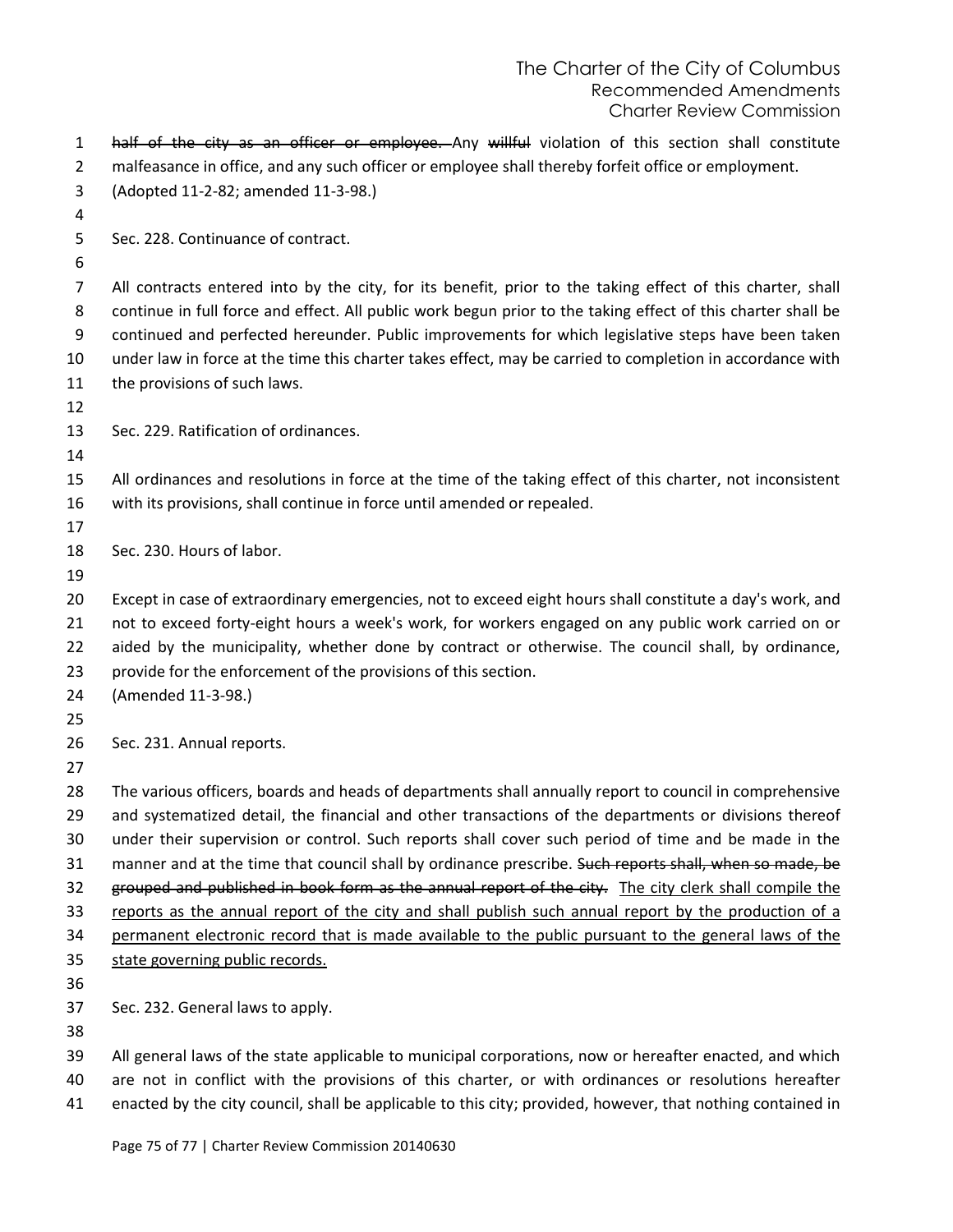## The Charter of the City of Columbus Recommended Amendments Charter Review Commission

| $\mathbf{1}$<br>$\overline{2}$ | half of the city as an officer or employee. Any willful violation of this section shall constitute<br>malfeasance in office, and any such officer or employee shall thereby forfeit office or employment. |
|--------------------------------|-----------------------------------------------------------------------------------------------------------------------------------------------------------------------------------------------------------|
| 3                              | (Adopted 11-2-82; amended 11-3-98.)                                                                                                                                                                       |
| 4                              |                                                                                                                                                                                                           |
| 5                              | Sec. 228. Continuance of contract.                                                                                                                                                                        |
| 6                              |                                                                                                                                                                                                           |
| $\overline{7}$                 | All contracts entered into by the city, for its benefit, prior to the taking effect of this charter, shall                                                                                                |
| 8                              | continue in full force and effect. All public work begun prior to the taking effect of this charter shall be                                                                                              |
| 9                              | continued and perfected hereunder. Public improvements for which legislative steps have been taken                                                                                                        |
| 10                             | under law in force at the time this charter takes effect, may be carried to completion in accordance with                                                                                                 |
| 11                             | the provisions of such laws.                                                                                                                                                                              |
| 12                             |                                                                                                                                                                                                           |
| 13                             | Sec. 229. Ratification of ordinances.                                                                                                                                                                     |
| 14                             |                                                                                                                                                                                                           |
| 15                             | All ordinances and resolutions in force at the time of the taking effect of this charter, not inconsistent                                                                                                |
| 16                             | with its provisions, shall continue in force until amended or repealed.                                                                                                                                   |
| 17                             |                                                                                                                                                                                                           |
| 18                             | Sec. 230. Hours of labor.                                                                                                                                                                                 |
| 19                             |                                                                                                                                                                                                           |
| 20                             | Except in case of extraordinary emergencies, not to exceed eight hours shall constitute a day's work, and                                                                                                 |
| 21                             | not to exceed forty-eight hours a week's work, for workers engaged on any public work carried on or                                                                                                       |
| 22                             | aided by the municipality, whether done by contract or otherwise. The council shall, by ordinance,                                                                                                        |
| 23<br>24                       | provide for the enforcement of the provisions of this section.<br>(Amended 11-3-98.)                                                                                                                      |
| 25                             |                                                                                                                                                                                                           |
| 26                             | Sec. 231. Annual reports.                                                                                                                                                                                 |
| 27                             |                                                                                                                                                                                                           |
| 28                             | The various officers, boards and heads of departments shall annually report to council in comprehensive                                                                                                   |
| 29                             | and systematized detail, the financial and other transactions of the departments or divisions thereof                                                                                                     |
| 30                             | under their supervision or control. Such reports shall cover such period of time and be made in the                                                                                                       |
| 31                             | manner and at the time that council shall by ordinance prescribe. Such reports shall, when so made, be                                                                                                    |
| 32                             | grouped and published in book form as the annual report of the city. The city clerk shall compile the                                                                                                     |
| 33                             | reports as the annual report of the city and shall publish such annual report by the production of a                                                                                                      |
| 34                             | permanent electronic record that is made available to the public pursuant to the general laws of the                                                                                                      |
| 35                             | state governing public records.                                                                                                                                                                           |
| 36                             |                                                                                                                                                                                                           |
| 37                             | Sec. 232. General laws to apply.                                                                                                                                                                          |
| 38                             |                                                                                                                                                                                                           |
| 39                             | All general laws of the state applicable to municipal corporations, now or hereafter enacted, and which                                                                                                   |
| 40                             | are not in conflict with the provisions of this charter, or with ordinances or resolutions hereafter                                                                                                      |

enacted by the city council, shall be applicable to this city; provided, however, that nothing contained in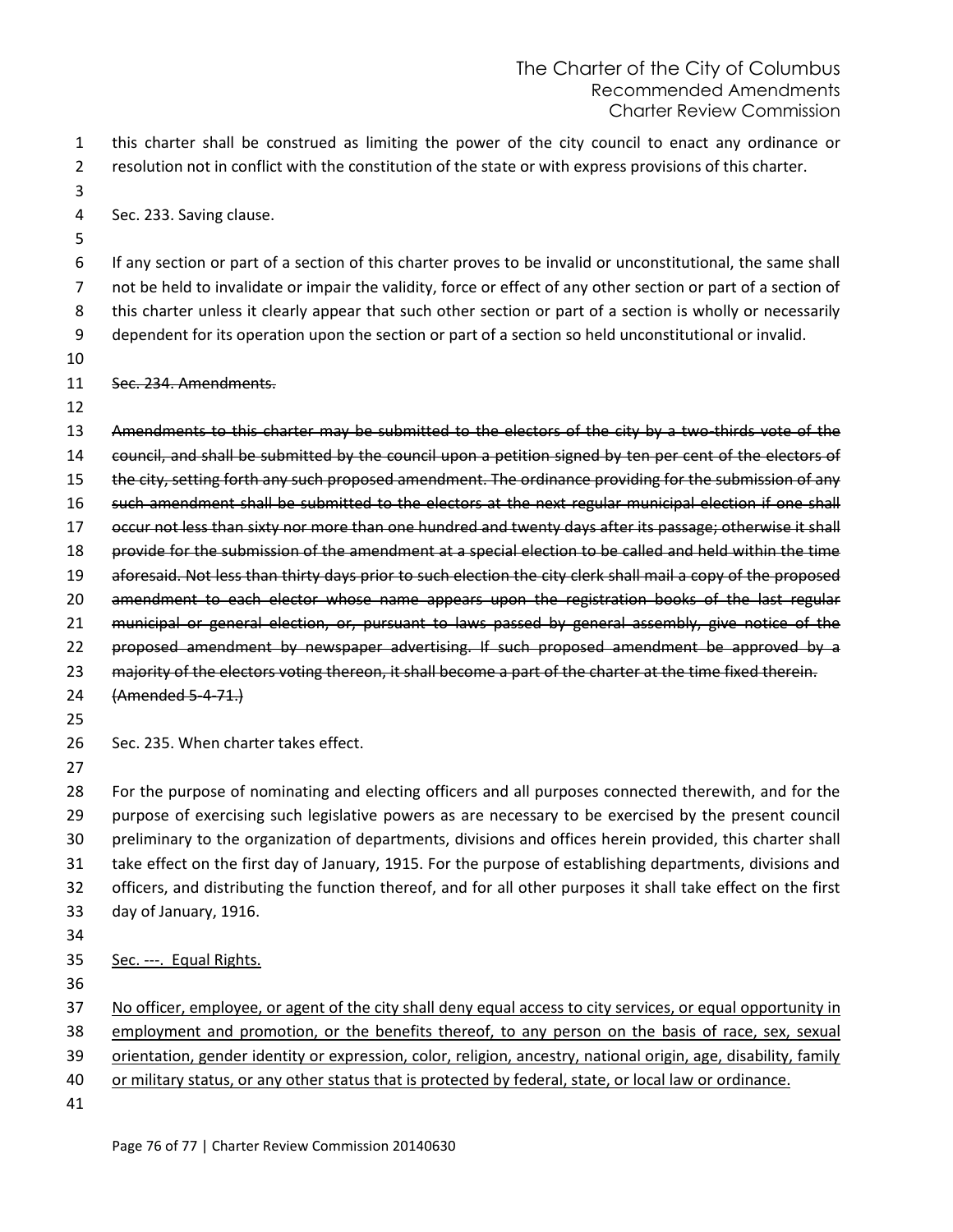this charter shall be construed as limiting the power of the city council to enact any ordinance or resolution not in conflict with the constitution of the state or with express provisions of this charter.

Sec. 233. Saving clause.

 If any section or part of a section of this charter proves to be invalid or unconstitutional, the same shall not be held to invalidate or impair the validity, force or effect of any other section or part of a section of this charter unless it clearly appear that such other section or part of a section is wholly or necessarily dependent for its operation upon the section or part of a section so held unconstitutional or invalid.

Sec. 234. Amendments.

 Amendments to this charter may be submitted to the electors of the city by a two-thirds vote of the council, and shall be submitted by the council upon a petition signed by ten per cent of the electors of 15 the city, setting forth any such proposed amendment. The ordinance providing for the submission of any 16 such amendment shall be submitted to the electors at the next regular municipal election if one shall occur not less than sixty nor more than one hundred and twenty days after its passage; otherwise it shall provide for the submission of the amendment at a special election to be called and held within the time aforesaid. Not less than thirty days prior to such election the city clerk shall mail a copy of the proposed 20 amendment to each elector whose name appears upon the registration books of the last regular 21 municipal or general election, or, pursuant to laws passed by general assembly, give notice of the 22 proposed amendment by newspaper advertising. If such proposed amendment be approved by a 23 majority of the electors voting thereon, it shall become a part of the charter at the time fixed therein. (Amended 5-4-71.) Sec. 235. When charter takes effect.

 For the purpose of nominating and electing officers and all purposes connected therewith, and for the purpose of exercising such legislative powers as are necessary to be exercised by the present council preliminary to the organization of departments, divisions and offices herein provided, this charter shall take effect on the first day of January, 1915. For the purpose of establishing departments, divisions and officers, and distributing the function thereof, and for all other purposes it shall take effect on the first day of January, 1916.

No officer, employee, or agent of the city shall deny equal access to city services, or equal opportunity in

38 employment and promotion, or the benefits thereof, to any person on the basis of race, sex, sexual

orientation, gender identity or expression, color, religion, ancestry, national origin, age, disability, family

or military status, or any other status that is protected by federal, state, or local law or ordinance.